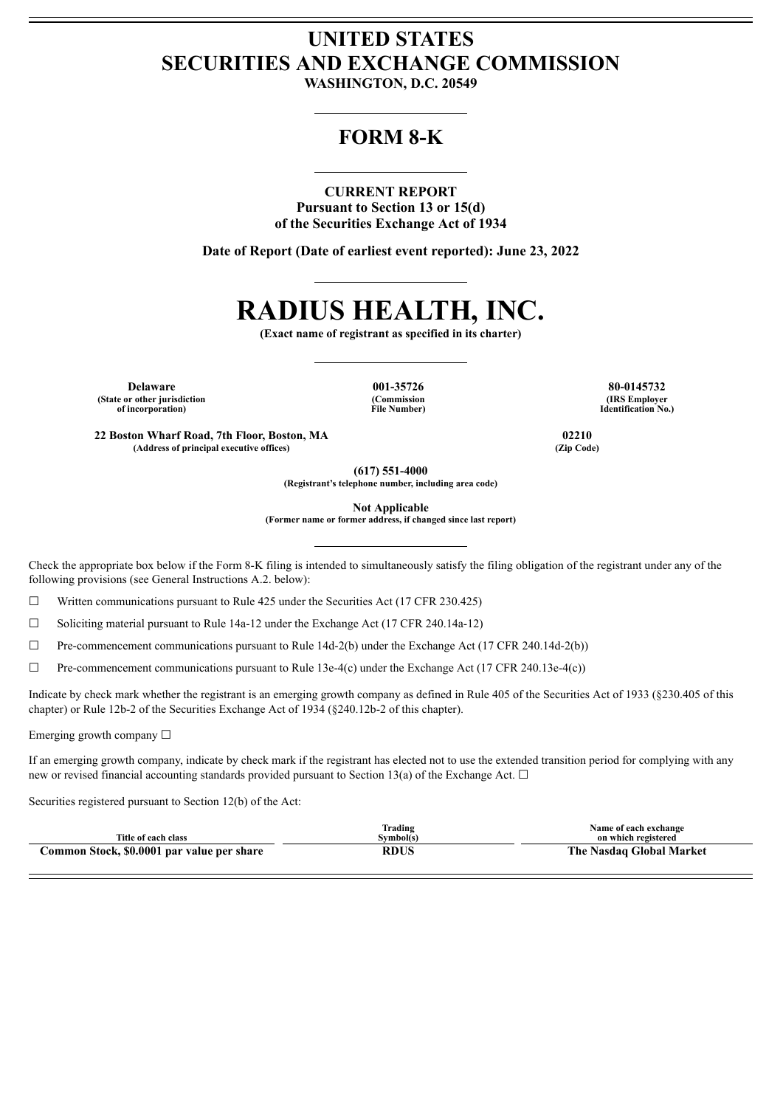## **UNITED STATES SECURITIES AND EXCHANGE COMMISSION**

**WASHINGTON, D.C. 20549**

## **FORM 8-K**

## **CURRENT REPORT**

**Pursuant to Section 13 or 15(d) of the Securities Exchange Act of 1934**

**Date of Report (Date of earliest event reported): June 23, 2022**

# **RADIUS HEALTH, INC.**

**(Exact name of registrant as specified in its charter)**

**Delaware 001-35726 80-0145732 (State or other jurisdiction of incorporation)**

**(Commission File Number)**

**(IRS Employer Identification No.)**

**22 Boston Wharf Road, 7th Floor, Boston, MA 02210 (Address of principal executive offices) (Zip Code)**

**(617) 551-4000**

**(Registrant's telephone number, including area code)**

**Not Applicable**

**(Former name or former address, if changed since last report)**

Check the appropriate box below if the Form 8-K filing is intended to simultaneously satisfy the filing obligation of the registrant under any of the following provisions (see General Instructions A.2. below):

 $\Box$  Written communications pursuant to Rule 425 under the Securities Act (17 CFR 230.425)

 $\Box$  Soliciting material pursuant to Rule 14a-12 under the Exchange Act (17 CFR 240.14a-12)

 $\Box$  Pre-commencement communications pursuant to Rule 14d-2(b) under the Exchange Act (17 CFR 240.14d-2(b))

☐ Pre-commencement communications pursuant to Rule 13e-4(c) under the Exchange Act (17 CFR 240.13e-4(c))

Indicate by check mark whether the registrant is an emerging growth company as defined in Rule 405 of the Securities Act of 1933 (§230.405 of this chapter) or Rule 12b-2 of the Securities Exchange Act of 1934 (§240.12b-2 of this chapter).

Emerging growth company  $\Box$ 

If an emerging growth company, indicate by check mark if the registrant has elected not to use the extended transition period for complying with any new or revised financial accounting standards provided pursuant to Section 13(a) of the Exchange Act.  $\Box$ 

Securities registered pursuant to Section 12(b) of the Act:

| Title of each class                        | lrading<br>svmbol(s) | Name of each exchange<br>on which registered |
|--------------------------------------------|----------------------|----------------------------------------------|
|                                            |                      |                                              |
| Common Stock, \$0.0001 par value per share | RDUS                 | The Nasdaq Global Market                     |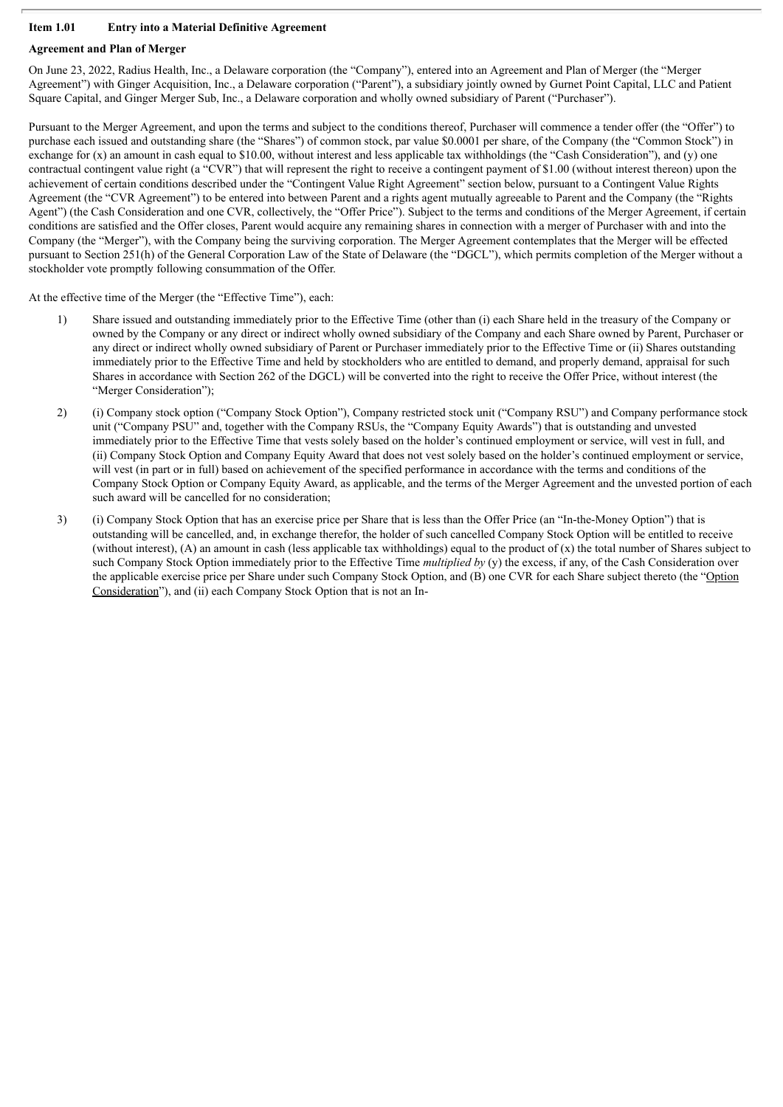## **Item 1.01 Entry into a Material Definitive Agreement**

## **Agreement and Plan of Merger**

On June 23, 2022, Radius Health, Inc., a Delaware corporation (the "Company"), entered into an Agreement and Plan of Merger (the "Merger Agreement") with Ginger Acquisition, Inc., a Delaware corporation ("Parent"), a subsidiary jointly owned by Gurnet Point Capital, LLC and Patient Square Capital, and Ginger Merger Sub, Inc., a Delaware corporation and wholly owned subsidiary of Parent ("Purchaser").

Pursuant to the Merger Agreement, and upon the terms and subject to the conditions thereof, Purchaser will commence a tender offer (the "Offer") to purchase each issued and outstanding share (the "Shares") of common stock, par value \$0.0001 per share, of the Company (the "Common Stock") in exchange for  $(x)$  an amount in cash equal to \$10.00, without interest and less applicable tax withholdings (the "Cash Consideration"), and  $(v)$  one contractual contingent value right (a "CVR") that will represent the right to receive a contingent payment of \$1.00 (without interest thereon) upon the achievement of certain conditions described under the "Contingent Value Right Agreement" section below, pursuant to a Contingent Value Rights Agreement (the "CVR Agreement") to be entered into between Parent and a rights agent mutually agreeable to Parent and the Company (the "Rights Agent") (the Cash Consideration and one CVR, collectively, the "Offer Price"). Subject to the terms and conditions of the Merger Agreement, if certain conditions are satisfied and the Offer closes, Parent would acquire any remaining shares in connection with a merger of Purchaser with and into the Company (the "Merger"), with the Company being the surviving corporation. The Merger Agreement contemplates that the Merger will be effected pursuant to Section 251(h) of the General Corporation Law of the State of Delaware (the "DGCL"), which permits completion of the Merger without a stockholder vote promptly following consummation of the Offer.

At the effective time of the Merger (the "Effective Time"), each:

- 1) Share issued and outstanding immediately prior to the Effective Time (other than (i) each Share held in the treasury of the Company or owned by the Company or any direct or indirect wholly owned subsidiary of the Company and each Share owned by Parent, Purchaser or any direct or indirect wholly owned subsidiary of Parent or Purchaser immediately prior to the Effective Time or (ii) Shares outstanding immediately prior to the Effective Time and held by stockholders who are entitled to demand, and properly demand, appraisal for such Shares in accordance with Section 262 of the DGCL) will be converted into the right to receive the Offer Price, without interest (the "Merger Consideration");
- 2) (i) Company stock option ("Company Stock Option"), Company restricted stock unit ("Company RSU") and Company performance stock unit ("Company PSU" and, together with the Company RSUs, the "Company Equity Awards") that is outstanding and unvested immediately prior to the Effective Time that vests solely based on the holder's continued employment or service, will vest in full, and (ii) Company Stock Option and Company Equity Award that does not vest solely based on the holder's continued employment or service, will vest (in part or in full) based on achievement of the specified performance in accordance with the terms and conditions of the Company Stock Option or Company Equity Award, as applicable, and the terms of the Merger Agreement and the unvested portion of each such award will be cancelled for no consideration;
- 3) (i) Company Stock Option that has an exercise price per Share that is less than the Offer Price (an "In-the-Money Option") that is outstanding will be cancelled, and, in exchange therefor, the holder of such cancelled Company Stock Option will be entitled to receive (without interest),  $(A)$  an amount in cash (less applicable tax withholdings) equal to the product of  $(x)$  the total number of Shares subject to such Company Stock Option immediately prior to the Effective Time *multiplied by* (y) the excess, if any, of the Cash Consideration over the applicable exercise price per Share under such Company Stock Option, and (B) one CVR for each Share subject thereto (the "Option Consideration"), and (ii) each Company Stock Option that is not an In-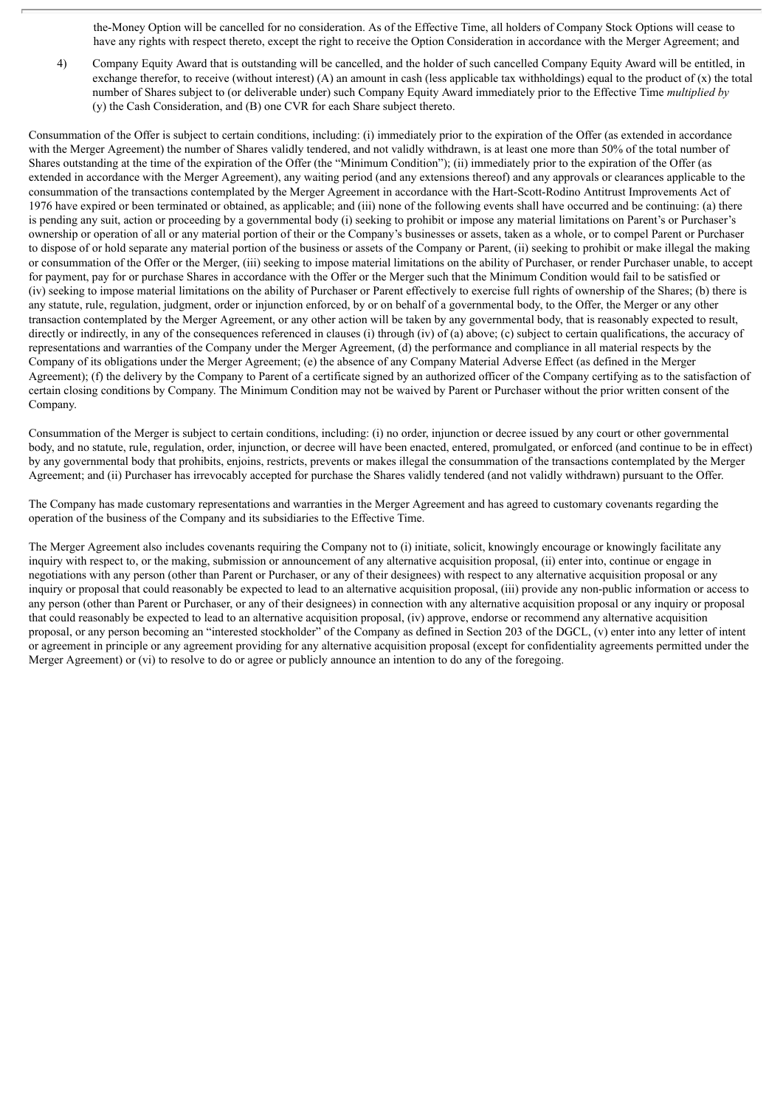the-Money Option will be cancelled for no consideration. As of the Effective Time, all holders of Company Stock Options will cease to have any rights with respect thereto, except the right to receive the Option Consideration in accordance with the Merger Agreement; and

4) Company Equity Award that is outstanding will be cancelled, and the holder of such cancelled Company Equity Award will be entitled, in exchange therefor, to receive (without interest) (A) an amount in cash (less applicable tax withholdings) equal to the product of  $(x)$  the total number of Shares subject to (or deliverable under) such Company Equity Award immediately prior to the Effective Time *multiplied by* (y) the Cash Consideration, and (B) one CVR for each Share subject thereto.

Consummation of the Offer is subject to certain conditions, including: (i) immediately prior to the expiration of the Offer (as extended in accordance with the Merger Agreement) the number of Shares validly tendered, and not validly withdrawn, is at least one more than 50% of the total number of Shares outstanding at the time of the expiration of the Offer (the "Minimum Condition"); (ii) immediately prior to the expiration of the Offer (as extended in accordance with the Merger Agreement), any waiting period (and any extensions thereof) and any approvals or clearances applicable to the consummation of the transactions contemplated by the Merger Agreement in accordance with the Hart-Scott-Rodino Antitrust Improvements Act of 1976 have expired or been terminated or obtained, as applicable; and (iii) none of the following events shall have occurred and be continuing: (a) there is pending any suit, action or proceeding by a governmental body (i) seeking to prohibit or impose any material limitations on Parent's or Purchaser's ownership or operation of all or any material portion of their or the Company's businesses or assets, taken as a whole, or to compel Parent or Purchaser to dispose of or hold separate any material portion of the business or assets of the Company or Parent, (ii) seeking to prohibit or make illegal the making or consummation of the Offer or the Merger, (iii) seeking to impose material limitations on the ability of Purchaser, or render Purchaser unable, to accept for payment, pay for or purchase Shares in accordance with the Offer or the Merger such that the Minimum Condition would fail to be satisfied or (iv) seeking to impose material limitations on the ability of Purchaser or Parent effectively to exercise full rights of ownership of the Shares; (b) there is any statute, rule, regulation, judgment, order or injunction enforced, by or on behalf of a governmental body, to the Offer, the Merger or any other transaction contemplated by the Merger Agreement, or any other action will be taken by any governmental body, that is reasonably expected to result, directly or indirectly, in any of the consequences referenced in clauses (i) through (iv) of (a) above; (c) subject to certain qualifications, the accuracy of representations and warranties of the Company under the Merger Agreement, (d) the performance and compliance in all material respects by the Company of its obligations under the Merger Agreement; (e) the absence of any Company Material Adverse Effect (as defined in the Merger Agreement); (f) the delivery by the Company to Parent of a certificate signed by an authorized officer of the Company certifying as to the satisfaction of certain closing conditions by Company. The Minimum Condition may not be waived by Parent or Purchaser without the prior written consent of the Company.

Consummation of the Merger is subject to certain conditions, including: (i) no order, injunction or decree issued by any court or other governmental body, and no statute, rule, regulation, order, injunction, or decree will have been enacted, entered, promulgated, or enforced (and continue to be in effect) by any governmental body that prohibits, enjoins, restricts, prevents or makes illegal the consummation of the transactions contemplated by the Merger Agreement; and (ii) Purchaser has irrevocably accepted for purchase the Shares validly tendered (and not validly withdrawn) pursuant to the Offer.

The Company has made customary representations and warranties in the Merger Agreement and has agreed to customary covenants regarding the operation of the business of the Company and its subsidiaries to the Effective Time.

The Merger Agreement also includes covenants requiring the Company not to (i) initiate, solicit, knowingly encourage or knowingly facilitate any inquiry with respect to, or the making, submission or announcement of any alternative acquisition proposal, (ii) enter into, continue or engage in negotiations with any person (other than Parent or Purchaser, or any of their designees) with respect to any alternative acquisition proposal or any inquiry or proposal that could reasonably be expected to lead to an alternative acquisition proposal, (iii) provide any non-public information or access to any person (other than Parent or Purchaser, or any of their designees) in connection with any alternative acquisition proposal or any inquiry or proposal that could reasonably be expected to lead to an alternative acquisition proposal, (iv) approve, endorse or recommend any alternative acquisition proposal, or any person becoming an "interested stockholder" of the Company as defined in Section 203 of the DGCL, (v) enter into any letter of intent or agreement in principle or any agreement providing for any alternative acquisition proposal (except for confidentiality agreements permitted under the Merger Agreement) or (vi) to resolve to do or agree or publicly announce an intention to do any of the foregoing.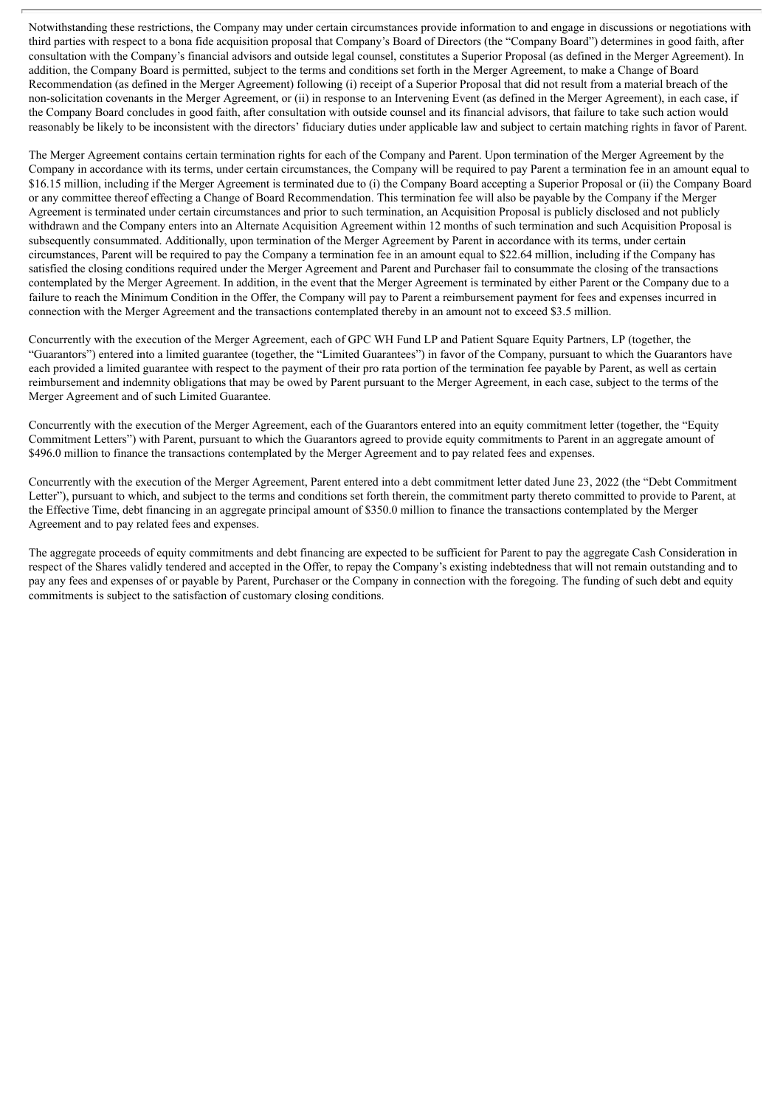Notwithstanding these restrictions, the Company may under certain circumstances provide information to and engage in discussions or negotiations with third parties with respect to a bona fide acquisition proposal that Company's Board of Directors (the "Company Board") determines in good faith, after consultation with the Company's financial advisors and outside legal counsel, constitutes a Superior Proposal (as defined in the Merger Agreement). In addition, the Company Board is permitted, subject to the terms and conditions set forth in the Merger Agreement, to make a Change of Board Recommendation (as defined in the Merger Agreement) following (i) receipt of a Superior Proposal that did not result from a material breach of the non-solicitation covenants in the Merger Agreement, or (ii) in response to an Intervening Event (as defined in the Merger Agreement), in each case, if the Company Board concludes in good faith, after consultation with outside counsel and its financial advisors, that failure to take such action would reasonably be likely to be inconsistent with the directors' fiduciary duties under applicable law and subject to certain matching rights in favor of Parent.

The Merger Agreement contains certain termination rights for each of the Company and Parent. Upon termination of the Merger Agreement by the Company in accordance with its terms, under certain circumstances, the Company will be required to pay Parent a termination fee in an amount equal to \$16.15 million, including if the Merger Agreement is terminated due to (i) the Company Board accepting a Superior Proposal or (ii) the Company Board or any committee thereof effecting a Change of Board Recommendation. This termination fee will also be payable by the Company if the Merger Agreement is terminated under certain circumstances and prior to such termination, an Acquisition Proposal is publicly disclosed and not publicly withdrawn and the Company enters into an Alternate Acquisition Agreement within 12 months of such termination and such Acquisition Proposal is subsequently consummated. Additionally, upon termination of the Merger Agreement by Parent in accordance with its terms, under certain circumstances, Parent will be required to pay the Company a termination fee in an amount equal to \$22.64 million, including if the Company has satisfied the closing conditions required under the Merger Agreement and Parent and Purchaser fail to consummate the closing of the transactions contemplated by the Merger Agreement. In addition, in the event that the Merger Agreement is terminated by either Parent or the Company due to a failure to reach the Minimum Condition in the Offer, the Company will pay to Parent a reimbursement payment for fees and expenses incurred in connection with the Merger Agreement and the transactions contemplated thereby in an amount not to exceed \$3.5 million.

Concurrently with the execution of the Merger Agreement, each of GPC WH Fund LP and Patient Square Equity Partners, LP (together, the "Guarantors") entered into a limited guarantee (together, the "Limited Guarantees") in favor of the Company, pursuant to which the Guarantors have each provided a limited guarantee with respect to the payment of their pro rata portion of the termination fee payable by Parent, as well as certain reimbursement and indemnity obligations that may be owed by Parent pursuant to the Merger Agreement, in each case, subject to the terms of the Merger Agreement and of such Limited Guarantee.

Concurrently with the execution of the Merger Agreement, each of the Guarantors entered into an equity commitment letter (together, the "Equity Commitment Letters") with Parent, pursuant to which the Guarantors agreed to provide equity commitments to Parent in an aggregate amount of \$496.0 million to finance the transactions contemplated by the Merger Agreement and to pay related fees and expenses.

Concurrently with the execution of the Merger Agreement, Parent entered into a debt commitment letter dated June 23, 2022 (the "Debt Commitment Letter"), pursuant to which, and subject to the terms and conditions set forth therein, the commitment party thereto committed to provide to Parent, at the Effective Time, debt financing in an aggregate principal amount of \$350.0 million to finance the transactions contemplated by the Merger Agreement and to pay related fees and expenses.

The aggregate proceeds of equity commitments and debt financing are expected to be sufficient for Parent to pay the aggregate Cash Consideration in respect of the Shares validly tendered and accepted in the Offer, to repay the Company's existing indebtedness that will not remain outstanding and to pay any fees and expenses of or payable by Parent, Purchaser or the Company in connection with the foregoing. The funding of such debt and equity commitments is subject to the satisfaction of customary closing conditions.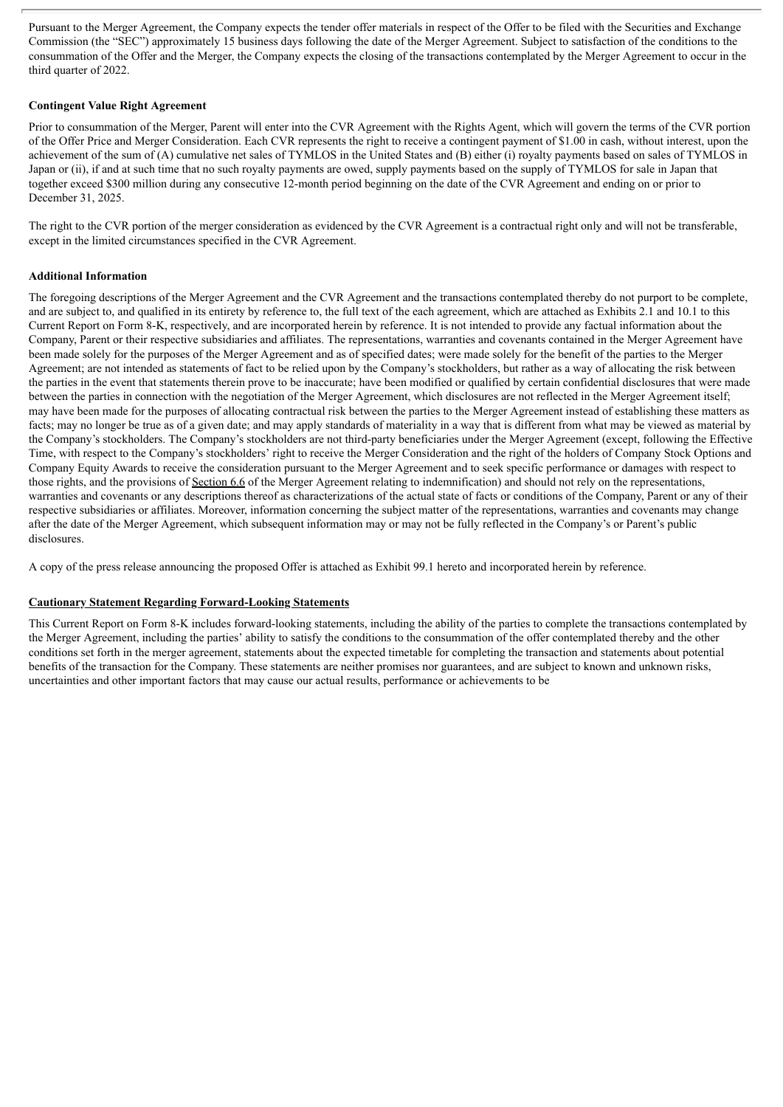Pursuant to the Merger Agreement, the Company expects the tender offer materials in respect of the Offer to be filed with the Securities and Exchange Commission (the "SEC") approximately 15 business days following the date of the Merger Agreement. Subject to satisfaction of the conditions to the consummation of the Offer and the Merger, the Company expects the closing of the transactions contemplated by the Merger Agreement to occur in the third quarter of 2022.

## **Contingent Value Right Agreement**

Prior to consummation of the Merger, Parent will enter into the CVR Agreement with the Rights Agent, which will govern the terms of the CVR portion of the Offer Price and Merger Consideration. Each CVR represents the right to receive a contingent payment of \$1.00 in cash, without interest, upon the achievement of the sum of (A) cumulative net sales of TYMLOS in the United States and (B) either (i) royalty payments based on sales of TYMLOS in Japan or (ii), if and at such time that no such royalty payments are owed, supply payments based on the supply of TYMLOS for sale in Japan that together exceed \$300 million during any consecutive 12-month period beginning on the date of the CVR Agreement and ending on or prior to December 31, 2025.

The right to the CVR portion of the merger consideration as evidenced by the CVR Agreement is a contractual right only and will not be transferable, except in the limited circumstances specified in the CVR Agreement.

## **Additional Information**

The foregoing descriptions of the Merger Agreement and the CVR Agreement and the transactions contemplated thereby do not purport to be complete, and are subject to, and qualified in its entirety by reference to, the full text of the each agreement, which are attached as Exhibits 2.1 and 10.1 to this Current Report on Form 8-K, respectively, and are incorporated herein by reference. It is not intended to provide any factual information about the Company, Parent or their respective subsidiaries and affiliates. The representations, warranties and covenants contained in the Merger Agreement have been made solely for the purposes of the Merger Agreement and as of specified dates; were made solely for the benefit of the parties to the Merger Agreement; are not intended as statements of fact to be relied upon by the Company's stockholders, but rather as a way of allocating the risk between the parties in the event that statements therein prove to be inaccurate; have been modified or qualified by certain confidential disclosures that were made between the parties in connection with the negotiation of the Merger Agreement, which disclosures are not reflected in the Merger Agreement itself; may have been made for the purposes of allocating contractual risk between the parties to the Merger Agreement instead of establishing these matters as facts; may no longer be true as of a given date; and may apply standards of materiality in a way that is different from what may be viewed as material by the Company's stockholders. The Company's stockholders are not third-party beneficiaries under the Merger Agreement (except, following the Effective Time, with respect to the Company's stockholders' right to receive the Merger Consideration and the right of the holders of Company Stock Options and Company Equity Awards to receive the consideration pursuant to the Merger Agreement and to seek specific performance or damages with respect to those rights, and the provisions of Section 6.6 of the Merger Agreement relating to indemnification) and should not rely on the representations, warranties and covenants or any descriptions thereof as characterizations of the actual state of facts or conditions of the Company, Parent or any of their respective subsidiaries or affiliates. Moreover, information concerning the subject matter of the representations, warranties and covenants may change after the date of the Merger Agreement, which subsequent information may or may not be fully reflected in the Company's or Parent's public disclosures.

A copy of the press release announcing the proposed Offer is attached as Exhibit 99.1 hereto and incorporated herein by reference.

## **Cautionary Statement Regarding Forward-Looking Statements**

This Current Report on Form 8-K includes forward-looking statements, including the ability of the parties to complete the transactions contemplated by the Merger Agreement, including the parties' ability to satisfy the conditions to the consummation of the offer contemplated thereby and the other conditions set forth in the merger agreement, statements about the expected timetable for completing the transaction and statements about potential benefits of the transaction for the Company. These statements are neither promises nor guarantees, and are subject to known and unknown risks, uncertainties and other important factors that may cause our actual results, performance or achievements to be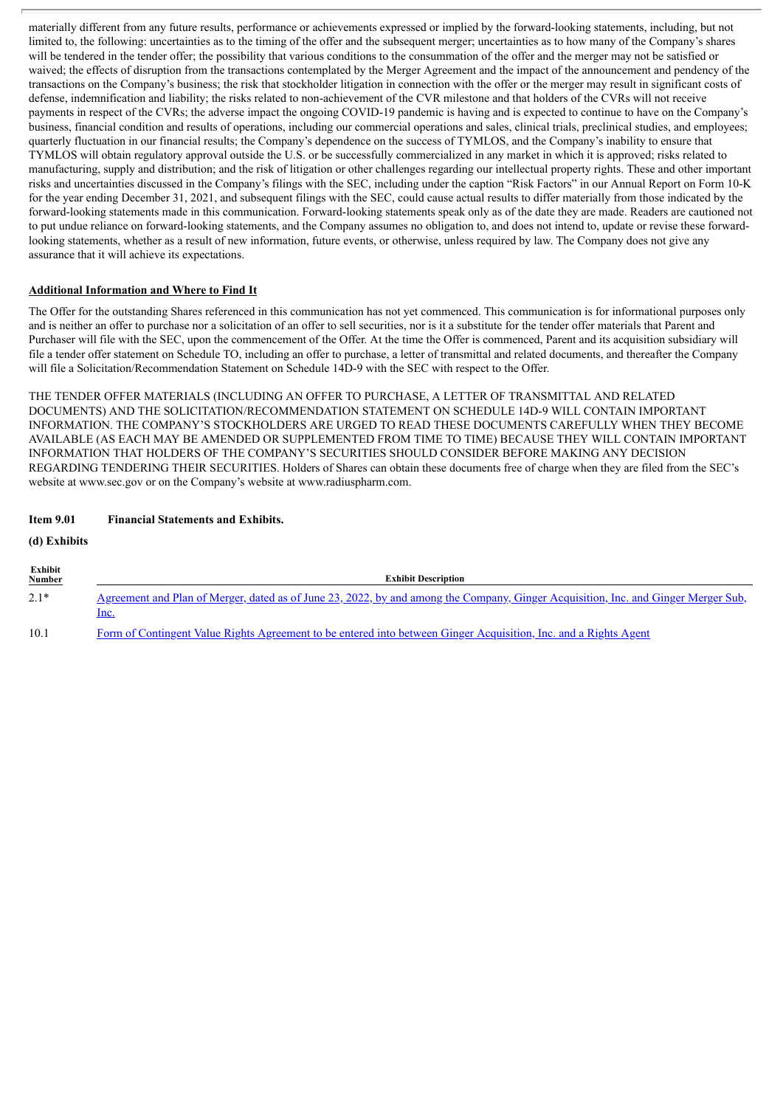materially different from any future results, performance or achievements expressed or implied by the forward-looking statements, including, but not limited to, the following: uncertainties as to the timing of the offer and the subsequent merger; uncertainties as to how many of the Company's shares will be tendered in the tender offer; the possibility that various conditions to the consummation of the offer and the merger may not be satisfied or waived; the effects of disruption from the transactions contemplated by the Merger Agreement and the impact of the announcement and pendency of the transactions on the Company's business; the risk that stockholder litigation in connection with the offer or the merger may result in significant costs of defense, indemnification and liability; the risks related to non-achievement of the CVR milestone and that holders of the CVRs will not receive payments in respect of the CVRs; the adverse impact the ongoing COVID-19 pandemic is having and is expected to continue to have on the Company's business, financial condition and results of operations, including our commercial operations and sales, clinical trials, preclinical studies, and employees; quarterly fluctuation in our financial results; the Company's dependence on the success of TYMLOS, and the Company's inability to ensure that TYMLOS will obtain regulatory approval outside the U.S. or be successfully commercialized in any market in which it is approved; risks related to manufacturing, supply and distribution; and the risk of litigation or other challenges regarding our intellectual property rights. These and other important risks and uncertainties discussed in the Company's filings with the SEC, including under the caption "Risk Factors" in our Annual Report on Form 10-K for the year ending December 31, 2021, and subsequent filings with the SEC, could cause actual results to differ materially from those indicated by the forward-looking statements made in this communication. Forward-looking statements speak only as of the date they are made. Readers are cautioned not to put undue reliance on forward-looking statements, and the Company assumes no obligation to, and does not intend to, update or revise these forwardlooking statements, whether as a result of new information, future events, or otherwise, unless required by law. The Company does not give any assurance that it will achieve its expectations.

## **Additional Information and Where to Find It**

The Offer for the outstanding Shares referenced in this communication has not yet commenced. This communication is for informational purposes only and is neither an offer to purchase nor a solicitation of an offer to sell securities, nor is it a substitute for the tender offer materials that Parent and Purchaser will file with the SEC, upon the commencement of the Offer. At the time the Offer is commenced, Parent and its acquisition subsidiary will file a tender offer statement on Schedule TO, including an offer to purchase, a letter of transmittal and related documents, and thereafter the Company will file a Solicitation/Recommendation Statement on Schedule 14D-9 with the SEC with respect to the Offer.

THE TENDER OFFER MATERIALS (INCLUDING AN OFFER TO PURCHASE, A LETTER OF TRANSMITTAL AND RELATED DOCUMENTS) AND THE SOLICITATION/RECOMMENDATION STATEMENT ON SCHEDULE 14D-9 WILL CONTAIN IMPORTANT INFORMATION. THE COMPANY'S STOCKHOLDERS ARE URGED TO READ THESE DOCUMENTS CAREFULLY WHEN THEY BECOME AVAILABLE (AS EACH MAY BE AMENDED OR SUPPLEMENTED FROM TIME TO TIME) BECAUSE THEY WILL CONTAIN IMPORTANT INFORMATION THAT HOLDERS OF THE COMPANY'S SECURITIES SHOULD CONSIDER BEFORE MAKING ANY DECISION REGARDING TENDERING THEIR SECURITIES. Holders of Shares can obtain these documents free of charge when they are filed from the SEC's website at www.sec.gov or on the Company's website at www.radiuspharm.com.

## **Item 9.01 Financial Statements and Exhibits.**

**(d) Exhibits**

| Exhibit<br><b>Number</b> | <b>Exhibit Description</b>                                                                                                                        |
|--------------------------|---------------------------------------------------------------------------------------------------------------------------------------------------|
| $2.1*$                   | <u>Agreement and Plan of Merger, dated as of June 23, 2022, by and among the Company, Ginger Acquisition, Inc. and Ginger Merger Sub,</u><br>Inc. |
| 10.1                     | Form of Contingent Value Rights Agreement to be entered into between Ginger Acquisition, Inc. and a Rights Agent                                  |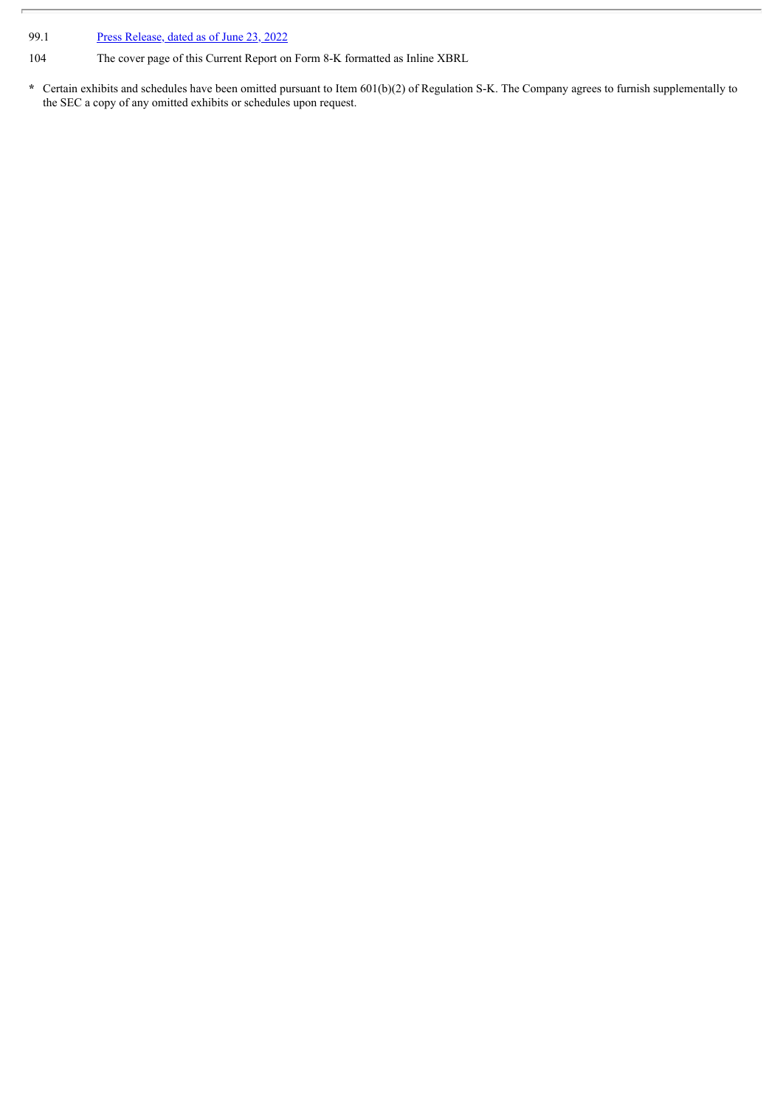99.1 Press [Release,](#page-121-0) dated as of June 23, 2022

104 The cover page of this Current Report on Form 8-K formatted as Inline XBRL

**\*** Certain exhibits and schedules have been omitted pursuant to Item 601(b)(2) of Regulation S-K. The Company agrees to furnish supplementally to the SEC a copy of any omitted exhibits or schedules upon request.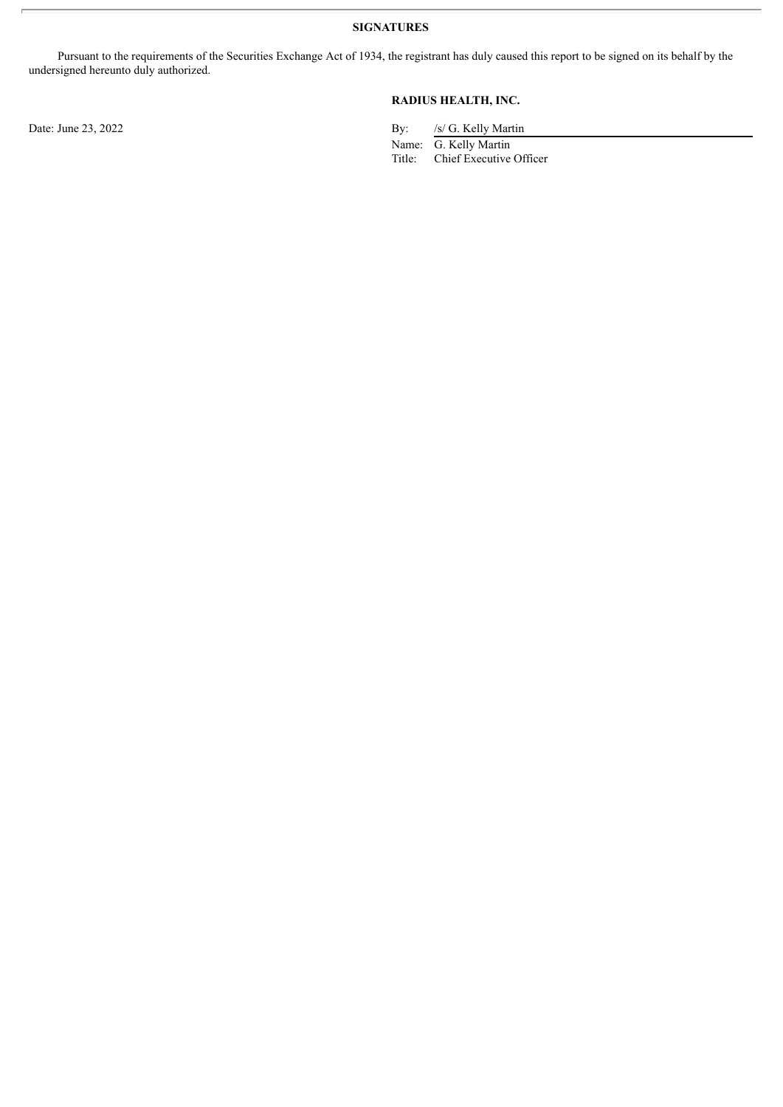**SIGNATURES**

Pursuant to the requirements of the Securities Exchange Act of 1934, the registrant has duly caused this report to be signed on its behalf by the undersigned hereunto duly authorized.

## **RADIUS HEALTH, INC.**

Date: June 23, 2022 By: /s/ G. Kelly Martin

Name: G. Kelly Martin<br>Title: Chief Executive Chief Executive Officer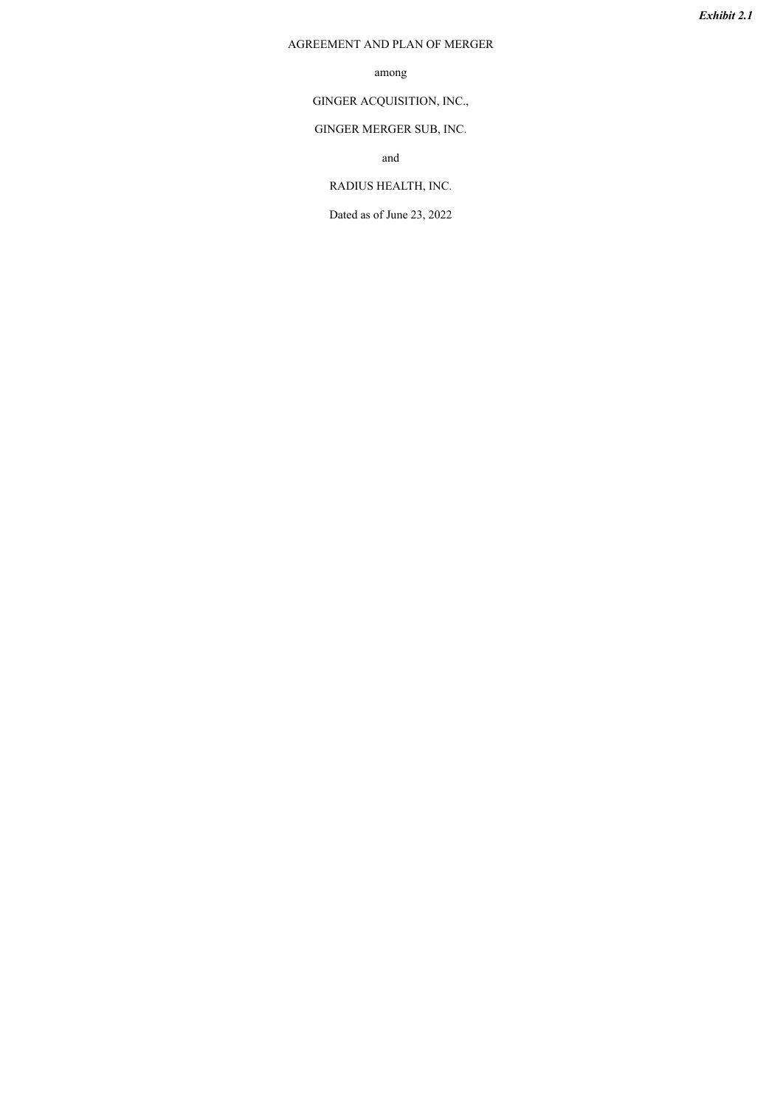## <span id="page-8-0"></span>AGREEMENT AND PLAN OF MERGER

## among

GINGER ACQUISITION, INC.,

## GINGER MERGER SUB, INC.

and

## RADIUS HEALTH, INC.

Dated as of June 23, 2022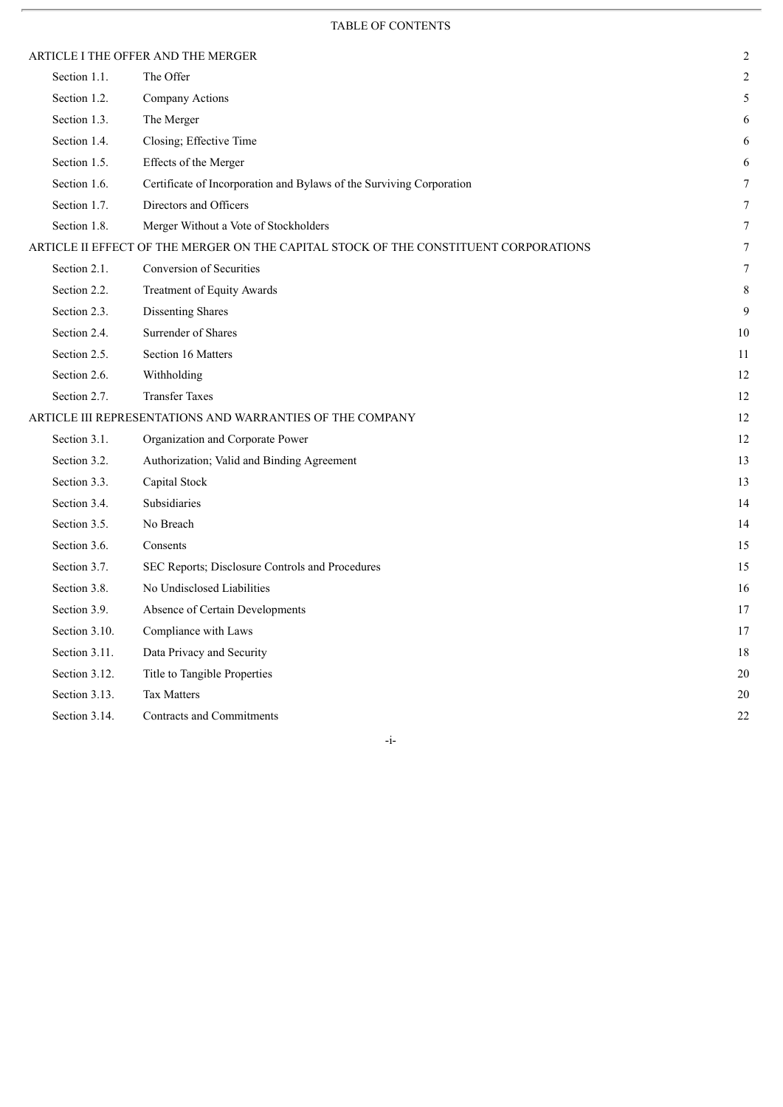## TABLE OF CONTENTS

|               | ARTICLE I THE OFFER AND THE MERGER                                                   | $\overline{c}$ |
|---------------|--------------------------------------------------------------------------------------|----------------|
| Section 1.1.  | The Offer                                                                            | $\overline{2}$ |
| Section 1.2.  | Company Actions                                                                      | 5              |
| Section 1.3.  | The Merger                                                                           | 6              |
| Section 1.4.  | Closing; Effective Time                                                              | 6              |
| Section 1.5.  | Effects of the Merger                                                                | 6              |
| Section 1.6.  | Certificate of Incorporation and Bylaws of the Surviving Corporation                 | $\overline{7}$ |
| Section 1.7.  | Directors and Officers                                                               | 7              |
| Section 1.8.  | Merger Without a Vote of Stockholders                                                | 7              |
|               | ARTICLE II EFFECT OF THE MERGER ON THE CAPITAL STOCK OF THE CONSTITUENT CORPORATIONS | $\tau$         |
| Section 2.1.  | <b>Conversion of Securities</b>                                                      | 7              |
| Section 2.2.  | Treatment of Equity Awards                                                           | 8              |
| Section 2.3.  | Dissenting Shares                                                                    | 9              |
| Section 2.4.  | Surrender of Shares                                                                  | 10             |
| Section 2.5.  | Section 16 Matters                                                                   | 11             |
| Section 2.6.  | Withholding                                                                          | 12             |
| Section 2.7.  | <b>Transfer Taxes</b>                                                                | 12             |
|               | ARTICLE III REPRESENTATIONS AND WARRANTIES OF THE COMPANY                            | 12             |
| Section 3.1.  | Organization and Corporate Power                                                     | 12             |
| Section 3.2.  | Authorization; Valid and Binding Agreement                                           | 13             |
| Section 3.3.  | Capital Stock                                                                        | 13             |
| Section 3.4.  | Subsidiaries                                                                         | 14             |
| Section 3.5.  | No Breach                                                                            | 14             |
| Section 3.6.  | Consents                                                                             | 15             |
| Section 3.7.  | SEC Reports; Disclosure Controls and Procedures                                      | 15             |
| Section 3.8.  | No Undisclosed Liabilities                                                           | 16             |
| Section 3.9.  | Absence of Certain Developments                                                      | 17             |
| Section 3.10. | Compliance with Laws                                                                 | 17             |
| Section 3.11. | Data Privacy and Security                                                            | 18             |
| Section 3.12. | Title to Tangible Properties                                                         | 20             |
| Section 3.13. | <b>Tax Matters</b>                                                                   | 20             |
| Section 3.14. | Contracts and Commitments                                                            | 22             |

-i-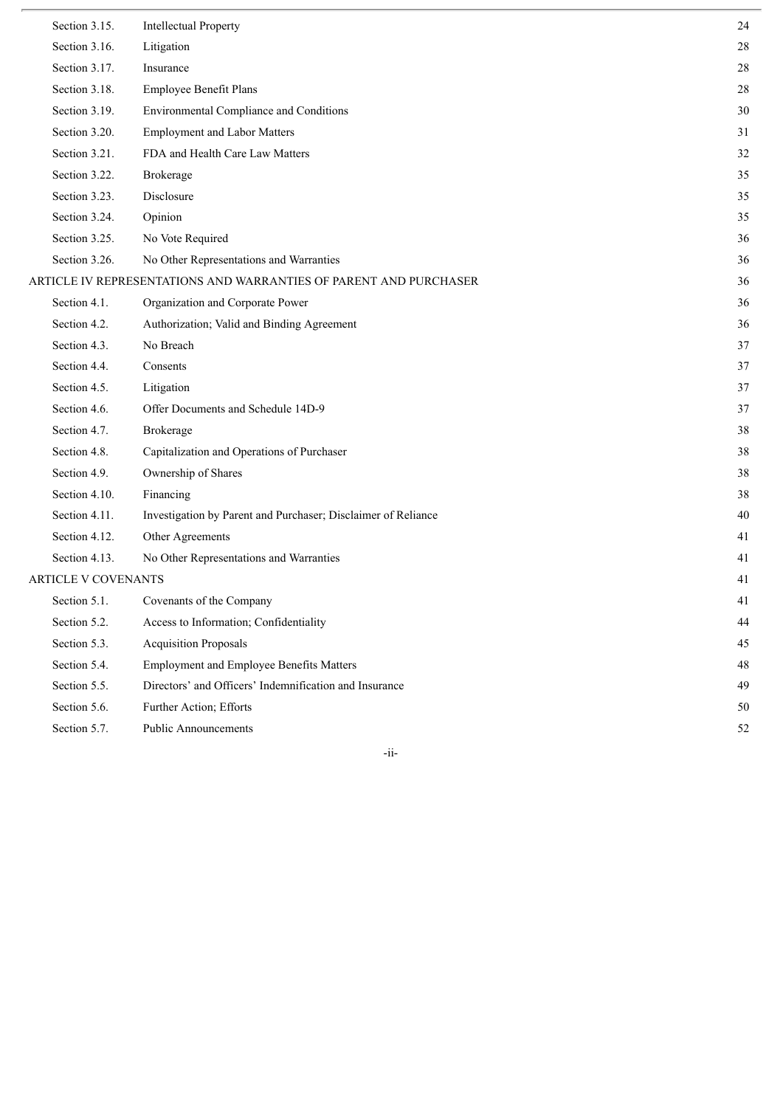| Section 3.15.              | <b>Intellectual Property</b>                                      | 24     |
|----------------------------|-------------------------------------------------------------------|--------|
| Section 3.16.              | Litigation                                                        | $28\,$ |
| Section 3.17.              | Insurance                                                         | 28     |
| Section 3.18.              | Employee Benefit Plans                                            | $28\,$ |
| Section 3.19.              | Environmental Compliance and Conditions                           | $30\,$ |
| Section 3.20.              | <b>Employment and Labor Matters</b>                               | 31     |
| Section 3.21.              | FDA and Health Care Law Matters                                   | 32     |
| Section 3.22.              | Brokerage                                                         | 35     |
| Section 3.23.              | Disclosure                                                        | 35     |
| Section 3.24.              | Opinion                                                           | 35     |
| Section 3.25.              | No Vote Required                                                  | 36     |
| Section 3.26.              | No Other Representations and Warranties                           | 36     |
|                            | ARTICLE IV REPRESENTATIONS AND WARRANTIES OF PARENT AND PURCHASER | 36     |
| Section 4.1.               | Organization and Corporate Power                                  | 36     |
| Section 4.2.               | Authorization; Valid and Binding Agreement                        | 36     |
| Section 4.3.               | No Breach                                                         | 37     |
| Section 4.4.               | Consents                                                          | 37     |
| Section 4.5.               | Litigation                                                        | 37     |
| Section 4.6.               | Offer Documents and Schedule 14D-9                                | 37     |
| Section 4.7.               | Brokerage                                                         | 38     |
| Section 4.8.               | Capitalization and Operations of Purchaser                        | 38     |
| Section 4.9.               | Ownership of Shares                                               | 38     |
| Section 4.10.              | Financing                                                         | 38     |
| Section 4.11.              | Investigation by Parent and Purchaser; Disclaimer of Reliance     | $40\,$ |
| Section 4.12.              | Other Agreements                                                  | 41     |
| Section 4.13.              | No Other Representations and Warranties                           | 41     |
| <b>ARTICLE V COVENANTS</b> |                                                                   | 41     |
| Section 5.1.               | Covenants of the Company                                          | 41     |
| Section 5.2.               | Access to Information; Confidentiality                            | 44     |
| Section 5.3.               | <b>Acquisition Proposals</b>                                      | 45     |
| Section 5.4.               | <b>Employment and Employee Benefits Matters</b>                   | 48     |
| Section 5.5.               | Directors' and Officers' Indemnification and Insurance            | 49     |
| Section 5.6.               | Further Action; Efforts                                           | 50     |
| Section 5.7.               | <b>Public Announcements</b>                                       | 52     |

-ii-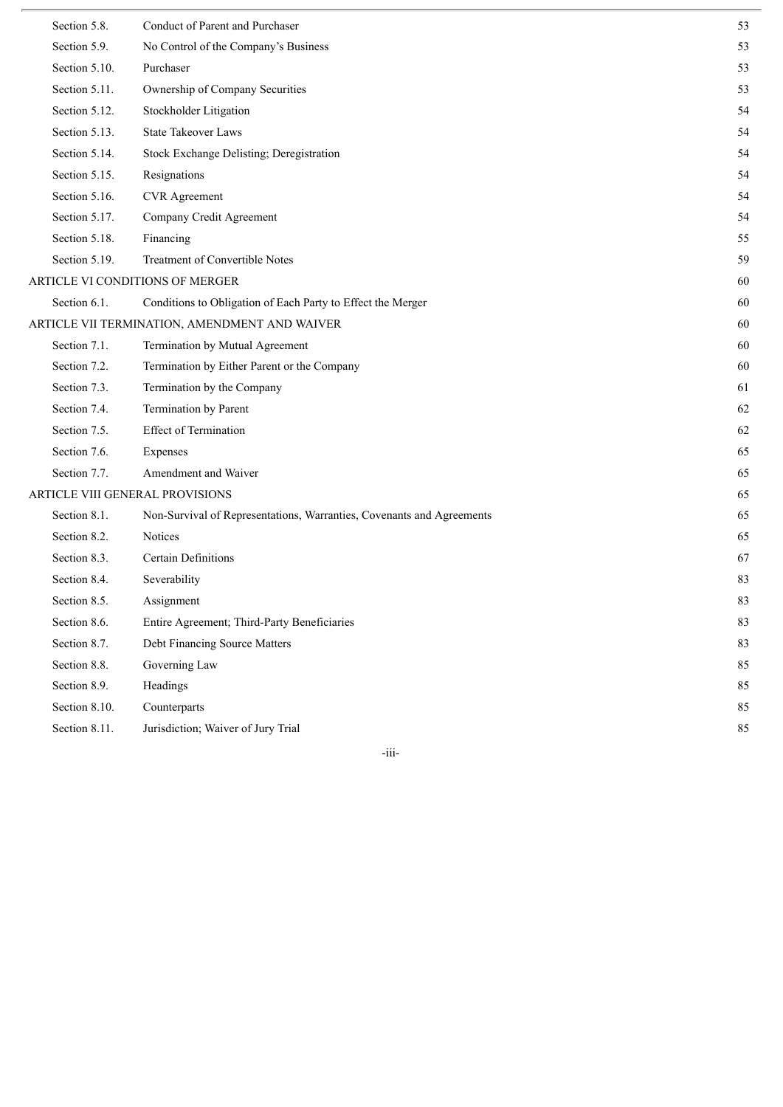| Section 5.8.  | Conduct of Parent and Purchaser                                       | 53 |
|---------------|-----------------------------------------------------------------------|----|
| Section 5.9.  | No Control of the Company's Business                                  | 53 |
| Section 5.10. | Purchaser                                                             | 53 |
| Section 5.11. | Ownership of Company Securities                                       | 53 |
| Section 5.12. | Stockholder Litigation                                                | 54 |
| Section 5.13. | <b>State Takeover Laws</b>                                            | 54 |
| Section 5.14. | Stock Exchange Delisting; Deregistration                              | 54 |
| Section 5.15. | Resignations                                                          | 54 |
| Section 5.16. | <b>CVR</b> Agreement                                                  | 54 |
| Section 5.17. | Company Credit Agreement                                              | 54 |
| Section 5.18. | Financing                                                             | 55 |
| Section 5.19. | Treatment of Convertible Notes                                        | 59 |
|               | ARTICLE VI CONDITIONS OF MERGER                                       | 60 |
| Section 6.1.  | Conditions to Obligation of Each Party to Effect the Merger           | 60 |
|               | ARTICLE VII TERMINATION, AMENDMENT AND WAIVER                         | 60 |
| Section 7.1.  | Termination by Mutual Agreement                                       | 60 |
| Section 7.2.  | Termination by Either Parent or the Company                           | 60 |
| Section 7.3.  | Termination by the Company                                            | 61 |
| Section 7.4.  | Termination by Parent                                                 | 62 |
| Section 7.5.  | Effect of Termination                                                 | 62 |
| Section 7.6.  | Expenses                                                              | 65 |
| Section 7.7.  | Amendment and Waiver                                                  | 65 |
|               | ARTICLE VIII GENERAL PROVISIONS                                       | 65 |
| Section 8.1.  | Non-Survival of Representations, Warranties, Covenants and Agreements | 65 |
| Section 8.2.  | Notices                                                               | 65 |
| Section 8.3.  | Certain Definitions                                                   | 67 |
| Section 8.4.  | Severability                                                          | 83 |
| Section 8.5.  | Assignment                                                            | 83 |
| Section 8.6.  | Entire Agreement; Third-Party Beneficiaries                           | 83 |
| Section 8.7.  | Debt Financing Source Matters                                         | 83 |
| Section 8.8.  | Governing Law                                                         | 85 |
| Section 8.9.  | Headings                                                              | 85 |
| Section 8.10. | Counterparts                                                          | 85 |
| Section 8.11. | Jurisdiction; Waiver of Jury Trial                                    | 85 |

-iii-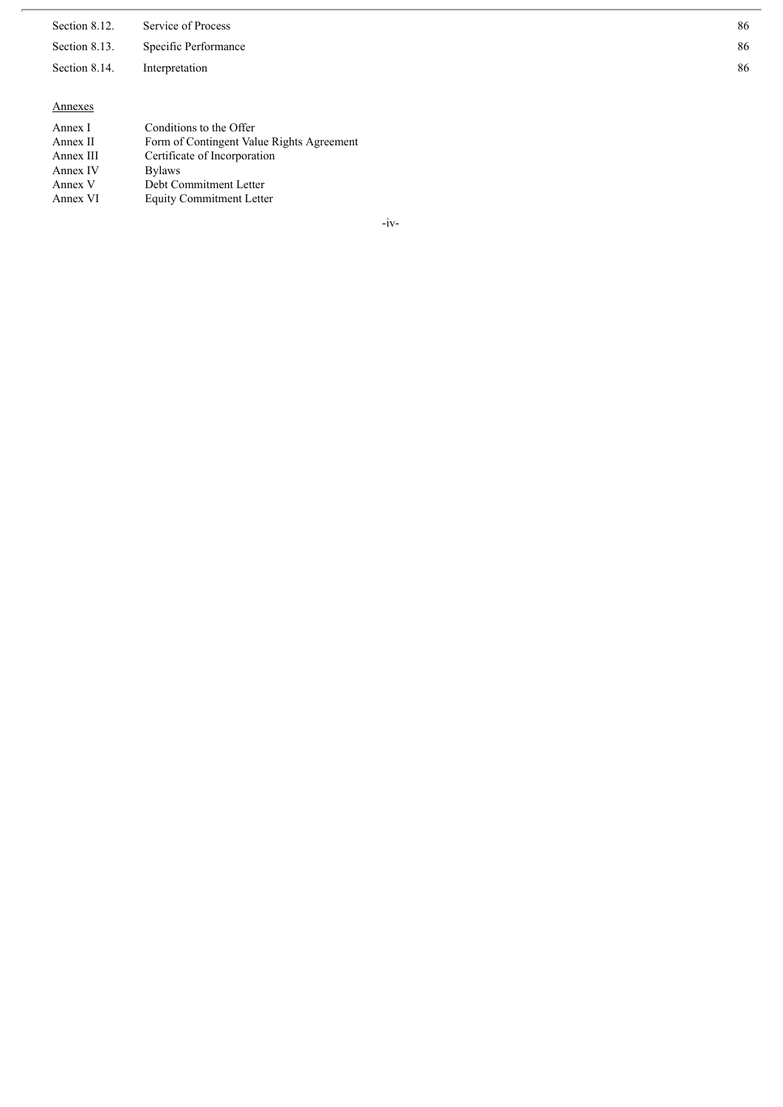Section 8.12 2. Service of Process

Section 8.13 3. Specific Performance

Section 8.14. In nterpretation

#### Annexes

| Annex I   | Conditions to the Offer                   |
|-----------|-------------------------------------------|
| Annex II  | Form of Contingent Value Rights Agreement |
| Annex III | Certificate of Incorporation              |
| Annex IV  | <b>Bylaws</b>                             |
| Annex V   | Debt Commitment Letter                    |
| Annex VI  | <b>Equity Commitment Letter</b>           |

- i v -

8 6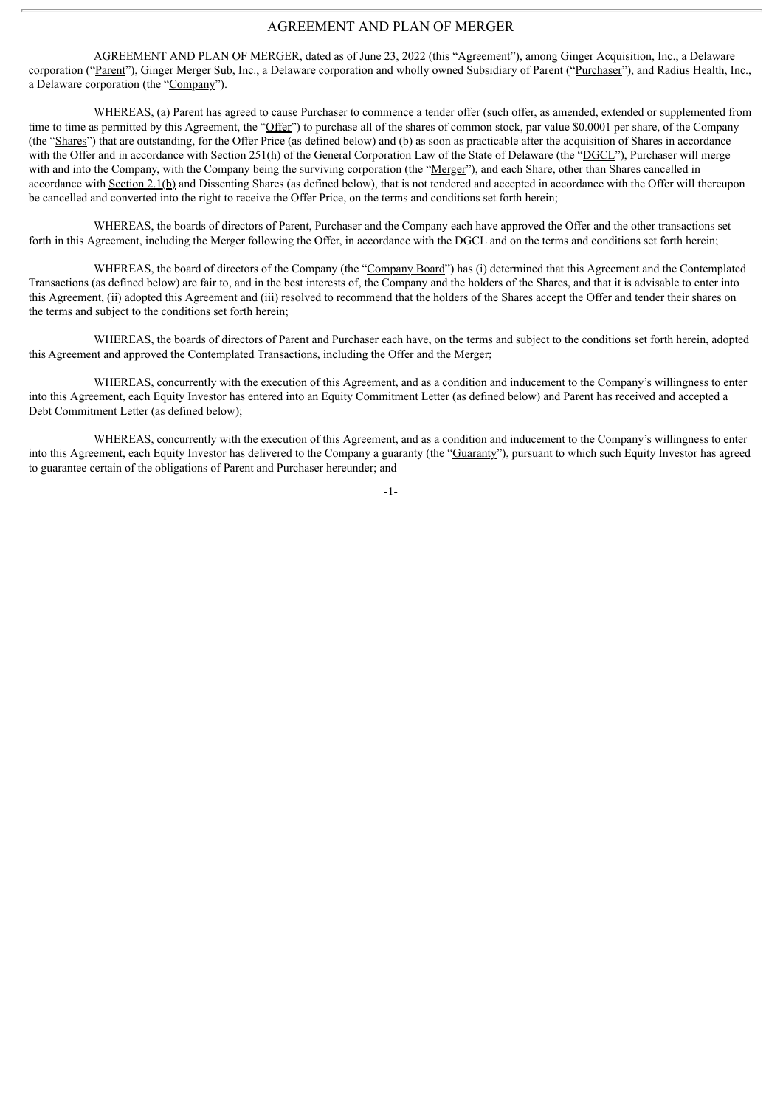## AGREEMENT AND PLAN OF MERGER

AGREEMENT AND PLAN OF MERGER, dated as of June 23, 2022 (this "Agreement"), among Ginger Acquisition, Inc., a Delaware corporation ("Parent"), Ginger Merger Sub, Inc., a Delaware corporation and wholly owned Subsidiary of Parent ("Purchaser"), and Radius Health, Inc., a Delaware corporation (the "Company").

WHEREAS, (a) Parent has agreed to cause Purchaser to commence a tender offer (such offer, as amended, extended or supplemented from time to time as permitted by this Agreement, the "Offer") to purchase all of the shares of common stock, par value \$0.0001 per share, of the Company (the "Shares") that are outstanding, for the Offer Price (as defined below) and (b) as soon as practicable after the acquisition of Shares in accordance with the Offer and in accordance with Section 251(h) of the General Corporation Law of the State of Delaware (the "DGCL"). Purchaser will merge with and into the Company, with the Company being the surviving corporation (the "Merger"), and each Share, other than Shares cancelled in accordance with Section 2.1(b) and Dissenting Shares (as defined below), that is not tendered and accepted in accordance with the Offer will thereupon be cancelled and converted into the right to receive the Offer Price, on the terms and conditions set forth herein;

WHEREAS, the boards of directors of Parent, Purchaser and the Company each have approved the Offer and the other transactions set forth in this Agreement, including the Merger following the Offer, in accordance with the DGCL and on the terms and conditions set forth herein;

WHEREAS, the board of directors of the Company (the "Company Board") has (i) determined that this Agreement and the Contemplated Transactions (as defined below) are fair to, and in the best interests of, the Company and the holders of the Shares, and that it is advisable to enter into this Agreement, (ii) adopted this Agreement and (iii) resolved to recommend that the holders of the Shares accept the Offer and tender their shares on the terms and subject to the conditions set forth herein;

WHEREAS, the boards of directors of Parent and Purchaser each have, on the terms and subject to the conditions set forth herein, adopted this Agreement and approved the Contemplated Transactions, including the Offer and the Merger;

WHEREAS, concurrently with the execution of this Agreement, and as a condition and inducement to the Company's willingness to enter into this Agreement, each Equity Investor has entered into an Equity Commitment Letter (as defined below) and Parent has received and accepted a Debt Commitment Letter (as defined below);

WHEREAS, concurrently with the execution of this Agreement, and as a condition and inducement to the Company's willingness to enter into this Agreement, each Equity Investor has delivered to the Company a guaranty (the "Guaranty"), pursuant to which such Equity Investor has agreed to guarantee certain of the obligations of Parent and Purchaser hereunder; and

-1-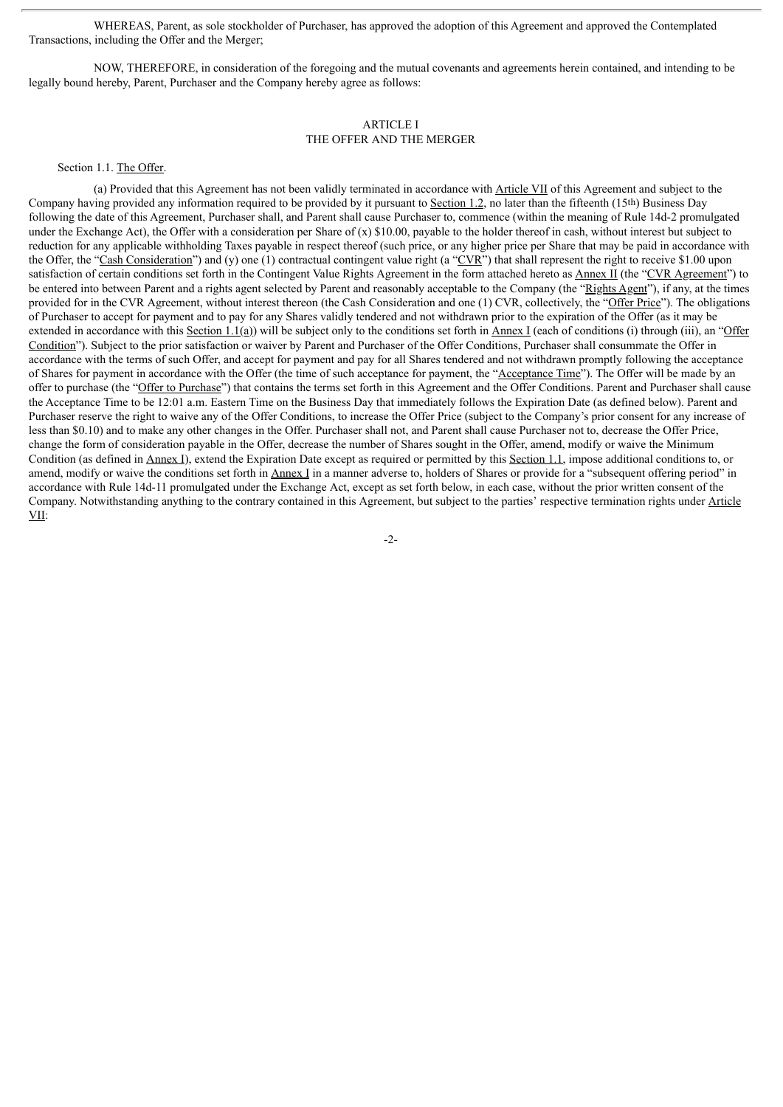WHEREAS, Parent, as sole stockholder of Purchaser, has approved the adoption of this Agreement and approved the Contemplated Transactions, including the Offer and the Merger;

NOW, THEREFORE, in consideration of the foregoing and the mutual covenants and agreements herein contained, and intending to be legally bound hereby, Parent, Purchaser and the Company hereby agree as follows:

## ARTICLE I

## THE OFFER AND THE MERGER

Section 1.1. The Offer.

(a) Provided that this Agreement has not been validly terminated in accordance with Article VII of this Agreement and subject to the Company having provided any information required to be provided by it pursuant to Section 1.2, no later than the fifteenth (15th) Business Day following the date of this Agreement, Purchaser shall, and Parent shall cause Purchaser to, commence (within the meaning of Rule 14d-2 promulgated under the Exchange Act), the Offer with a consideration per Share of  $(x)$  \$10.00, payable to the holder thereof in cash, without interest but subject to reduction for any applicable withholding Taxes payable in respect thereof (such price, or any higher price per Share that may be paid in accordance with the Offer, the "Cash Consideration") and (y) one (1) contractual contingent value right (a "CVR") that shall represent the right to receive \$1.00 upon satisfaction of certain conditions set forth in the Contingent Value Rights Agreement in the form attached hereto as Annex II (the "CVR Agreement") to be entered into between Parent and a rights agent selected by Parent and reasonably acceptable to the Company (the "Rights Agent"), if any, at the times provided for in the CVR Agreement, without interest thereon (the Cash Consideration and one (1) CVR, collectively, the "Offer Price"). The obligations of Purchaser to accept for payment and to pay for any Shares validly tendered and not withdrawn prior to the expiration of the Offer (as it may be extended in accordance with this Section 1.1(a)) will be subject only to the conditions set forth in  $\overline{\text{Annex I}}$  (each of conditions (i) through (iii), an "Offer Condition"). Subject to the prior satisfaction or waiver by Parent and Purchaser of the Offer Conditions, Purchaser shall consummate the Offer in accordance with the terms of such Offer, and accept for payment and pay for all Shares tendered and not withdrawn promptly following the acceptance of Shares for payment in accordance with the Offer (the time of such acceptance for payment, the "Acceptance Time"). The Offer will be made by an offer to purchase (the "Offer to Purchase") that contains the terms set forth in this Agreement and the Offer Conditions. Parent and Purchaser shall cause the Acceptance Time to be 12:01 a.m. Eastern Time on the Business Day that immediately follows the Expiration Date (as defined below). Parent and Purchaser reserve the right to waive any of the Offer Conditions, to increase the Offer Price (subject to the Company's prior consent for any increase of less than \$0.10) and to make any other changes in the Offer. Purchaser shall not, and Parent shall cause Purchaser not to, decrease the Offer Price, change the form of consideration payable in the Offer, decrease the number of Shares sought in the Offer, amend, modify or waive the Minimum Condition (as defined in Annex I), extend the Expiration Date except as required or permitted by this Section 1.1, impose additional conditions to, or amend, modify or waive the conditions set forth in Annex I in a manner adverse to, holders of Shares or provide for a "subsequent offering period" in accordance with Rule 14d-11 promulgated under the Exchange Act, except as set forth below, in each case, without the prior written consent of the Company. Notwithstanding anything to the contrary contained in this Agreement, but subject to the parties' respective termination rights under Article VII:

-2-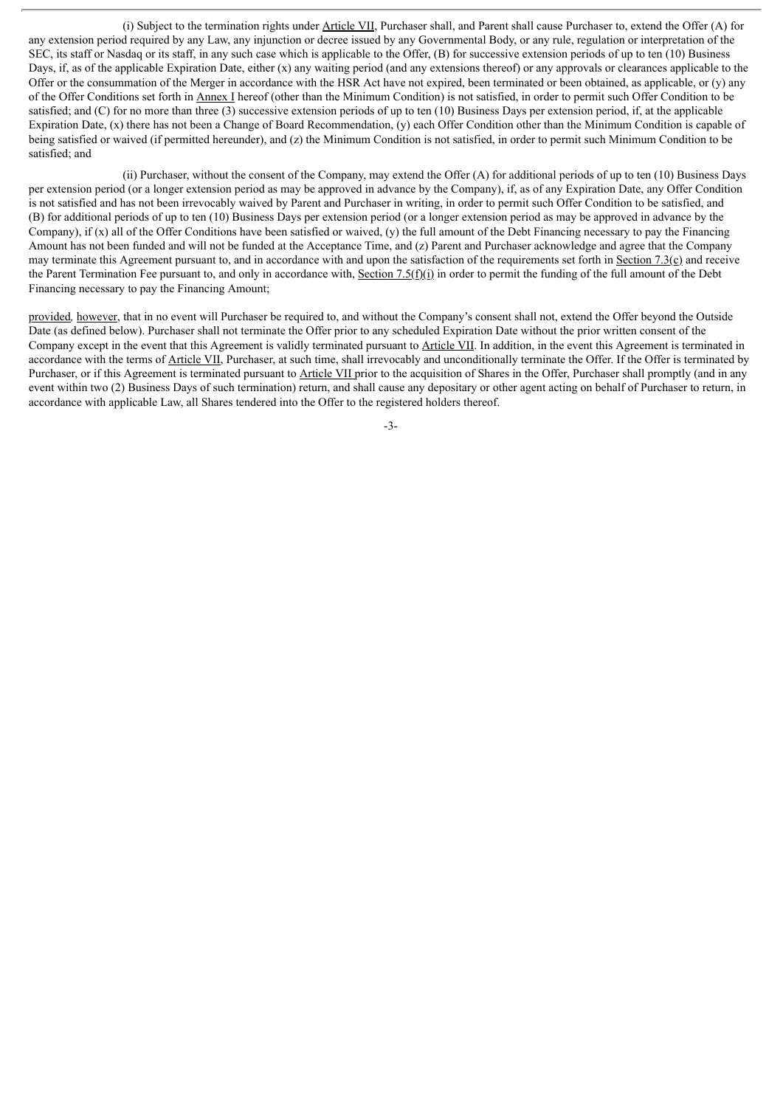(i) Subject to the termination rights under Article VII, Purchaser shall, and Parent shall cause Purchaser to, extend the Offer (A) for any extension period required by any Law, any injunction or decree issued by any Governmental Body, or any rule, regulation or interpretation of the SEC, its staff or Nasdaq or its staff, in any such case which is applicable to the Offer, (B) for successive extension periods of up to ten (10) Business Days, if, as of the applicable Expiration Date, either (x) any waiting period (and any extensions thereof) or any approvals or clearances applicable to the Offer or the consummation of the Merger in accordance with the HSR Act have not expired, been terminated or been obtained, as applicable, or (y) any of the Offer Conditions set forth in Annex I hereof (other than the Minimum Condition) is not satisfied, in order to permit such Offer Condition to be satisfied; and (C) for no more than three (3) successive extension periods of up to ten (10) Business Days per extension period, if, at the applicable Expiration Date, (x) there has not been a Change of Board Recommendation, (y) each Offer Condition other than the Minimum Condition is capable of being satisfied or waived (if permitted hereunder), and (z) the Minimum Condition is not satisfied, in order to permit such Minimum Condition to be satisfied; and

(ii) Purchaser, without the consent of the Company, may extend the Offer (A) for additional periods of up to ten (10) Business Days per extension period (or a longer extension period as may be approved in advance by the Company), if, as of any Expiration Date, any Offer Condition is not satisfied and has not been irrevocably waived by Parent and Purchaser in writing, in order to permit such Offer Condition to be satisfied, and (B) for additional periods of up to ten (10) Business Days per extension period (or a longer extension period as may be approved in advance by the Company), if  $(x)$  all of the Offer Conditions have been satisfied or waived,  $(y)$  the full amount of the Debt Financing necessary to pay the Financing Amount has not been funded and will not be funded at the Acceptance Time, and (z) Parent and Purchaser acknowledge and agree that the Company may terminate this Agreement pursuant to, and in accordance with and upon the satisfaction of the requirements set forth in Section 7.3(c) and receive the Parent Termination Fee pursuant to, and only in accordance with, Section 7.5( $f(x)$ ) in order to permit the funding of the full amount of the Debt Financing necessary to pay the Financing Amount;

provided*,* however, that in no event will Purchaser be required to, and without the Company's consent shall not, extend the Offer beyond the Outside Date (as defined below). Purchaser shall not terminate the Offer prior to any scheduled Expiration Date without the prior written consent of the Company except in the event that this Agreement is validly terminated pursuant to Article VII. In addition, in the event this Agreement is terminated in accordance with the terms of Article VII, Purchaser, at such time, shall irrevocably and unconditionally terminate the Offer. If the Offer is terminated by Purchaser, or if this Agreement is terminated pursuant to Article VII prior to the acquisition of Shares in the Offer, Purchaser shall promptly (and in any event within two (2) Business Days of such termination) return, and shall cause any depositary or other agent acting on behalf of Purchaser to return, in accordance with applicable Law, all Shares tendered into the Offer to the registered holders thereof.

-3-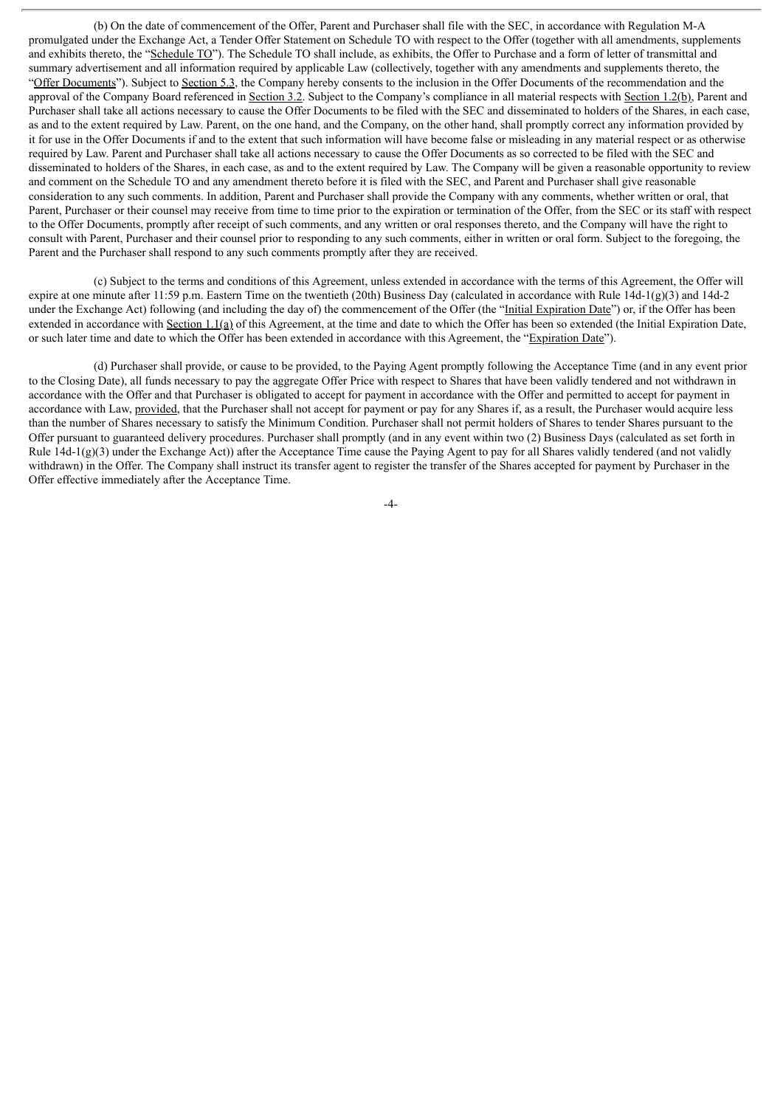(b) On the date of commencement of the Offer, Parent and Purchaser shall file with the SEC, in accordance with Regulation M-A promulgated under the Exchange Act, a Tender Offer Statement on Schedule TO with respect to the Offer (together with all amendments, supplements and exhibits thereto, the "Schedule TO"). The Schedule TO shall include, as exhibits, the Offer to Purchase and a form of letter of transmittal and summary advertisement and all information required by applicable Law (collectively, together with any amendments and supplements thereto, the "Offer Documents"). Subject to Section 5.3, the Company hereby consents to the inclusion in the Offer Documents of the recommendation and the approval of the Company Board referenced in Section 3.2. Subject to the Company's compliance in all material respects with Section 1.2(b), Parent and Purchaser shall take all actions necessary to cause the Offer Documents to be filed with the SEC and disseminated to holders of the Shares, in each case, as and to the extent required by Law. Parent, on the one hand, and the Company, on the other hand, shall promptly correct any information provided by it for use in the Offer Documents if and to the extent that such information will have become false or misleading in any material respect or as otherwise required by Law. Parent and Purchaser shall take all actions necessary to cause the Offer Documents as so corrected to be filed with the SEC and disseminated to holders of the Shares, in each case, as and to the extent required by Law. The Company will be given a reasonable opportunity to review and comment on the Schedule TO and any amendment thereto before it is filed with the SEC, and Parent and Purchaser shall give reasonable consideration to any such comments. In addition, Parent and Purchaser shall provide the Company with any comments, whether written or oral, that Parent, Purchaser or their counsel may receive from time to time prior to the expiration or termination of the Offer, from the SEC or its staff with respect to the Offer Documents, promptly after receipt of such comments, and any written or oral responses thereto, and the Company will have the right to consult with Parent, Purchaser and their counsel prior to responding to any such comments, either in written or oral form. Subject to the foregoing, the Parent and the Purchaser shall respond to any such comments promptly after they are received.

(c) Subject to the terms and conditions of this Agreement, unless extended in accordance with the terms of this Agreement, the Offer will expire at one minute after 11:59 p.m. Eastern Time on the twentieth (20th) Business Day (calculated in accordance with Rule  $14d-1(g)(3)$  and  $14d-2$ under the Exchange Act) following (and including the day of) the commencement of the Offer (the "Initial Expiration Date") or, if the Offer has been extended in accordance with Section 1.1(a) of this Agreement, at the time and date to which the Offer has been so extended (the Initial Expiration Date, or such later time and date to which the Offer has been extended in accordance with this Agreement, the "Expiration Date").

(d) Purchaser shall provide, or cause to be provided, to the Paying Agent promptly following the Acceptance Time (and in any event prior to the Closing Date), all funds necessary to pay the aggregate Offer Price with respect to Shares that have been validly tendered and not withdrawn in accordance with the Offer and that Purchaser is obligated to accept for payment in accordance with the Offer and permitted to accept for payment in accordance with Law, provided, that the Purchaser shall not accept for payment or pay for any Shares if, as a result, the Purchaser would acquire less than the number of Shares necessary to satisfy the Minimum Condition. Purchaser shall not permit holders of Shares to tender Shares pursuant to the Offer pursuant to guaranteed delivery procedures. Purchaser shall promptly (and in any event within two (2) Business Days (calculated as set forth in Rule 14d-1(g)(3) under the Exchange Act)) after the Acceptance Time cause the Paying Agent to pay for all Shares validly tendered (and not validly withdrawn) in the Offer. The Company shall instruct its transfer agent to register the transfer of the Shares accepted for payment by Purchaser in the Offer effective immediately after the Acceptance Time.

-4-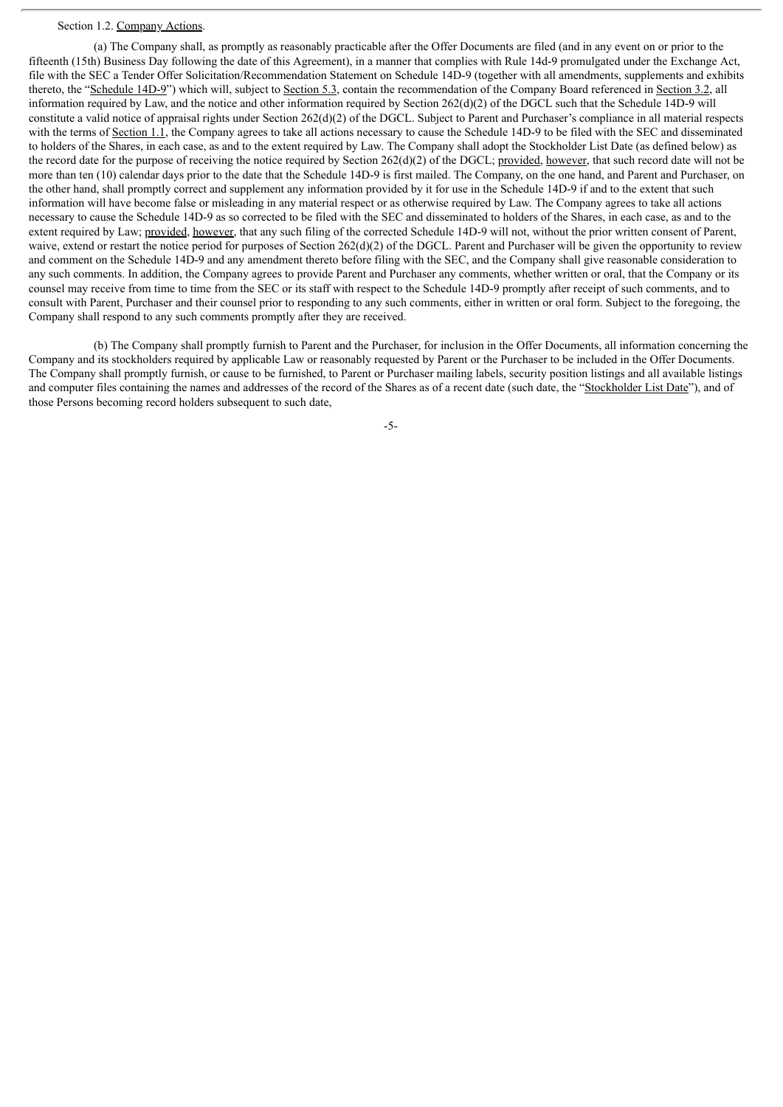## Section 1.2. Company Actions.

(a) The Company shall, as promptly as reasonably practicable after the Offer Documents are filed (and in any event on or prior to the fifteenth (15th) Business Day following the date of this Agreement), in a manner that complies with Rule 14d-9 promulgated under the Exchange Act, file with the SEC a Tender Offer Solicitation/Recommendation Statement on Schedule 14D-9 (together with all amendments, supplements and exhibits thereto, the "Schedule 14D-9") which will, subject to Section 5.3, contain the recommendation of the Company Board referenced in Section 3.2, all information required by Law, and the notice and other information required by Section 262(d)(2) of the DGCL such that the Schedule 14D-9 will constitute a valid notice of appraisal rights under Section 262(d)(2) of the DGCL. Subject to Parent and Purchaser's compliance in all material respects with the terms of Section 1.1, the Company agrees to take all actions necessary to cause the Schedule 14D-9 to be filed with the SEC and disseminated to holders of the Shares, in each case, as and to the extent required by Law. The Company shall adopt the Stockholder List Date (as defined below) as the record date for the purpose of receiving the notice required by Section  $262(d)(2)$  of the DGCL; provided, however, that such record date will not be more than ten (10) calendar days prior to the date that the Schedule 14D-9 is first mailed. The Company, on the one hand, and Parent and Purchaser, on the other hand, shall promptly correct and supplement any information provided by it for use in the Schedule 14D-9 if and to the extent that such information will have become false or misleading in any material respect or as otherwise required by Law. The Company agrees to take all actions necessary to cause the Schedule 14D-9 as so corrected to be filed with the SEC and disseminated to holders of the Shares, in each case, as and to the extent required by Law; provided, however, that any such filing of the corrected Schedule 14D-9 will not, without the prior written consent of Parent, waive, extend or restart the notice period for purposes of Section 262(d)(2) of the DGCL. Parent and Purchaser will be given the opportunity to review and comment on the Schedule 14D-9 and any amendment thereto before filing with the SEC, and the Company shall give reasonable consideration to any such comments. In addition, the Company agrees to provide Parent and Purchaser any comments, whether written or oral, that the Company or its counsel may receive from time to time from the SEC or its staff with respect to the Schedule 14D-9 promptly after receipt of such comments, and to consult with Parent, Purchaser and their counsel prior to responding to any such comments, either in written or oral form. Subject to the foregoing, the Company shall respond to any such comments promptly after they are received.

(b) The Company shall promptly furnish to Parent and the Purchaser, for inclusion in the Offer Documents, all information concerning the Company and its stockholders required by applicable Law or reasonably requested by Parent or the Purchaser to be included in the Offer Documents. The Company shall promptly furnish, or cause to be furnished, to Parent or Purchaser mailing labels, security position listings and all available listings and computer files containing the names and addresses of the record of the Shares as of a recent date (such date, the "Stockholder List Date"), and of those Persons becoming record holders subsequent to such date,

-5-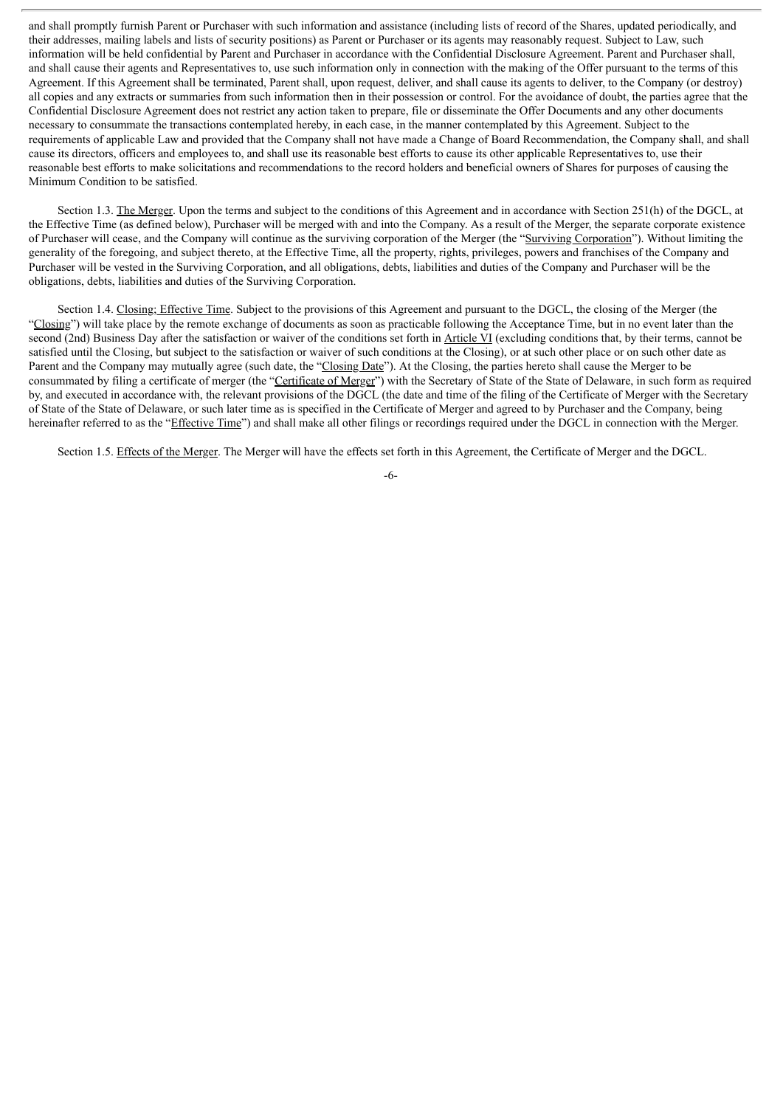and shall promptly furnish Parent or Purchaser with such information and assistance (including lists of record of the Shares, updated periodically, and their addresses, mailing labels and lists of security positions) as Parent or Purchaser or its agents may reasonably request. Subject to Law, such information will be held confidential by Parent and Purchaser in accordance with the Confidential Disclosure Agreement. Parent and Purchaser shall, and shall cause their agents and Representatives to, use such information only in connection with the making of the Offer pursuant to the terms of this Agreement. If this Agreement shall be terminated, Parent shall, upon request, deliver, and shall cause its agents to deliver, to the Company (or destroy) all copies and any extracts or summaries from such information then in their possession or control. For the avoidance of doubt, the parties agree that the Confidential Disclosure Agreement does not restrict any action taken to prepare, file or disseminate the Offer Documents and any other documents necessary to consummate the transactions contemplated hereby, in each case, in the manner contemplated by this Agreement. Subject to the requirements of applicable Law and provided that the Company shall not have made a Change of Board Recommendation, the Company shall, and shall cause its directors, officers and employees to, and shall use its reasonable best efforts to cause its other applicable Representatives to, use their reasonable best efforts to make solicitations and recommendations to the record holders and beneficial owners of Shares for purposes of causing the Minimum Condition to be satisfied.

Section 1.3. The Merger. Upon the terms and subject to the conditions of this Agreement and in accordance with Section 251(h) of the DGCL, at the Effective Time (as defined below), Purchaser will be merged with and into the Company. As a result of the Merger, the separate corporate existence of Purchaser will cease, and the Company will continue as the surviving corporation of the Merger (the "Surviving Corporation"). Without limiting the generality of the foregoing, and subject thereto, at the Effective Time, all the property, rights, privileges, powers and franchises of the Company and Purchaser will be vested in the Surviving Corporation, and all obligations, debts, liabilities and duties of the Company and Purchaser will be the obligations, debts, liabilities and duties of the Surviving Corporation.

Section 1.4. Closing; Effective Time. Subject to the provisions of this Agreement and pursuant to the DGCL, the closing of the Merger (the "Closing") will take place by the remote exchange of documents as soon as practicable following the Acceptance Time, but in no event later than the second (2nd) Business Day after the satisfaction or waiver of the conditions set forth in Article VI (excluding conditions that, by their terms, cannot be satisfied until the Closing, but subject to the satisfaction or waiver of such conditions at the Closing), or at such other place or on such other date as Parent and the Company may mutually agree (such date, the "Closing Date"). At the Closing, the parties hereto shall cause the Merger to be consummated by filing a certificate of merger (the "Certificate of Merger") with the Secretary of State of the State of Delaware, in such form as required by, and executed in accordance with, the relevant provisions of the DGCL (the date and time of the filing of the Certificate of Merger with the Secretary of State of the State of Delaware, or such later time as is specified in the Certificate of Merger and agreed to by Purchaser and the Company, being hereinafter referred to as the "Effective Time") and shall make all other filings or recordings required under the DGCL in connection with the Merger.

Section 1.5. Effects of the Merger. The Merger will have the effects set forth in this Agreement, the Certificate of Merger and the DGCL.

-6-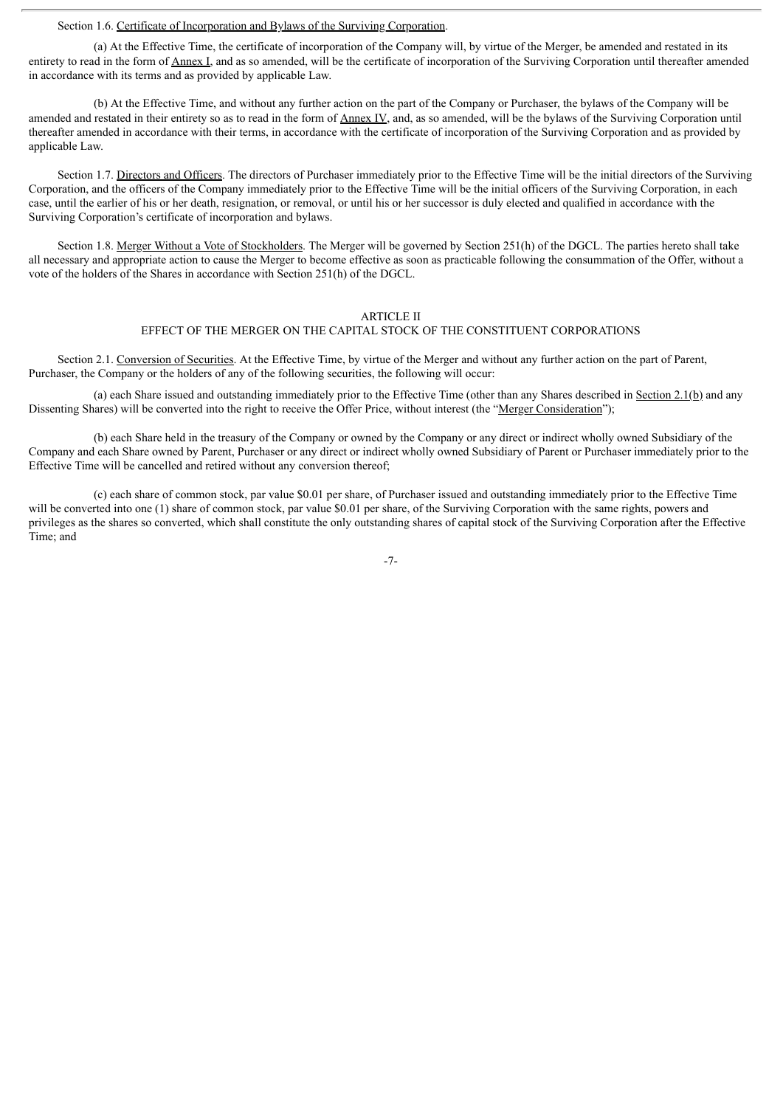#### Section 1.6. Certificate of Incorporation and Bylaws of the Surviving Corporation.

(a) At the Effective Time, the certificate of incorporation of the Company will, by virtue of the Merger, be amended and restated in its entirety to read in the form of Annex I, and as so amended, will be the certificate of incorporation of the Surviving Corporation until thereafter amended in accordance with its terms and as provided by applicable Law.

(b) At the Effective Time, and without any further action on the part of the Company or Purchaser, the bylaws of the Company will be amended and restated in their entirety so as to read in the form of Annex IV, and, as so amended, will be the bylaws of the Surviving Corporation until thereafter amended in accordance with their terms, in accordance with the certificate of incorporation of the Surviving Corporation and as provided by applicable Law.

Section 1.7. Directors and Officers. The directors of Purchaser immediately prior to the Effective Time will be the initial directors of the Surviving Corporation, and the officers of the Company immediately prior to the Effective Time will be the initial officers of the Surviving Corporation, in each case, until the earlier of his or her death, resignation, or removal, or until his or her successor is duly elected and qualified in accordance with the Surviving Corporation's certificate of incorporation and bylaws.

Section 1.8. Merger Without a Vote of Stockholders. The Merger will be governed by Section 251(h) of the DGCL. The parties hereto shall take all necessary and appropriate action to cause the Merger to become effective as soon as practicable following the consummation of the Offer, without a vote of the holders of the Shares in accordance with Section 251(h) of the DGCL.

#### ARTICLE II

#### EFFECT OF THE MERGER ON THE CAPITAL STOCK OF THE CONSTITUENT CORPORATIONS

Section 2.1. Conversion of Securities. At the Effective Time, by virtue of the Merger and without any further action on the part of Parent, Purchaser, the Company or the holders of any of the following securities, the following will occur:

(a) each Share issued and outstanding immediately prior to the Effective Time (other than any Shares described in Section 2.1(b) and any Dissenting Shares) will be converted into the right to receive the Offer Price, without interest (the "Merger Consideration");

(b) each Share held in the treasury of the Company or owned by the Company or any direct or indirect wholly owned Subsidiary of the Company and each Share owned by Parent, Purchaser or any direct or indirect wholly owned Subsidiary of Parent or Purchaser immediately prior to the Effective Time will be cancelled and retired without any conversion thereof;

(c) each share of common stock, par value \$0.01 per share, of Purchaser issued and outstanding immediately prior to the Effective Time will be converted into one (1) share of common stock, par value \$0.01 per share, of the Surviving Corporation with the same rights, powers and privileges as the shares so converted, which shall constitute the only outstanding shares of capital stock of the Surviving Corporation after the Effective Time; and

-7-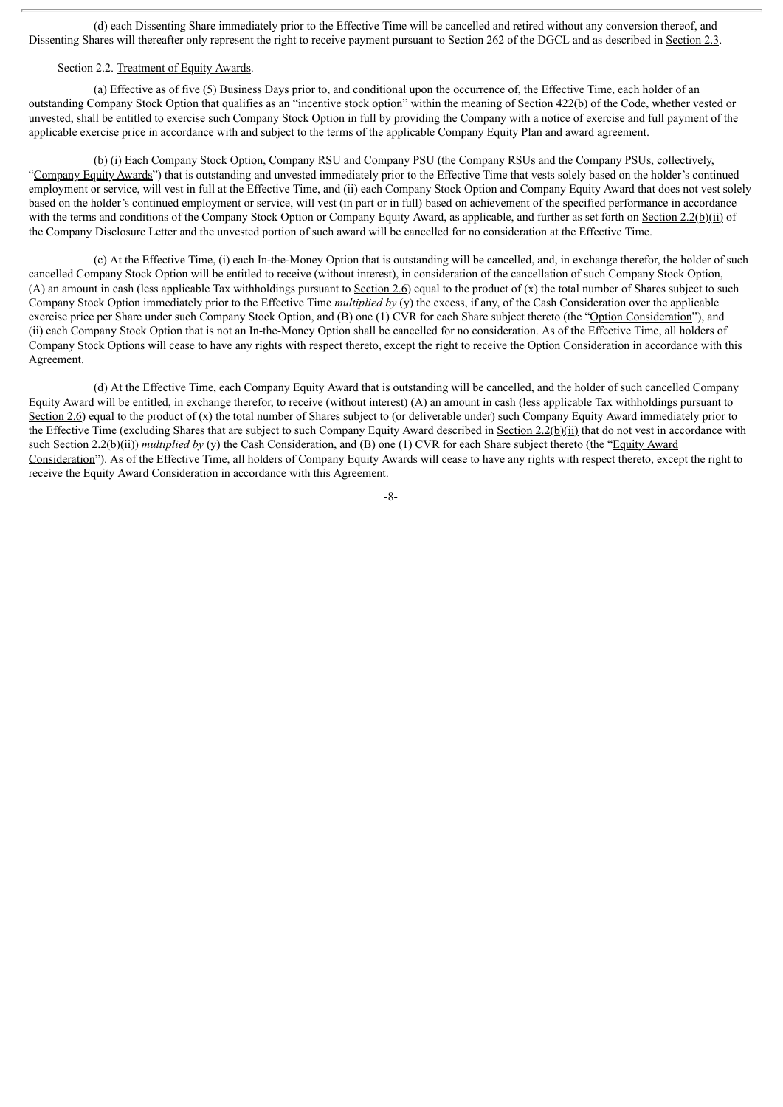(d) each Dissenting Share immediately prior to the Effective Time will be cancelled and retired without any conversion thereof, and Dissenting Shares will thereafter only represent the right to receive payment pursuant to Section 262 of the DGCL and as described in Section 2.3.

## Section 2.2. Treatment of Equity Awards.

(a) Effective as of five (5) Business Days prior to, and conditional upon the occurrence of, the Effective Time, each holder of an outstanding Company Stock Option that qualifies as an "incentive stock option" within the meaning of Section 422(b) of the Code, whether vested or unvested, shall be entitled to exercise such Company Stock Option in full by providing the Company with a notice of exercise and full payment of the applicable exercise price in accordance with and subject to the terms of the applicable Company Equity Plan and award agreement.

(b) (i) Each Company Stock Option, Company RSU and Company PSU (the Company RSUs and the Company PSUs, collectively, "Company Equity Awards") that is outstanding and unvested immediately prior to the Effective Time that vests solely based on the holder's continued employment or service, will vest in full at the Effective Time, and (ii) each Company Stock Option and Company Equity Award that does not vest solely based on the holder's continued employment or service, will vest (in part or in full) based on achievement of the specified performance in accordance with the terms and conditions of the Company Stock Option or Company Equity Award, as applicable, and further as set forth on Section 2.2(b)(ii) of the Company Disclosure Letter and the unvested portion of such award will be cancelled for no consideration at the Effective Time.

(c) At the Effective Time, (i) each In-the-Money Option that is outstanding will be cancelled, and, in exchange therefor, the holder of such cancelled Company Stock Option will be entitled to receive (without interest), in consideration of the cancellation of such Company Stock Option, (A) an amount in cash (less applicable Tax withholdings pursuant to Section 2.6) equal to the product of  $(x)$  the total number of Shares subject to such Company Stock Option immediately prior to the Effective Time *multiplied by* (y) the excess, if any, of the Cash Consideration over the applicable exercise price per Share under such Company Stock Option, and (B) one (1) CVR for each Share subject thereto (the "Option Consideration"), and (ii) each Company Stock Option that is not an In-the-Money Option shall be cancelled for no consideration. As of the Effective Time, all holders of Company Stock Options will cease to have any rights with respect thereto, except the right to receive the Option Consideration in accordance with this Agreement.

(d) At the Effective Time, each Company Equity Award that is outstanding will be cancelled, and the holder of such cancelled Company Equity Award will be entitled, in exchange therefor, to receive (without interest) (A) an amount in cash (less applicable Tax withholdings pursuant to Section 2.6) equal to the product of  $(x)$  the total number of Shares subject to (or deliverable under) such Company Equity Award immediately prior to the Effective Time (excluding Shares that are subject to such Company Equity Award described in Section 2.2(b)(ii) that do not vest in accordance with such Section 2.2(b)(ii)) *multiplied by* (y) the Cash Consideration, and (B) one (1) CVR for each Share subject thereto (the "Equity Award" Consideration"). As of the Effective Time, all holders of Company Equity Awards will cease to have any rights with respect thereto, except the right to receive the Equity Award Consideration in accordance with this Agreement.

-8-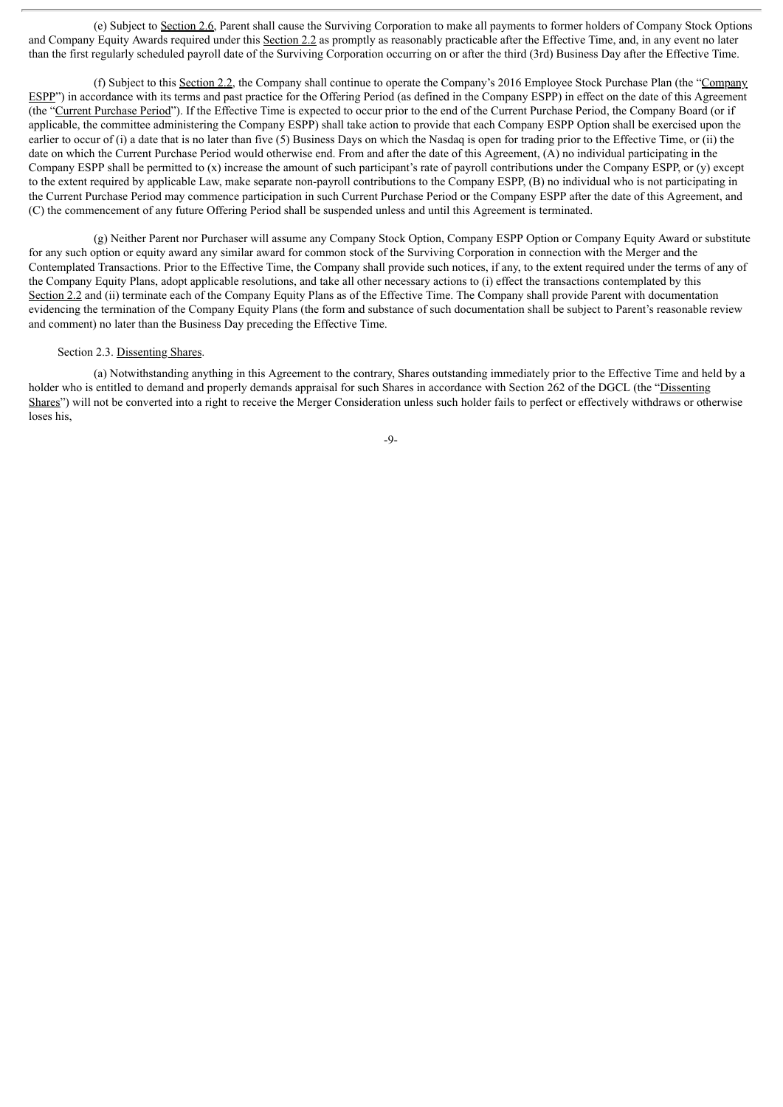(e) Subject to Section 2.6, Parent shall cause the Surviving Corporation to make all payments to former holders of Company Stock Options and Company Equity Awards required under this Section 2.2 as promptly as reasonably practicable after the Effective Time, and, in any event no later than the first regularly scheduled payroll date of the Surviving Corporation occurring on or after the third (3rd) Business Day after the Effective Time.

(f) Subject to this Section 2.2, the Company shall continue to operate the Company's 2016 Employee Stock Purchase Plan (the "Company ESPP") in accordance with its terms and past practice for the Offering Period (as defined in the Company ESPP) in effect on the date of this Agreement (the "Current Purchase Period"). If the Effective Time is expected to occur prior to the end of the Current Purchase Period, the Company Board (or if applicable, the committee administering the Company ESPP) shall take action to provide that each Company ESPP Option shall be exercised upon the earlier to occur of (i) a date that is no later than five (5) Business Days on which the Nasdaq is open for trading prior to the Effective Time, or (ii) the date on which the Current Purchase Period would otherwise end. From and after the date of this Agreement, (A) no individual participating in the Company ESPP shall be permitted to  $(x)$  increase the amount of such participant's rate of payroll contributions under the Company ESPP, or  $(y)$  except to the extent required by applicable Law, make separate non-payroll contributions to the Company ESPP, (B) no individual who is not participating in the Current Purchase Period may commence participation in such Current Purchase Period or the Company ESPP after the date of this Agreement, and (C) the commencement of any future Offering Period shall be suspended unless and until this Agreement is terminated.

(g) Neither Parent nor Purchaser will assume any Company Stock Option, Company ESPP Option or Company Equity Award or substitute for any such option or equity award any similar award for common stock of the Surviving Corporation in connection with the Merger and the Contemplated Transactions. Prior to the Effective Time, the Company shall provide such notices, if any, to the extent required under the terms of any of the Company Equity Plans, adopt applicable resolutions, and take all other necessary actions to (i) effect the transactions contemplated by this Section 2.2 and (ii) terminate each of the Company Equity Plans as of the Effective Time. The Company shall provide Parent with documentation evidencing the termination of the Company Equity Plans (the form and substance of such documentation shall be subject to Parent's reasonable review and comment) no later than the Business Day preceding the Effective Time.

## Section 2.3. Dissenting Shares.

(a) Notwithstanding anything in this Agreement to the contrary, Shares outstanding immediately prior to the Effective Time and held by a holder who is entitled to demand and properly demands appraisal for such Shares in accordance with Section 262 of the DGCL (the "Dissenting") Shares") will not be converted into a right to receive the Merger Consideration unless such holder fails to perfect or effectively withdraws or otherwise loses his,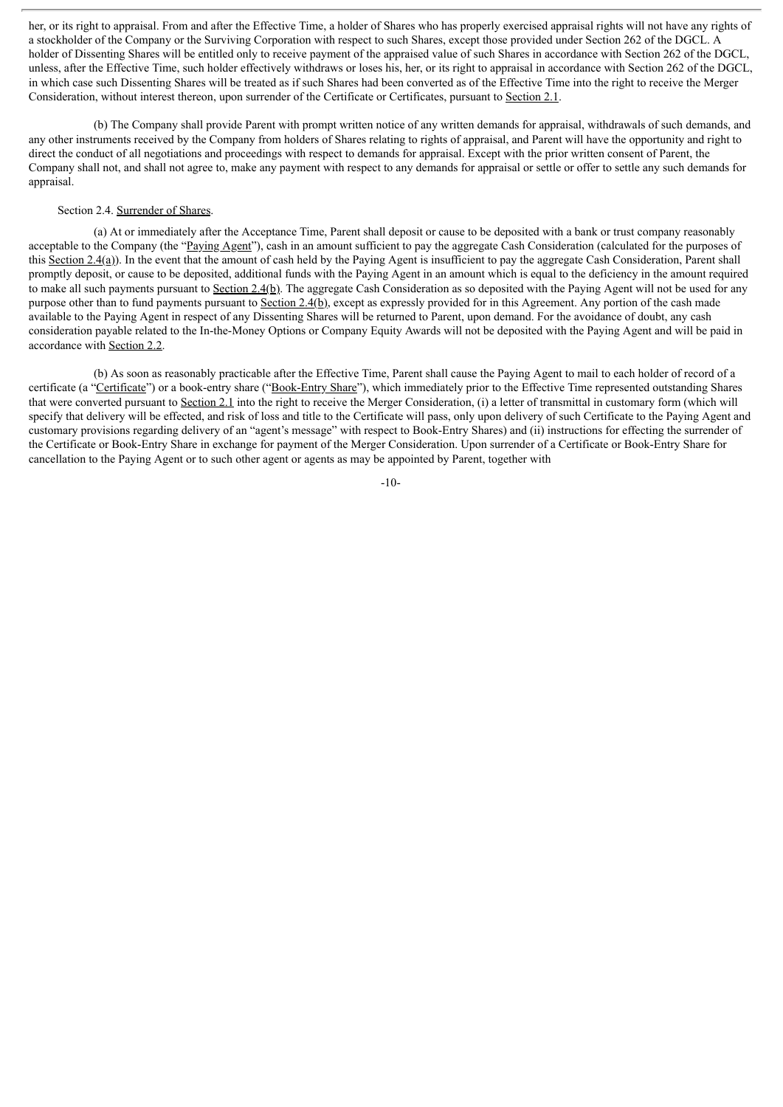her, or its right to appraisal. From and after the Effective Time, a holder of Shares who has properly exercised appraisal rights will not have any rights of a stockholder of the Company or the Surviving Corporation with respect to such Shares, except those provided under Section 262 of the DGCL. A holder of Dissenting Shares will be entitled only to receive payment of the appraised value of such Shares in accordance with Section 262 of the DGCL, unless, after the Effective Time, such holder effectively withdraws or loses his, her, or its right to appraisal in accordance with Section 262 of the DGCL, in which case such Dissenting Shares will be treated as if such Shares had been converted as of the Effective Time into the right to receive the Merger Consideration, without interest thereon, upon surrender of the Certificate or Certificates, pursuant to Section 2.1.

(b) The Company shall provide Parent with prompt written notice of any written demands for appraisal, withdrawals of such demands, and any other instruments received by the Company from holders of Shares relating to rights of appraisal, and Parent will have the opportunity and right to direct the conduct of all negotiations and proceedings with respect to demands for appraisal. Except with the prior written consent of Parent, the Company shall not, and shall not agree to, make any payment with respect to any demands for appraisal or settle or offer to settle any such demands for appraisal.

## Section 2.4. Surrender of Shares.

(a) At or immediately after the Acceptance Time, Parent shall deposit or cause to be deposited with a bank or trust company reasonably acceptable to the Company (the "Paying Agent"), cash in an amount sufficient to pay the aggregate Cash Consideration (calculated for the purposes of this Section  $2.4(a)$ ). In the event that the amount of cash held by the Paying Agent is insufficient to pay the aggregate Cash Consideration, Parent shall promptly deposit, or cause to be deposited, additional funds with the Paying Agent in an amount which is equal to the deficiency in the amount required to make all such payments pursuant to Section 2.4(b). The aggregate Cash Consideration as so deposited with the Paying Agent will not be used for any purpose other than to fund payments pursuant to Section 2.4(b), except as expressly provided for in this Agreement. Any portion of the cash made available to the Paying Agent in respect of any Dissenting Shares will be returned to Parent, upon demand. For the avoidance of doubt, any cash consideration payable related to the In-the-Money Options or Company Equity Awards will not be deposited with the Paying Agent and will be paid in accordance with Section 2.2.

(b) As soon as reasonably practicable after the Effective Time, Parent shall cause the Paying Agent to mail to each holder of record of a certificate (a "Certificate") or a book-entry share ("Book-Entry Share"), which immediately prior to the Effective Time represented outstanding Shares that were converted pursuant to Section 2.1 into the right to receive the Merger Consideration, (i) a letter of transmittal in customary form (which will specify that delivery will be effected, and risk of loss and title to the Certificate will pass, only upon delivery of such Certificate to the Paying Agent and customary provisions regarding delivery of an "agent's message" with respect to Book-Entry Shares) and (ii) instructions for effecting the surrender of the Certificate or Book-Entry Share in exchange for payment of the Merger Consideration. Upon surrender of a Certificate or Book-Entry Share for cancellation to the Paying Agent or to such other agent or agents as may be appointed by Parent, together with

-10-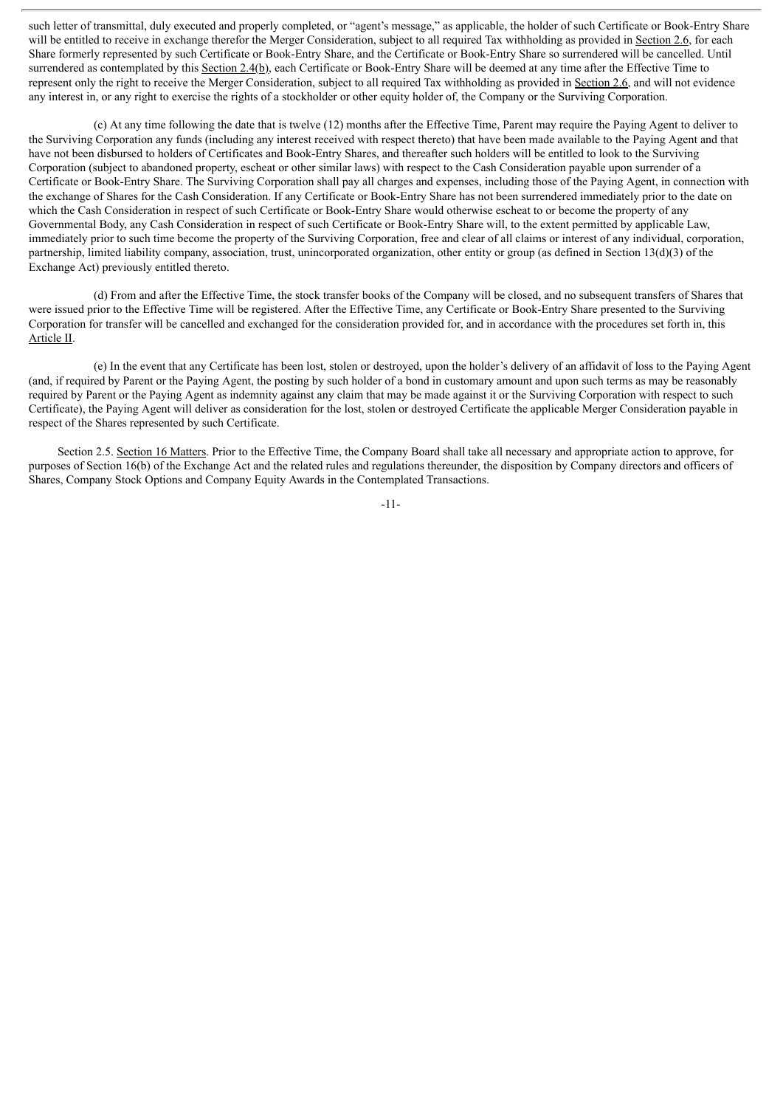such letter of transmittal, duly executed and properly completed, or "agent's message," as applicable, the holder of such Certificate or Book-Entry Share will be entitled to receive in exchange therefor the Merger Consideration, subject to all required Tax withholding as provided in Section 2.6, for each Share formerly represented by such Certificate or Book-Entry Share, and the Certificate or Book-Entry Share so surrendered will be cancelled. Until surrendered as contemplated by this Section 2.4(b), each Certificate or Book-Entry Share will be deemed at any time after the Effective Time to represent only the right to receive the Merger Consideration, subject to all required Tax withholding as provided in Section 2.6, and will not evidence any interest in, or any right to exercise the rights of a stockholder or other equity holder of, the Company or the Surviving Corporation.

(c) At any time following the date that is twelve (12) months after the Effective Time, Parent may require the Paying Agent to deliver to the Surviving Corporation any funds (including any interest received with respect thereto) that have been made available to the Paying Agent and that have not been disbursed to holders of Certificates and Book-Entry Shares, and thereafter such holders will be entitled to look to the Surviving Corporation (subject to abandoned property, escheat or other similar laws) with respect to the Cash Consideration payable upon surrender of a Certificate or Book-Entry Share. The Surviving Corporation shall pay all charges and expenses, including those of the Paying Agent, in connection with the exchange of Shares for the Cash Consideration. If any Certificate or Book-Entry Share has not been surrendered immediately prior to the date on which the Cash Consideration in respect of such Certificate or Book-Entry Share would otherwise escheat to or become the property of any Governmental Body, any Cash Consideration in respect of such Certificate or Book-Entry Share will, to the extent permitted by applicable Law, immediately prior to such time become the property of the Surviving Corporation, free and clear of all claims or interest of any individual, corporation, partnership, limited liability company, association, trust, unincorporated organization, other entity or group (as defined in Section 13(d)(3) of the Exchange Act) previously entitled thereto.

(d) From and after the Effective Time, the stock transfer books of the Company will be closed, and no subsequent transfers of Shares that were issued prior to the Effective Time will be registered. After the Effective Time, any Certificate or Book-Entry Share presented to the Surviving Corporation for transfer will be cancelled and exchanged for the consideration provided for, and in accordance with the procedures set forth in, this Article II.

(e) In the event that any Certificate has been lost, stolen or destroyed, upon the holder's delivery of an affidavit of loss to the Paying Agent (and, if required by Parent or the Paying Agent, the posting by such holder of a bond in customary amount and upon such terms as may be reasonably required by Parent or the Paying Agent as indemnity against any claim that may be made against it or the Surviving Corporation with respect to such Certificate), the Paying Agent will deliver as consideration for the lost, stolen or destroyed Certificate the applicable Merger Consideration payable in respect of the Shares represented by such Certificate.

Section 2.5. Section 16 Matters. Prior to the Effective Time, the Company Board shall take all necessary and appropriate action to approve, for purposes of Section 16(b) of the Exchange Act and the related rules and regulations thereunder, the disposition by Company directors and officers of Shares, Company Stock Options and Company Equity Awards in the Contemplated Transactions.

-11-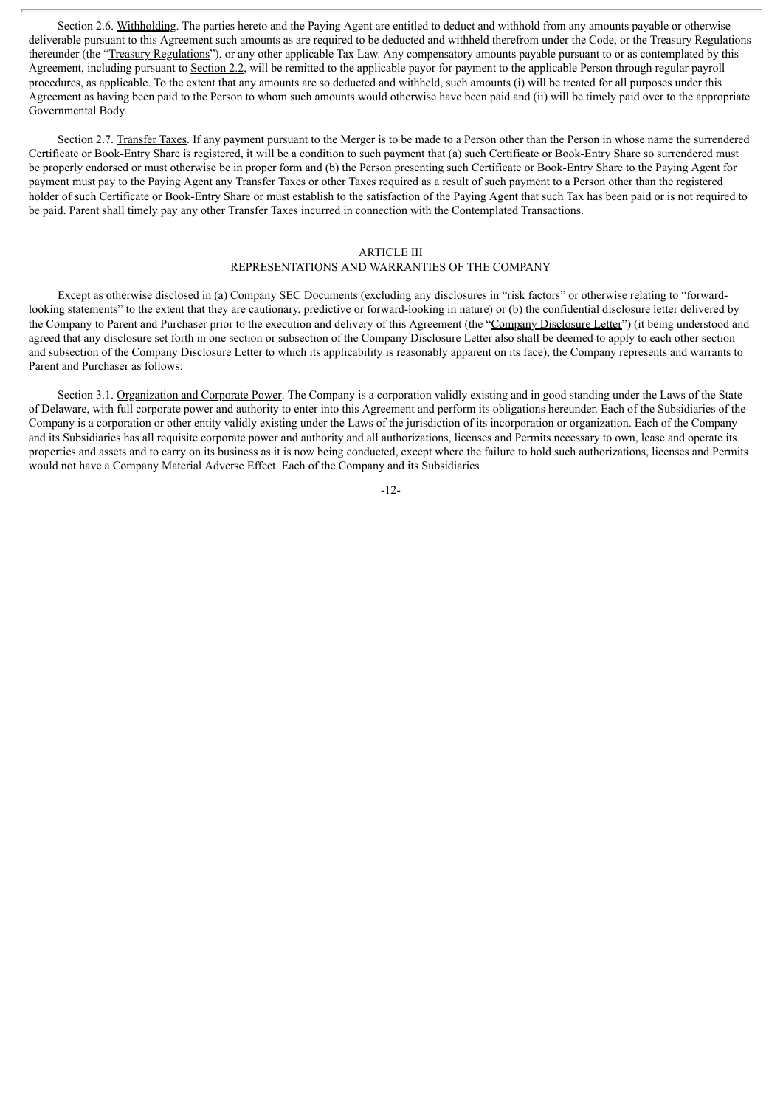Section 2.6. Withholding. The parties hereto and the Paying Agent are entitled to deduct and withhold from any amounts payable or otherwise deliverable pursuant to this Agreement such amounts as are required to be deducted and withheld therefrom under the Code, or the Treasury Regulations thereunder (the "Treasury Regulations"), or any other applicable Tax Law. Any compensatory amounts payable pursuant to or as contemplated by this Agreement, including pursuant to Section 2.2, will be remitted to the applicable payor for payment to the applicable Person through regular payroll procedures, as applicable. To the extent that any amounts are so deducted and withheld, such amounts (i) will be treated for all purposes under this Agreement as having been paid to the Person to whom such amounts would otherwise have been paid and (ii) will be timely paid over to the appropriate Governmental Body.

Section 2.7. Transfer Taxes. If any payment pursuant to the Merger is to be made to a Person other than the Person in whose name the surrendered Certificate or Book-Entry Share is registered, it will be a condition to such payment that (a) such Certificate or Book-Entry Share so surrendered must be properly endorsed or must otherwise be in proper form and (b) the Person presenting such Certificate or Book-Entry Share to the Paying Agent for payment must pay to the Paying Agent any Transfer Taxes or other Taxes required as a result of such payment to a Person other than the registered holder of such Certificate or Book-Entry Share or must establish to the satisfaction of the Paying Agent that such Tax has been paid or is not required to be paid. Parent shall timely pay any other Transfer Taxes incurred in connection with the Contemplated Transactions.

## ARTICLE III

## REPRESENTATIONS AND WARRANTIES OF THE COMPANY

Except as otherwise disclosed in (a) Company SEC Documents (excluding any disclosures in "risk factors" or otherwise relating to "forwardlooking statements" to the extent that they are cautionary, predictive or forward-looking in nature) or (b) the confidential disclosure letter delivered by the Company to Parent and Purchaser prior to the execution and delivery of this Agreement (the "Company Disclosure Letter") (it being understood and agreed that any disclosure set forth in one section or subsection of the Company Disclosure Letter also shall be deemed to apply to each other section and subsection of the Company Disclosure Letter to which its applicability is reasonably apparent on its face), the Company represents and warrants to Parent and Purchaser as follows:

Section 3.1. Organization and Corporate Power. The Company is a corporation validly existing and in good standing under the Laws of the State of Delaware, with full corporate power and authority to enter into this Agreement and perform its obligations hereunder. Each of the Subsidiaries of the Company is a corporation or other entity validly existing under the Laws of the jurisdiction of its incorporation or organization. Each of the Company and its Subsidiaries has all requisite corporate power and authority and all authorizations, licenses and Permits necessary to own, lease and operate its properties and assets and to carry on its business as it is now being conducted, except where the failure to hold such authorizations, licenses and Permits would not have a Company Material Adverse Effect. Each of the Company and its Subsidiaries

-12-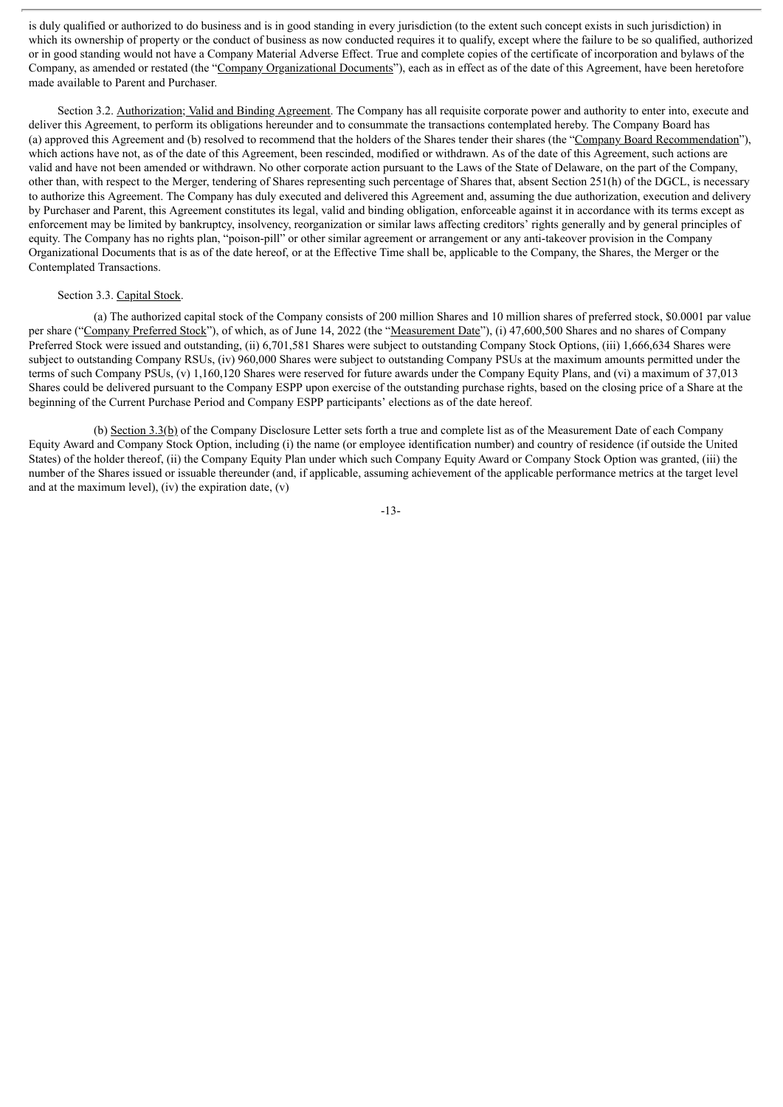is duly qualified or authorized to do business and is in good standing in every jurisdiction (to the extent such concept exists in such jurisdiction) in which its ownership of property or the conduct of business as now conducted requires it to qualify, except where the failure to be so qualified, authorized or in good standing would not have a Company Material Adverse Effect. True and complete copies of the certificate of incorporation and bylaws of the Company, as amended or restated (the "Company Organizational Documents"), each as in effect as of the date of this Agreement, have been heretofore made available to Parent and Purchaser.

Section 3.2. Authorization; Valid and Binding Agreement. The Company has all requisite corporate power and authority to enter into, execute and deliver this Agreement, to perform its obligations hereunder and to consummate the transactions contemplated hereby. The Company Board has (a) approved this Agreement and (b) resolved to recommend that the holders of the Shares tender their shares (the "Company Board Recommendation"), which actions have not, as of the date of this Agreement, been rescinded, modified or withdrawn. As of the date of this Agreement, such actions are valid and have not been amended or withdrawn. No other corporate action pursuant to the Laws of the State of Delaware, on the part of the Company, other than, with respect to the Merger, tendering of Shares representing such percentage of Shares that, absent Section 251(h) of the DGCL, is necessary to authorize this Agreement. The Company has duly executed and delivered this Agreement and, assuming the due authorization, execution and delivery by Purchaser and Parent, this Agreement constitutes its legal, valid and binding obligation, enforceable against it in accordance with its terms except as enforcement may be limited by bankruptcy, insolvency, reorganization or similar laws affecting creditors' rights generally and by general principles of equity. The Company has no rights plan, "poison-pill" or other similar agreement or arrangement or any anti-takeover provision in the Company Organizational Documents that is as of the date hereof, or at the Effective Time shall be, applicable to the Company, the Shares, the Merger or the Contemplated Transactions.

#### Section 3.3. Capital Stock.

(a) The authorized capital stock of the Company consists of 200 million Shares and 10 million shares of preferred stock, \$0.0001 par value per share ("Company Preferred Stock"), of which, as of June 14, 2022 (the "Measurement Date"), (i) 47,600,500 Shares and no shares of Company Preferred Stock were issued and outstanding, (ii) 6,701,581 Shares were subject to outstanding Company Stock Options, (iii) 1,666,634 Shares were subject to outstanding Company RSUs, (iv) 960,000 Shares were subject to outstanding Company PSUs at the maximum amounts permitted under the terms of such Company PSUs, (v) 1,160,120 Shares were reserved for future awards under the Company Equity Plans, and (vi) a maximum of 37,013 Shares could be delivered pursuant to the Company ESPP upon exercise of the outstanding purchase rights, based on the closing price of a Share at the beginning of the Current Purchase Period and Company ESPP participants' elections as of the date hereof.

(b) Section 3.3(b) of the Company Disclosure Letter sets forth a true and complete list as of the Measurement Date of each Company Equity Award and Company Stock Option, including (i) the name (or employee identification number) and country of residence (if outside the United States) of the holder thereof, (ii) the Company Equity Plan under which such Company Equity Award or Company Stock Option was granted, (iii) the number of the Shares issued or issuable thereunder (and, if applicable, assuming achievement of the applicable performance metrics at the target level and at the maximum level), (iv) the expiration date,  $(v)$ 

-13-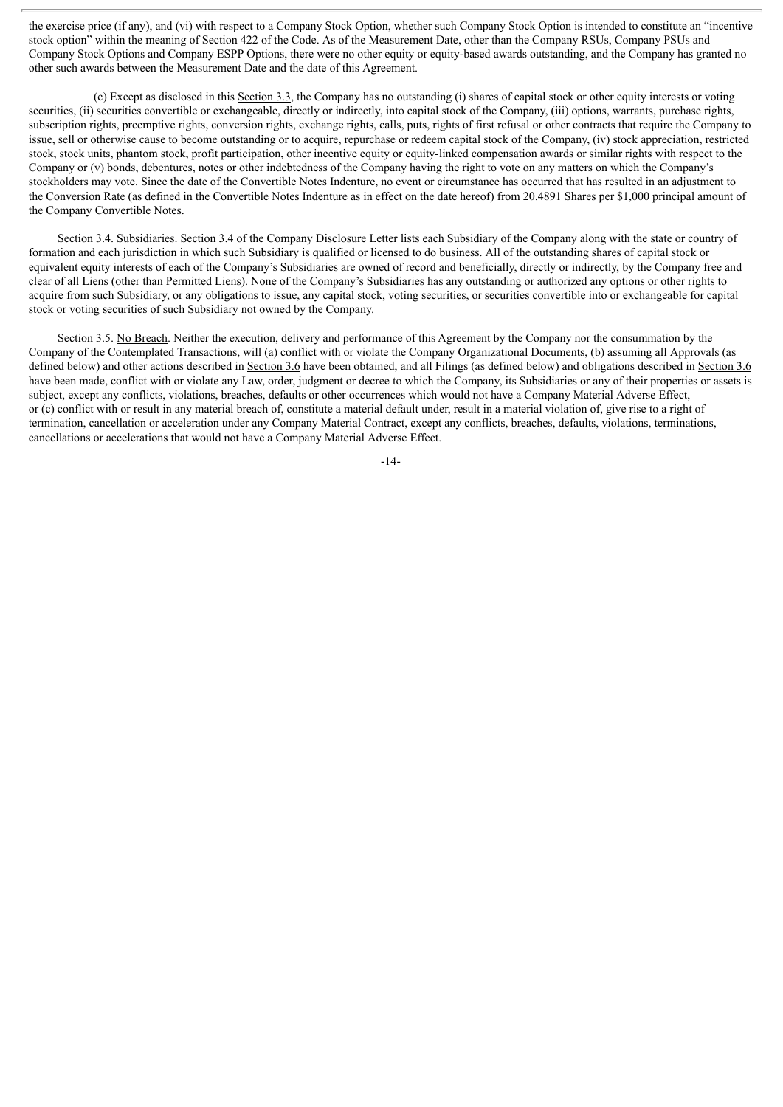the exercise price (if any), and (vi) with respect to a Company Stock Option, whether such Company Stock Option is intended to constitute an "incentive stock option" within the meaning of Section 422 of the Code. As of the Measurement Date, other than the Company RSUs, Company PSUs and Company Stock Options and Company ESPP Options, there were no other equity or equity-based awards outstanding, and the Company has granted no other such awards between the Measurement Date and the date of this Agreement.

(c) Except as disclosed in this Section 3.3, the Company has no outstanding (i) shares of capital stock or other equity interests or voting securities, (ii) securities convertible or exchangeable, directly or indirectly, into capital stock of the Company, (iii) options, warrants, purchase rights, subscription rights, preemptive rights, conversion rights, exchange rights, calls, puts, rights of first refusal or other contracts that require the Company to issue, sell or otherwise cause to become outstanding or to acquire, repurchase or redeem capital stock of the Company, (iv) stock appreciation, restricted stock, stock units, phantom stock, profit participation, other incentive equity or equity-linked compensation awards or similar rights with respect to the Company or (v) bonds, debentures, notes or other indebtedness of the Company having the right to vote on any matters on which the Company's stockholders may vote. Since the date of the Convertible Notes Indenture, no event or circumstance has occurred that has resulted in an adjustment to the Conversion Rate (as defined in the Convertible Notes Indenture as in effect on the date hereof) from 20.4891 Shares per \$1,000 principal amount of the Company Convertible Notes.

Section 3.4. Subsidiaries. Section 3.4 of the Company Disclosure Letter lists each Subsidiary of the Company along with the state or country of formation and each jurisdiction in which such Subsidiary is qualified or licensed to do business. All of the outstanding shares of capital stock or equivalent equity interests of each of the Company's Subsidiaries are owned of record and beneficially, directly or indirectly, by the Company free and clear of all Liens (other than Permitted Liens). None of the Company's Subsidiaries has any outstanding or authorized any options or other rights to acquire from such Subsidiary, or any obligations to issue, any capital stock, voting securities, or securities convertible into or exchangeable for capital stock or voting securities of such Subsidiary not owned by the Company.

Section 3.5. No Breach. Neither the execution, delivery and performance of this Agreement by the Company nor the consummation by the Company of the Contemplated Transactions, will (a) conflict with or violate the Company Organizational Documents, (b) assuming all Approvals (as defined below) and other actions described in Section 3.6 have been obtained, and all Filings (as defined below) and obligations described in Section 3.6 have been made, conflict with or violate any Law, order, judgment or decree to which the Company, its Subsidiaries or any of their properties or assets is subject, except any conflicts, violations, breaches, defaults or other occurrences which would not have a Company Material Adverse Effect, or (c) conflict with or result in any material breach of, constitute a material default under, result in a material violation of, give rise to a right of termination, cancellation or acceleration under any Company Material Contract, except any conflicts, breaches, defaults, violations, terminations, cancellations or accelerations that would not have a Company Material Adverse Effect.

-14-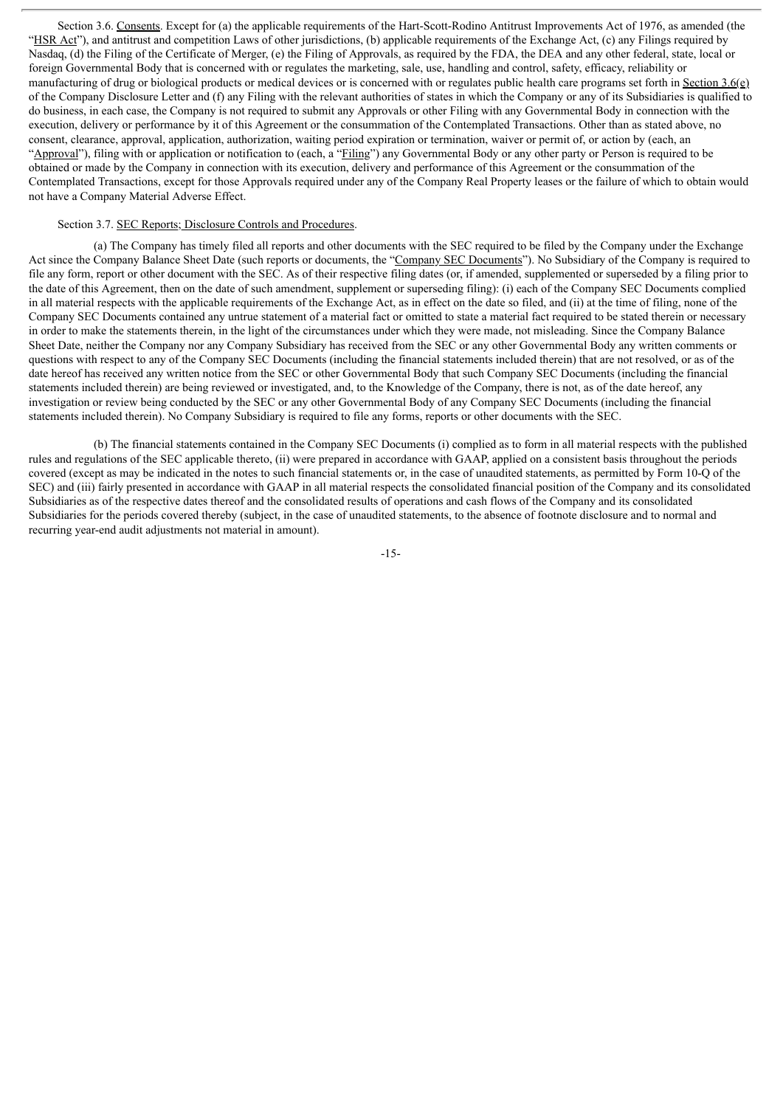Section 3.6. Consents. Except for (a) the applicable requirements of the Hart-Scott-Rodino Antitrust Improvements Act of 1976, as amended (the "HSR Act"), and antitrust and competition Laws of other jurisdictions, (b) applicable requirements of the Exchange Act, (c) any Filings required by Nasdaq, (d) the Filing of the Certificate of Merger, (e) the Filing of Approvals, as required by the FDA, the DEA and any other federal, state, local or foreign Governmental Body that is concerned with or regulates the marketing, sale, use, handling and control, safety, efficacy, reliability or manufacturing of drug or biological products or medical devices or is concerned with or regulates public health care programs set forth in Section 3.6(e) of the Company Disclosure Letter and (f) any Filing with the relevant authorities of states in which the Company or any of its Subsidiaries is qualified to do business, in each case, the Company is not required to submit any Approvals or other Filing with any Governmental Body in connection with the execution, delivery or performance by it of this Agreement or the consummation of the Contemplated Transactions. Other than as stated above, no consent, clearance, approval, application, authorization, waiting period expiration or termination, waiver or permit of, or action by (each, an "Approval"), filing with or application or notification to (each, a "Filing") any Governmental Body or any other party or Person is required to be obtained or made by the Company in connection with its execution, delivery and performance of this Agreement or the consummation of the Contemplated Transactions, except for those Approvals required under any of the Company Real Property leases or the failure of which to obtain would not have a Company Material Adverse Effect.

## Section 3.7. SEC Reports; Disclosure Controls and Procedures.

(a) The Company has timely filed all reports and other documents with the SEC required to be filed by the Company under the Exchange Act since the Company Balance Sheet Date (such reports or documents, the "Company SEC Documents"). No Subsidiary of the Company is required to file any form, report or other document with the SEC. As of their respective filing dates (or, if amended, supplemented or superseded by a filing prior to the date of this Agreement, then on the date of such amendment, supplement or superseding filing): (i) each of the Company SEC Documents complied in all material respects with the applicable requirements of the Exchange Act, as in effect on the date so filed, and (ii) at the time of filing, none of the Company SEC Documents contained any untrue statement of a material fact or omitted to state a material fact required to be stated therein or necessary in order to make the statements therein, in the light of the circumstances under which they were made, not misleading. Since the Company Balance Sheet Date, neither the Company nor any Company Subsidiary has received from the SEC or any other Governmental Body any written comments or questions with respect to any of the Company SEC Documents (including the financial statements included therein) that are not resolved, or as of the date hereof has received any written notice from the SEC or other Governmental Body that such Company SEC Documents (including the financial statements included therein) are being reviewed or investigated, and, to the Knowledge of the Company, there is not, as of the date hereof, any investigation or review being conducted by the SEC or any other Governmental Body of any Company SEC Documents (including the financial statements included therein). No Company Subsidiary is required to file any forms, reports or other documents with the SEC.

(b) The financial statements contained in the Company SEC Documents (i) complied as to form in all material respects with the published rules and regulations of the SEC applicable thereto, (ii) were prepared in accordance with GAAP, applied on a consistent basis throughout the periods covered (except as may be indicated in the notes to such financial statements or, in the case of unaudited statements, as permitted by Form 10-Q of the SEC) and (iii) fairly presented in accordance with GAAP in all material respects the consolidated financial position of the Company and its consolidated Subsidiaries as of the respective dates thereof and the consolidated results of operations and cash flows of the Company and its consolidated Subsidiaries for the periods covered thereby (subject, in the case of unaudited statements, to the absence of footnote disclosure and to normal and recurring year-end audit adjustments not material in amount).

-15-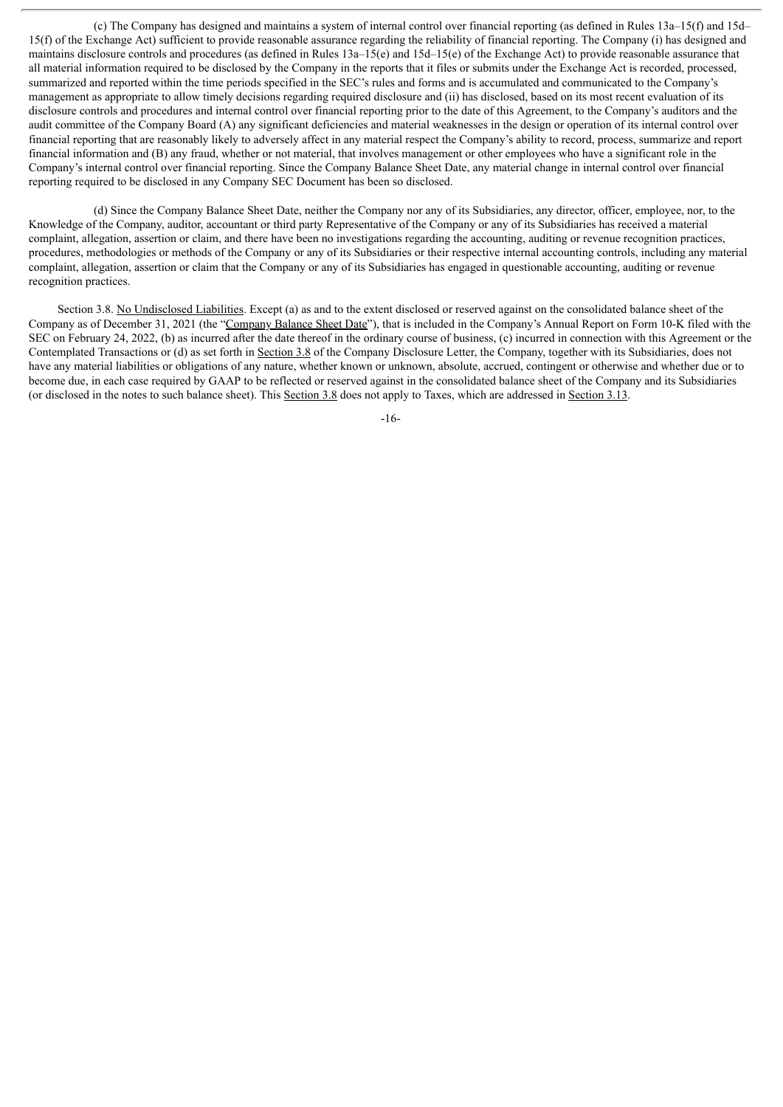(c) The Company has designed and maintains a system of internal control over financial reporting (as defined in Rules 13a–15(f) and 15d– 15(f) of the Exchange Act) sufficient to provide reasonable assurance regarding the reliability of financial reporting. The Company (i) has designed and maintains disclosure controls and procedures (as defined in Rules 13a–15(e) and 15d–15(e) of the Exchange Act) to provide reasonable assurance that all material information required to be disclosed by the Company in the reports that it files or submits under the Exchange Act is recorded, processed, summarized and reported within the time periods specified in the SEC's rules and forms and is accumulated and communicated to the Company's management as appropriate to allow timely decisions regarding required disclosure and (ii) has disclosed, based on its most recent evaluation of its disclosure controls and procedures and internal control over financial reporting prior to the date of this Agreement, to the Company's auditors and the audit committee of the Company Board (A) any significant deficiencies and material weaknesses in the design or operation of its internal control over financial reporting that are reasonably likely to adversely affect in any material respect the Company's ability to record, process, summarize and report financial information and (B) any fraud, whether or not material, that involves management or other employees who have a significant role in the Company's internal control over financial reporting. Since the Company Balance Sheet Date, any material change in internal control over financial reporting required to be disclosed in any Company SEC Document has been so disclosed.

(d) Since the Company Balance Sheet Date, neither the Company nor any of its Subsidiaries, any director, officer, employee, nor, to the Knowledge of the Company, auditor, accountant or third party Representative of the Company or any of its Subsidiaries has received a material complaint, allegation, assertion or claim, and there have been no investigations regarding the accounting, auditing or revenue recognition practices, procedures, methodologies or methods of the Company or any of its Subsidiaries or their respective internal accounting controls, including any material complaint, allegation, assertion or claim that the Company or any of its Subsidiaries has engaged in questionable accounting, auditing or revenue recognition practices.

Section 3.8. No Undisclosed Liabilities. Except (a) as and to the extent disclosed or reserved against on the consolidated balance sheet of the Company as of December 31, 2021 (the "Company Balance Sheet Date"), that is included in the Company's Annual Report on Form 10-K filed with the SEC on February 24, 2022, (b) as incurred after the date thereof in the ordinary course of business, (c) incurred in connection with this Agreement or the Contemplated Transactions or (d) as set forth in Section 3.8 of the Company Disclosure Letter, the Company, together with its Subsidiaries, does not have any material liabilities or obligations of any nature, whether known or unknown, absolute, accrued, contingent or otherwise and whether due or to become due, in each case required by GAAP to be reflected or reserved against in the consolidated balance sheet of the Company and its Subsidiaries (or disclosed in the notes to such balance sheet). This Section 3.8 does not apply to Taxes, which are addressed in Section 3.13.

-16-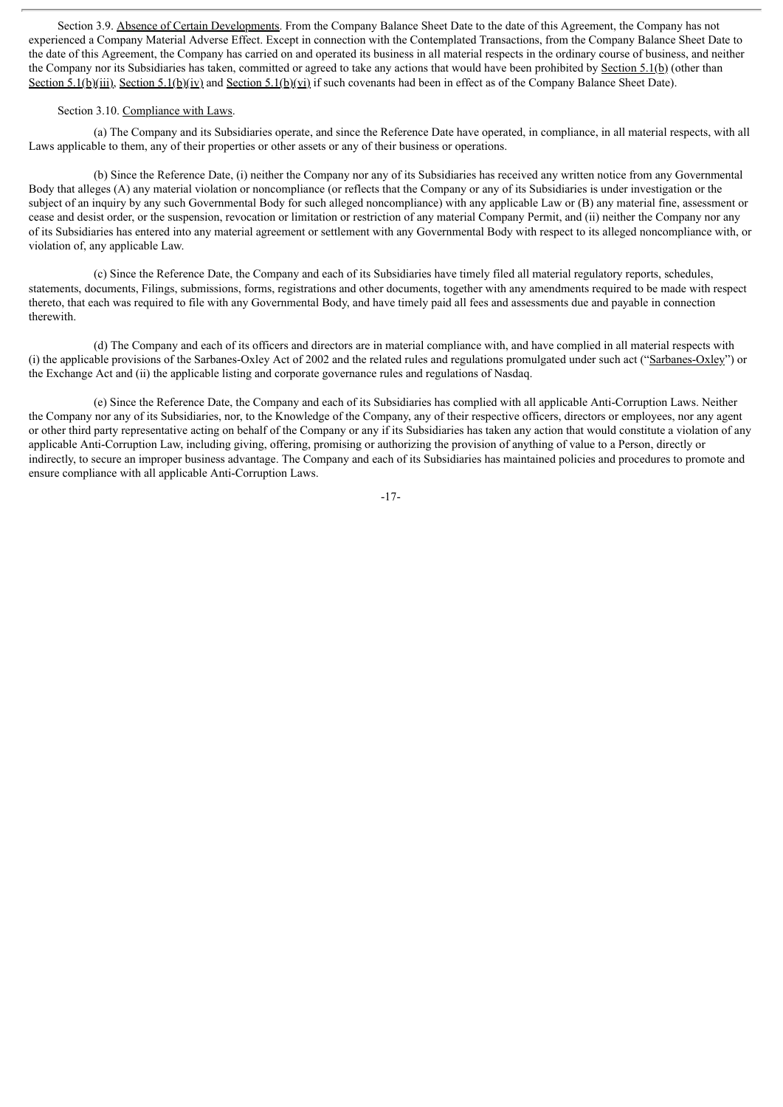Section 3.9. Absence of Certain Developments. From the Company Balance Sheet Date to the date of this Agreement, the Company has not experienced a Company Material Adverse Effect. Except in connection with the Contemplated Transactions, from the Company Balance Sheet Date to the date of this Agreement, the Company has carried on and operated its business in all material respects in the ordinary course of business, and neither the Company nor its Subsidiaries has taken, committed or agreed to take any actions that would have been prohibited by Section 5.1(b) (other than Section 5.1(b)(iii), Section 5.1(b)(iv) and Section 5.1(b)(vi) if such covenants had been in effect as of the Company Balance Sheet Date).

#### Section 3.10. Compliance with Laws.

(a) The Company and its Subsidiaries operate, and since the Reference Date have operated, in compliance, in all material respects, with all Laws applicable to them, any of their properties or other assets or any of their business or operations.

(b) Since the Reference Date, (i) neither the Company nor any of its Subsidiaries has received any written notice from any Governmental Body that alleges (A) any material violation or noncompliance (or reflects that the Company or any of its Subsidiaries is under investigation or the subject of an inquiry by any such Governmental Body for such alleged noncompliance) with any applicable Law or (B) any material fine, assessment or cease and desist order, or the suspension, revocation or limitation or restriction of any material Company Permit, and (ii) neither the Company nor any of its Subsidiaries has entered into any material agreement or settlement with any Governmental Body with respect to its alleged noncompliance with, or violation of, any applicable Law.

(c) Since the Reference Date, the Company and each of its Subsidiaries have timely filed all material regulatory reports, schedules, statements, documents, Filings, submissions, forms, registrations and other documents, together with any amendments required to be made with respect thereto, that each was required to file with any Governmental Body, and have timely paid all fees and assessments due and payable in connection therewith.

(d) The Company and each of its officers and directors are in material compliance with, and have complied in all material respects with (i) the applicable provisions of the Sarbanes-Oxley Act of 2002 and the related rules and regulations promulgated under such act ("Sarbanes-Oxley") or the Exchange Act and (ii) the applicable listing and corporate governance rules and regulations of Nasdaq.

(e) Since the Reference Date, the Company and each of its Subsidiaries has complied with all applicable Anti-Corruption Laws. Neither the Company nor any of its Subsidiaries, nor, to the Knowledge of the Company, any of their respective officers, directors or employees, nor any agent or other third party representative acting on behalf of the Company or any if its Subsidiaries has taken any action that would constitute a violation of any applicable Anti-Corruption Law, including giving, offering, promising or authorizing the provision of anything of value to a Person, directly or indirectly, to secure an improper business advantage. The Company and each of its Subsidiaries has maintained policies and procedures to promote and ensure compliance with all applicable Anti-Corruption Laws.

-17-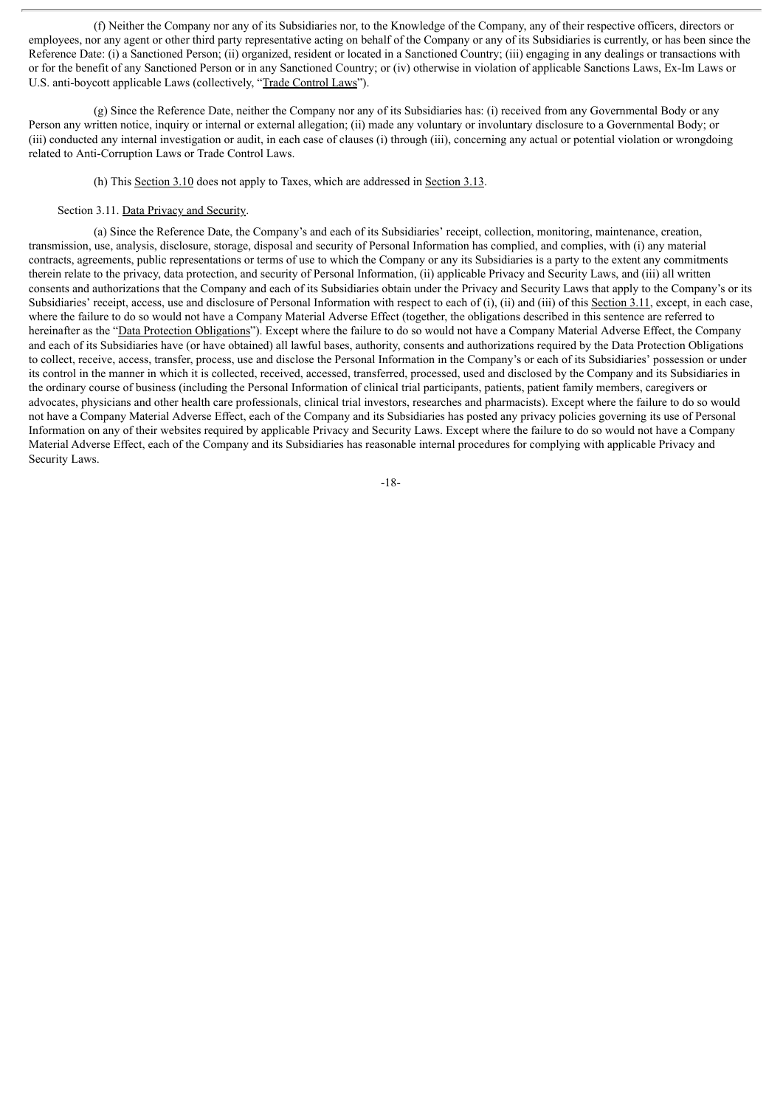(f) Neither the Company nor any of its Subsidiaries nor, to the Knowledge of the Company, any of their respective officers, directors or employees, nor any agent or other third party representative acting on behalf of the Company or any of its Subsidiaries is currently, or has been since the Reference Date: (i) a Sanctioned Person; (ii) organized, resident or located in a Sanctioned Country; (iii) engaging in any dealings or transactions with or for the benefit of any Sanctioned Person or in any Sanctioned Country; or (iv) otherwise in violation of applicable Sanctions Laws, Ex-Im Laws or U.S. anti-boycott applicable Laws (collectively, "Trade Control Laws").

(g) Since the Reference Date, neither the Company nor any of its Subsidiaries has: (i) received from any Governmental Body or any Person any written notice, inquiry or internal or external allegation; (ii) made any voluntary or involuntary disclosure to a Governmental Body; or (iii) conducted any internal investigation or audit, in each case of clauses (i) through (iii), concerning any actual or potential violation or wrongdoing related to Anti-Corruption Laws or Trade Control Laws.

## (h) This Section 3.10 does not apply to Taxes, which are addressed in Section 3.13.

## Section 3.11. Data Privacy and Security.

(a) Since the Reference Date, the Company's and each of its Subsidiaries' receipt, collection, monitoring, maintenance, creation, transmission, use, analysis, disclosure, storage, disposal and security of Personal Information has complied, and complies, with (i) any material contracts, agreements, public representations or terms of use to which the Company or any its Subsidiaries is a party to the extent any commitments therein relate to the privacy, data protection, and security of Personal Information, (ii) applicable Privacy and Security Laws, and (iii) all written consents and authorizations that the Company and each of its Subsidiaries obtain under the Privacy and Security Laws that apply to the Company's or its Subsidiaries' receipt, access, use and disclosure of Personal Information with respect to each of (i), (ii) and (iii) of this Section 3.11, except, in each case, where the failure to do so would not have a Company Material Adverse Effect (together, the obligations described in this sentence are referred to hereinafter as the "Data Protection Obligations"). Except where the failure to do so would not have a Company Material Adverse Effect, the Company and each of its Subsidiaries have (or have obtained) all lawful bases, authority, consents and authorizations required by the Data Protection Obligations to collect, receive, access, transfer, process, use and disclose the Personal Information in the Company's or each of its Subsidiaries' possession or under its control in the manner in which it is collected, received, accessed, transferred, processed, used and disclosed by the Company and its Subsidiaries in the ordinary course of business (including the Personal Information of clinical trial participants, patients, patient family members, caregivers or advocates, physicians and other health care professionals, clinical trial investors, researches and pharmacists). Except where the failure to do so would not have a Company Material Adverse Effect, each of the Company and its Subsidiaries has posted any privacy policies governing its use of Personal Information on any of their websites required by applicable Privacy and Security Laws. Except where the failure to do so would not have a Company Material Adverse Effect, each of the Company and its Subsidiaries has reasonable internal procedures for complying with applicable Privacy and Security Laws.

-18-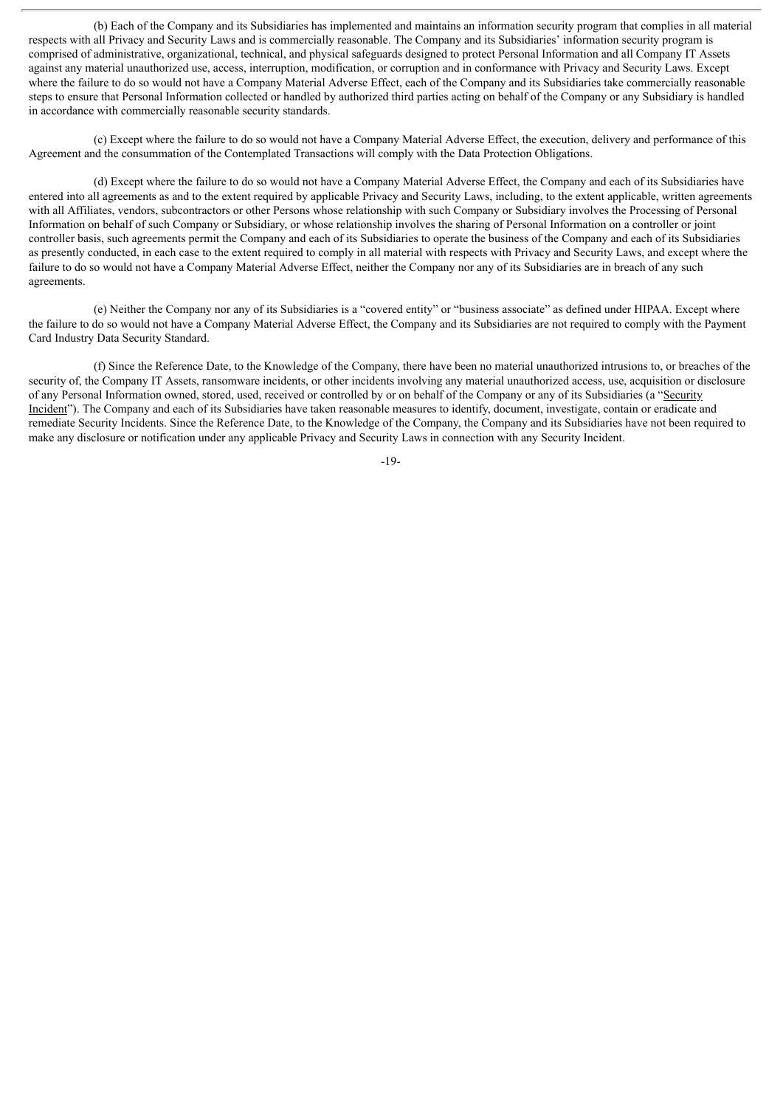(b) Each of the Company and its Subsidiaries has implemented and maintains an information security program that complies in all material respects with all Privacy and Security Laws and is commercially reasonable. The Company and its Subsidiaries' information security program is comprised of administrative, organizational, technical, and physical safeguards designed to protect Personal Information and all Company IT Assets against any material unauthorized use, access, interruption, modification, or corruption and in conformance with Privacy and Security Laws. Except where the failure to do so would not have a Company Material Adverse Effect, each of the Company and its Subsidiaries take commercially reasonable steps to ensure that Personal Information collected or handled by authorized third parties acting on behalf of the Company or any Subsidiary is handled in accordance with commercially reasonable security standards.

(c) Except where the failure to do so would not have a Company Material Adverse Effect, the execution, delivery and performance of this Agreement and the consummation of the Contemplated Transactions will comply with the Data Protection Obligations.

(d) Except where the failure to do so would not have a Company Material Adverse Effect, the Company and each of its Subsidiaries have entered into all agreements as and to the extent required by applicable Privacy and Security Laws, including, to the extent applicable, written agreements with all Affiliates, vendors, subcontractors or other Persons whose relationship with such Company or Subsidiary involves the Processing of Personal Information on behalf of such Company or Subsidiary, or whose relationship involves the sharing of Personal Information on a controller or joint controller basis, such agreements permit the Company and each of its Subsidiaries to operate the business of the Company and each of its Subsidiaries as presently conducted, in each case to the extent required to comply in all material with respects with Privacy and Security Laws, and except where the failure to do so would not have a Company Material Adverse Effect, neither the Company nor any of its Subsidiaries are in breach of any such agreements.

(e) Neither the Company nor any of its Subsidiaries is a "covered entity" or "business associate" as defined under HIPAA. Except where the failure to do so would not have a Company Material Adverse Effect, the Company and its Subsidiaries are not required to comply with the Payment Card Industry Data Security Standard.

(f) Since the Reference Date, to the Knowledge of the Company, there have been no material unauthorized intrusions to, or breaches of the security of, the Company IT Assets, ransomware incidents, or other incidents involving any material unauthorized access, use, acquisition or disclosure of any Personal Information owned, stored, used, received or controlled by or on behalf of the Company or any of its Subsidiaries (a "Security Incident"). The Company and each of its Subsidiaries have taken reasonable measures to identify, document, investigate, contain or eradicate and remediate Security Incidents. Since the Reference Date, to the Knowledge of the Company, the Company and its Subsidiaries have not been required to make any disclosure or notification under any applicable Privacy and Security Laws in connection with any Security Incident.

-19-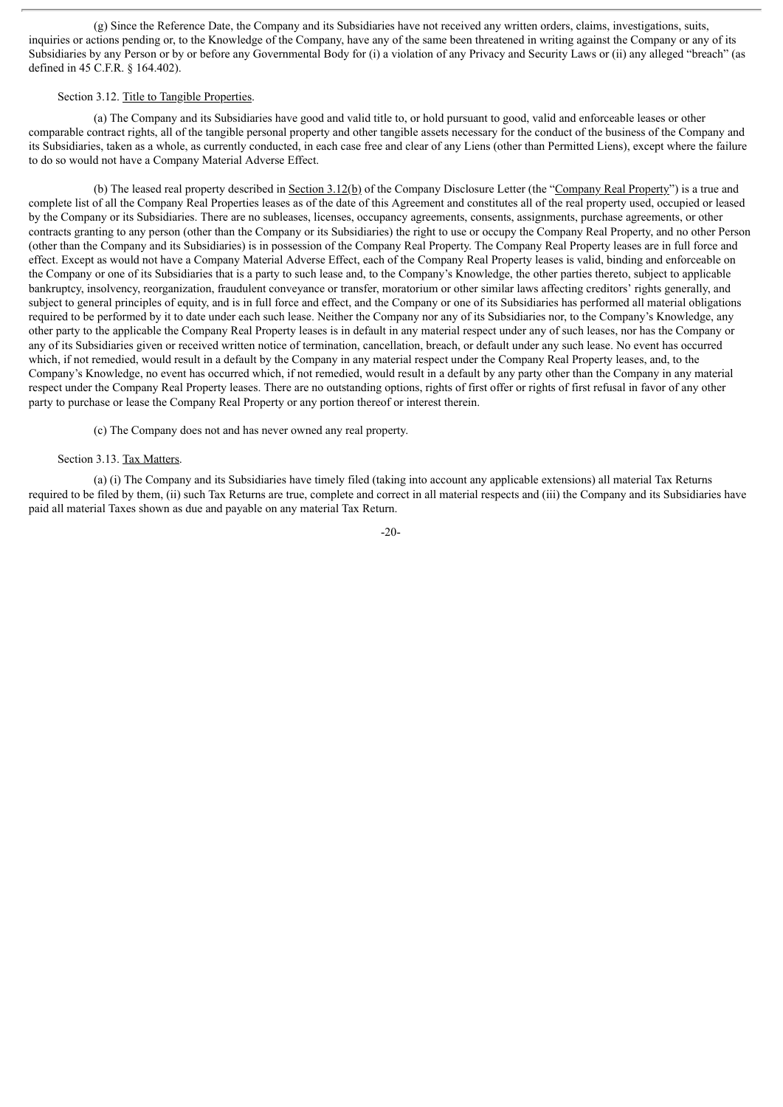(g) Since the Reference Date, the Company and its Subsidiaries have not received any written orders, claims, investigations, suits, inquiries or actions pending or, to the Knowledge of the Company, have any of the same been threatened in writing against the Company or any of its Subsidiaries by any Person or by or before any Governmental Body for (i) a violation of any Privacy and Security Laws or (ii) any alleged "breach" (as defined in 45 C.F.R. § 164.402).

## Section 3.12. Title to Tangible Properties.

(a) The Company and its Subsidiaries have good and valid title to, or hold pursuant to good, valid and enforceable leases or other comparable contract rights, all of the tangible personal property and other tangible assets necessary for the conduct of the business of the Company and its Subsidiaries, taken as a whole, as currently conducted, in each case free and clear of any Liens (other than Permitted Liens), except where the failure to do so would not have a Company Material Adverse Effect.

(b) The leased real property described in Section 3.12(b) of the Company Disclosure Letter (the "Company Real Property") is a true and complete list of all the Company Real Properties leases as of the date of this Agreement and constitutes all of the real property used, occupied or leased by the Company or its Subsidiaries. There are no subleases, licenses, occupancy agreements, consents, assignments, purchase agreements, or other contracts granting to any person (other than the Company or its Subsidiaries) the right to use or occupy the Company Real Property, and no other Person (other than the Company and its Subsidiaries) is in possession of the Company Real Property. The Company Real Property leases are in full force and effect. Except as would not have a Company Material Adverse Effect, each of the Company Real Property leases is valid, binding and enforceable on the Company or one of its Subsidiaries that is a party to such lease and, to the Company's Knowledge, the other parties thereto, subject to applicable bankruptcy, insolvency, reorganization, fraudulent conveyance or transfer, moratorium or other similar laws affecting creditors' rights generally, and subject to general principles of equity, and is in full force and effect, and the Company or one of its Subsidiaries has performed all material obligations required to be performed by it to date under each such lease. Neither the Company nor any of its Subsidiaries nor, to the Company's Knowledge, any other party to the applicable the Company Real Property leases is in default in any material respect under any of such leases, nor has the Company or any of its Subsidiaries given or received written notice of termination, cancellation, breach, or default under any such lease. No event has occurred which, if not remedied, would result in a default by the Company in any material respect under the Company Real Property leases, and, to the Company's Knowledge, no event has occurred which, if not remedied, would result in a default by any party other than the Company in any material respect under the Company Real Property leases. There are no outstanding options, rights of first offer or rights of first refusal in favor of any other party to purchase or lease the Company Real Property or any portion thereof or interest therein.

(c) The Company does not and has never owned any real property.

## Section 3.13. Tax Matters.

(a) (i) The Company and its Subsidiaries have timely filed (taking into account any applicable extensions) all material Tax Returns required to be filed by them, (ii) such Tax Returns are true, complete and correct in all material respects and (iii) the Company and its Subsidiaries have paid all material Taxes shown as due and payable on any material Tax Return.

-20-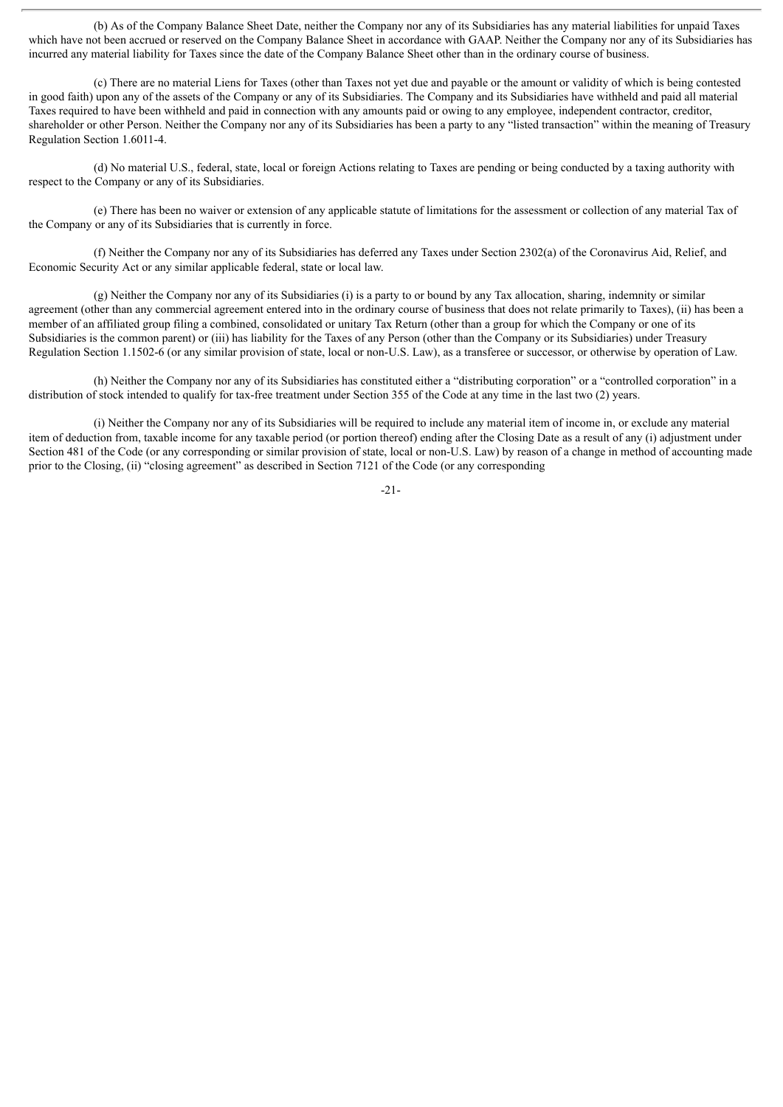(b) As of the Company Balance Sheet Date, neither the Company nor any of its Subsidiaries has any material liabilities for unpaid Taxes which have not been accrued or reserved on the Company Balance Sheet in accordance with GAAP. Neither the Company nor any of its Subsidiaries has incurred any material liability for Taxes since the date of the Company Balance Sheet other than in the ordinary course of business.

(c) There are no material Liens for Taxes (other than Taxes not yet due and payable or the amount or validity of which is being contested in good faith) upon any of the assets of the Company or any of its Subsidiaries. The Company and its Subsidiaries have withheld and paid all material Taxes required to have been withheld and paid in connection with any amounts paid or owing to any employee, independent contractor, creditor, shareholder or other Person. Neither the Company nor any of its Subsidiaries has been a party to any "listed transaction" within the meaning of Treasury Regulation Section 1.6011-4.

(d) No material U.S., federal, state, local or foreign Actions relating to Taxes are pending or being conducted by a taxing authority with respect to the Company or any of its Subsidiaries.

(e) There has been no waiver or extension of any applicable statute of limitations for the assessment or collection of any material Tax of the Company or any of its Subsidiaries that is currently in force.

(f) Neither the Company nor any of its Subsidiaries has deferred any Taxes under Section 2302(a) of the Coronavirus Aid, Relief, and Economic Security Act or any similar applicable federal, state or local law.

(g) Neither the Company nor any of its Subsidiaries (i) is a party to or bound by any Tax allocation, sharing, indemnity or similar agreement (other than any commercial agreement entered into in the ordinary course of business that does not relate primarily to Taxes), (ii) has been a member of an affiliated group filing a combined, consolidated or unitary Tax Return (other than a group for which the Company or one of its Subsidiaries is the common parent) or (iii) has liability for the Taxes of any Person (other than the Company or its Subsidiaries) under Treasury Regulation Section 1.1502-6 (or any similar provision of state, local or non-U.S. Law), as a transferee or successor, or otherwise by operation of Law.

(h) Neither the Company nor any of its Subsidiaries has constituted either a "distributing corporation" or a "controlled corporation" in a distribution of stock intended to qualify for tax-free treatment under Section 355 of the Code at any time in the last two (2) years.

(i) Neither the Company nor any of its Subsidiaries will be required to include any material item of income in, or exclude any material item of deduction from, taxable income for any taxable period (or portion thereof) ending after the Closing Date as a result of any (i) adjustment under Section 481 of the Code (or any corresponding or similar provision of state, local or non-U.S. Law) by reason of a change in method of accounting made prior to the Closing, (ii) "closing agreement" as described in Section 7121 of the Code (or any corresponding

-21-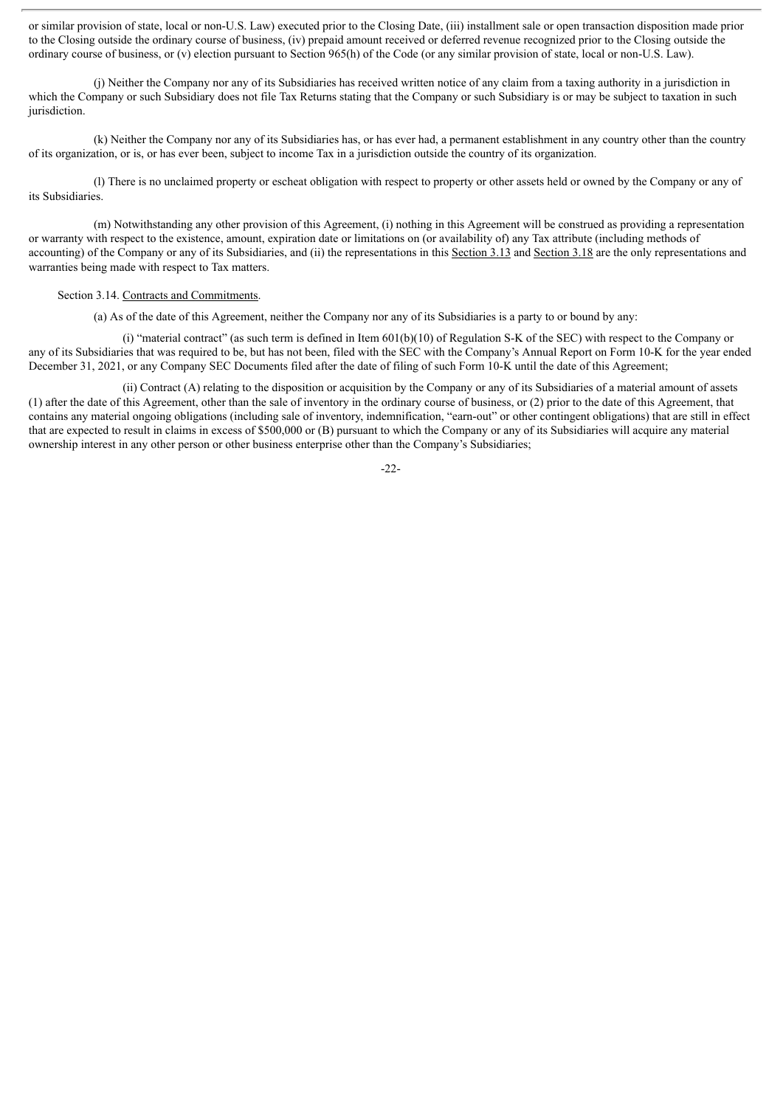or similar provision of state, local or non-U.S. Law) executed prior to the Closing Date, (iii) installment sale or open transaction disposition made prior to the Closing outside the ordinary course of business, (iv) prepaid amount received or deferred revenue recognized prior to the Closing outside the ordinary course of business, or (v) election pursuant to Section 965(h) of the Code (or any similar provision of state, local or non-U.S. Law).

(j) Neither the Company nor any of its Subsidiaries has received written notice of any claim from a taxing authority in a jurisdiction in which the Company or such Subsidiary does not file Tax Returns stating that the Company or such Subsidiary is or may be subject to taxation in such jurisdiction.

(k) Neither the Company nor any of its Subsidiaries has, or has ever had, a permanent establishment in any country other than the country of its organization, or is, or has ever been, subject to income Tax in a jurisdiction outside the country of its organization.

(l) There is no unclaimed property or escheat obligation with respect to property or other assets held or owned by the Company or any of its Subsidiaries.

(m) Notwithstanding any other provision of this Agreement, (i) nothing in this Agreement will be construed as providing a representation or warranty with respect to the existence, amount, expiration date or limitations on (or availability of) any Tax attribute (including methods of accounting) of the Company or any of its Subsidiaries, and (ii) the representations in this Section 3.13 and Section 3.18 are the only representations and warranties being made with respect to Tax matters.

#### Section 3.14. Contracts and Commitments.

(a) As of the date of this Agreement, neither the Company nor any of its Subsidiaries is a party to or bound by any:

(i) "material contract" (as such term is defined in Item 601(b)(10) of Regulation S-K of the SEC) with respect to the Company or any of its Subsidiaries that was required to be, but has not been, filed with the SEC with the Company's Annual Report on Form 10-K for the year ended December 31, 2021, or any Company SEC Documents filed after the date of filing of such Form 10-K until the date of this Agreement;

(ii) Contract (A) relating to the disposition or acquisition by the Company or any of its Subsidiaries of a material amount of assets (1) after the date of this Agreement, other than the sale of inventory in the ordinary course of business, or (2) prior to the date of this Agreement, that contains any material ongoing obligations (including sale of inventory, indemnification, "earn-out" or other contingent obligations) that are still in effect that are expected to result in claims in excess of \$500,000 or (B) pursuant to which the Company or any of its Subsidiaries will acquire any material ownership interest in any other person or other business enterprise other than the Company's Subsidiaries;

-22-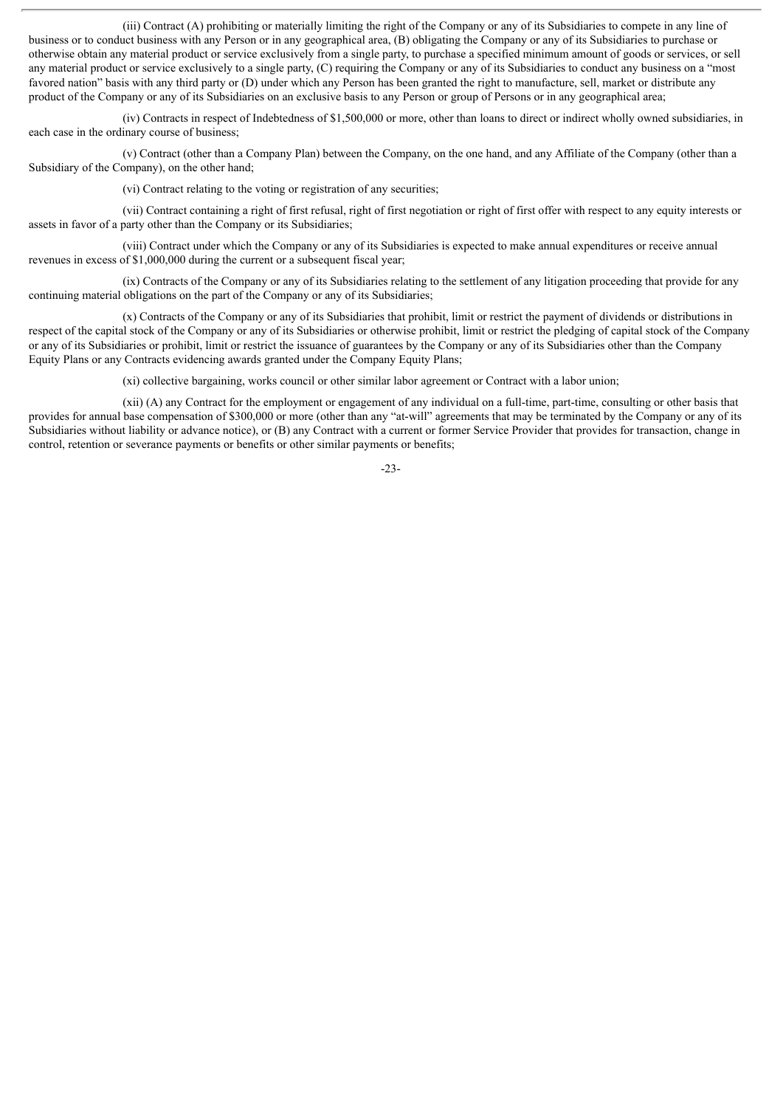(iii) Contract (A) prohibiting or materially limiting the right of the Company or any of its Subsidiaries to compete in any line of business or to conduct business with any Person or in any geographical area, (B) obligating the Company or any of its Subsidiaries to purchase or otherwise obtain any material product or service exclusively from a single party, to purchase a specified minimum amount of goods or services, or sell any material product or service exclusively to a single party, (C) requiring the Company or any of its Subsidiaries to conduct any business on a "most favored nation" basis with any third party or (D) under which any Person has been granted the right to manufacture, sell, market or distribute any product of the Company or any of its Subsidiaries on an exclusive basis to any Person or group of Persons or in any geographical area;

(iv) Contracts in respect of Indebtedness of \$1,500,000 or more, other than loans to direct or indirect wholly owned subsidiaries, in each case in the ordinary course of business;

(v) Contract (other than a Company Plan) between the Company, on the one hand, and any Affiliate of the Company (other than a Subsidiary of the Company), on the other hand;

(vi) Contract relating to the voting or registration of any securities;

(vii) Contract containing a right of first refusal, right of first negotiation or right of first offer with respect to any equity interests or assets in favor of a party other than the Company or its Subsidiaries;

(viii) Contract under which the Company or any of its Subsidiaries is expected to make annual expenditures or receive annual revenues in excess of \$1,000,000 during the current or a subsequent fiscal year;

(ix) Contracts of the Company or any of its Subsidiaries relating to the settlement of any litigation proceeding that provide for any continuing material obligations on the part of the Company or any of its Subsidiaries;

(x) Contracts of the Company or any of its Subsidiaries that prohibit, limit or restrict the payment of dividends or distributions in respect of the capital stock of the Company or any of its Subsidiaries or otherwise prohibit, limit or restrict the pledging of capital stock of the Company or any of its Subsidiaries or prohibit, limit or restrict the issuance of guarantees by the Company or any of its Subsidiaries other than the Company Equity Plans or any Contracts evidencing awards granted under the Company Equity Plans;

(xi) collective bargaining, works council or other similar labor agreement or Contract with a labor union;

(xii) (A) any Contract for the employment or engagement of any individual on a full-time, part-time, consulting or other basis that provides for annual base compensation of \$300,000 or more (other than any "at-will" agreements that may be terminated by the Company or any of its Subsidiaries without liability or advance notice), or (B) any Contract with a current or former Service Provider that provides for transaction, change in control, retention or severance payments or benefits or other similar payments or benefits;

-23-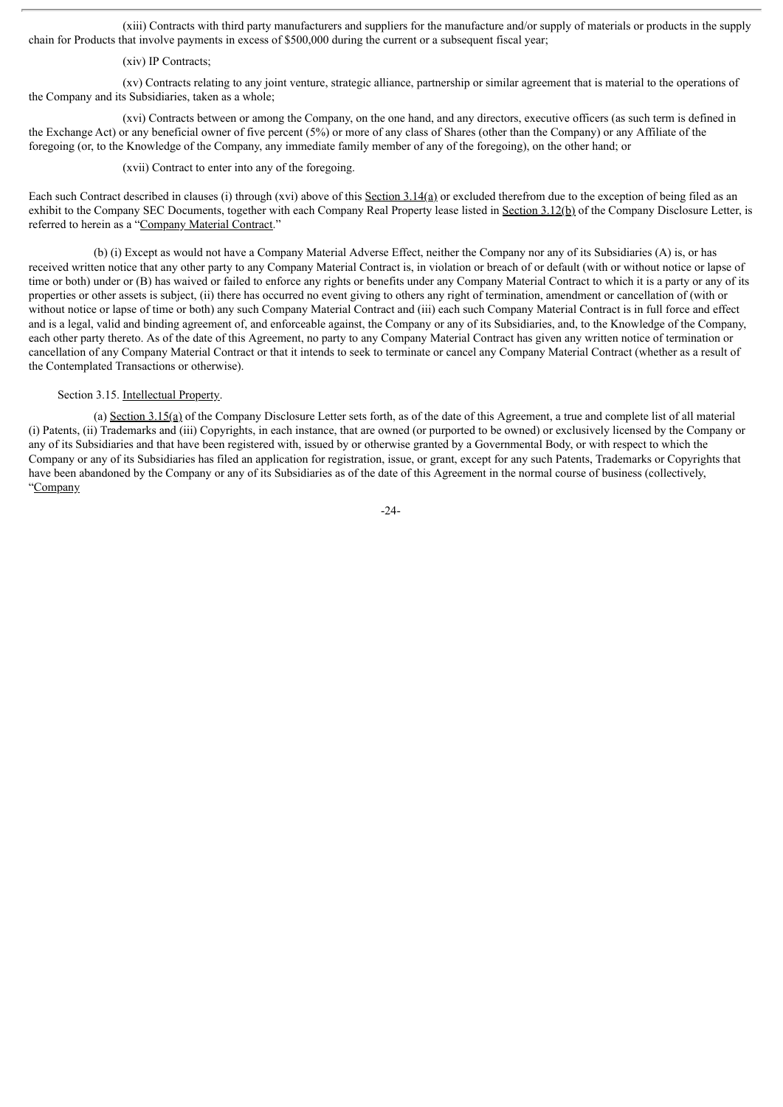(xiii) Contracts with third party manufacturers and suppliers for the manufacture and/or supply of materials or products in the supply chain for Products that involve payments in excess of \$500,000 during the current or a subsequent fiscal year;

#### (xiv) IP Contracts;

(xv) Contracts relating to any joint venture, strategic alliance, partnership or similar agreement that is material to the operations of the Company and its Subsidiaries, taken as a whole;

(xvi) Contracts between or among the Company, on the one hand, and any directors, executive officers (as such term is defined in the Exchange Act) or any beneficial owner of five percent (5%) or more of any class of Shares (other than the Company) or any Affiliate of the foregoing (or, to the Knowledge of the Company, any immediate family member of any of the foregoing), on the other hand; or

(xvii) Contract to enter into any of the foregoing.

Each such Contract described in clauses (i) through (xvi) above of this Section 3.14(a) or excluded therefrom due to the exception of being filed as an exhibit to the Company SEC Documents, together with each Company Real Property lease listed in Section 3.12(b) of the Company Disclosure Letter, is referred to herein as a "Company Material Contract."

(b) (i) Except as would not have a Company Material Adverse Effect, neither the Company nor any of its Subsidiaries (A) is, or has received written notice that any other party to any Company Material Contract is, in violation or breach of or default (with or without notice or lapse of time or both) under or (B) has waived or failed to enforce any rights or benefits under any Company Material Contract to which it is a party or any of its properties or other assets is subject, (ii) there has occurred no event giving to others any right of termination, amendment or cancellation of (with or without notice or lapse of time or both) any such Company Material Contract and (iii) each such Company Material Contract is in full force and effect and is a legal, valid and binding agreement of, and enforceable against, the Company or any of its Subsidiaries, and, to the Knowledge of the Company, each other party thereto. As of the date of this Agreement, no party to any Company Material Contract has given any written notice of termination or cancellation of any Company Material Contract or that it intends to seek to terminate or cancel any Company Material Contract (whether as a result of the Contemplated Transactions or otherwise).

# Section 3.15. Intellectual Property.

(a) Section 3.15(a) of the Company Disclosure Letter sets forth, as of the date of this Agreement, a true and complete list of all material (i) Patents, (ii) Trademarks and (iii) Copyrights, in each instance, that are owned (or purported to be owned) or exclusively licensed by the Company or any of its Subsidiaries and that have been registered with, issued by or otherwise granted by a Governmental Body, or with respect to which the Company or any of its Subsidiaries has filed an application for registration, issue, or grant, except for any such Patents, Trademarks or Copyrights that have been abandoned by the Company or any of its Subsidiaries as of the date of this Agreement in the normal course of business (collectively, "Company

-24-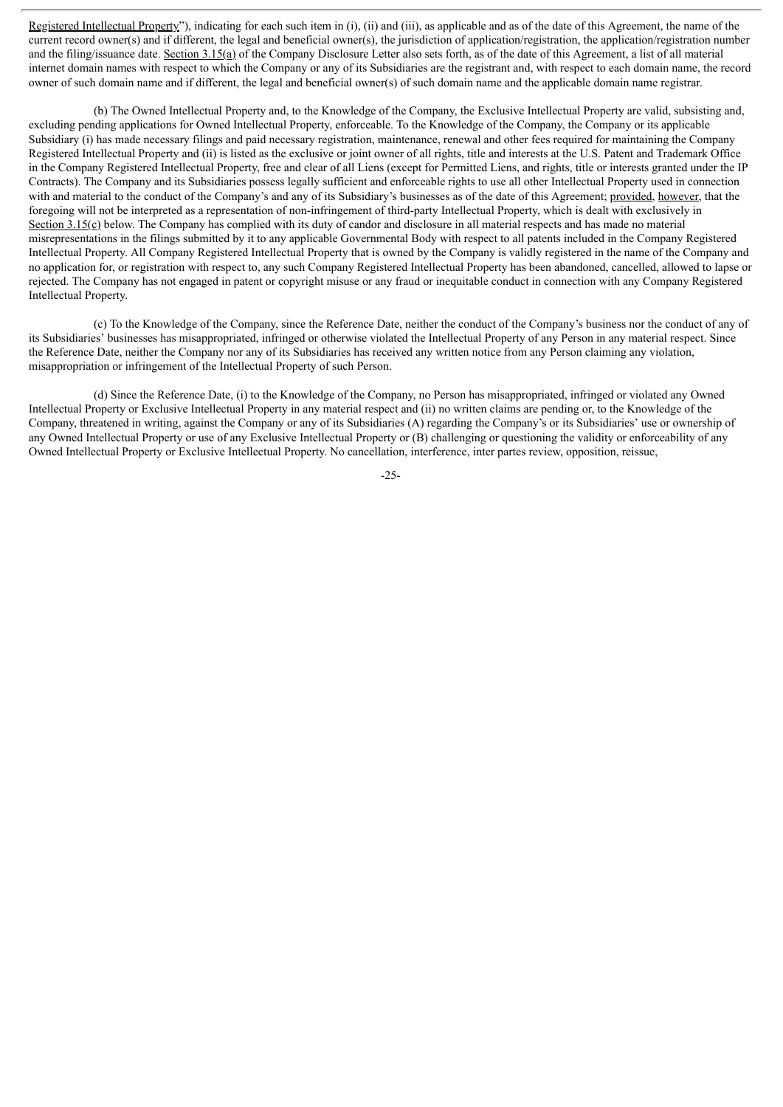Registered Intellectual Property"), indicating for each such item in (i), (ii) and (iii), as applicable and as of the date of this Agreement, the name of the current record owner(s) and if different, the legal and beneficial owner(s), the jurisdiction of application/registration, the application/registration number and the filing/issuance date. Section  $3.15(a)$  of the Company Disclosure Letter also sets forth, as of the date of this Agreement, a list of all material internet domain names with respect to which the Company or any of its Subsidiaries are the registrant and, with respect to each domain name, the record owner of such domain name and if different, the legal and beneficial owner(s) of such domain name and the applicable domain name registrar.

(b) The Owned Intellectual Property and, to the Knowledge of the Company, the Exclusive Intellectual Property are valid, subsisting and, excluding pending applications for Owned Intellectual Property, enforceable. To the Knowledge of the Company, the Company or its applicable Subsidiary (i) has made necessary filings and paid necessary registration, maintenance, renewal and other fees required for maintaining the Company Registered Intellectual Property and (ii) is listed as the exclusive or joint owner of all rights, title and interests at the U.S. Patent and Trademark Office in the Company Registered Intellectual Property, free and clear of all Liens (except for Permitted Liens, and rights, title or interests granted under the IP Contracts). The Company and its Subsidiaries possess legally sufficient and enforceable rights to use all other Intellectual Property used in connection with and material to the conduct of the Company's and any of its Subsidiary's businesses as of the date of this Agreement; provided, however, that the foregoing will not be interpreted as a representation of non-infringement of third-party Intellectual Property, which is dealt with exclusively in Section 3.15(c) below. The Company has complied with its duty of candor and disclosure in all material respects and has made no material misrepresentations in the filings submitted by it to any applicable Governmental Body with respect to all patents included in the Company Registered Intellectual Property. All Company Registered Intellectual Property that is owned by the Company is validly registered in the name of the Company and no application for, or registration with respect to, any such Company Registered Intellectual Property has been abandoned, cancelled, allowed to lapse or rejected. The Company has not engaged in patent or copyright misuse or any fraud or inequitable conduct in connection with any Company Registered Intellectual Property.

(c) To the Knowledge of the Company, since the Reference Date, neither the conduct of the Company's business nor the conduct of any of its Subsidiaries' businesses has misappropriated, infringed or otherwise violated the Intellectual Property of any Person in any material respect. Since the Reference Date, neither the Company nor any of its Subsidiaries has received any written notice from any Person claiming any violation, misappropriation or infringement of the Intellectual Property of such Person.

(d) Since the Reference Date, (i) to the Knowledge of the Company, no Person has misappropriated, infringed or violated any Owned Intellectual Property or Exclusive Intellectual Property in any material respect and (ii) no written claims are pending or, to the Knowledge of the Company, threatened in writing, against the Company or any of its Subsidiaries (A) regarding the Company's or its Subsidiaries' use or ownership of any Owned Intellectual Property or use of any Exclusive Intellectual Property or (B) challenging or questioning the validity or enforceability of any Owned Intellectual Property or Exclusive Intellectual Property. No cancellation, interference, inter partes review, opposition, reissue,

-25-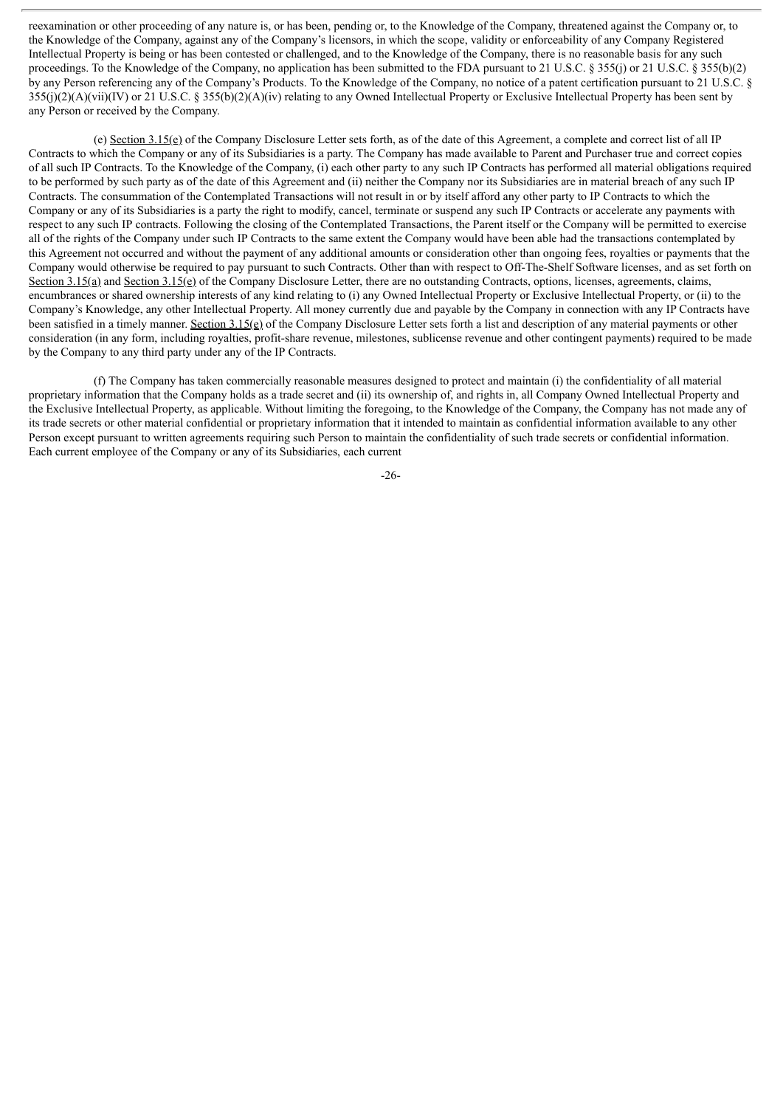reexamination or other proceeding of any nature is, or has been, pending or, to the Knowledge of the Company, threatened against the Company or, to the Knowledge of the Company, against any of the Company's licensors, in which the scope, validity or enforceability of any Company Registered Intellectual Property is being or has been contested or challenged, and to the Knowledge of the Company, there is no reasonable basis for any such proceedings. To the Knowledge of the Company, no application has been submitted to the FDA pursuant to 21 U.S.C. § 355(j) or 21 U.S.C. § 355(b)(2) by any Person referencing any of the Company's Products. To the Knowledge of the Company, no notice of a patent certification pursuant to 21 U.S.C. §  $355(j)(2)(A)(vii)(IV)$  or 21 U.S.C. §  $355(b)(2)(A)(iv)$  relating to any Owned Intellectual Property or Exclusive Intellectual Property has been sent by any Person or received by the Company.

(e) Section 3.15(e) of the Company Disclosure Letter sets forth, as of the date of this Agreement, a complete and correct list of all IP Contracts to which the Company or any of its Subsidiaries is a party. The Company has made available to Parent and Purchaser true and correct copies of all such IP Contracts. To the Knowledge of the Company, (i) each other party to any such IP Contracts has performed all material obligations required to be performed by such party as of the date of this Agreement and (ii) neither the Company nor its Subsidiaries are in material breach of any such IP Contracts. The consummation of the Contemplated Transactions will not result in or by itself afford any other party to IP Contracts to which the Company or any of its Subsidiaries is a party the right to modify, cancel, terminate or suspend any such IP Contracts or accelerate any payments with respect to any such IP contracts. Following the closing of the Contemplated Transactions, the Parent itself or the Company will be permitted to exercise all of the rights of the Company under such IP Contracts to the same extent the Company would have been able had the transactions contemplated by this Agreement not occurred and without the payment of any additional amounts or consideration other than ongoing fees, royalties or payments that the Company would otherwise be required to pay pursuant to such Contracts. Other than with respect to Off-The-Shelf Software licenses, and as set forth on Section 3.15(a) and Section 3.15(e) of the Company Disclosure Letter, there are no outstanding Contracts, options, licenses, agreements, claims, encumbrances or shared ownership interests of any kind relating to (i) any Owned Intellectual Property or Exclusive Intellectual Property, or (ii) to the Company's Knowledge, any other Intellectual Property. All money currently due and payable by the Company in connection with any IP Contracts have been satisfied in a timely manner. Section 3.15(e) of the Company Disclosure Letter sets forth a list and description of any material payments or other consideration (in any form, including royalties, profit-share revenue, milestones, sublicense revenue and other contingent payments) required to be made by the Company to any third party under any of the IP Contracts.

(f) The Company has taken commercially reasonable measures designed to protect and maintain (i) the confidentiality of all material proprietary information that the Company holds as a trade secret and (ii) its ownership of, and rights in, all Company Owned Intellectual Property and the Exclusive Intellectual Property, as applicable. Without limiting the foregoing, to the Knowledge of the Company, the Company has not made any of its trade secrets or other material confidential or proprietary information that it intended to maintain as confidential information available to any other Person except pursuant to written agreements requiring such Person to maintain the confidentiality of such trade secrets or confidential information. Each current employee of the Company or any of its Subsidiaries, each current

-26-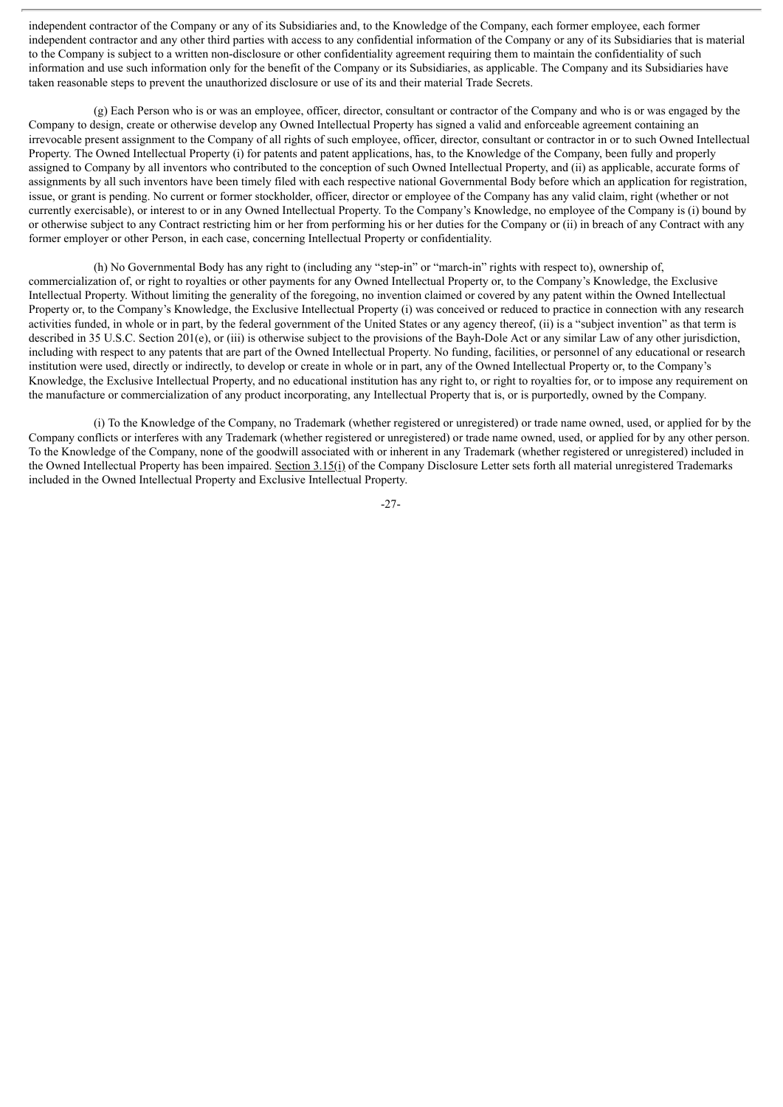independent contractor of the Company or any of its Subsidiaries and, to the Knowledge of the Company, each former employee, each former independent contractor and any other third parties with access to any confidential information of the Company or any of its Subsidiaries that is material to the Company is subject to a written non-disclosure or other confidentiality agreement requiring them to maintain the confidentiality of such information and use such information only for the benefit of the Company or its Subsidiaries, as applicable. The Company and its Subsidiaries have taken reasonable steps to prevent the unauthorized disclosure or use of its and their material Trade Secrets.

(g) Each Person who is or was an employee, officer, director, consultant or contractor of the Company and who is or was engaged by the Company to design, create or otherwise develop any Owned Intellectual Property has signed a valid and enforceable agreement containing an irrevocable present assignment to the Company of all rights of such employee, officer, director, consultant or contractor in or to such Owned Intellectual Property. The Owned Intellectual Property (i) for patents and patent applications, has, to the Knowledge of the Company, been fully and properly assigned to Company by all inventors who contributed to the conception of such Owned Intellectual Property, and (ii) as applicable, accurate forms of assignments by all such inventors have been timely filed with each respective national Governmental Body before which an application for registration, issue, or grant is pending. No current or former stockholder, officer, director or employee of the Company has any valid claim, right (whether or not currently exercisable), or interest to or in any Owned Intellectual Property. To the Company's Knowledge, no employee of the Company is (i) bound by or otherwise subject to any Contract restricting him or her from performing his or her duties for the Company or (ii) in breach of any Contract with any former employer or other Person, in each case, concerning Intellectual Property or confidentiality.

(h) No Governmental Body has any right to (including any "step-in" or "march-in" rights with respect to), ownership of, commercialization of, or right to royalties or other payments for any Owned Intellectual Property or, to the Company's Knowledge, the Exclusive Intellectual Property. Without limiting the generality of the foregoing, no invention claimed or covered by any patent within the Owned Intellectual Property or, to the Company's Knowledge, the Exclusive Intellectual Property (i) was conceived or reduced to practice in connection with any research activities funded, in whole or in part, by the federal government of the United States or any agency thereof, (ii) is a "subject invention" as that term is described in 35 U.S.C. Section 201(e), or (iii) is otherwise subject to the provisions of the Bayh-Dole Act or any similar Law of any other jurisdiction, including with respect to any patents that are part of the Owned Intellectual Property. No funding, facilities, or personnel of any educational or research institution were used, directly or indirectly, to develop or create in whole or in part, any of the Owned Intellectual Property or, to the Company's Knowledge, the Exclusive Intellectual Property, and no educational institution has any right to, or right to royalties for, or to impose any requirement on the manufacture or commercialization of any product incorporating, any Intellectual Property that is, or is purportedly, owned by the Company.

(i) To the Knowledge of the Company, no Trademark (whether registered or unregistered) or trade name owned, used, or applied for by the Company conflicts or interferes with any Trademark (whether registered or unregistered) or trade name owned, used, or applied for by any other person. To the Knowledge of the Company, none of the goodwill associated with or inherent in any Trademark (whether registered or unregistered) included in the Owned Intellectual Property has been impaired. Section 3.15(i) of the Company Disclosure Letter sets forth all material unregistered Trademarks included in the Owned Intellectual Property and Exclusive Intellectual Property.

-27-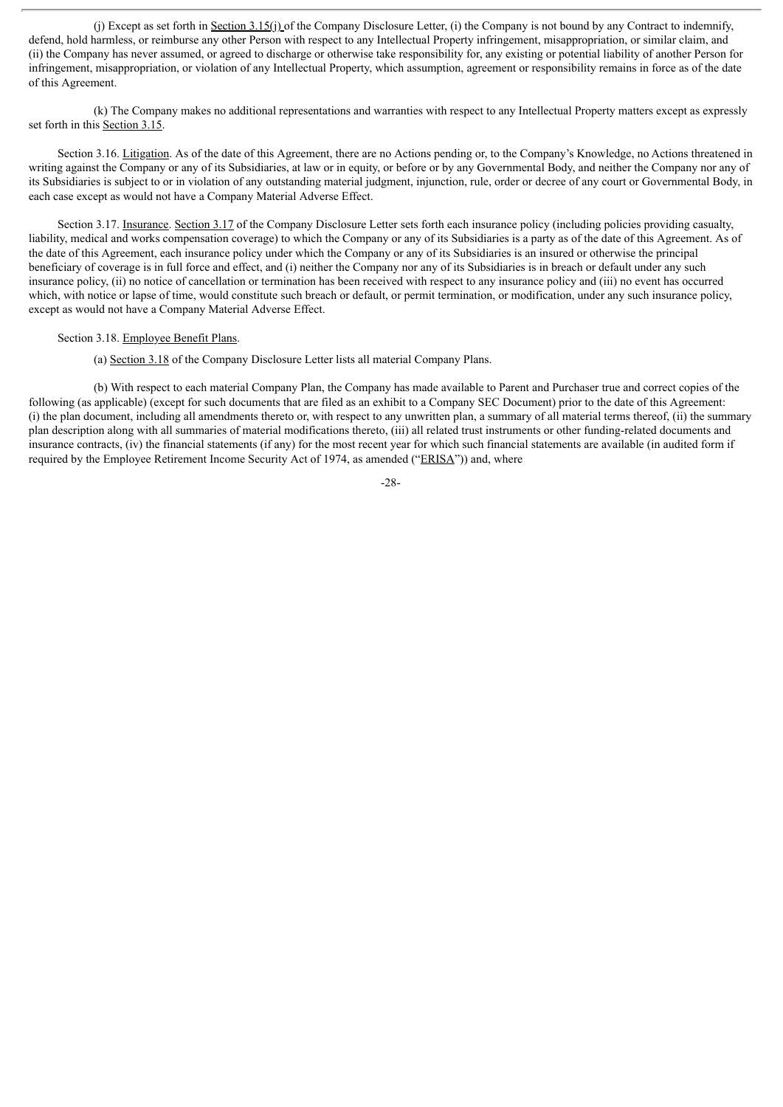(j) Except as set forth in Section 3.15(j) of the Company Disclosure Letter, (i) the Company is not bound by any Contract to indemnify, defend, hold harmless, or reimburse any other Person with respect to any Intellectual Property infringement, misappropriation, or similar claim, and (ii) the Company has never assumed, or agreed to discharge or otherwise take responsibility for, any existing or potential liability of another Person for infringement, misappropriation, or violation of any Intellectual Property, which assumption, agreement or responsibility remains in force as of the date of this Agreement.

(k) The Company makes no additional representations and warranties with respect to any Intellectual Property matters except as expressly set forth in this Section 3.15.

Section 3.16. Litigation. As of the date of this Agreement, there are no Actions pending or, to the Company's Knowledge, no Actions threatened in writing against the Company or any of its Subsidiaries, at law or in equity, or before or by any Governmental Body, and neither the Company nor any of its Subsidiaries is subject to or in violation of any outstanding material judgment, injunction, rule, order or decree of any court or Governmental Body, in each case except as would not have a Company Material Adverse Effect.

Section 3.17. Insurance. Section 3.17 of the Company Disclosure Letter sets forth each insurance policy (including policies providing casualty, liability, medical and works compensation coverage) to which the Company or any of its Subsidiaries is a party as of the date of this Agreement. As of the date of this Agreement, each insurance policy under which the Company or any of its Subsidiaries is an insured or otherwise the principal beneficiary of coverage is in full force and effect, and (i) neither the Company nor any of its Subsidiaries is in breach or default under any such insurance policy, (ii) no notice of cancellation or termination has been received with respect to any insurance policy and (iii) no event has occurred which, with notice or lapse of time, would constitute such breach or default, or permit termination, or modification, under any such insurance policy, except as would not have a Company Material Adverse Effect.

## Section 3.18. Employee Benefit Plans.

(a) Section 3.18 of the Company Disclosure Letter lists all material Company Plans.

(b) With respect to each material Company Plan, the Company has made available to Parent and Purchaser true and correct copies of the following (as applicable) (except for such documents that are filed as an exhibit to a Company SEC Document) prior to the date of this Agreement: (i) the plan document, including all amendments thereto or, with respect to any unwritten plan, a summary of all material terms thereof, (ii) the summary plan description along with all summaries of material modifications thereto, (iii) all related trust instruments or other funding-related documents and insurance contracts, (iv) the financial statements (if any) for the most recent year for which such financial statements are available (in audited form if required by the Employee Retirement Income Security Act of 1974, as amended ("ERISA")) and, where

-28-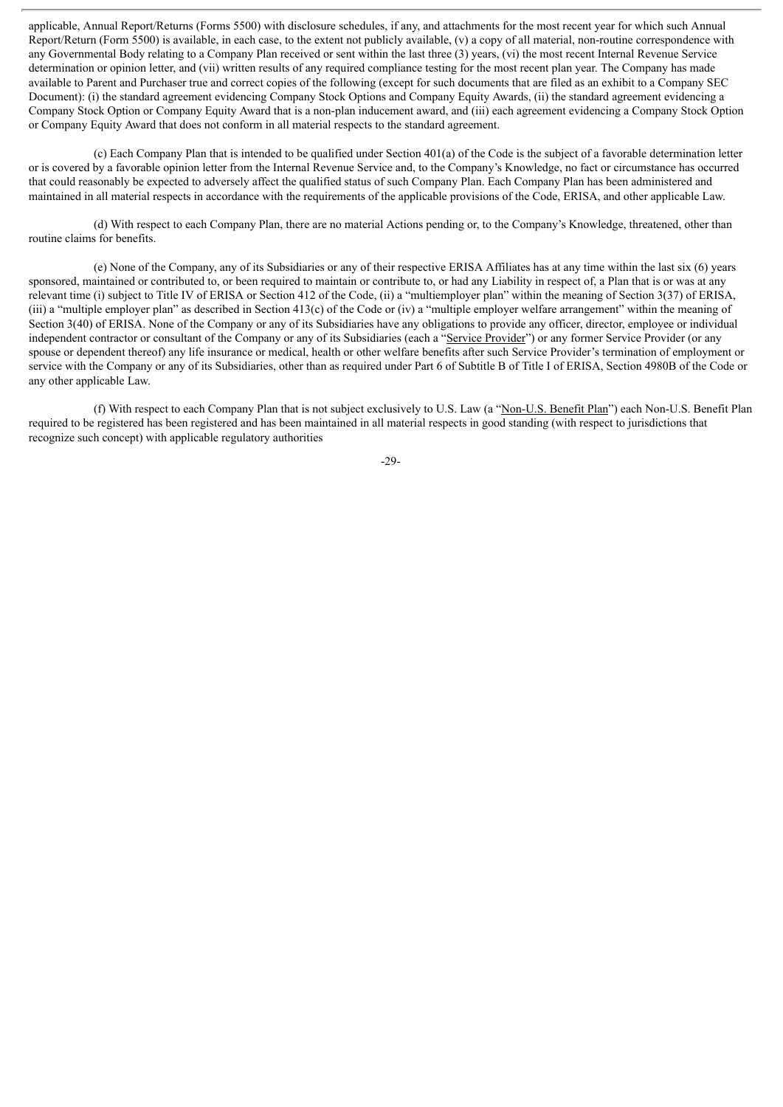applicable, Annual Report/Returns (Forms 5500) with disclosure schedules, if any, and attachments for the most recent year for which such Annual Report/Return (Form 5500) is available, in each case, to the extent not publicly available, (v) a copy of all material, non-routine correspondence with any Governmental Body relating to a Company Plan received or sent within the last three (3) years, (vi) the most recent Internal Revenue Service determination or opinion letter, and (vii) written results of any required compliance testing for the most recent plan year. The Company has made available to Parent and Purchaser true and correct copies of the following (except for such documents that are filed as an exhibit to a Company SEC Document): (i) the standard agreement evidencing Company Stock Options and Company Equity Awards, (ii) the standard agreement evidencing a Company Stock Option or Company Equity Award that is a non-plan inducement award, and (iii) each agreement evidencing a Company Stock Option or Company Equity Award that does not conform in all material respects to the standard agreement.

(c) Each Company Plan that is intended to be qualified under Section 401(a) of the Code is the subject of a favorable determination letter or is covered by a favorable opinion letter from the Internal Revenue Service and, to the Company's Knowledge, no fact or circumstance has occurred that could reasonably be expected to adversely affect the qualified status of such Company Plan. Each Company Plan has been administered and maintained in all material respects in accordance with the requirements of the applicable provisions of the Code, ERISA, and other applicable Law.

(d) With respect to each Company Plan, there are no material Actions pending or, to the Company's Knowledge, threatened, other than routine claims for benefits.

(e) None of the Company, any of its Subsidiaries or any of their respective ERISA Affiliates has at any time within the last six (6) years sponsored, maintained or contributed to, or been required to maintain or contribute to, or had any Liability in respect of, a Plan that is or was at any relevant time (i) subject to Title IV of ERISA or Section 412 of the Code, (ii) a "multiemployer plan" within the meaning of Section 3(37) of ERISA, (iii) a "multiple employer plan" as described in Section 413(c) of the Code or (iv) a "multiple employer welfare arrangement" within the meaning of Section 3(40) of ERISA. None of the Company or any of its Subsidiaries have any obligations to provide any officer, director, employee or individual independent contractor or consultant of the Company or any of its Subsidiaries (each a "Service Provider") or any former Service Provider (or any spouse or dependent thereof) any life insurance or medical, health or other welfare benefits after such Service Provider's termination of employment or service with the Company or any of its Subsidiaries, other than as required under Part 6 of Subtitle B of Title I of ERISA, Section 4980B of the Code or any other applicable Law.

(f) With respect to each Company Plan that is not subject exclusively to U.S. Law (a "Non-U.S. Benefit Plan") each Non-U.S. Benefit Plan required to be registered has been registered and has been maintained in all material respects in good standing (with respect to jurisdictions that recognize such concept) with applicable regulatory authorities

-29-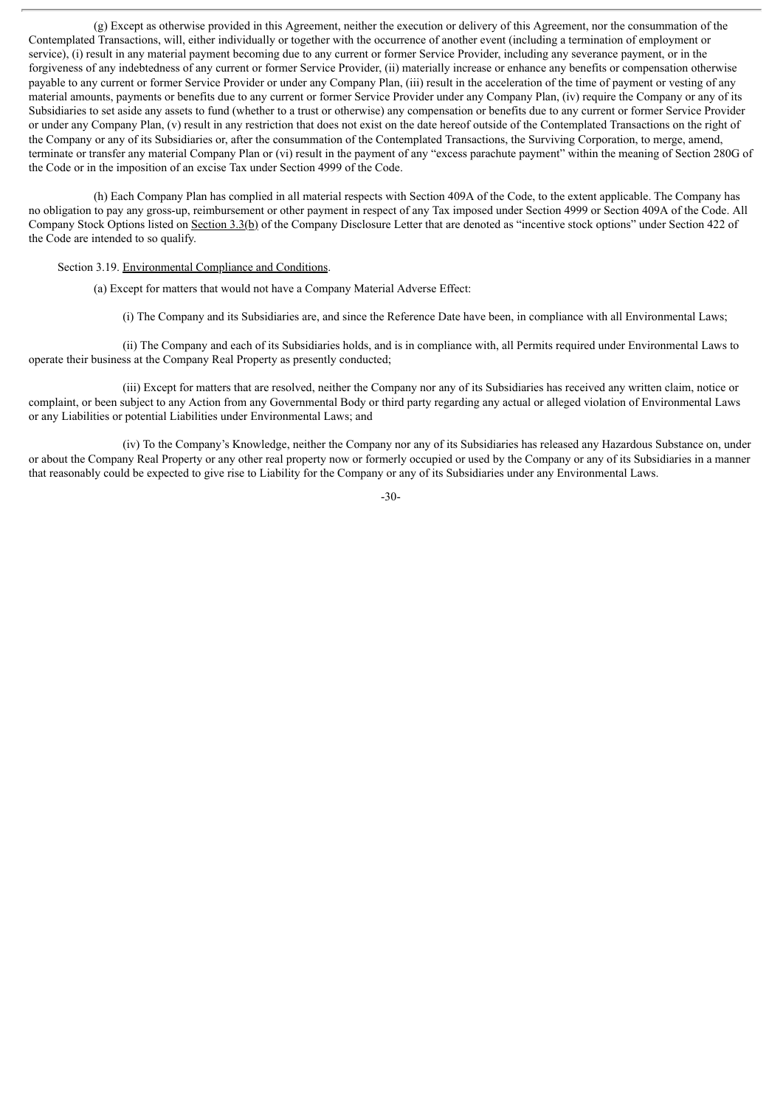(g) Except as otherwise provided in this Agreement, neither the execution or delivery of this Agreement, nor the consummation of the Contemplated Transactions, will, either individually or together with the occurrence of another event (including a termination of employment or service), (i) result in any material payment becoming due to any current or former Service Provider, including any severance payment, or in the forgiveness of any indebtedness of any current or former Service Provider, (ii) materially increase or enhance any benefits or compensation otherwise payable to any current or former Service Provider or under any Company Plan, (iii) result in the acceleration of the time of payment or vesting of any material amounts, payments or benefits due to any current or former Service Provider under any Company Plan, (iv) require the Company or any of its Subsidiaries to set aside any assets to fund (whether to a trust or otherwise) any compensation or benefits due to any current or former Service Provider or under any Company Plan, (v) result in any restriction that does not exist on the date hereof outside of the Contemplated Transactions on the right of the Company or any of its Subsidiaries or, after the consummation of the Contemplated Transactions, the Surviving Corporation, to merge, amend, terminate or transfer any material Company Plan or (vi) result in the payment of any "excess parachute payment" within the meaning of Section 280G of the Code or in the imposition of an excise Tax under Section 4999 of the Code.

(h) Each Company Plan has complied in all material respects with Section 409A of the Code, to the extent applicable. The Company has no obligation to pay any gross-up, reimbursement or other payment in respect of any Tax imposed under Section 4999 or Section 409A of the Code. All Company Stock Options listed on Section 3.3(b) of the Company Disclosure Letter that are denoted as "incentive stock options" under Section 422 of the Code are intended to so qualify.

Section 3.19. Environmental Compliance and Conditions.

(a) Except for matters that would not have a Company Material Adverse Effect:

(i) The Company and its Subsidiaries are, and since the Reference Date have been, in compliance with all Environmental Laws;

(ii) The Company and each of its Subsidiaries holds, and is in compliance with, all Permits required under Environmental Laws to operate their business at the Company Real Property as presently conducted;

(iii) Except for matters that are resolved, neither the Company nor any of its Subsidiaries has received any written claim, notice or complaint, or been subject to any Action from any Governmental Body or third party regarding any actual or alleged violation of Environmental Laws or any Liabilities or potential Liabilities under Environmental Laws; and

(iv) To the Company's Knowledge, neither the Company nor any of its Subsidiaries has released any Hazardous Substance on, under or about the Company Real Property or any other real property now or formerly occupied or used by the Company or any of its Subsidiaries in a manner that reasonably could be expected to give rise to Liability for the Company or any of its Subsidiaries under any Environmental Laws.

-30-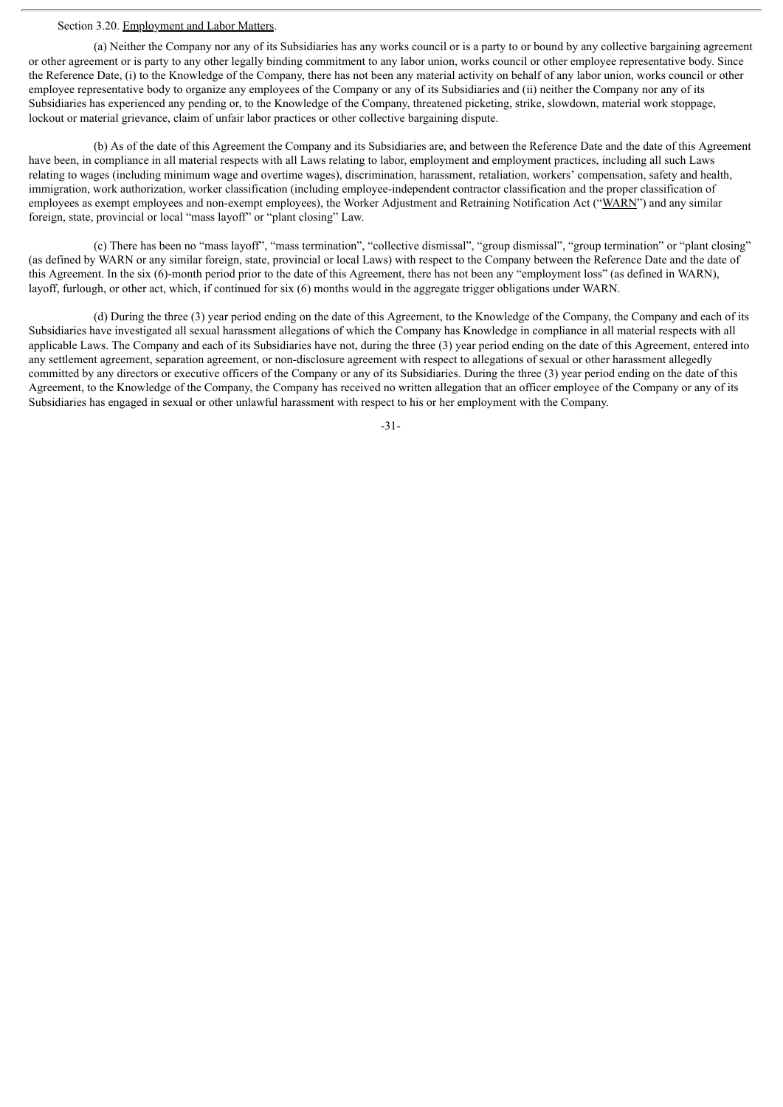#### Section 3.20. Employment and Labor Matters.

(a) Neither the Company nor any of its Subsidiaries has any works council or is a party to or bound by any collective bargaining agreement or other agreement or is party to any other legally binding commitment to any labor union, works council or other employee representative body. Since the Reference Date, (i) to the Knowledge of the Company, there has not been any material activity on behalf of any labor union, works council or other employee representative body to organize any employees of the Company or any of its Subsidiaries and (ii) neither the Company nor any of its Subsidiaries has experienced any pending or, to the Knowledge of the Company, threatened picketing, strike, slowdown, material work stoppage, lockout or material grievance, claim of unfair labor practices or other collective bargaining dispute.

(b) As of the date of this Agreement the Company and its Subsidiaries are, and between the Reference Date and the date of this Agreement have been, in compliance in all material respects with all Laws relating to labor, employment and employment practices, including all such Laws relating to wages (including minimum wage and overtime wages), discrimination, harassment, retaliation, workers' compensation, safety and health, immigration, work authorization, worker classification (including employee-independent contractor classification and the proper classification of employees as exempt employees and non-exempt employees), the Worker Adjustment and Retraining Notification Act ("WARN") and any similar foreign, state, provincial or local "mass layoff" or "plant closing" Law.

(c) There has been no "mass layoff", "mass termination", "collective dismissal", "group dismissal", "group termination" or "plant closing" (as defined by WARN or any similar foreign, state, provincial or local Laws) with respect to the Company between the Reference Date and the date of this Agreement. In the six (6)-month period prior to the date of this Agreement, there has not been any "employment loss" (as defined in WARN), layoff, furlough, or other act, which, if continued for six (6) months would in the aggregate trigger obligations under WARN.

(d) During the three (3) year period ending on the date of this Agreement, to the Knowledge of the Company, the Company and each of its Subsidiaries have investigated all sexual harassment allegations of which the Company has Knowledge in compliance in all material respects with all applicable Laws. The Company and each of its Subsidiaries have not, during the three (3) year period ending on the date of this Agreement, entered into any settlement agreement, separation agreement, or non-disclosure agreement with respect to allegations of sexual or other harassment allegedly committed by any directors or executive officers of the Company or any of its Subsidiaries. During the three (3) year period ending on the date of this Agreement, to the Knowledge of the Company, the Company has received no written allegation that an officer employee of the Company or any of its Subsidiaries has engaged in sexual or other unlawful harassment with respect to his or her employment with the Company.

-31-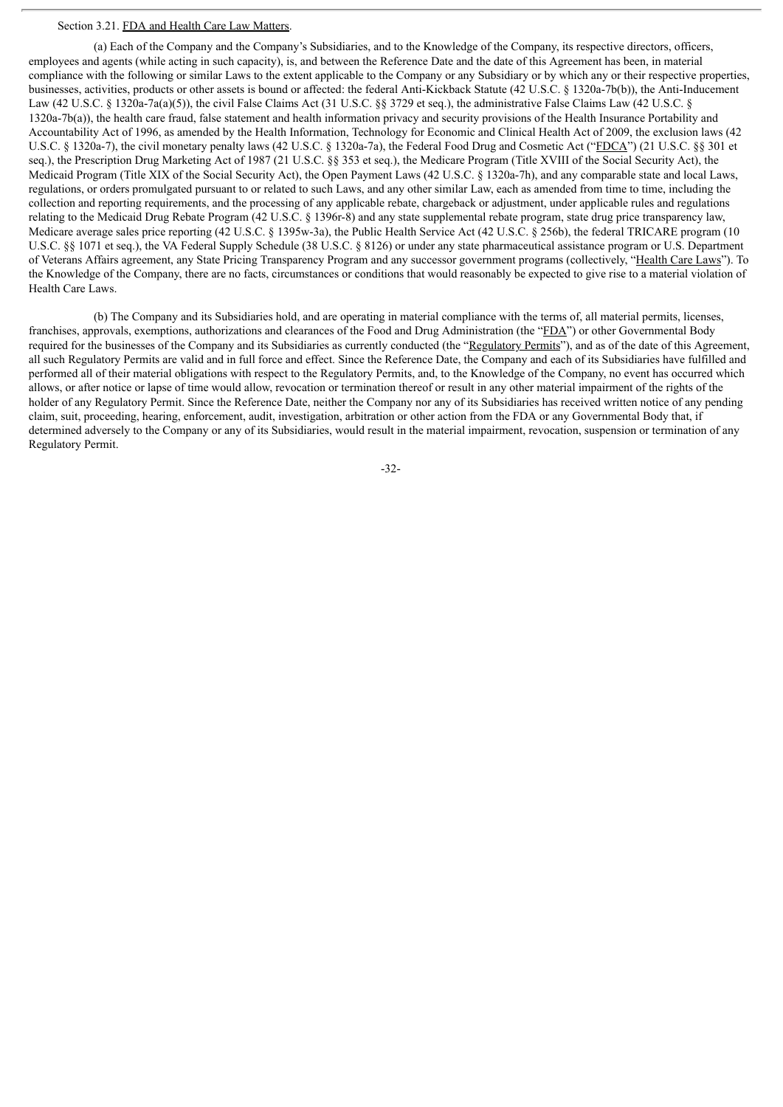## Section 3.21. FDA and Health Care Law Matters.

(a) Each of the Company and the Company's Subsidiaries, and to the Knowledge of the Company, its respective directors, officers, employees and agents (while acting in such capacity), is, and between the Reference Date and the date of this Agreement has been, in material compliance with the following or similar Laws to the extent applicable to the Company or any Subsidiary or by which any or their respective properties, businesses, activities, products or other assets is bound or affected: the federal Anti-Kickback Statute (42 U.S.C. § 1320a-7b(b)), the Anti-Inducement Law (42 U.S.C. § 1320a-7a(a)(5)), the civil False Claims Act (31 U.S.C. §§ 3729 et seq.), the administrative False Claims Law (42 U.S.C. § 1320a-7b(a)), the health care fraud, false statement and health information privacy and security provisions of the Health Insurance Portability and Accountability Act of 1996, as amended by the Health Information, Technology for Economic and Clinical Health Act of 2009, the exclusion laws (42 U.S.C. § 1320a-7), the civil monetary penalty laws (42 U.S.C. § 1320a-7a), the Federal Food Drug and Cosmetic Act ("FDCA") (21 U.S.C. §§ 301 et seq.), the Prescription Drug Marketing Act of 1987 (21 U.S.C. §§ 353 et seq.), the Medicare Program (Title XVIII of the Social Security Act), the Medicaid Program (Title XIX of the Social Security Act), the Open Payment Laws (42 U.S.C. § 1320a-7h), and any comparable state and local Laws, regulations, or orders promulgated pursuant to or related to such Laws, and any other similar Law, each as amended from time to time, including the collection and reporting requirements, and the processing of any applicable rebate, chargeback or adjustment, under applicable rules and regulations relating to the Medicaid Drug Rebate Program (42 U.S.C. § 1396r-8) and any state supplemental rebate program, state drug price transparency law, Medicare average sales price reporting (42 U.S.C. § 1395w-3a), the Public Health Service Act (42 U.S.C. § 256b), the federal TRICARE program (10 U.S.C. §§ 1071 et seq.), the VA Federal Supply Schedule (38 U.S.C. § 8126) or under any state pharmaceutical assistance program or U.S. Department of Veterans Affairs agreement, any State Pricing Transparency Program and any successor government programs (collectively, "Health Care Laws"). To the Knowledge of the Company, there are no facts, circumstances or conditions that would reasonably be expected to give rise to a material violation of Health Care Laws.

(b) The Company and its Subsidiaries hold, and are operating in material compliance with the terms of, all material permits, licenses, franchises, approvals, exemptions, authorizations and clearances of the Food and Drug Administration (the "FDA") or other Governmental Body required for the businesses of the Company and its Subsidiaries as currently conducted (the "Regulatory Permits"), and as of the date of this Agreement, all such Regulatory Permits are valid and in full force and effect. Since the Reference Date, the Company and each of its Subsidiaries have fulfilled and performed all of their material obligations with respect to the Regulatory Permits, and, to the Knowledge of the Company, no event has occurred which allows, or after notice or lapse of time would allow, revocation or termination thereof or result in any other material impairment of the rights of the holder of any Regulatory Permit. Since the Reference Date, neither the Company nor any of its Subsidiaries has received written notice of any pending claim, suit, proceeding, hearing, enforcement, audit, investigation, arbitration or other action from the FDA or any Governmental Body that, if determined adversely to the Company or any of its Subsidiaries, would result in the material impairment, revocation, suspension or termination of any Regulatory Permit.

-32-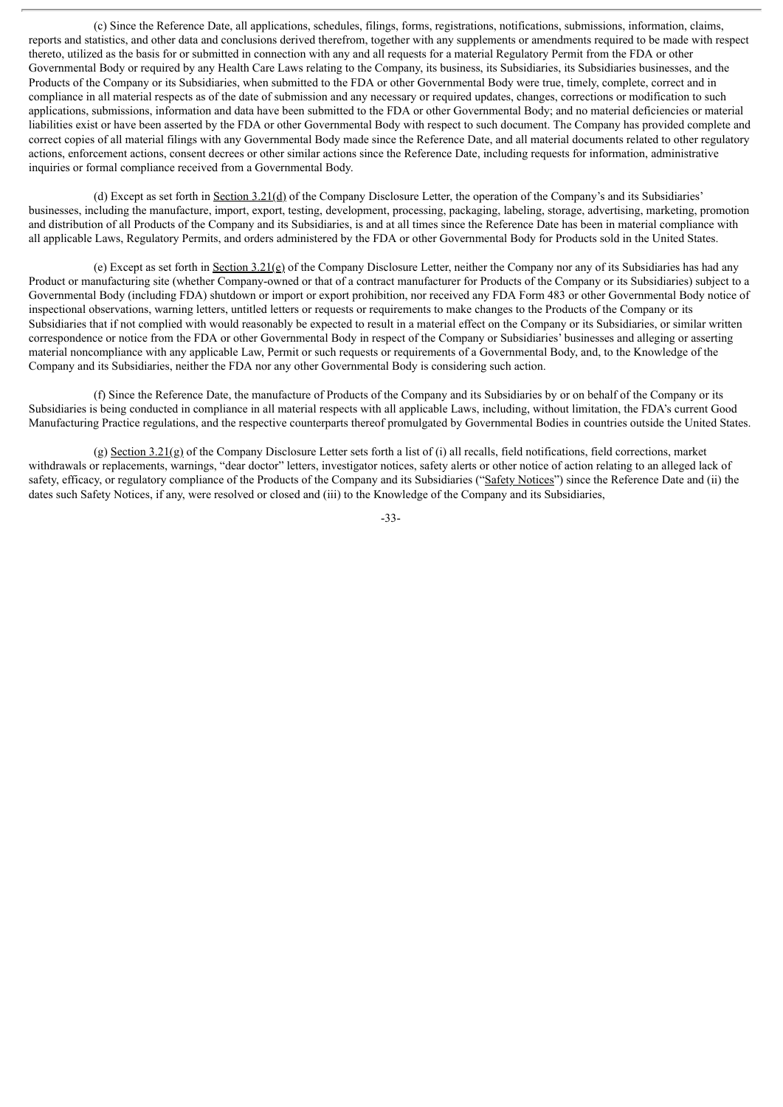(c) Since the Reference Date, all applications, schedules, filings, forms, registrations, notifications, submissions, information, claims, reports and statistics, and other data and conclusions derived therefrom, together with any supplements or amendments required to be made with respect thereto, utilized as the basis for or submitted in connection with any and all requests for a material Regulatory Permit from the FDA or other Governmental Body or required by any Health Care Laws relating to the Company, its business, its Subsidiaries, its Subsidiaries businesses, and the Products of the Company or its Subsidiaries, when submitted to the FDA or other Governmental Body were true, timely, complete, correct and in compliance in all material respects as of the date of submission and any necessary or required updates, changes, corrections or modification to such applications, submissions, information and data have been submitted to the FDA or other Governmental Body; and no material deficiencies or material liabilities exist or have been asserted by the FDA or other Governmental Body with respect to such document. The Company has provided complete and correct copies of all material filings with any Governmental Body made since the Reference Date, and all material documents related to other regulatory actions, enforcement actions, consent decrees or other similar actions since the Reference Date, including requests for information, administrative inquiries or formal compliance received from a Governmental Body.

(d) Except as set forth in Section 3.21(d) of the Company Disclosure Letter, the operation of the Company's and its Subsidiaries' businesses, including the manufacture, import, export, testing, development, processing, packaging, labeling, storage, advertising, marketing, promotion and distribution of all Products of the Company and its Subsidiaries, is and at all times since the Reference Date has been in material compliance with all applicable Laws, Regulatory Permits, and orders administered by the FDA or other Governmental Body for Products sold in the United States.

(e) Except as set forth in Section  $3.21$ (e) of the Company Disclosure Letter, neither the Company nor any of its Subsidiaries has had any Product or manufacturing site (whether Company-owned or that of a contract manufacturer for Products of the Company or its Subsidiaries) subject to a Governmental Body (including FDA) shutdown or import or export prohibition, nor received any FDA Form 483 or other Governmental Body notice of inspectional observations, warning letters, untitled letters or requests or requirements to make changes to the Products of the Company or its Subsidiaries that if not complied with would reasonably be expected to result in a material effect on the Company or its Subsidiaries, or similar written correspondence or notice from the FDA or other Governmental Body in respect of the Company or Subsidiaries' businesses and alleging or asserting material noncompliance with any applicable Law, Permit or such requests or requirements of a Governmental Body, and, to the Knowledge of the Company and its Subsidiaries, neither the FDA nor any other Governmental Body is considering such action.

(f) Since the Reference Date, the manufacture of Products of the Company and its Subsidiaries by or on behalf of the Company or its Subsidiaries is being conducted in compliance in all material respects with all applicable Laws, including, without limitation, the FDA's current Good Manufacturing Practice regulations, and the respective counterparts thereof promulgated by Governmental Bodies in countries outside the United States.

(g) Section 3.21(g) of the Company Disclosure Letter sets forth a list of (i) all recalls, field notifications, field corrections, market withdrawals or replacements, warnings, "dear doctor" letters, investigator notices, safety alerts or other notice of action relating to an alleged lack of safety, efficacy, or regulatory compliance of the Products of the Company and its Subsidiaries ("Safety Notices") since the Reference Date and (ii) the dates such Safety Notices, if any, were resolved or closed and (iii) to the Knowledge of the Company and its Subsidiaries,

-33-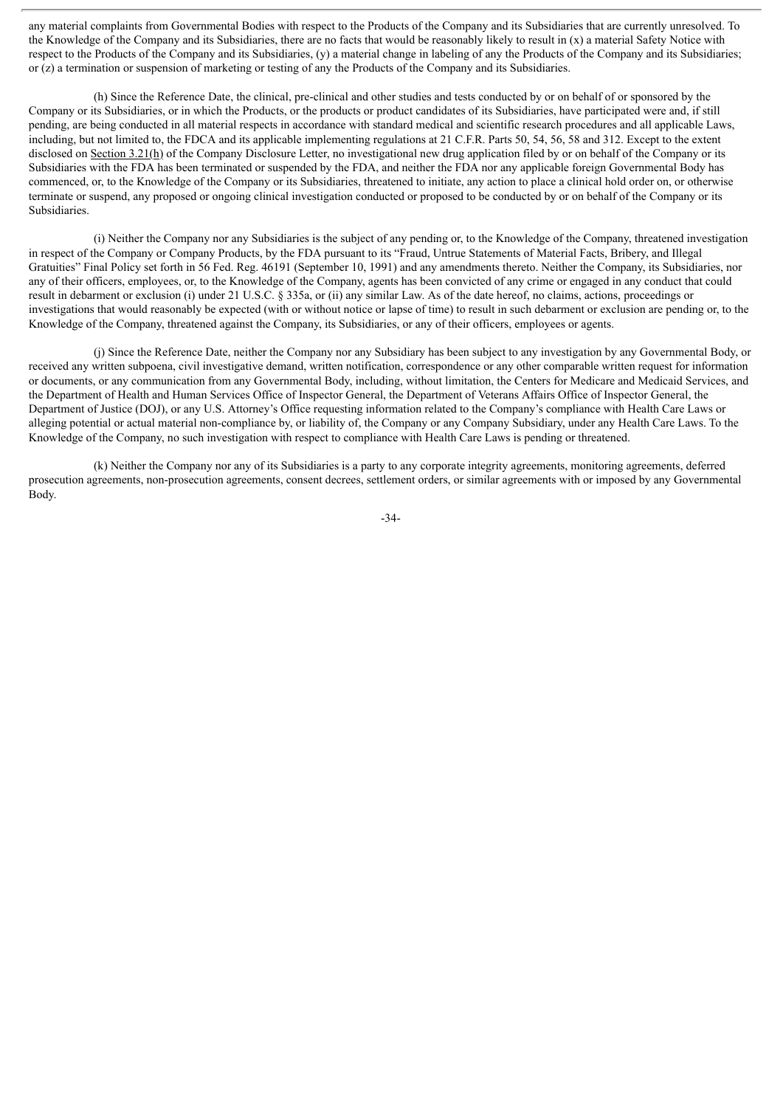any material complaints from Governmental Bodies with respect to the Products of the Company and its Subsidiaries that are currently unresolved. To the Knowledge of the Company and its Subsidiaries, there are no facts that would be reasonably likely to result in (x) a material Safety Notice with respect to the Products of the Company and its Subsidiaries, (y) a material change in labeling of any the Products of the Company and its Subsidiaries; or (z) a termination or suspension of marketing or testing of any the Products of the Company and its Subsidiaries.

(h) Since the Reference Date, the clinical, pre-clinical and other studies and tests conducted by or on behalf of or sponsored by the Company or its Subsidiaries, or in which the Products, or the products or product candidates of its Subsidiaries, have participated were and, if still pending, are being conducted in all material respects in accordance with standard medical and scientific research procedures and all applicable Laws, including, but not limited to, the FDCA and its applicable implementing regulations at 21 C.F.R. Parts 50, 54, 56, 58 and 312. Except to the extent disclosed on Section 3.21(h) of the Company Disclosure Letter, no investigational new drug application filed by or on behalf of the Company or its Subsidiaries with the FDA has been terminated or suspended by the FDA, and neither the FDA nor any applicable foreign Governmental Body has commenced, or, to the Knowledge of the Company or its Subsidiaries, threatened to initiate, any action to place a clinical hold order on, or otherwise terminate or suspend, any proposed or ongoing clinical investigation conducted or proposed to be conducted by or on behalf of the Company or its Subsidiaries.

(i) Neither the Company nor any Subsidiaries is the subject of any pending or, to the Knowledge of the Company, threatened investigation in respect of the Company or Company Products, by the FDA pursuant to its "Fraud, Untrue Statements of Material Facts, Bribery, and Illegal Gratuities" Final Policy set forth in 56 Fed. Reg. 46191 (September 10, 1991) and any amendments thereto. Neither the Company, its Subsidiaries, nor any of their officers, employees, or, to the Knowledge of the Company, agents has been convicted of any crime or engaged in any conduct that could result in debarment or exclusion (i) under 21 U.S.C. § 335a, or (ii) any similar Law. As of the date hereof, no claims, actions, proceedings or investigations that would reasonably be expected (with or without notice or lapse of time) to result in such debarment or exclusion are pending or, to the Knowledge of the Company, threatened against the Company, its Subsidiaries, or any of their officers, employees or agents.

(j) Since the Reference Date, neither the Company nor any Subsidiary has been subject to any investigation by any Governmental Body, or received any written subpoena, civil investigative demand, written notification, correspondence or any other comparable written request for information or documents, or any communication from any Governmental Body, including, without limitation, the Centers for Medicare and Medicaid Services, and the Department of Health and Human Services Office of Inspector General, the Department of Veterans Affairs Office of Inspector General, the Department of Justice (DOJ), or any U.S. Attorney's Office requesting information related to the Company's compliance with Health Care Laws or alleging potential or actual material non-compliance by, or liability of, the Company or any Company Subsidiary, under any Health Care Laws. To the Knowledge of the Company, no such investigation with respect to compliance with Health Care Laws is pending or threatened.

(k) Neither the Company nor any of its Subsidiaries is a party to any corporate integrity agreements, monitoring agreements, deferred prosecution agreements, non-prosecution agreements, consent decrees, settlement orders, or similar agreements with or imposed by any Governmental Body.

-34-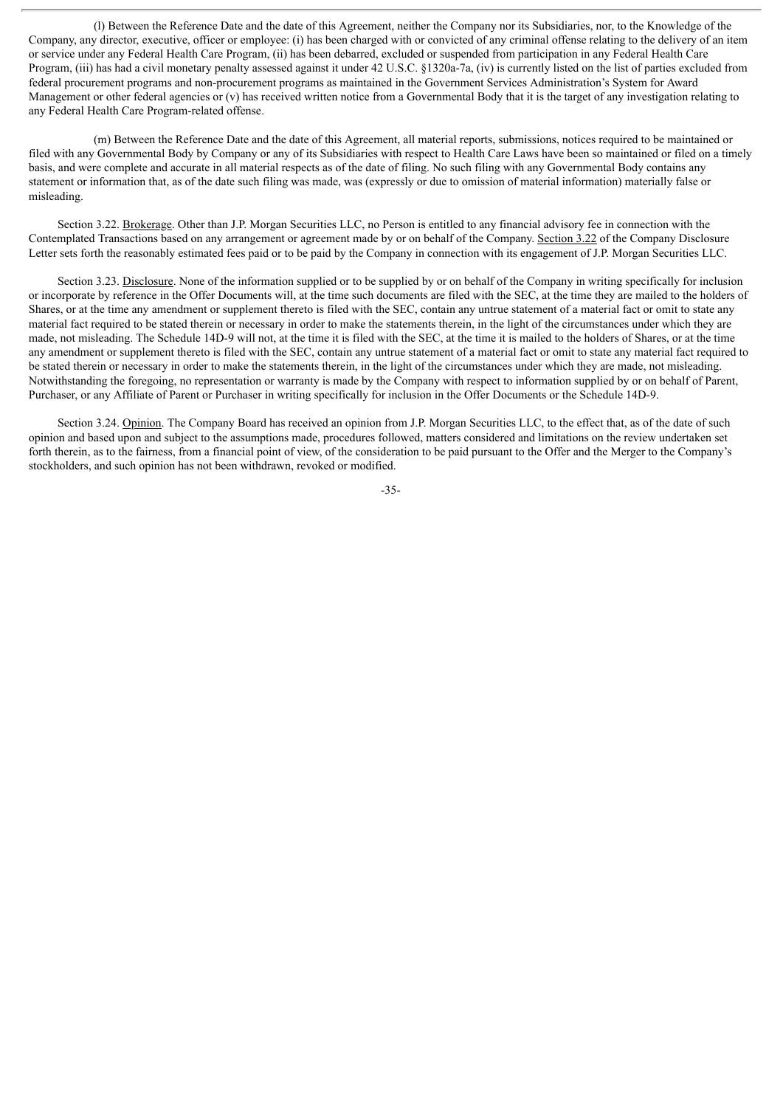(l) Between the Reference Date and the date of this Agreement, neither the Company nor its Subsidiaries, nor, to the Knowledge of the Company, any director, executive, officer or employee: (i) has been charged with or convicted of any criminal offense relating to the delivery of an item or service under any Federal Health Care Program, (ii) has been debarred, excluded or suspended from participation in any Federal Health Care Program, (iii) has had a civil monetary penalty assessed against it under 42 U.S.C. §1320a-7a, (iv) is currently listed on the list of parties excluded from federal procurement programs and non-procurement programs as maintained in the Government Services Administration's System for Award Management or other federal agencies or (v) has received written notice from a Governmental Body that it is the target of any investigation relating to any Federal Health Care Program-related offense.

(m) Between the Reference Date and the date of this Agreement, all material reports, submissions, notices required to be maintained or filed with any Governmental Body by Company or any of its Subsidiaries with respect to Health Care Laws have been so maintained or filed on a timely basis, and were complete and accurate in all material respects as of the date of filing. No such filing with any Governmental Body contains any statement or information that, as of the date such filing was made, was (expressly or due to omission of material information) materially false or misleading.

Section 3.22. Brokerage. Other than J.P. Morgan Securities LLC, no Person is entitled to any financial advisory fee in connection with the Contemplated Transactions based on any arrangement or agreement made by or on behalf of the Company. Section 3.22 of the Company Disclosure Letter sets forth the reasonably estimated fees paid or to be paid by the Company in connection with its engagement of J.P. Morgan Securities LLC.

Section 3.23. Disclosure. None of the information supplied or to be supplied by or on behalf of the Company in writing specifically for inclusion or incorporate by reference in the Offer Documents will, at the time such documents are filed with the SEC, at the time they are mailed to the holders of Shares, or at the time any amendment or supplement thereto is filed with the SEC, contain any untrue statement of a material fact or omit to state any material fact required to be stated therein or necessary in order to make the statements therein, in the light of the circumstances under which they are made, not misleading. The Schedule 14D-9 will not, at the time it is filed with the SEC, at the time it is mailed to the holders of Shares, or at the time any amendment or supplement thereto is filed with the SEC, contain any untrue statement of a material fact or omit to state any material fact required to be stated therein or necessary in order to make the statements therein, in the light of the circumstances under which they are made, not misleading. Notwithstanding the foregoing, no representation or warranty is made by the Company with respect to information supplied by or on behalf of Parent, Purchaser, or any Affiliate of Parent or Purchaser in writing specifically for inclusion in the Offer Documents or the Schedule 14D-9.

Section 3.24. Opinion. The Company Board has received an opinion from J.P. Morgan Securities LLC, to the effect that, as of the date of such opinion and based upon and subject to the assumptions made, procedures followed, matters considered and limitations on the review undertaken set forth therein, as to the fairness, from a financial point of view, of the consideration to be paid pursuant to the Offer and the Merger to the Company's stockholders, and such opinion has not been withdrawn, revoked or modified.

-35-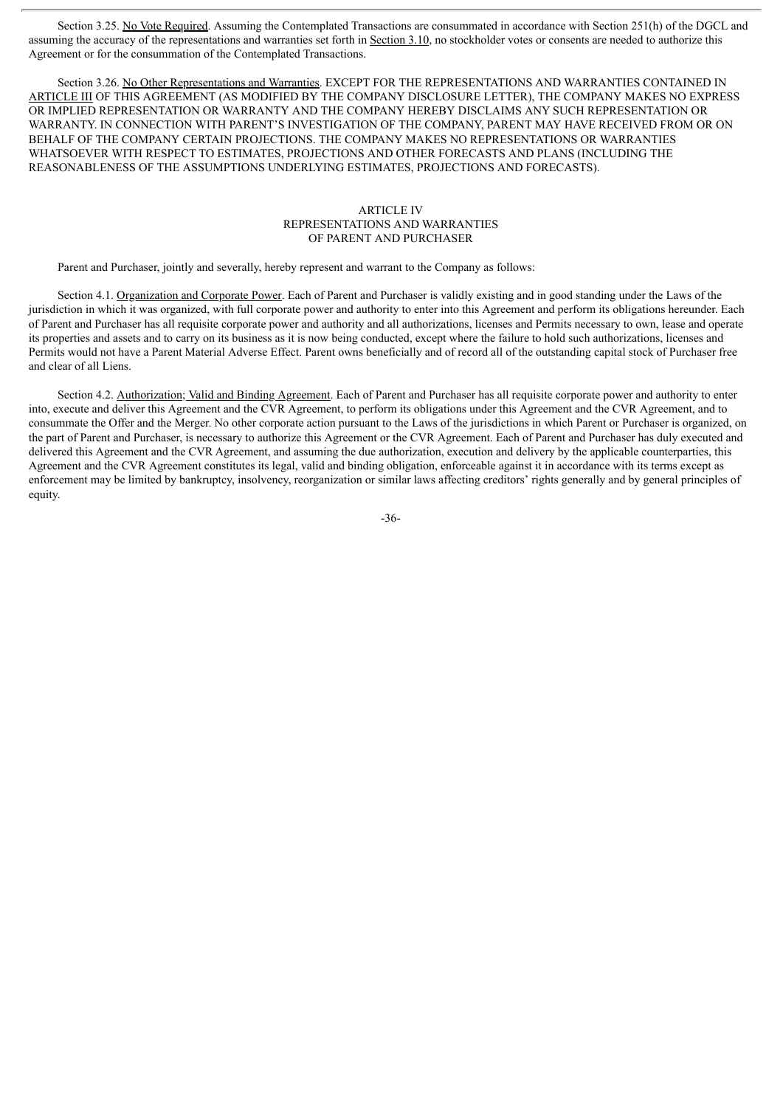Section 3.25. No Vote Required. Assuming the Contemplated Transactions are consummated in accordance with Section 251(h) of the DGCL and assuming the accuracy of the representations and warranties set forth in Section 3.10, no stockholder votes or consents are needed to authorize this Agreement or for the consummation of the Contemplated Transactions.

Section 3.26. No Other Representations and Warranties. EXCEPT FOR THE REPRESENTATIONS AND WARRANTIES CONTAINED IN ARTICLE III OF THIS AGREEMENT (AS MODIFIED BY THE COMPANY DISCLOSURE LETTER), THE COMPANY MAKES NO EXPRESS OR IMPLIED REPRESENTATION OR WARRANTY AND THE COMPANY HEREBY DISCLAIMS ANY SUCH REPRESENTATION OR WARRANTY. IN CONNECTION WITH PARENT'S INVESTIGATION OF THE COMPANY, PARENT MAY HAVE RECEIVED FROM OR ON BEHALF OF THE COMPANY CERTAIN PROJECTIONS. THE COMPANY MAKES NO REPRESENTATIONS OR WARRANTIES WHATSOEVER WITH RESPECT TO ESTIMATES, PROJECTIONS AND OTHER FORECASTS AND PLANS (INCLUDING THE REASONABLENESS OF THE ASSUMPTIONS UNDERLYING ESTIMATES, PROJECTIONS AND FORECASTS).

# ARTICLE IV REPRESENTATIONS AND WARRANTIES OF PARENT AND PURCHASER

Parent and Purchaser, jointly and severally, hereby represent and warrant to the Company as follows:

Section 4.1. Organization and Corporate Power. Each of Parent and Purchaser is validly existing and in good standing under the Laws of the jurisdiction in which it was organized, with full corporate power and authority to enter into this Agreement and perform its obligations hereunder. Each of Parent and Purchaser has all requisite corporate power and authority and all authorizations, licenses and Permits necessary to own, lease and operate its properties and assets and to carry on its business as it is now being conducted, except where the failure to hold such authorizations, licenses and Permits would not have a Parent Material Adverse Effect. Parent owns beneficially and of record all of the outstanding capital stock of Purchaser free and clear of all Liens.

Section 4.2. Authorization; Valid and Binding Agreement. Each of Parent and Purchaser has all requisite corporate power and authority to enter into, execute and deliver this Agreement and the CVR Agreement, to perform its obligations under this Agreement and the CVR Agreement, and to consummate the Offer and the Merger. No other corporate action pursuant to the Laws of the jurisdictions in which Parent or Purchaser is organized, on the part of Parent and Purchaser, is necessary to authorize this Agreement or the CVR Agreement. Each of Parent and Purchaser has duly executed and delivered this Agreement and the CVR Agreement, and assuming the due authorization, execution and delivery by the applicable counterparties, this Agreement and the CVR Agreement constitutes its legal, valid and binding obligation, enforceable against it in accordance with its terms except as enforcement may be limited by bankruptcy, insolvency, reorganization or similar laws affecting creditors' rights generally and by general principles of equity.

-36-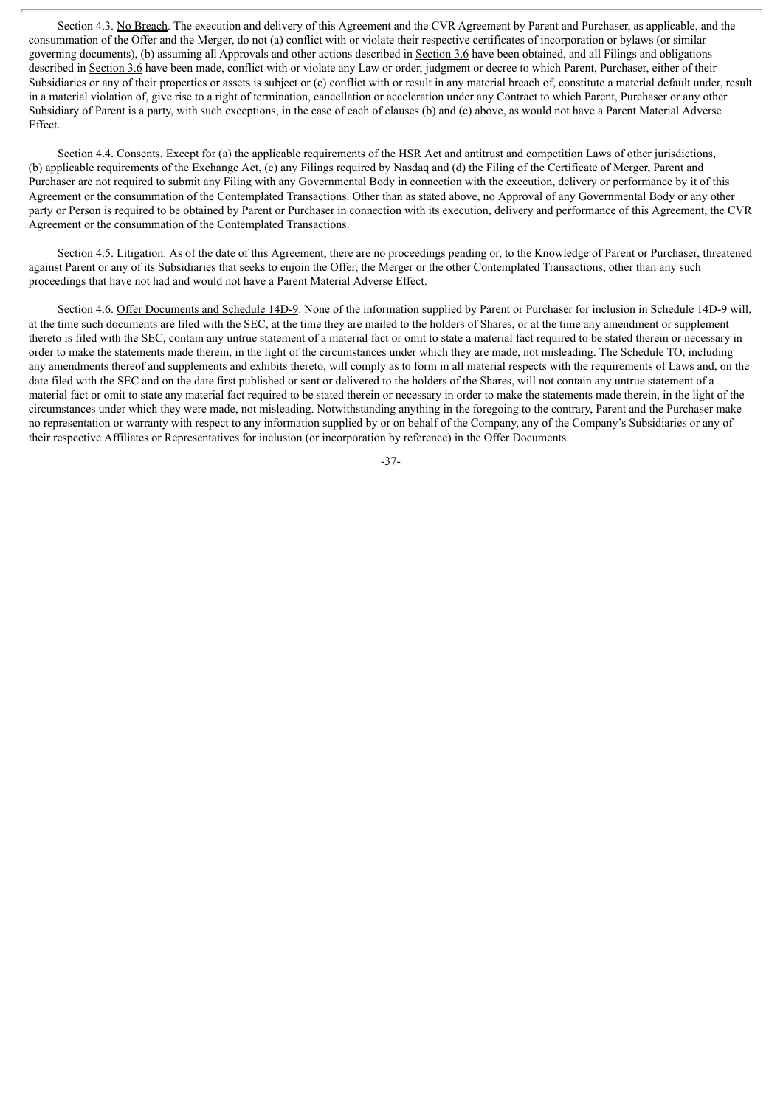Section 4.3. No Breach. The execution and delivery of this Agreement and the CVR Agreement by Parent and Purchaser, as applicable, and the consummation of the Offer and the Merger, do not (a) conflict with or violate their respective certificates of incorporation or bylaws (or similar governing documents), (b) assuming all Approvals and other actions described in Section 3.6 have been obtained, and all Filings and obligations described in Section 3.6 have been made, conflict with or violate any Law or order, judgment or decree to which Parent, Purchaser, either of their Subsidiaries or any of their properties or assets is subject or (c) conflict with or result in any material breach of, constitute a material default under, result in a material violation of, give rise to a right of termination, cancellation or acceleration under any Contract to which Parent, Purchaser or any other Subsidiary of Parent is a party, with such exceptions, in the case of each of clauses (b) and (c) above, as would not have a Parent Material Adverse Effect.

Section 4.4. Consents. Except for (a) the applicable requirements of the HSR Act and antitrust and competition Laws of other jurisdictions, (b) applicable requirements of the Exchange Act, (c) any Filings required by Nasdaq and (d) the Filing of the Certificate of Merger, Parent and Purchaser are not required to submit any Filing with any Governmental Body in connection with the execution, delivery or performance by it of this Agreement or the consummation of the Contemplated Transactions. Other than as stated above, no Approval of any Governmental Body or any other party or Person is required to be obtained by Parent or Purchaser in connection with its execution, delivery and performance of this Agreement, the CVR Agreement or the consummation of the Contemplated Transactions.

Section 4.5. Litigation. As of the date of this Agreement, there are no proceedings pending or, to the Knowledge of Parent or Purchaser, threatened against Parent or any of its Subsidiaries that seeks to enjoin the Offer, the Merger or the other Contemplated Transactions, other than any such proceedings that have not had and would not have a Parent Material Adverse Effect.

Section 4.6. Offer Documents and Schedule 14D-9. None of the information supplied by Parent or Purchaser for inclusion in Schedule 14D-9 will, at the time such documents are filed with the SEC, at the time they are mailed to the holders of Shares, or at the time any amendment or supplement thereto is filed with the SEC, contain any untrue statement of a material fact or omit to state a material fact required to be stated therein or necessary in order to make the statements made therein, in the light of the circumstances under which they are made, not misleading. The Schedule TO, including any amendments thereof and supplements and exhibits thereto, will comply as to form in all material respects with the requirements of Laws and, on the date filed with the SEC and on the date first published or sent or delivered to the holders of the Shares, will not contain any untrue statement of a material fact or omit to state any material fact required to be stated therein or necessary in order to make the statements made therein, in the light of the circumstances under which they were made, not misleading. Notwithstanding anything in the foregoing to the contrary, Parent and the Purchaser make no representation or warranty with respect to any information supplied by or on behalf of the Company, any of the Company's Subsidiaries or any of their respective Affiliates or Representatives for inclusion (or incorporation by reference) in the Offer Documents.

-37-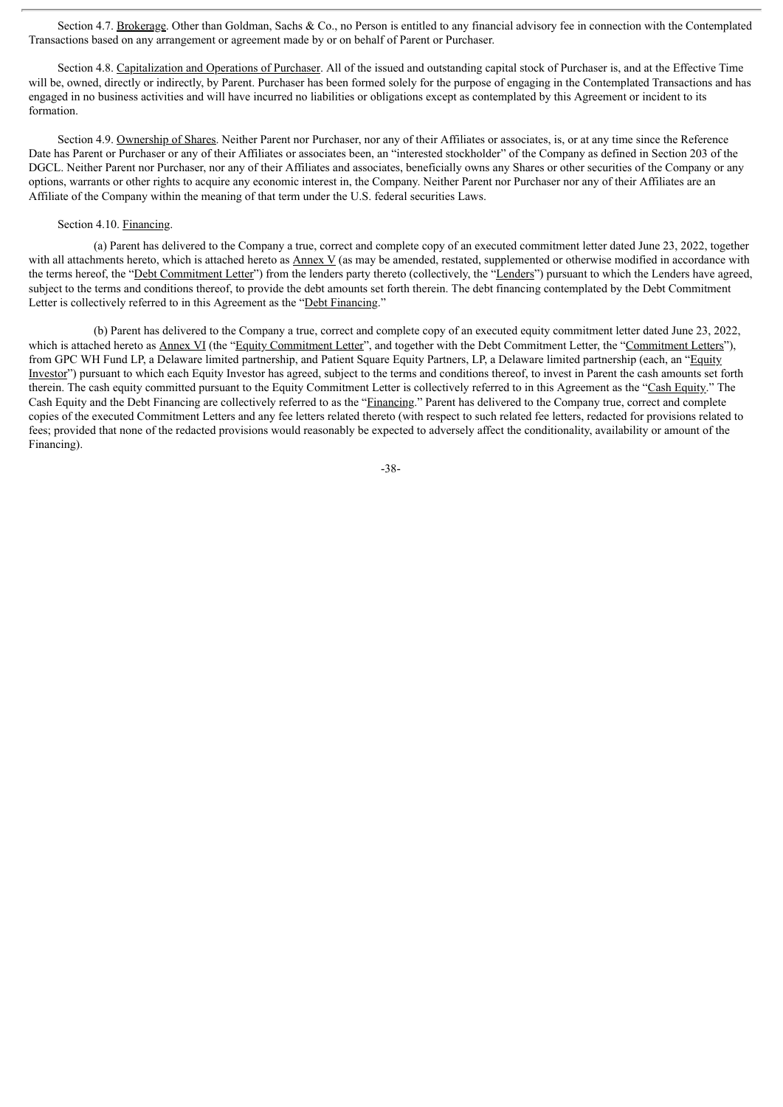Section 4.7. Brokerage. Other than Goldman, Sachs & Co., no Person is entitled to any financial advisory fee in connection with the Contemplated Transactions based on any arrangement or agreement made by or on behalf of Parent or Purchaser.

Section 4.8. Capitalization and Operations of Purchaser. All of the issued and outstanding capital stock of Purchaser is, and at the Effective Time will be, owned, directly or indirectly, by Parent. Purchaser has been formed solely for the purpose of engaging in the Contemplated Transactions and has engaged in no business activities and will have incurred no liabilities or obligations except as contemplated by this Agreement or incident to its formation.

Section 4.9. Ownership of Shares. Neither Parent nor Purchaser, nor any of their Affiliates or associates, is, or at any time since the Reference Date has Parent or Purchaser or any of their Affiliates or associates been, an "interested stockholder" of the Company as defined in Section 203 of the DGCL. Neither Parent nor Purchaser, nor any of their Affiliates and associates, beneficially owns any Shares or other securities of the Company or any options, warrants or other rights to acquire any economic interest in, the Company. Neither Parent nor Purchaser nor any of their Affiliates are an Affiliate of the Company within the meaning of that term under the U.S. federal securities Laws.

## Section 4.10. Financing.

(a) Parent has delivered to the Company a true, correct and complete copy of an executed commitment letter dated June 23, 2022, together with all attachments hereto, which is attached hereto as  $\Delta$ nnex V (as may be amended, restated, supplemented or otherwise modified in accordance with the terms hereof, the "Debt Commitment Letter") from the lenders party thereto (collectively, the "Lenders") pursuant to which the Lenders have agreed, subject to the terms and conditions thereof, to provide the debt amounts set forth therein. The debt financing contemplated by the Debt Commitment Letter is collectively referred to in this Agreement as the "Debt Financing."

(b) Parent has delivered to the Company a true, correct and complete copy of an executed equity commitment letter dated June 23, 2022, which is attached hereto as Annex VI (the "Equity Commitment Letter", and together with the Debt Commitment Letter, the "Commitment Letters"), from GPC WH Fund LP, a Delaware limited partnership, and Patient Square Equity Partners, LP, a Delaware limited partnership (each, an "Equity Investor") pursuant to which each Equity Investor has agreed, subject to the terms and conditions thereof, to invest in Parent the cash amounts set forth therein. The cash equity committed pursuant to the Equity Commitment Letter is collectively referred to in this Agreement as the "Cash Equity." The Cash Equity and the Debt Financing are collectively referred to as the "Financing." Parent has delivered to the Company true, correct and complete copies of the executed Commitment Letters and any fee letters related thereto (with respect to such related fee letters, redacted for provisions related to fees; provided that none of the redacted provisions would reasonably be expected to adversely affect the conditionality, availability or amount of the Financing).

-38-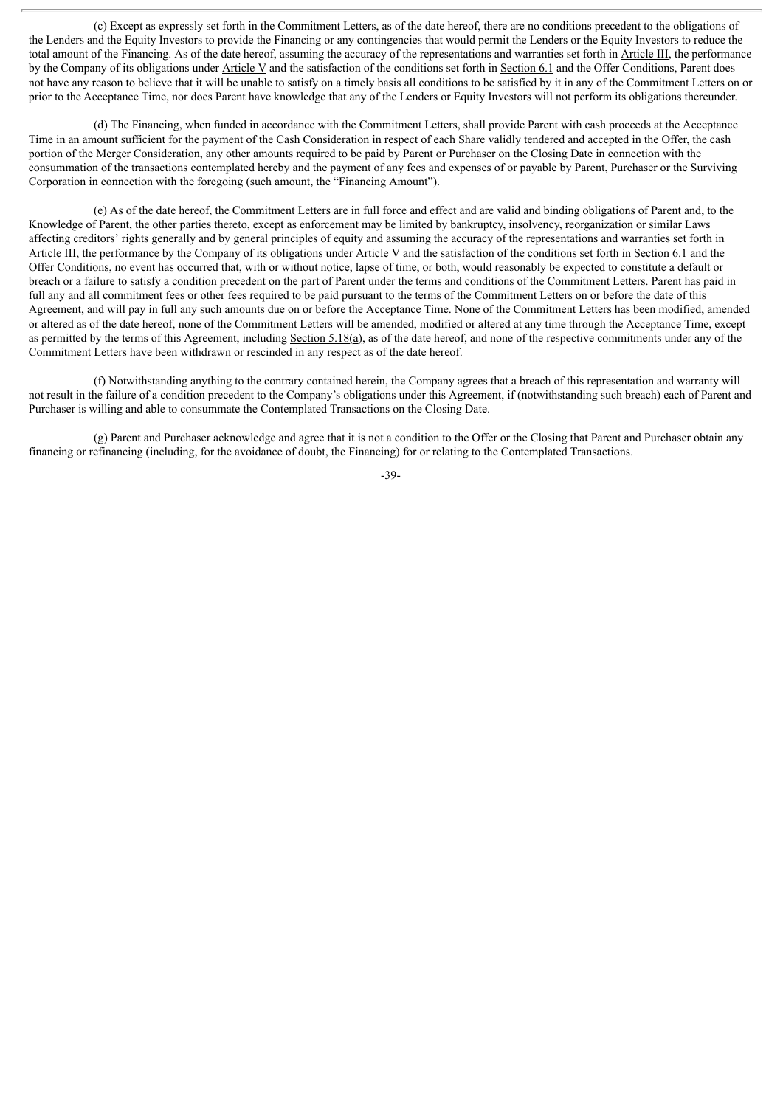(c) Except as expressly set forth in the Commitment Letters, as of the date hereof, there are no conditions precedent to the obligations of the Lenders and the Equity Investors to provide the Financing or any contingencies that would permit the Lenders or the Equity Investors to reduce the total amount of the Financing. As of the date hereof, assuming the accuracy of the representations and warranties set forth in Article III, the performance by the Company of its obligations under Article V and the satisfaction of the conditions set forth in Section 6.1 and the Offer Conditions, Parent does not have any reason to believe that it will be unable to satisfy on a timely basis all conditions to be satisfied by it in any of the Commitment Letters on or prior to the Acceptance Time, nor does Parent have knowledge that any of the Lenders or Equity Investors will not perform its obligations thereunder.

(d) The Financing, when funded in accordance with the Commitment Letters, shall provide Parent with cash proceeds at the Acceptance Time in an amount sufficient for the payment of the Cash Consideration in respect of each Share validly tendered and accepted in the Offer, the cash portion of the Merger Consideration, any other amounts required to be paid by Parent or Purchaser on the Closing Date in connection with the consummation of the transactions contemplated hereby and the payment of any fees and expenses of or payable by Parent, Purchaser or the Surviving Corporation in connection with the foregoing (such amount, the "Financing Amount").

(e) As of the date hereof, the Commitment Letters are in full force and effect and are valid and binding obligations of Parent and, to the Knowledge of Parent, the other parties thereto, except as enforcement may be limited by bankruptcy, insolvency, reorganization or similar Laws affecting creditors' rights generally and by general principles of equity and assuming the accuracy of the representations and warranties set forth in Article III, the performance by the Company of its obligations under Article V and the satisfaction of the conditions set forth in Section 6.1 and the Offer Conditions, no event has occurred that, with or without notice, lapse of time, or both, would reasonably be expected to constitute a default or breach or a failure to satisfy a condition precedent on the part of Parent under the terms and conditions of the Commitment Letters. Parent has paid in full any and all commitment fees or other fees required to be paid pursuant to the terms of the Commitment Letters on or before the date of this Agreement, and will pay in full any such amounts due on or before the Acceptance Time. None of the Commitment Letters has been modified, amended or altered as of the date hereof, none of the Commitment Letters will be amended, modified or altered at any time through the Acceptance Time, except as permitted by the terms of this Agreement, including Section 5.18(a), as of the date hereof, and none of the respective commitments under any of the Commitment Letters have been withdrawn or rescinded in any respect as of the date hereof.

(f) Notwithstanding anything to the contrary contained herein, the Company agrees that a breach of this representation and warranty will not result in the failure of a condition precedent to the Company's obligations under this Agreement, if (notwithstanding such breach) each of Parent and Purchaser is willing and able to consummate the Contemplated Transactions on the Closing Date.

(g) Parent and Purchaser acknowledge and agree that it is not a condition to the Offer or the Closing that Parent and Purchaser obtain any financing or refinancing (including, for the avoidance of doubt, the Financing) for or relating to the Contemplated Transactions.

-39-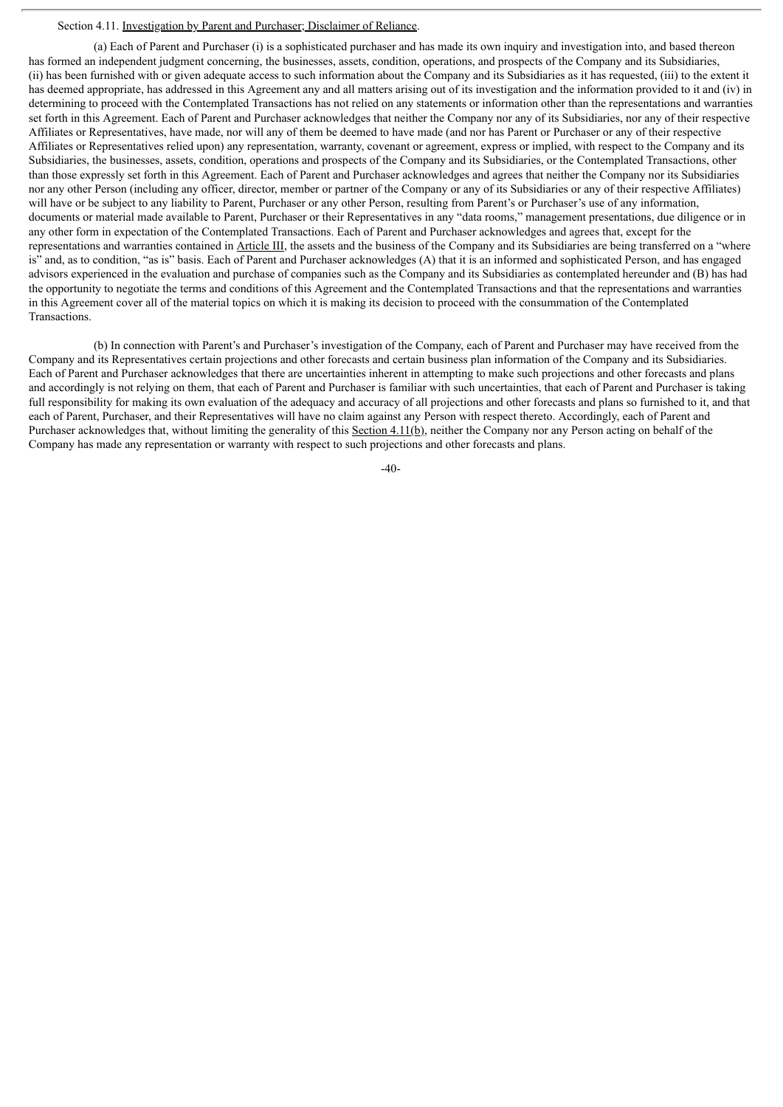### Section 4.11. Investigation by Parent and Purchaser; Disclaimer of Reliance.

(a) Each of Parent and Purchaser (i) is a sophisticated purchaser and has made its own inquiry and investigation into, and based thereon has formed an independent judgment concerning, the businesses, assets, condition, operations, and prospects of the Company and its Subsidiaries, (ii) has been furnished with or given adequate access to such information about the Company and its Subsidiaries as it has requested, (iii) to the extent it has deemed appropriate, has addressed in this Agreement any and all matters arising out of its investigation and the information provided to it and (iv) in determining to proceed with the Contemplated Transactions has not relied on any statements or information other than the representations and warranties set forth in this Agreement. Each of Parent and Purchaser acknowledges that neither the Company nor any of its Subsidiaries, nor any of their respective Affiliates or Representatives, have made, nor will any of them be deemed to have made (and nor has Parent or Purchaser or any of their respective Affiliates or Representatives relied upon) any representation, warranty, covenant or agreement, express or implied, with respect to the Company and its Subsidiaries, the businesses, assets, condition, operations and prospects of the Company and its Subsidiaries, or the Contemplated Transactions, other than those expressly set forth in this Agreement. Each of Parent and Purchaser acknowledges and agrees that neither the Company nor its Subsidiaries nor any other Person (including any officer, director, member or partner of the Company or any of its Subsidiaries or any of their respective Affiliates) will have or be subject to any liability to Parent, Purchaser or any other Person, resulting from Parent's or Purchaser's use of any information, documents or material made available to Parent, Purchaser or their Representatives in any "data rooms," management presentations, due diligence or in any other form in expectation of the Contemplated Transactions. Each of Parent and Purchaser acknowledges and agrees that, except for the representations and warranties contained in Article III, the assets and the business of the Company and its Subsidiaries are being transferred on a "where is" and, as to condition, "as is" basis. Each of Parent and Purchaser acknowledges (A) that it is an informed and sophisticated Person, and has engaged advisors experienced in the evaluation and purchase of companies such as the Company and its Subsidiaries as contemplated hereunder and (B) has had the opportunity to negotiate the terms and conditions of this Agreement and the Contemplated Transactions and that the representations and warranties in this Agreement cover all of the material topics on which it is making its decision to proceed with the consummation of the Contemplated Transactions.

(b) In connection with Parent's and Purchaser's investigation of the Company, each of Parent and Purchaser may have received from the Company and its Representatives certain projections and other forecasts and certain business plan information of the Company and its Subsidiaries. Each of Parent and Purchaser acknowledges that there are uncertainties inherent in attempting to make such projections and other forecasts and plans and accordingly is not relying on them, that each of Parent and Purchaser is familiar with such uncertainties, that each of Parent and Purchaser is taking full responsibility for making its own evaluation of the adequacy and accuracy of all projections and other forecasts and plans so furnished to it, and that each of Parent, Purchaser, and their Representatives will have no claim against any Person with respect thereto. Accordingly, each of Parent and Purchaser acknowledges that, without limiting the generality of this Section 4.11(b), neither the Company nor any Person acting on behalf of the Company has made any representation or warranty with respect to such projections and other forecasts and plans.

 $-40-$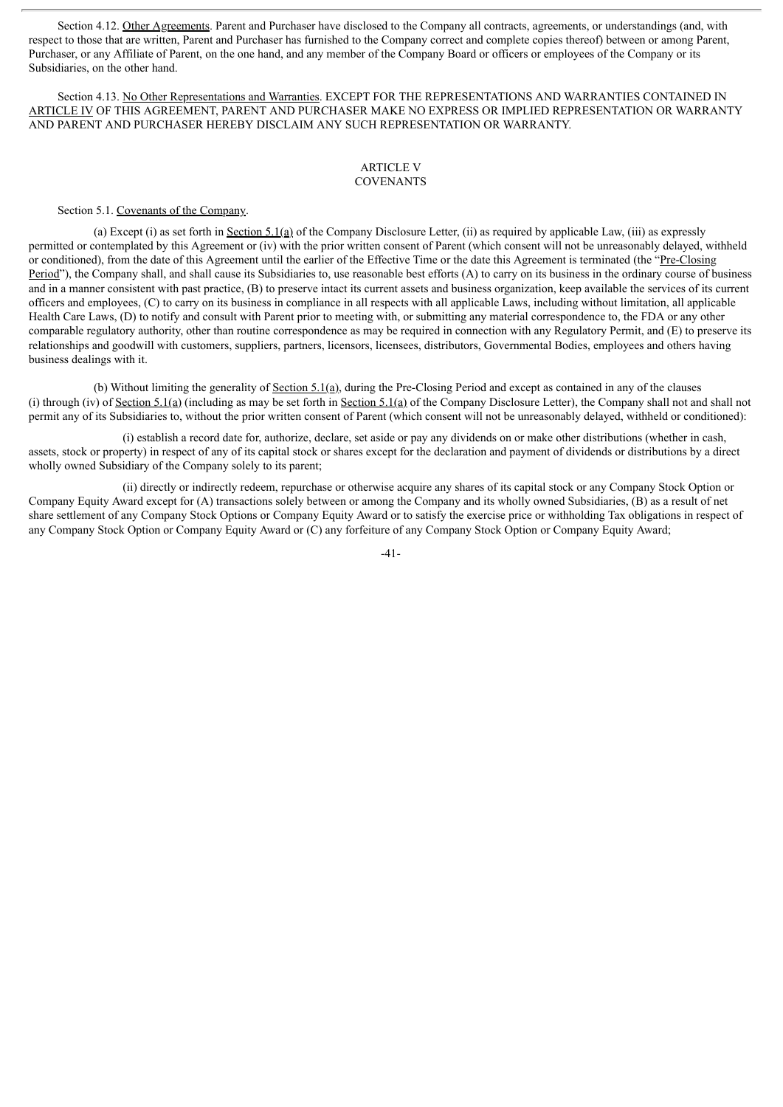Section 4.12. Other Agreements. Parent and Purchaser have disclosed to the Company all contracts, agreements, or understandings (and, with respect to those that are written, Parent and Purchaser has furnished to the Company correct and complete copies thereof) between or among Parent, Purchaser, or any Affiliate of Parent, on the one hand, and any member of the Company Board or officers or employees of the Company or its Subsidiaries, on the other hand.

Section 4.13. No Other Representations and Warranties. EXCEPT FOR THE REPRESENTATIONS AND WARRANTIES CONTAINED IN ARTICLE IV OF THIS AGREEMENT, PARENT AND PURCHASER MAKE NO EXPRESS OR IMPLIED REPRESENTATION OR WARRANTY AND PARENT AND PURCHASER HEREBY DISCLAIM ANY SUCH REPRESENTATION OR WARRANTY.

## ARTICLE V **COVENANTS**

#### Section 5.1. Covenants of the Company.

(a) Except (i) as set forth in Section 5.1(a) of the Company Disclosure Letter, (ii) as required by applicable Law, (iii) as expressly permitted or contemplated by this Agreement or (iv) with the prior written consent of Parent (which consent will not be unreasonably delayed, withheld or conditioned), from the date of this Agreement until the earlier of the Effective Time or the date this Agreement is terminated (the "Pre-Closing Period"), the Company shall, and shall cause its Subsidiaries to, use reasonable best efforts (A) to carry on its business in the ordinary course of business and in a manner consistent with past practice, (B) to preserve intact its current assets and business organization, keep available the services of its current officers and employees, (C) to carry on its business in compliance in all respects with all applicable Laws, including without limitation, all applicable Health Care Laws, (D) to notify and consult with Parent prior to meeting with, or submitting any material correspondence to, the FDA or any other comparable regulatory authority, other than routine correspondence as may be required in connection with any Regulatory Permit, and (E) to preserve its relationships and goodwill with customers, suppliers, partners, licensors, licensees, distributors, Governmental Bodies, employees and others having business dealings with it.

(b) Without limiting the generality of Section 5.1(a), during the Pre-Closing Period and except as contained in any of the clauses (i) through (iv) of <u>Section 5.1(a)</u> (including as may be set forth in Section 5.1(a) of the Company Disclosure Letter), the Company shall not and shall not permit any of its Subsidiaries to, without the prior written consent of Parent (which consent will not be unreasonably delayed, withheld or conditioned):

(i) establish a record date for, authorize, declare, set aside or pay any dividends on or make other distributions (whether in cash, assets, stock or property) in respect of any of its capital stock or shares except for the declaration and payment of dividends or distributions by a direct wholly owned Subsidiary of the Company solely to its parent;

(ii) directly or indirectly redeem, repurchase or otherwise acquire any shares of its capital stock or any Company Stock Option or Company Equity Award except for (A) transactions solely between or among the Company and its wholly owned Subsidiaries, (B) as a result of net share settlement of any Company Stock Options or Company Equity Award or to satisfy the exercise price or withholding Tax obligations in respect of any Company Stock Option or Company Equity Award or (C) any forfeiture of any Company Stock Option or Company Equity Award;

-41-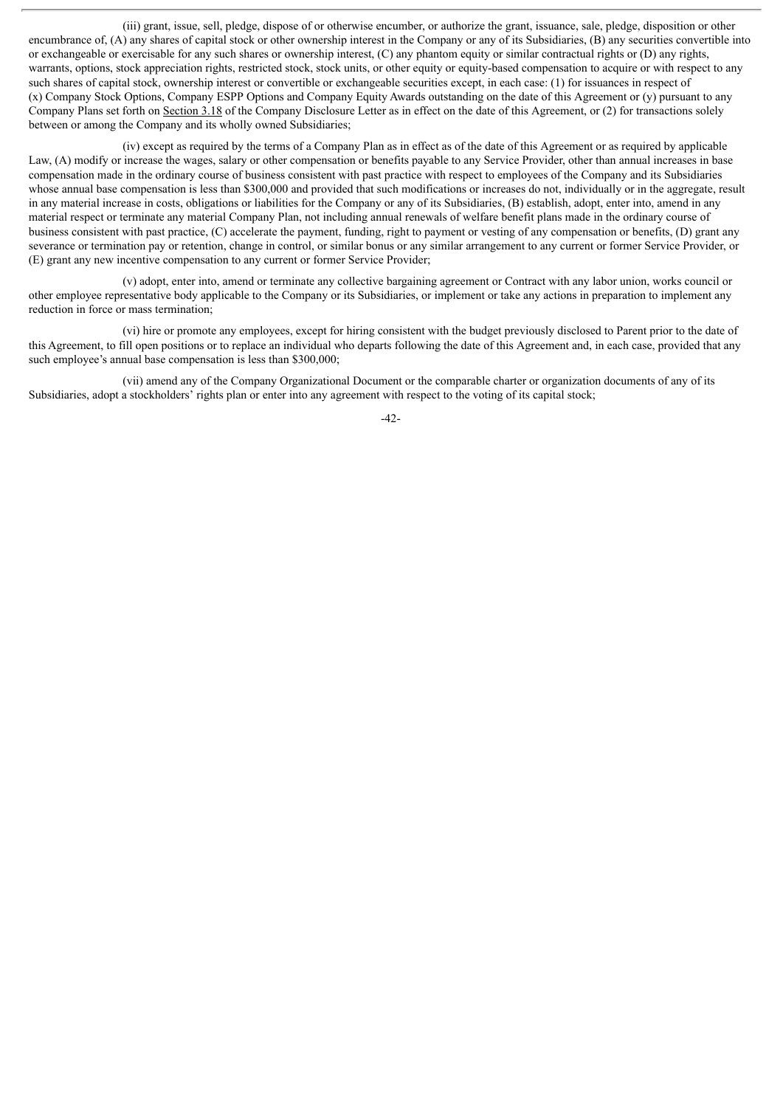(iii) grant, issue, sell, pledge, dispose of or otherwise encumber, or authorize the grant, issuance, sale, pledge, disposition or other encumbrance of, (A) any shares of capital stock or other ownership interest in the Company or any of its Subsidiaries, (B) any securities convertible into or exchangeable or exercisable for any such shares or ownership interest, (C) any phantom equity or similar contractual rights or (D) any rights, warrants, options, stock appreciation rights, restricted stock, stock units, or other equity or equity-based compensation to acquire or with respect to any such shares of capital stock, ownership interest or convertible or exchangeable securities except, in each case: (1) for issuances in respect of (x) Company Stock Options, Company ESPP Options and Company Equity Awards outstanding on the date of this Agreement or (y) pursuant to any Company Plans set forth on Section 3.18 of the Company Disclosure Letter as in effect on the date of this Agreement, or (2) for transactions solely between or among the Company and its wholly owned Subsidiaries;

(iv) except as required by the terms of a Company Plan as in effect as of the date of this Agreement or as required by applicable Law, (A) modify or increase the wages, salary or other compensation or benefits payable to any Service Provider, other than annual increases in base compensation made in the ordinary course of business consistent with past practice with respect to employees of the Company and its Subsidiaries whose annual base compensation is less than \$300,000 and provided that such modifications or increases do not, individually or in the aggregate, result in any material increase in costs, obligations or liabilities for the Company or any of its Subsidiaries, (B) establish, adopt, enter into, amend in any material respect or terminate any material Company Plan, not including annual renewals of welfare benefit plans made in the ordinary course of business consistent with past practice, (C) accelerate the payment, funding, right to payment or vesting of any compensation or benefits, (D) grant any severance or termination pay or retention, change in control, or similar bonus or any similar arrangement to any current or former Service Provider, or (E) grant any new incentive compensation to any current or former Service Provider;

(v) adopt, enter into, amend or terminate any collective bargaining agreement or Contract with any labor union, works council or other employee representative body applicable to the Company or its Subsidiaries, or implement or take any actions in preparation to implement any reduction in force or mass termination;

(vi) hire or promote any employees, except for hiring consistent with the budget previously disclosed to Parent prior to the date of this Agreement, to fill open positions or to replace an individual who departs following the date of this Agreement and, in each case, provided that any such employee's annual base compensation is less than \$300,000;

(vii) amend any of the Company Organizational Document or the comparable charter or organization documents of any of its Subsidiaries, adopt a stockholders' rights plan or enter into any agreement with respect to the voting of its capital stock;

-42-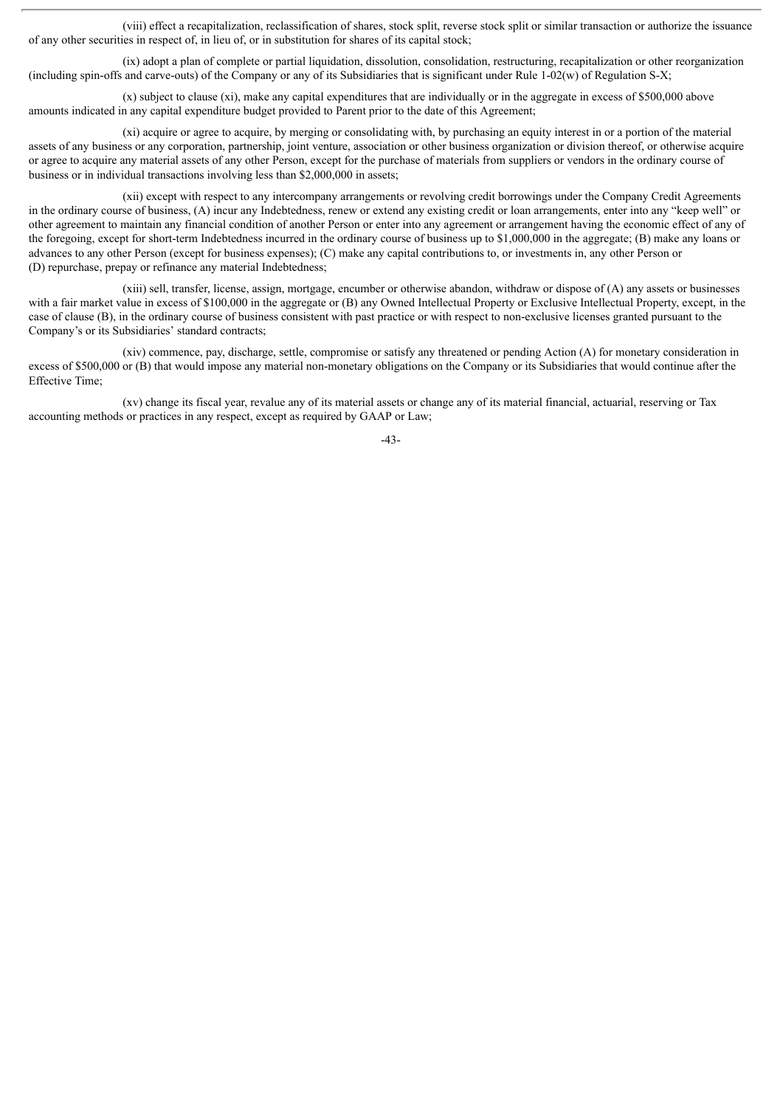(viii) effect a recapitalization, reclassification of shares, stock split, reverse stock split or similar transaction or authorize the issuance of any other securities in respect of, in lieu of, or in substitution for shares of its capital stock;

(ix) adopt a plan of complete or partial liquidation, dissolution, consolidation, restructuring, recapitalization or other reorganization (including spin-offs and carve-outs) of the Company or any of its Subsidiaries that is significant under Rule 1-02(w) of Regulation S-X;

(x) subject to clause (xi), make any capital expenditures that are individually or in the aggregate in excess of \$500,000 above amounts indicated in any capital expenditure budget provided to Parent prior to the date of this Agreement;

(xi) acquire or agree to acquire, by merging or consolidating with, by purchasing an equity interest in or a portion of the material assets of any business or any corporation, partnership, joint venture, association or other business organization or division thereof, or otherwise acquire or agree to acquire any material assets of any other Person, except for the purchase of materials from suppliers or vendors in the ordinary course of business or in individual transactions involving less than \$2,000,000 in assets;

(xii) except with respect to any intercompany arrangements or revolving credit borrowings under the Company Credit Agreements in the ordinary course of business, (A) incur any Indebtedness, renew or extend any existing credit or loan arrangements, enter into any "keep well" or other agreement to maintain any financial condition of another Person or enter into any agreement or arrangement having the economic effect of any of the foregoing, except for short-term Indebtedness incurred in the ordinary course of business up to \$1,000,000 in the aggregate; (B) make any loans or advances to any other Person (except for business expenses); (C) make any capital contributions to, or investments in, any other Person or (D) repurchase, prepay or refinance any material Indebtedness;

(xiii) sell, transfer, license, assign, mortgage, encumber or otherwise abandon, withdraw or dispose of (A) any assets or businesses with a fair market value in excess of \$100,000 in the aggregate or (B) any Owned Intellectual Property or Exclusive Intellectual Property, except, in the case of clause (B), in the ordinary course of business consistent with past practice or with respect to non-exclusive licenses granted pursuant to the Company's or its Subsidiaries' standard contracts;

(xiv) commence, pay, discharge, settle, compromise or satisfy any threatened or pending Action (A) for monetary consideration in excess of \$500,000 or (B) that would impose any material non-monetary obligations on the Company or its Subsidiaries that would continue after the Effective Time;

(xv) change its fiscal year, revalue any of its material assets or change any of its material financial, actuarial, reserving or Tax accounting methods or practices in any respect, except as required by GAAP or Law;

-43-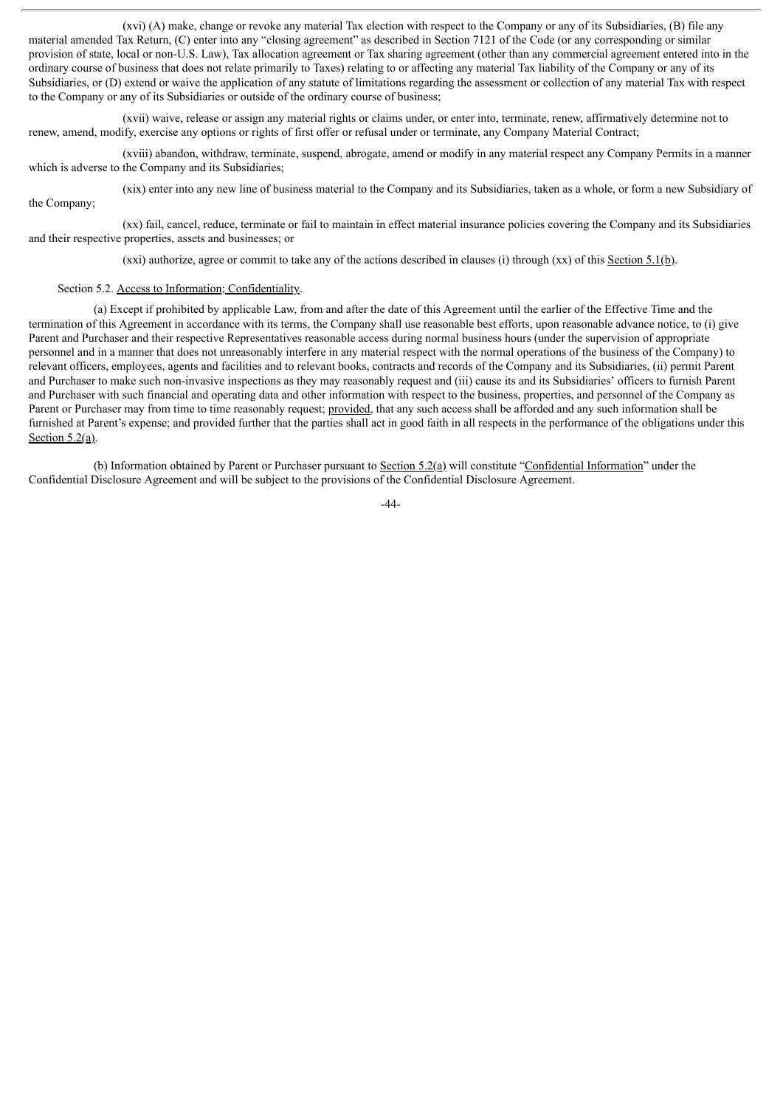(xvi) (A) make, change or revoke any material Tax election with respect to the Company or any of its Subsidiaries, (B) file any material amended Tax Return, (C) enter into any "closing agreement" as described in Section 7121 of the Code (or any corresponding or similar provision of state, local or non-U.S. Law), Tax allocation agreement or Tax sharing agreement (other than any commercial agreement entered into in the ordinary course of business that does not relate primarily to Taxes) relating to or affecting any material Tax liability of the Company or any of its Subsidiaries, or (D) extend or waive the application of any statute of limitations regarding the assessment or collection of any material Tax with respect to the Company or any of its Subsidiaries or outside of the ordinary course of business;

(xvii) waive, release or assign any material rights or claims under, or enter into, terminate, renew, affirmatively determine not to renew, amend, modify, exercise any options or rights of first offer or refusal under or terminate, any Company Material Contract;

(xviii) abandon, withdraw, terminate, suspend, abrogate, amend or modify in any material respect any Company Permits in a manner which is adverse to the Company and its Subsidiaries;

(xix) enter into any new line of business material to the Company and its Subsidiaries, taken as a whole, or form a new Subsidiary of the Company;

(xx) fail, cancel, reduce, terminate or fail to maintain in effect material insurance policies covering the Company and its Subsidiaries and their respective properties, assets and businesses; or

(xxi) authorize, agree or commit to take any of the actions described in clauses (i) through (xx) of this Section 5.1(b).

#### Section 5.2. Access to Information; Confidentiality.

(a) Except if prohibited by applicable Law, from and after the date of this Agreement until the earlier of the Effective Time and the termination of this Agreement in accordance with its terms, the Company shall use reasonable best efforts, upon reasonable advance notice, to (i) give Parent and Purchaser and their respective Representatives reasonable access during normal business hours (under the supervision of appropriate personnel and in a manner that does not unreasonably interfere in any material respect with the normal operations of the business of the Company) to relevant officers, employees, agents and facilities and to relevant books, contracts and records of the Company and its Subsidiaries, (ii) permit Parent and Purchaser to make such non-invasive inspections as they may reasonably request and (iii) cause its and its Subsidiaries' officers to furnish Parent and Purchaser with such financial and operating data and other information with respect to the business, properties, and personnel of the Company as Parent or Purchaser may from time to time reasonably request; provided, that any such access shall be afforded and any such information shall be furnished at Parent's expense; and provided further that the parties shall act in good faith in all respects in the performance of the obligations under this Section  $5.2(a)$ .

(b) Information obtained by Parent or Purchaser pursuant to Section 5.2(a) will constitute "Confidential Information" under the Confidential Disclosure Agreement and will be subject to the provisions of the Confidential Disclosure Agreement.

 $-44-$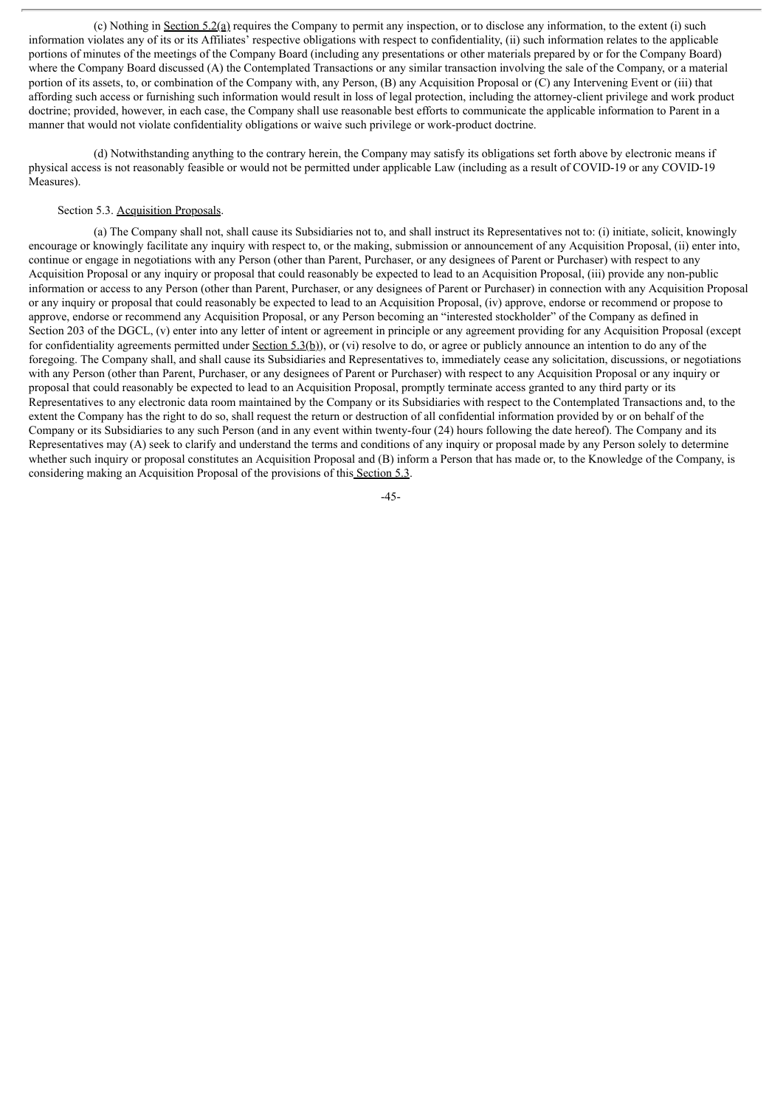(c) Nothing in Section 5.2(a) requires the Company to permit any inspection, or to disclose any information, to the extent (i) such information violates any of its or its Affiliates' respective obligations with respect to confidentiality, (ii) such information relates to the applicable portions of minutes of the meetings of the Company Board (including any presentations or other materials prepared by or for the Company Board) where the Company Board discussed (A) the Contemplated Transactions or any similar transaction involving the sale of the Company, or a material portion of its assets, to, or combination of the Company with, any Person, (B) any Acquisition Proposal or (C) any Intervening Event or (iii) that affording such access or furnishing such information would result in loss of legal protection, including the attorney-client privilege and work product doctrine; provided, however, in each case, the Company shall use reasonable best efforts to communicate the applicable information to Parent in a manner that would not violate confidentiality obligations or waive such privilege or work-product doctrine.

(d) Notwithstanding anything to the contrary herein, the Company may satisfy its obligations set forth above by electronic means if physical access is not reasonably feasible or would not be permitted under applicable Law (including as a result of COVID-19 or any COVID-19 Measures).

## Section 5.3. Acquisition Proposals.

(a) The Company shall not, shall cause its Subsidiaries not to, and shall instruct its Representatives not to: (i) initiate, solicit, knowingly encourage or knowingly facilitate any inquiry with respect to, or the making, submission or announcement of any Acquisition Proposal, (ii) enter into, continue or engage in negotiations with any Person (other than Parent, Purchaser, or any designees of Parent or Purchaser) with respect to any Acquisition Proposal or any inquiry or proposal that could reasonably be expected to lead to an Acquisition Proposal, (iii) provide any non-public information or access to any Person (other than Parent, Purchaser, or any designees of Parent or Purchaser) in connection with any Acquisition Proposal or any inquiry or proposal that could reasonably be expected to lead to an Acquisition Proposal, (iv) approve, endorse or recommend or propose to approve, endorse or recommend any Acquisition Proposal, or any Person becoming an "interested stockholder" of the Company as defined in Section 203 of the DGCL, (v) enter into any letter of intent or agreement in principle or any agreement providing for any Acquisition Proposal (except for confidentiality agreements permitted under Section  $5.3(b)$ , or (vi) resolve to do, or agree or publicly announce an intention to do any of the foregoing. The Company shall, and shall cause its Subsidiaries and Representatives to, immediately cease any solicitation, discussions, or negotiations with any Person (other than Parent, Purchaser, or any designees of Parent or Purchaser) with respect to any Acquisition Proposal or any inquiry or proposal that could reasonably be expected to lead to an Acquisition Proposal, promptly terminate access granted to any third party or its Representatives to any electronic data room maintained by the Company or its Subsidiaries with respect to the Contemplated Transactions and, to the extent the Company has the right to do so, shall request the return or destruction of all confidential information provided by or on behalf of the Company or its Subsidiaries to any such Person (and in any event within twenty-four (24) hours following the date hereof). The Company and its Representatives may (A) seek to clarify and understand the terms and conditions of any inquiry or proposal made by any Person solely to determine whether such inquiry or proposal constitutes an Acquisition Proposal and (B) inform a Person that has made or, to the Knowledge of the Company, is considering making an Acquisition Proposal of the provisions of this Section 5.3.

-45-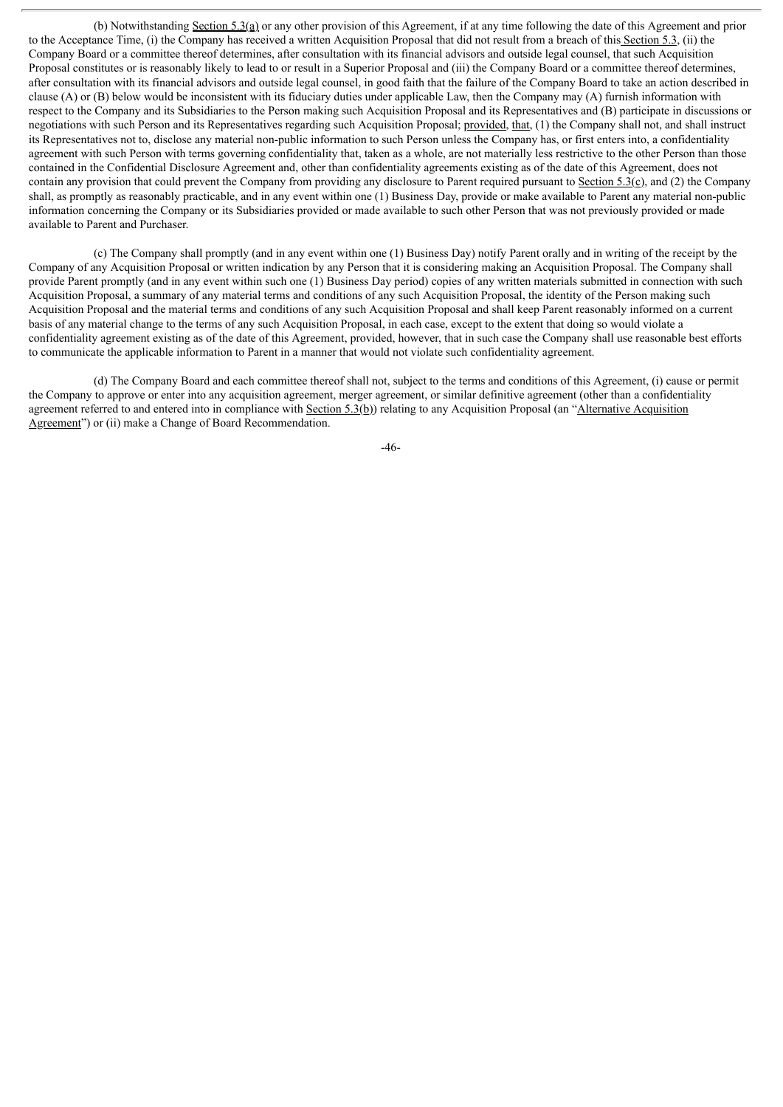(b) Notwithstanding Section 5.3(a) or any other provision of this Agreement, if at any time following the date of this Agreement and prior to the Acceptance Time, (i) the Company has received a written Acquisition Proposal that did not result from a breach of this Section 5.3, (ii) the Company Board or a committee thereof determines, after consultation with its financial advisors and outside legal counsel, that such Acquisition Proposal constitutes or is reasonably likely to lead to or result in a Superior Proposal and (iii) the Company Board or a committee thereof determines, after consultation with its financial advisors and outside legal counsel, in good faith that the failure of the Company Board to take an action described in clause (A) or (B) below would be inconsistent with its fiduciary duties under applicable Law, then the Company may (A) furnish information with respect to the Company and its Subsidiaries to the Person making such Acquisition Proposal and its Representatives and (B) participate in discussions or negotiations with such Person and its Representatives regarding such Acquisition Proposal; provided, that, (1) the Company shall not, and shall instruct its Representatives not to, disclose any material non-public information to such Person unless the Company has, or first enters into, a confidentiality agreement with such Person with terms governing confidentiality that, taken as a whole, are not materially less restrictive to the other Person than those contained in the Confidential Disclosure Agreement and, other than confidentiality agreements existing as of the date of this Agreement, does not contain any provision that could prevent the Company from providing any disclosure to Parent required pursuant to Section 5.3(c), and (2) the Company shall, as promptly as reasonably practicable, and in any event within one (1) Business Day, provide or make available to Parent any material non-public information concerning the Company or its Subsidiaries provided or made available to such other Person that was not previously provided or made available to Parent and Purchaser.

(c) The Company shall promptly (and in any event within one (1) Business Day) notify Parent orally and in writing of the receipt by the Company of any Acquisition Proposal or written indication by any Person that it is considering making an Acquisition Proposal. The Company shall provide Parent promptly (and in any event within such one (1) Business Day period) copies of any written materials submitted in connection with such Acquisition Proposal, a summary of any material terms and conditions of any such Acquisition Proposal, the identity of the Person making such Acquisition Proposal and the material terms and conditions of any such Acquisition Proposal and shall keep Parent reasonably informed on a current basis of any material change to the terms of any such Acquisition Proposal, in each case, except to the extent that doing so would violate a confidentiality agreement existing as of the date of this Agreement, provided, however, that in such case the Company shall use reasonable best efforts to communicate the applicable information to Parent in a manner that would not violate such confidentiality agreement.

(d) The Company Board and each committee thereof shall not, subject to the terms and conditions of this Agreement, (i) cause or permit the Company to approve or enter into any acquisition agreement, merger agreement, or similar definitive agreement (other than a confidentiality agreement referred to and entered into in compliance with Section  $5.3(b)$ ) relating to any Acquisition Proposal (an "Alternative Acquisition Agreement") or (ii) make a Change of Board Recommendation.

-46-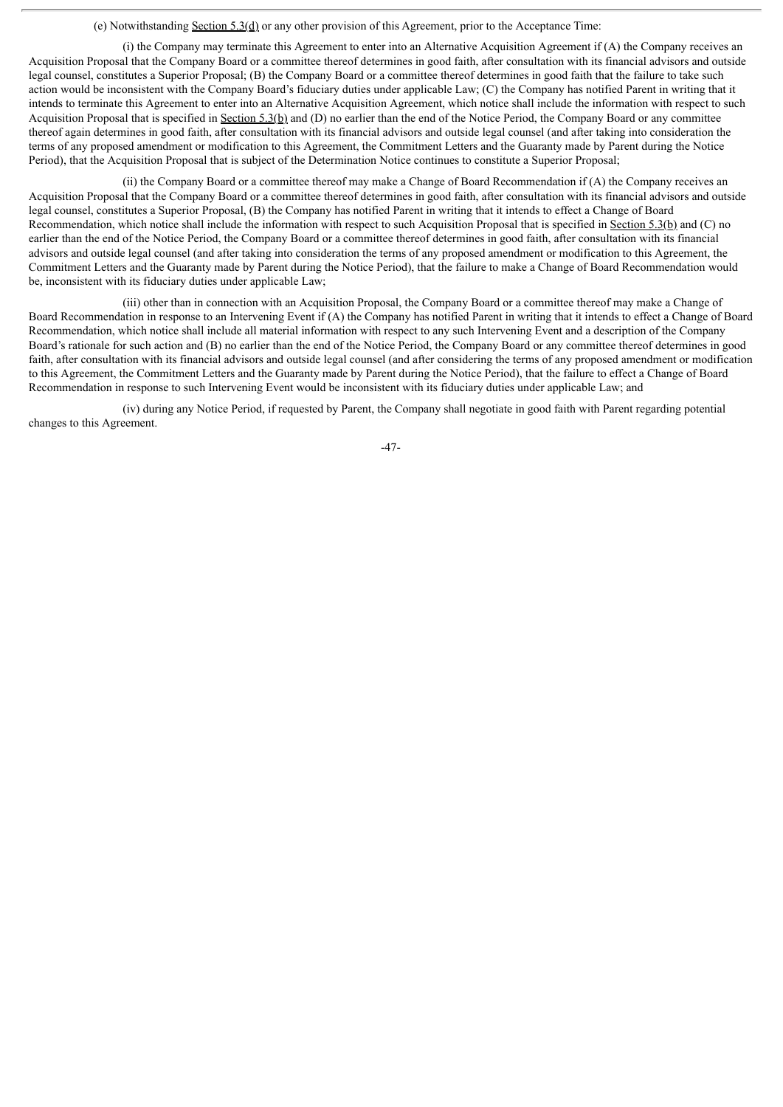#### (e) Notwithstanding Section 5.3(d) or any other provision of this Agreement, prior to the Acceptance Time:

(i) the Company may terminate this Agreement to enter into an Alternative Acquisition Agreement if (A) the Company receives an Acquisition Proposal that the Company Board or a committee thereof determines in good faith, after consultation with its financial advisors and outside legal counsel, constitutes a Superior Proposal; (B) the Company Board or a committee thereof determines in good faith that the failure to take such action would be inconsistent with the Company Board's fiduciary duties under applicable Law; (C) the Company has notified Parent in writing that it intends to terminate this Agreement to enter into an Alternative Acquisition Agreement, which notice shall include the information with respect to such Acquisition Proposal that is specified in Section 5.3(b) and (D) no earlier than the end of the Notice Period, the Company Board or any committee thereof again determines in good faith, after consultation with its financial advisors and outside legal counsel (and after taking into consideration the terms of any proposed amendment or modification to this Agreement, the Commitment Letters and the Guaranty made by Parent during the Notice Period), that the Acquisition Proposal that is subject of the Determination Notice continues to constitute a Superior Proposal;

(ii) the Company Board or a committee thereof may make a Change of Board Recommendation if (A) the Company receives an Acquisition Proposal that the Company Board or a committee thereof determines in good faith, after consultation with its financial advisors and outside legal counsel, constitutes a Superior Proposal, (B) the Company has notified Parent in writing that it intends to effect a Change of Board Recommendation, which notice shall include the information with respect to such Acquisition Proposal that is specified in Section 5.3(b) and (C) no earlier than the end of the Notice Period, the Company Board or a committee thereof determines in good faith, after consultation with its financial advisors and outside legal counsel (and after taking into consideration the terms of any proposed amendment or modification to this Agreement, the Commitment Letters and the Guaranty made by Parent during the Notice Period), that the failure to make a Change of Board Recommendation would be, inconsistent with its fiduciary duties under applicable Law;

(iii) other than in connection with an Acquisition Proposal, the Company Board or a committee thereof may make a Change of Board Recommendation in response to an Intervening Event if (A) the Company has notified Parent in writing that it intends to effect a Change of Board Recommendation, which notice shall include all material information with respect to any such Intervening Event and a description of the Company Board's rationale for such action and (B) no earlier than the end of the Notice Period, the Company Board or any committee thereof determines in good faith, after consultation with its financial advisors and outside legal counsel (and after considering the terms of any proposed amendment or modification to this Agreement, the Commitment Letters and the Guaranty made by Parent during the Notice Period), that the failure to effect a Change of Board Recommendation in response to such Intervening Event would be inconsistent with its fiduciary duties under applicable Law; and

(iv) during any Notice Period, if requested by Parent, the Company shall negotiate in good faith with Parent regarding potential changes to this Agreement.

-47-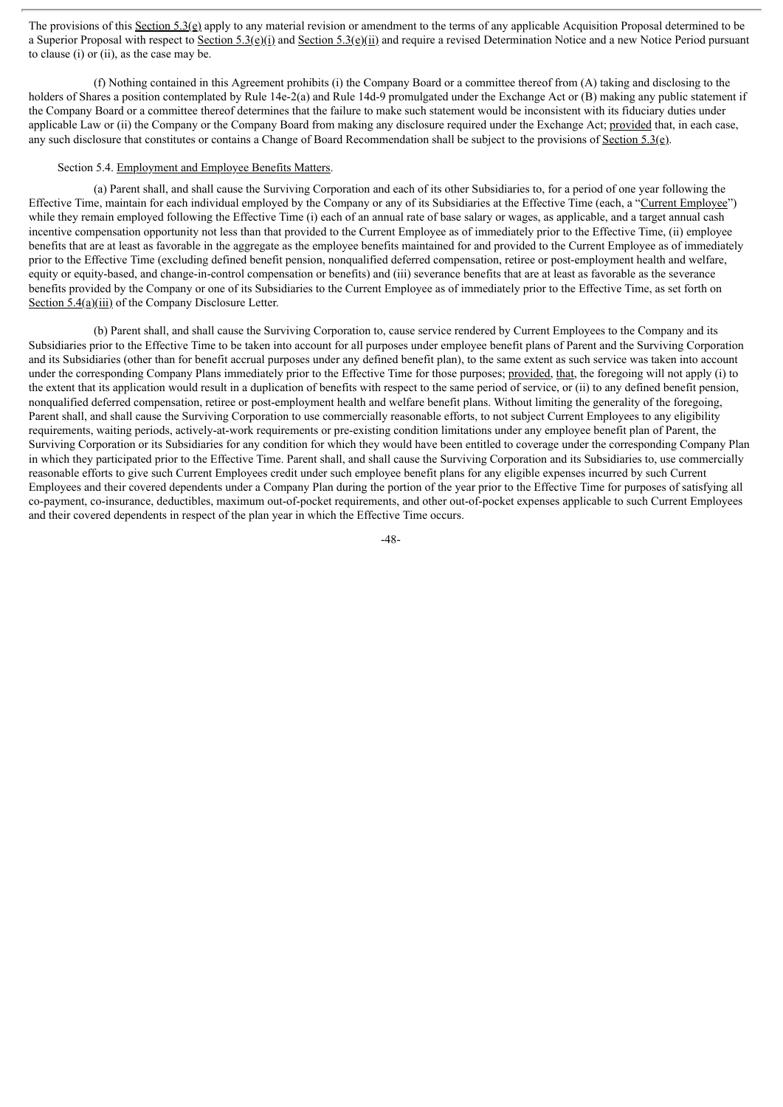The provisions of this Section 5.3(e) apply to any material revision or amendment to the terms of any applicable Acquisition Proposal determined to be a Superior Proposal with respect to Section 5.3(e)(i) and Section 5.3(e)(ii) and require a revised Determination Notice and a new Notice Period pursuant to clause (i) or (ii), as the case may be.

(f) Nothing contained in this Agreement prohibits (i) the Company Board or a committee thereof from (A) taking and disclosing to the holders of Shares a position contemplated by Rule 14e-2(a) and Rule 14d-9 promulgated under the Exchange Act or (B) making any public statement if the Company Board or a committee thereof determines that the failure to make such statement would be inconsistent with its fiduciary duties under applicable Law or (ii) the Company or the Company Board from making any disclosure required under the Exchange Act; provided that, in each case, any such disclosure that constitutes or contains a Change of Board Recommendation shall be subject to the provisions of Section 5.3(e).

## Section 5.4. Employment and Employee Benefits Matters.

(a) Parent shall, and shall cause the Surviving Corporation and each of its other Subsidiaries to, for a period of one year following the Effective Time, maintain for each individual employed by the Company or any of its Subsidiaries at the Effective Time (each, a "Current Employee") while they remain employed following the Effective Time (i) each of an annual rate of base salary or wages, as applicable, and a target annual cash incentive compensation opportunity not less than that provided to the Current Employee as of immediately prior to the Effective Time, (ii) employee benefits that are at least as favorable in the aggregate as the employee benefits maintained for and provided to the Current Employee as of immediately prior to the Effective Time (excluding defined benefit pension, nonqualified deferred compensation, retiree or post-employment health and welfare, equity or equity-based, and change-in-control compensation or benefits) and (iii) severance benefits that are at least as favorable as the severance benefits provided by the Company or one of its Subsidiaries to the Current Employee as of immediately prior to the Effective Time, as set forth on Section 5.4(a)(iii) of the Company Disclosure Letter.

(b) Parent shall, and shall cause the Surviving Corporation to, cause service rendered by Current Employees to the Company and its Subsidiaries prior to the Effective Time to be taken into account for all purposes under employee benefit plans of Parent and the Surviving Corporation and its Subsidiaries (other than for benefit accrual purposes under any defined benefit plan), to the same extent as such service was taken into account under the corresponding Company Plans immediately prior to the Effective Time for those purposes; provided, that, the foregoing will not apply (i) to the extent that its application would result in a duplication of benefits with respect to the same period of service, or (ii) to any defined benefit pension, nonqualified deferred compensation, retiree or post-employment health and welfare benefit plans. Without limiting the generality of the foregoing, Parent shall, and shall cause the Surviving Corporation to use commercially reasonable efforts, to not subject Current Employees to any eligibility requirements, waiting periods, actively-at-work requirements or pre-existing condition limitations under any employee benefit plan of Parent, the Surviving Corporation or its Subsidiaries for any condition for which they would have been entitled to coverage under the corresponding Company Plan in which they participated prior to the Effective Time. Parent shall, and shall cause the Surviving Corporation and its Subsidiaries to, use commercially reasonable efforts to give such Current Employees credit under such employee benefit plans for any eligible expenses incurred by such Current Employees and their covered dependents under a Company Plan during the portion of the year prior to the Effective Time for purposes of satisfying all co-payment, co-insurance, deductibles, maximum out-of-pocket requirements, and other out-of-pocket expenses applicable to such Current Employees and their covered dependents in respect of the plan year in which the Effective Time occurs.

-48-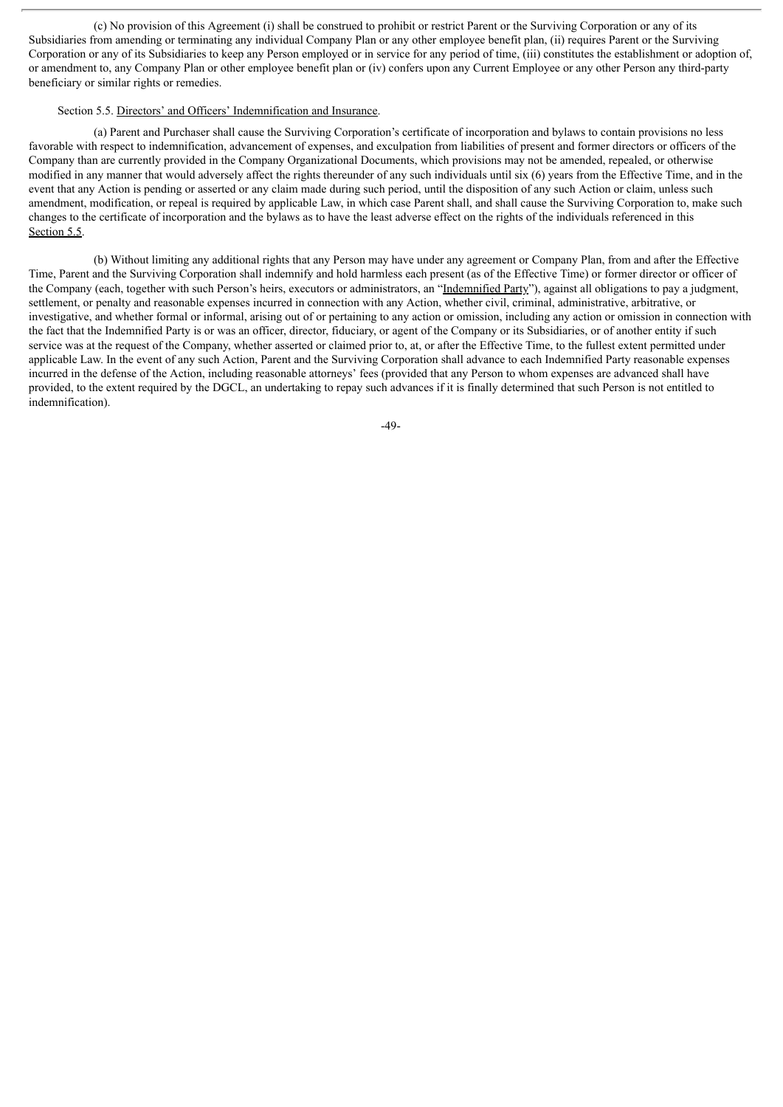(c) No provision of this Agreement (i) shall be construed to prohibit or restrict Parent or the Surviving Corporation or any of its Subsidiaries from amending or terminating any individual Company Plan or any other employee benefit plan, (ii) requires Parent or the Surviving Corporation or any of its Subsidiaries to keep any Person employed or in service for any period of time, (iii) constitutes the establishment or adoption of, or amendment to, any Company Plan or other employee benefit plan or (iv) confers upon any Current Employee or any other Person any third-party beneficiary or similar rights or remedies.

#### Section 5.5. Directors' and Officers' Indemnification and Insurance.

(a) Parent and Purchaser shall cause the Surviving Corporation's certificate of incorporation and bylaws to contain provisions no less favorable with respect to indemnification, advancement of expenses, and exculpation from liabilities of present and former directors or officers of the Company than are currently provided in the Company Organizational Documents, which provisions may not be amended, repealed, or otherwise modified in any manner that would adversely affect the rights thereunder of any such individuals until six (6) years from the Effective Time, and in the event that any Action is pending or asserted or any claim made during such period, until the disposition of any such Action or claim, unless such amendment, modification, or repeal is required by applicable Law, in which case Parent shall, and shall cause the Surviving Corporation to, make such changes to the certificate of incorporation and the bylaws as to have the least adverse effect on the rights of the individuals referenced in this Section 5.5.

(b) Without limiting any additional rights that any Person may have under any agreement or Company Plan, from and after the Effective Time, Parent and the Surviving Corporation shall indemnify and hold harmless each present (as of the Effective Time) or former director or officer of the Company (each, together with such Person's heirs, executors or administrators, an "Indemnified Party"), against all obligations to pay a judgment, settlement, or penalty and reasonable expenses incurred in connection with any Action, whether civil, criminal, administrative, arbitrative, or investigative, and whether formal or informal, arising out of or pertaining to any action or omission, including any action or omission in connection with the fact that the Indemnified Party is or was an officer, director, fiduciary, or agent of the Company or its Subsidiaries, or of another entity if such service was at the request of the Company, whether asserted or claimed prior to, at, or after the Effective Time, to the fullest extent permitted under applicable Law. In the event of any such Action, Parent and the Surviving Corporation shall advance to each Indemnified Party reasonable expenses incurred in the defense of the Action, including reasonable attorneys' fees (provided that any Person to whom expenses are advanced shall have provided, to the extent required by the DGCL, an undertaking to repay such advances if it is finally determined that such Person is not entitled to indemnification).

-49-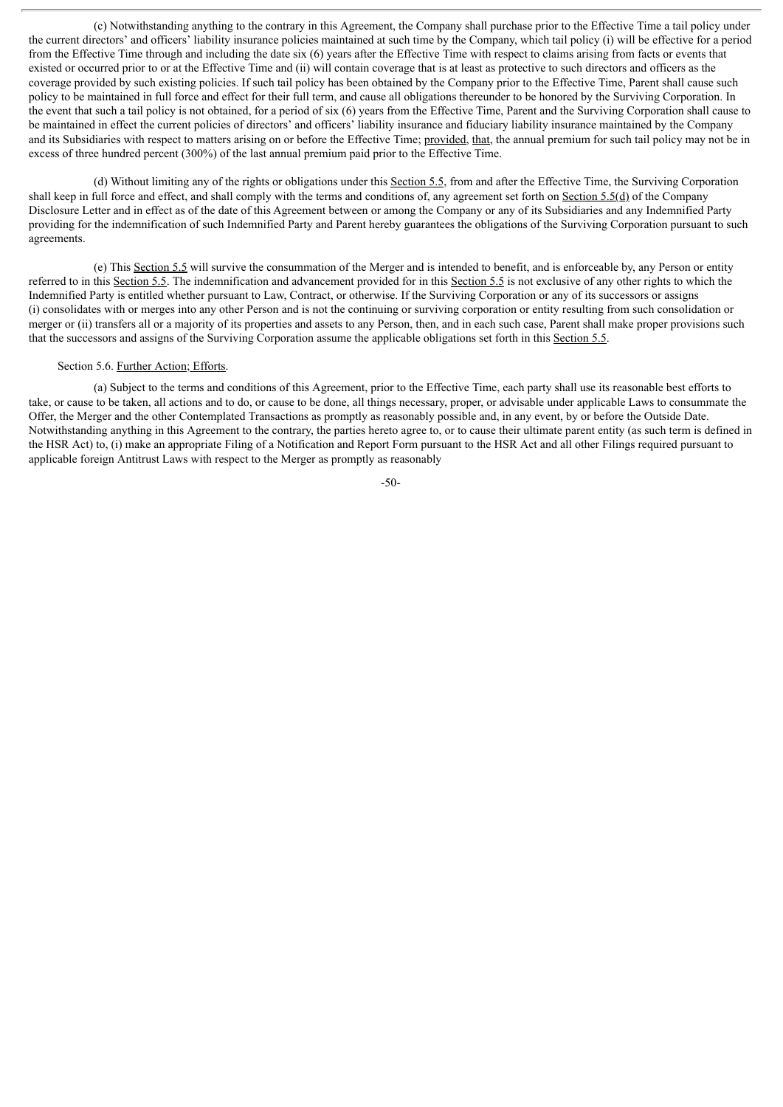(c) Notwithstanding anything to the contrary in this Agreement, the Company shall purchase prior to the Effective Time a tail policy under the current directors' and officers' liability insurance policies maintained at such time by the Company, which tail policy (i) will be effective for a period from the Effective Time through and including the date six (6) years after the Effective Time with respect to claims arising from facts or events that existed or occurred prior to or at the Effective Time and (ii) will contain coverage that is at least as protective to such directors and officers as the coverage provided by such existing policies. If such tail policy has been obtained by the Company prior to the Effective Time, Parent shall cause such policy to be maintained in full force and effect for their full term, and cause all obligations thereunder to be honored by the Surviving Corporation. In the event that such a tail policy is not obtained, for a period of six (6) years from the Effective Time, Parent and the Surviving Corporation shall cause to be maintained in effect the current policies of directors' and officers' liability insurance and fiduciary liability insurance maintained by the Company and its Subsidiaries with respect to matters arising on or before the Effective Time; provided, that, the annual premium for such tail policy may not be in excess of three hundred percent (300%) of the last annual premium paid prior to the Effective Time.

(d) Without limiting any of the rights or obligations under this Section 5.5, from and after the Effective Time, the Surviving Corporation shall keep in full force and effect, and shall comply with the terms and conditions of, any agreement set forth on Section 5.5(d) of the Company Disclosure Letter and in effect as of the date of this Agreement between or among the Company or any of its Subsidiaries and any Indemnified Party providing for the indemnification of such Indemnified Party and Parent hereby guarantees the obligations of the Surviving Corporation pursuant to such agreements.

(e) This Section 5.5 will survive the consummation of the Merger and is intended to benefit, and is enforceable by, any Person or entity referred to in this Section 5.5. The indemnification and advancement provided for in this Section 5.5 is not exclusive of any other rights to which the Indemnified Party is entitled whether pursuant to Law, Contract, or otherwise. If the Surviving Corporation or any of its successors or assigns (i) consolidates with or merges into any other Person and is not the continuing or surviving corporation or entity resulting from such consolidation or merger or (ii) transfers all or a majority of its properties and assets to any Person, then, and in each such case, Parent shall make proper provisions such that the successors and assigns of the Surviving Corporation assume the applicable obligations set forth in this Section 5.5.

# Section 5.6. Further Action; Efforts.

(a) Subject to the terms and conditions of this Agreement, prior to the Effective Time, each party shall use its reasonable best efforts to take, or cause to be taken, all actions and to do, or cause to be done, all things necessary, proper, or advisable under applicable Laws to consummate the Offer, the Merger and the other Contemplated Transactions as promptly as reasonably possible and, in any event, by or before the Outside Date. Notwithstanding anything in this Agreement to the contrary, the parties hereto agree to, or to cause their ultimate parent entity (as such term is defined in the HSR Act) to, (i) make an appropriate Filing of a Notification and Report Form pursuant to the HSR Act and all other Filings required pursuant to applicable foreign Antitrust Laws with respect to the Merger as promptly as reasonably

-50-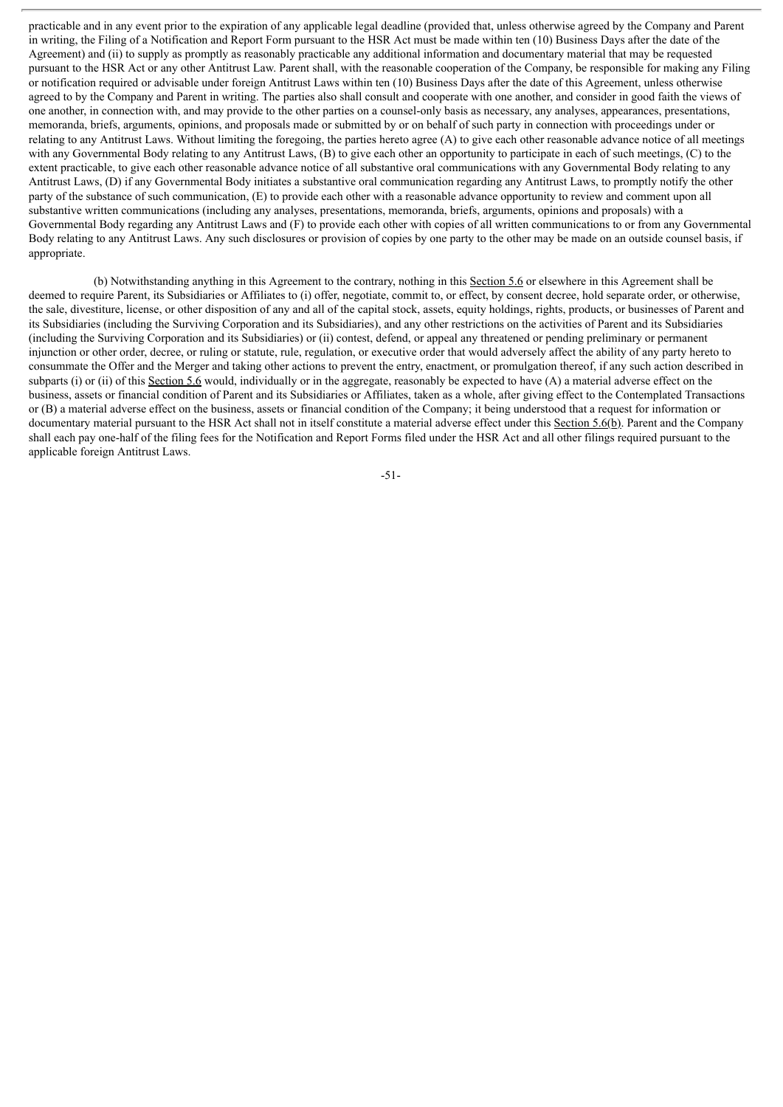practicable and in any event prior to the expiration of any applicable legal deadline (provided that, unless otherwise agreed by the Company and Parent in writing, the Filing of a Notification and Report Form pursuant to the HSR Act must be made within ten (10) Business Days after the date of the Agreement) and (ii) to supply as promptly as reasonably practicable any additional information and documentary material that may be requested pursuant to the HSR Act or any other Antitrust Law. Parent shall, with the reasonable cooperation of the Company, be responsible for making any Filing or notification required or advisable under foreign Antitrust Laws within ten (10) Business Days after the date of this Agreement, unless otherwise agreed to by the Company and Parent in writing. The parties also shall consult and cooperate with one another, and consider in good faith the views of one another, in connection with, and may provide to the other parties on a counsel-only basis as necessary, any analyses, appearances, presentations, memoranda, briefs, arguments, opinions, and proposals made or submitted by or on behalf of such party in connection with proceedings under or relating to any Antitrust Laws. Without limiting the foregoing, the parties hereto agree (A) to give each other reasonable advance notice of all meetings with any Governmental Body relating to any Antitrust Laws, (B) to give each other an opportunity to participate in each of such meetings, (C) to the extent practicable, to give each other reasonable advance notice of all substantive oral communications with any Governmental Body relating to any Antitrust Laws, (D) if any Governmental Body initiates a substantive oral communication regarding any Antitrust Laws, to promptly notify the other party of the substance of such communication, (E) to provide each other with a reasonable advance opportunity to review and comment upon all substantive written communications (including any analyses, presentations, memoranda, briefs, arguments, opinions and proposals) with a Governmental Body regarding any Antitrust Laws and (F) to provide each other with copies of all written communications to or from any Governmental Body relating to any Antitrust Laws. Any such disclosures or provision of copies by one party to the other may be made on an outside counsel basis, if appropriate.

(b) Notwithstanding anything in this Agreement to the contrary, nothing in this Section 5.6 or elsewhere in this Agreement shall be deemed to require Parent, its Subsidiaries or Affiliates to (i) offer, negotiate, commit to, or effect, by consent decree, hold separate order, or otherwise, the sale, divestiture, license, or other disposition of any and all of the capital stock, assets, equity holdings, rights, products, or businesses of Parent and its Subsidiaries (including the Surviving Corporation and its Subsidiaries), and any other restrictions on the activities of Parent and its Subsidiaries (including the Surviving Corporation and its Subsidiaries) or (ii) contest, defend, or appeal any threatened or pending preliminary or permanent injunction or other order, decree, or ruling or statute, rule, regulation, or executive order that would adversely affect the ability of any party hereto to consummate the Offer and the Merger and taking other actions to prevent the entry, enactment, or promulgation thereof, if any such action described in subparts (i) or (ii) of this Section 5.6 would, individually or in the aggregate, reasonably be expected to have (A) a material adverse effect on the business, assets or financial condition of Parent and its Subsidiaries or Affiliates, taken as a whole, after giving effect to the Contemplated Transactions or (B) a material adverse effect on the business, assets or financial condition of the Company; it being understood that a request for information or documentary material pursuant to the HSR Act shall not in itself constitute a material adverse effect under this Section 5.6(b). Parent and the Company shall each pay one-half of the filing fees for the Notification and Report Forms filed under the HSR Act and all other filings required pursuant to the applicable foreign Antitrust Laws.

-51-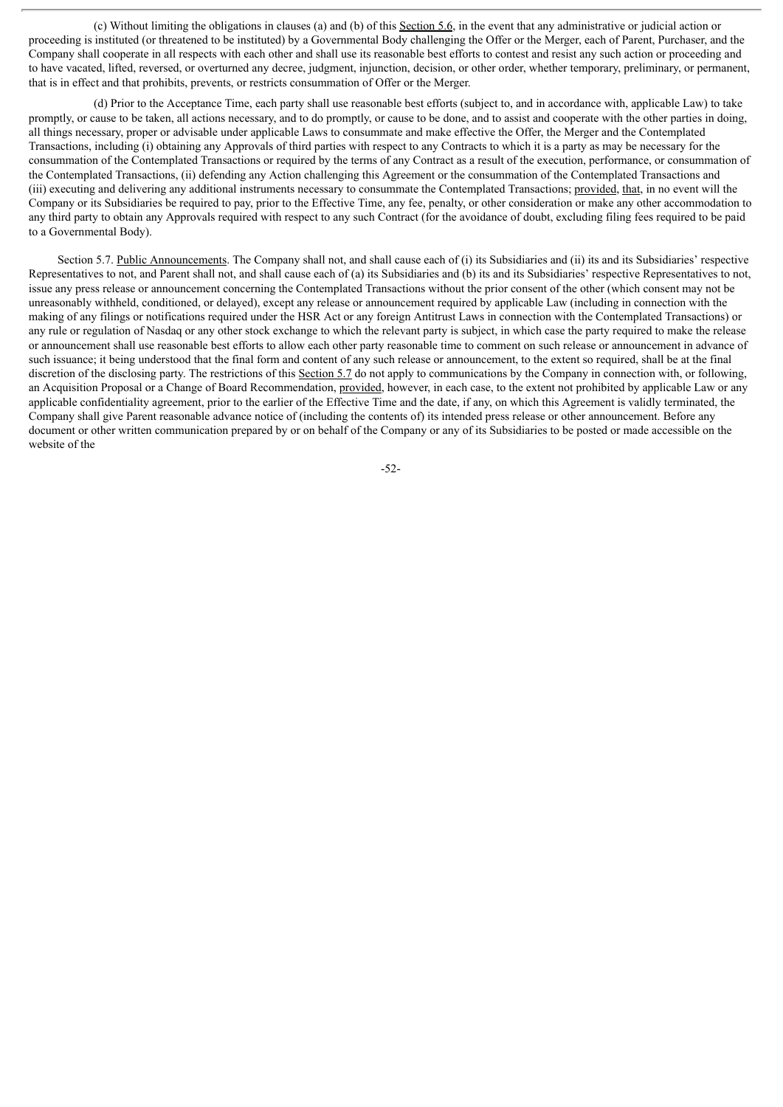(c) Without limiting the obligations in clauses (a) and (b) of this Section 5.6, in the event that any administrative or judicial action or proceeding is instituted (or threatened to be instituted) by a Governmental Body challenging the Offer or the Merger, each of Parent, Purchaser, and the Company shall cooperate in all respects with each other and shall use its reasonable best efforts to contest and resist any such action or proceeding and to have vacated, lifted, reversed, or overturned any decree, judgment, injunction, decision, or other order, whether temporary, preliminary, or permanent, that is in effect and that prohibits, prevents, or restricts consummation of Offer or the Merger.

(d) Prior to the Acceptance Time, each party shall use reasonable best efforts (subject to, and in accordance with, applicable Law) to take promptly, or cause to be taken, all actions necessary, and to do promptly, or cause to be done, and to assist and cooperate with the other parties in doing, all things necessary, proper or advisable under applicable Laws to consummate and make effective the Offer, the Merger and the Contemplated Transactions, including (i) obtaining any Approvals of third parties with respect to any Contracts to which it is a party as may be necessary for the consummation of the Contemplated Transactions or required by the terms of any Contract as a result of the execution, performance, or consummation of the Contemplated Transactions, (ii) defending any Action challenging this Agreement or the consummation of the Contemplated Transactions and (iii) executing and delivering any additional instruments necessary to consummate the Contemplated Transactions; provided, that, in no event will the Company or its Subsidiaries be required to pay, prior to the Effective Time, any fee, penalty, or other consideration or make any other accommodation to any third party to obtain any Approvals required with respect to any such Contract (for the avoidance of doubt, excluding filing fees required to be paid to a Governmental Body).

Section 5.7. Public Announcements. The Company shall not, and shall cause each of (i) its Subsidiaries and (ii) its and its Subsidiaries' respective Representatives to not, and Parent shall not, and shall cause each of (a) its Subsidiaries and (b) its and its Subsidiaries' respective Representatives to not, issue any press release or announcement concerning the Contemplated Transactions without the prior consent of the other (which consent may not be unreasonably withheld, conditioned, or delayed), except any release or announcement required by applicable Law (including in connection with the making of any filings or notifications required under the HSR Act or any foreign Antitrust Laws in connection with the Contemplated Transactions) or any rule or regulation of Nasdaq or any other stock exchange to which the relevant party is subject, in which case the party required to make the release or announcement shall use reasonable best efforts to allow each other party reasonable time to comment on such release or announcement in advance of such issuance; it being understood that the final form and content of any such release or announcement, to the extent so required, shall be at the final discretion of the disclosing party. The restrictions of this Section 5.7 do not apply to communications by the Company in connection with, or following, an Acquisition Proposal or a Change of Board Recommendation, provided, however, in each case, to the extent not prohibited by applicable Law or any applicable confidentiality agreement, prior to the earlier of the Effective Time and the date, if any, on which this Agreement is validly terminated, the Company shall give Parent reasonable advance notice of (including the contents of) its intended press release or other announcement. Before any document or other written communication prepared by or on behalf of the Company or any of its Subsidiaries to be posted or made accessible on the website of the

-52-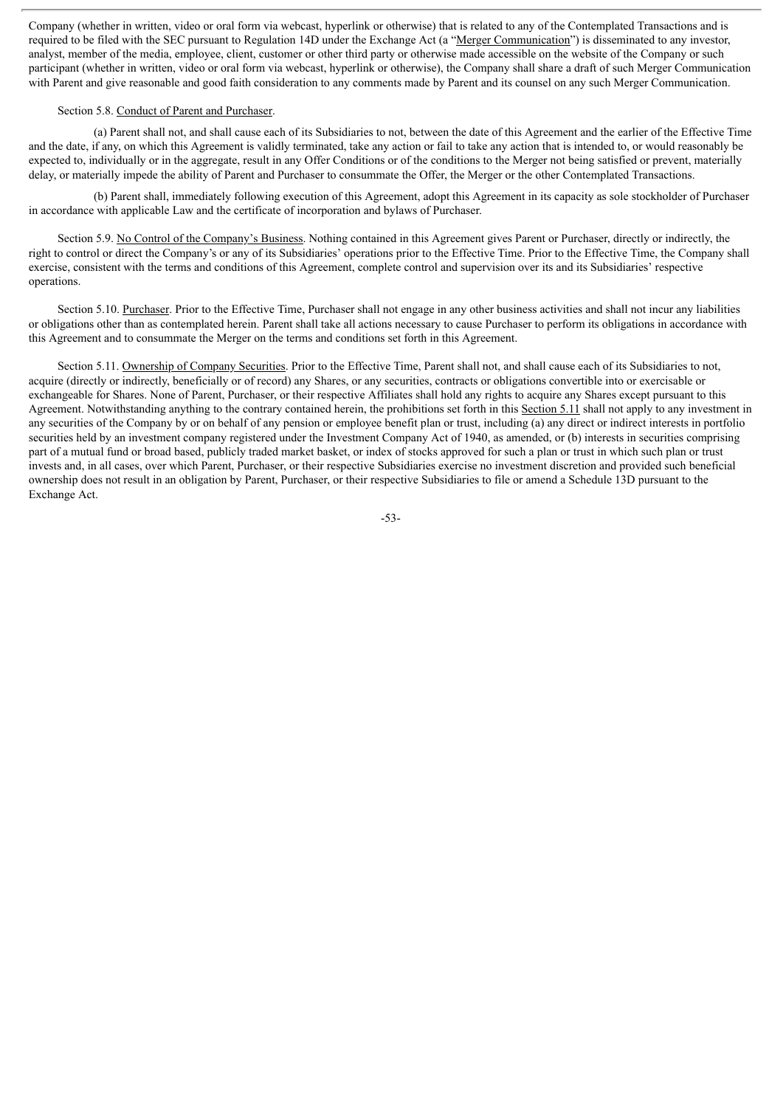Company (whether in written, video or oral form via webcast, hyperlink or otherwise) that is related to any of the Contemplated Transactions and is required to be filed with the SEC pursuant to Regulation 14D under the Exchange Act (a "Merger Communication") is disseminated to any investor, analyst, member of the media, employee, client, customer or other third party or otherwise made accessible on the website of the Company or such participant (whether in written, video or oral form via webcast, hyperlink or otherwise), the Company shall share a draft of such Merger Communication with Parent and give reasonable and good faith consideration to any comments made by Parent and its counsel on any such Merger Communication.

#### Section 5.8. Conduct of Parent and Purchaser.

(a) Parent shall not, and shall cause each of its Subsidiaries to not, between the date of this Agreement and the earlier of the Effective Time and the date, if any, on which this Agreement is validly terminated, take any action or fail to take any action that is intended to, or would reasonably be expected to, individually or in the aggregate, result in any Offer Conditions or of the conditions to the Merger not being satisfied or prevent, materially delay, or materially impede the ability of Parent and Purchaser to consummate the Offer, the Merger or the other Contemplated Transactions.

(b) Parent shall, immediately following execution of this Agreement, adopt this Agreement in its capacity as sole stockholder of Purchaser in accordance with applicable Law and the certificate of incorporation and bylaws of Purchaser.

Section 5.9. No Control of the Company's Business. Nothing contained in this Agreement gives Parent or Purchaser, directly or indirectly, the right to control or direct the Company's or any of its Subsidiaries' operations prior to the Effective Time. Prior to the Effective Time, the Company shall exercise, consistent with the terms and conditions of this Agreement, complete control and supervision over its and its Subsidiaries' respective operations.

Section 5.10. Purchaser. Prior to the Effective Time, Purchaser shall not engage in any other business activities and shall not incur any liabilities or obligations other than as contemplated herein. Parent shall take all actions necessary to cause Purchaser to perform its obligations in accordance with this Agreement and to consummate the Merger on the terms and conditions set forth in this Agreement.

Section 5.11. Ownership of Company Securities. Prior to the Effective Time, Parent shall not, and shall cause each of its Subsidiaries to not, acquire (directly or indirectly, beneficially or of record) any Shares, or any securities, contracts or obligations convertible into or exercisable or exchangeable for Shares. None of Parent, Purchaser, or their respective Affiliates shall hold any rights to acquire any Shares except pursuant to this Agreement. Notwithstanding anything to the contrary contained herein, the prohibitions set forth in this Section 5.11 shall not apply to any investment in any securities of the Company by or on behalf of any pension or employee benefit plan or trust, including (a) any direct or indirect interests in portfolio securities held by an investment company registered under the Investment Company Act of 1940, as amended, or (b) interests in securities comprising part of a mutual fund or broad based, publicly traded market basket, or index of stocks approved for such a plan or trust in which such plan or trust invests and, in all cases, over which Parent, Purchaser, or their respective Subsidiaries exercise no investment discretion and provided such beneficial ownership does not result in an obligation by Parent, Purchaser, or their respective Subsidiaries to file or amend a Schedule 13D pursuant to the Exchange Act.

-53-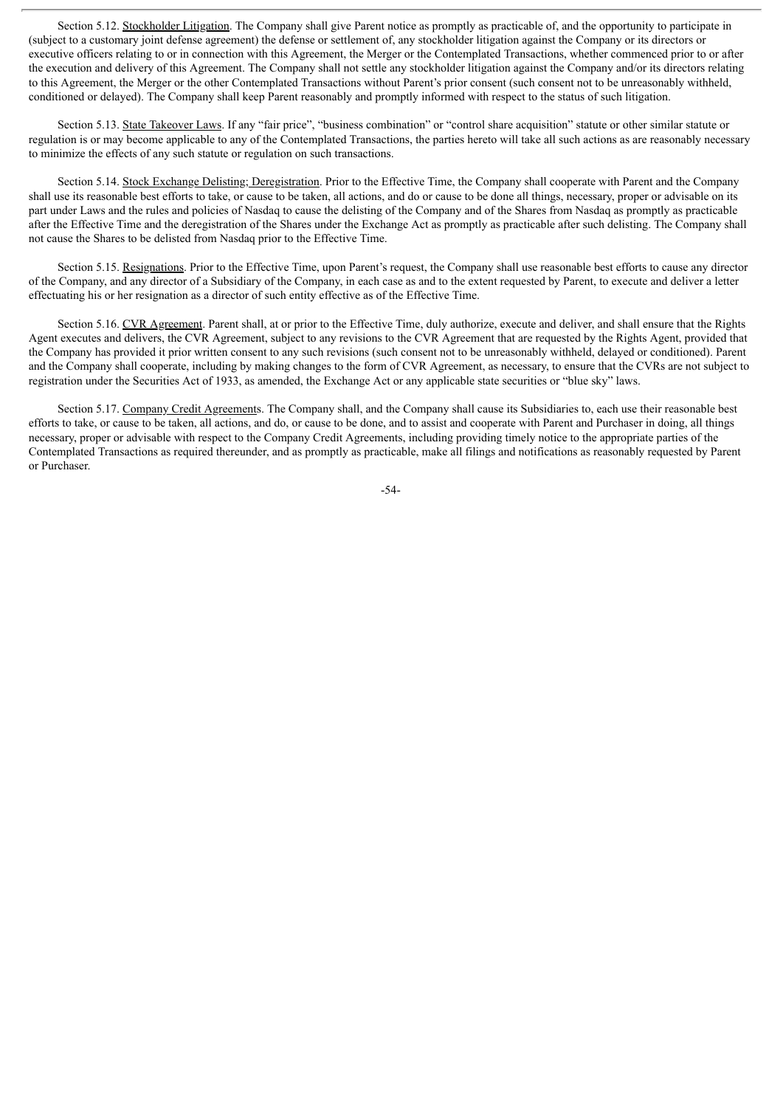Section 5.12. Stockholder Litigation. The Company shall give Parent notice as promptly as practicable of, and the opportunity to participate in (subject to a customary joint defense agreement) the defense or settlement of, any stockholder litigation against the Company or its directors or executive officers relating to or in connection with this Agreement, the Merger or the Contemplated Transactions, whether commenced prior to or after the execution and delivery of this Agreement. The Company shall not settle any stockholder litigation against the Company and/or its directors relating to this Agreement, the Merger or the other Contemplated Transactions without Parent's prior consent (such consent not to be unreasonably withheld, conditioned or delayed). The Company shall keep Parent reasonably and promptly informed with respect to the status of such litigation.

Section 5.13. State Takeover Laws. If any "fair price", "business combination" or "control share acquisition" statute or other similar statute or regulation is or may become applicable to any of the Contemplated Transactions, the parties hereto will take all such actions as are reasonably necessary to minimize the effects of any such statute or regulation on such transactions.

Section 5.14. Stock Exchange Delisting; Deregistration. Prior to the Effective Time, the Company shall cooperate with Parent and the Company shall use its reasonable best efforts to take, or cause to be taken, all actions, and do or cause to be done all things, necessary, proper or advisable on its part under Laws and the rules and policies of Nasdaq to cause the delisting of the Company and of the Shares from Nasdaq as promptly as practicable after the Effective Time and the deregistration of the Shares under the Exchange Act as promptly as practicable after such delisting. The Company shall not cause the Shares to be delisted from Nasdaq prior to the Effective Time.

Section 5.15. Resignations. Prior to the Effective Time, upon Parent's request, the Company shall use reasonable best efforts to cause any director of the Company, and any director of a Subsidiary of the Company, in each case as and to the extent requested by Parent, to execute and deliver a letter effectuating his or her resignation as a director of such entity effective as of the Effective Time.

Section 5.16. CVR Agreement. Parent shall, at or prior to the Effective Time, duly authorize, execute and deliver, and shall ensure that the Rights Agent executes and delivers, the CVR Agreement, subject to any revisions to the CVR Agreement that are requested by the Rights Agent, provided that the Company has provided it prior written consent to any such revisions (such consent not to be unreasonably withheld, delayed or conditioned). Parent and the Company shall cooperate, including by making changes to the form of CVR Agreement, as necessary, to ensure that the CVRs are not subject to registration under the Securities Act of 1933, as amended, the Exchange Act or any applicable state securities or "blue sky" laws.

Section 5.17. Company Credit Agreements. The Company shall, and the Company shall cause its Subsidiaries to, each use their reasonable best efforts to take, or cause to be taken, all actions, and do, or cause to be done, and to assist and cooperate with Parent and Purchaser in doing, all things necessary, proper or advisable with respect to the Company Credit Agreements, including providing timely notice to the appropriate parties of the Contemplated Transactions as required thereunder, and as promptly as practicable, make all filings and notifications as reasonably requested by Parent or Purchaser.

-54-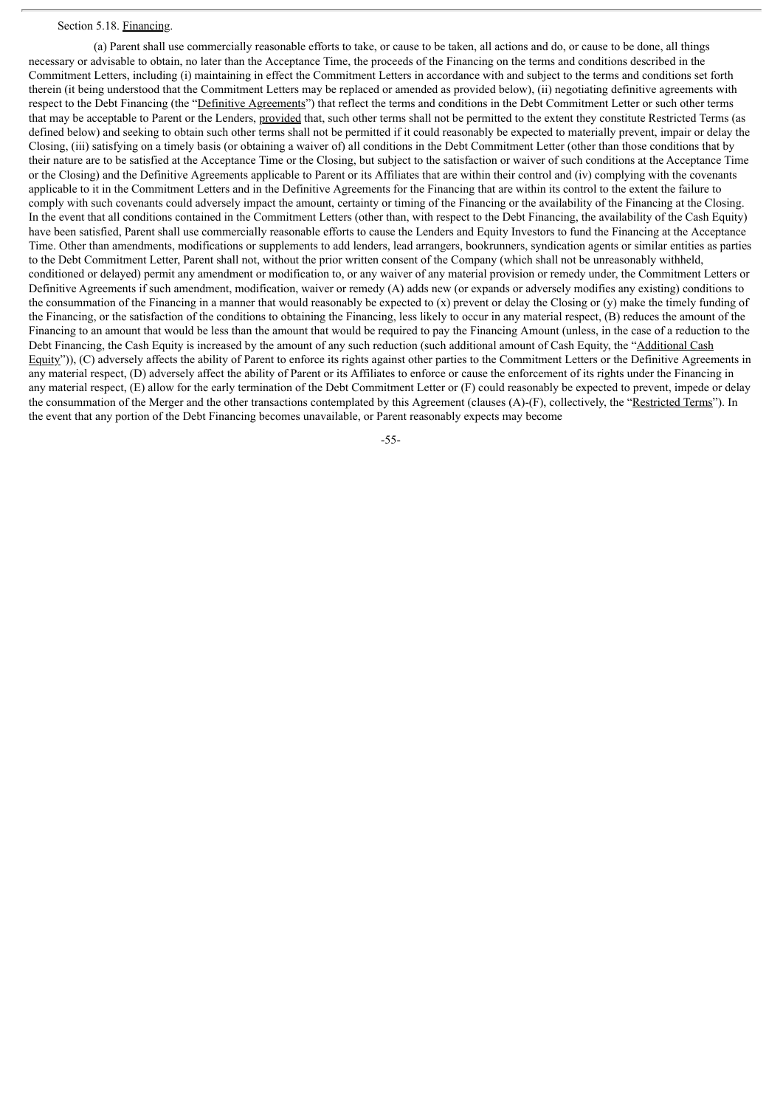#### Section 5.18. Financing.

(a) Parent shall use commercially reasonable efforts to take, or cause to be taken, all actions and do, or cause to be done, all things necessary or advisable to obtain, no later than the Acceptance Time, the proceeds of the Financing on the terms and conditions described in the Commitment Letters, including (i) maintaining in effect the Commitment Letters in accordance with and subject to the terms and conditions set forth therein (it being understood that the Commitment Letters may be replaced or amended as provided below), (ii) negotiating definitive agreements with respect to the Debt Financing (the "Definitive Agreements") that reflect the terms and conditions in the Debt Commitment Letter or such other terms that may be acceptable to Parent or the Lenders, provided that, such other terms shall not be permitted to the extent they constitute Restricted Terms (as defined below) and seeking to obtain such other terms shall not be permitted if it could reasonably be expected to materially prevent, impair or delay the Closing, (iii) satisfying on a timely basis (or obtaining a waiver of) all conditions in the Debt Commitment Letter (other than those conditions that by their nature are to be satisfied at the Acceptance Time or the Closing, but subject to the satisfaction or waiver of such conditions at the Acceptance Time or the Closing) and the Definitive Agreements applicable to Parent or its Affiliates that are within their control and (iv) complying with the covenants applicable to it in the Commitment Letters and in the Definitive Agreements for the Financing that are within its control to the extent the failure to comply with such covenants could adversely impact the amount, certainty or timing of the Financing or the availability of the Financing at the Closing. In the event that all conditions contained in the Commitment Letters (other than, with respect to the Debt Financing, the availability of the Cash Equity) have been satisfied, Parent shall use commercially reasonable efforts to cause the Lenders and Equity Investors to fund the Financing at the Acceptance Time. Other than amendments, modifications or supplements to add lenders, lead arrangers, bookrunners, syndication agents or similar entities as parties to the Debt Commitment Letter, Parent shall not, without the prior written consent of the Company (which shall not be unreasonably withheld, conditioned or delayed) permit any amendment or modification to, or any waiver of any material provision or remedy under, the Commitment Letters or Definitive Agreements if such amendment, modification, waiver or remedy (A) adds new (or expands or adversely modifies any existing) conditions to the consummation of the Financing in a manner that would reasonably be expected to  $(x)$  prevent or delay the Closing or  $(y)$  make the timely funding of the Financing, or the satisfaction of the conditions to obtaining the Financing, less likely to occur in any material respect, (B) reduces the amount of the Financing to an amount that would be less than the amount that would be required to pay the Financing Amount (unless, in the case of a reduction to the Debt Financing, the Cash Equity is increased by the amount of any such reduction (such additional amount of Cash Equity, the "Additional Cash Equity")), (C) adversely affects the ability of Parent to enforce its rights against other parties to the Commitment Letters or the Definitive Agreements in any material respect, (D) adversely affect the ability of Parent or its Affiliates to enforce or cause the enforcement of its rights under the Financing in any material respect, (E) allow for the early termination of the Debt Commitment Letter or (F) could reasonably be expected to prevent, impede or delay the consummation of the Merger and the other transactions contemplated by this Agreement (clauses (A)-(F), collectively, the "Restricted Terms"). In the event that any portion of the Debt Financing becomes unavailable, or Parent reasonably expects may become

-55-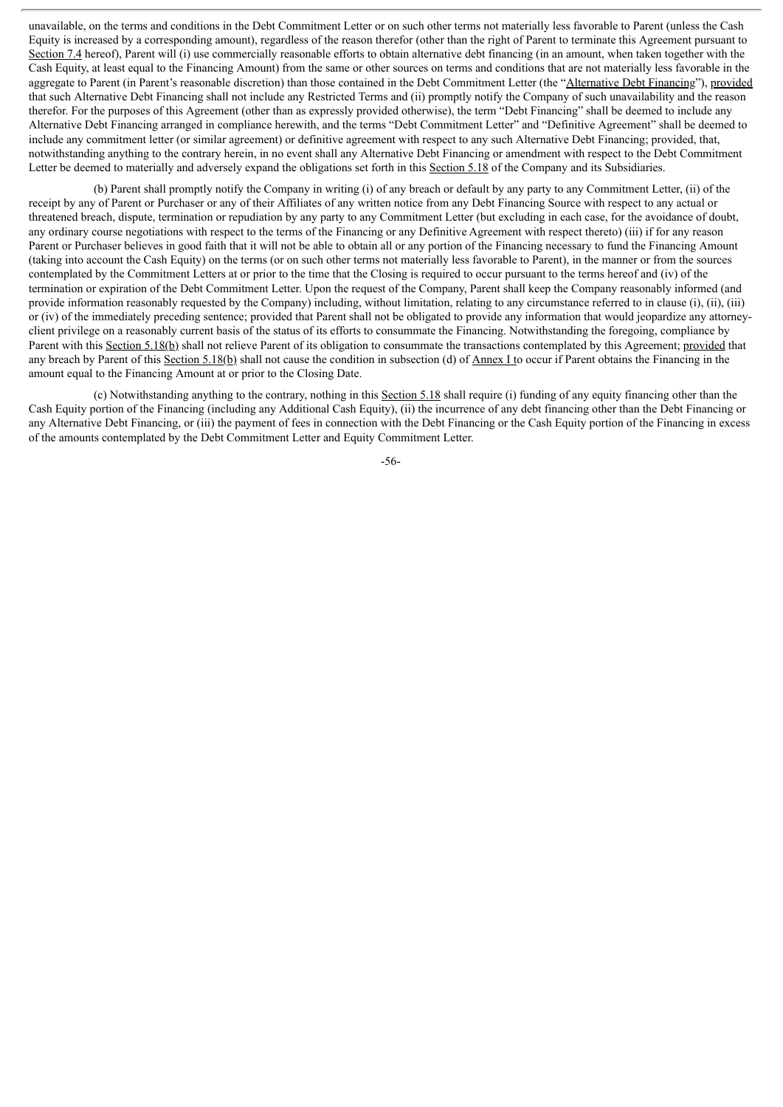unavailable, on the terms and conditions in the Debt Commitment Letter or on such other terms not materially less favorable to Parent (unless the Cash Equity is increased by a corresponding amount), regardless of the reason therefor (other than the right of Parent to terminate this Agreement pursuant to Section 7.4 hereof), Parent will (i) use commercially reasonable efforts to obtain alternative debt financing (in an amount, when taken together with the Cash Equity, at least equal to the Financing Amount) from the same or other sources on terms and conditions that are not materially less favorable in the aggregate to Parent (in Parent's reasonable discretion) than those contained in the Debt Commitment Letter (the "Alternative Debt Financing"), provided that such Alternative Debt Financing shall not include any Restricted Terms and (ii) promptly notify the Company of such unavailability and the reason therefor. For the purposes of this Agreement (other than as expressly provided otherwise), the term "Debt Financing" shall be deemed to include any Alternative Debt Financing arranged in compliance herewith, and the terms "Debt Commitment Letter" and "Definitive Agreement" shall be deemed to include any commitment letter (or similar agreement) or definitive agreement with respect to any such Alternative Debt Financing; provided, that, notwithstanding anything to the contrary herein, in no event shall any Alternative Debt Financing or amendment with respect to the Debt Commitment Letter be deemed to materially and adversely expand the obligations set forth in this Section 5.18 of the Company and its Subsidiaries.

(b) Parent shall promptly notify the Company in writing (i) of any breach or default by any party to any Commitment Letter, (ii) of the receipt by any of Parent or Purchaser or any of their Affiliates of any written notice from any Debt Financing Source with respect to any actual or threatened breach, dispute, termination or repudiation by any party to any Commitment Letter (but excluding in each case, for the avoidance of doubt, any ordinary course negotiations with respect to the terms of the Financing or any Definitive Agreement with respect thereto) (iii) if for any reason Parent or Purchaser believes in good faith that it will not be able to obtain all or any portion of the Financing necessary to fund the Financing Amount (taking into account the Cash Equity) on the terms (or on such other terms not materially less favorable to Parent), in the manner or from the sources contemplated by the Commitment Letters at or prior to the time that the Closing is required to occur pursuant to the terms hereof and (iv) of the termination or expiration of the Debt Commitment Letter. Upon the request of the Company, Parent shall keep the Company reasonably informed (and provide information reasonably requested by the Company) including, without limitation, relating to any circumstance referred to in clause (i), (ii), (iii) or (iv) of the immediately preceding sentence; provided that Parent shall not be obligated to provide any information that would jeopardize any attorneyclient privilege on a reasonably current basis of the status of its efforts to consummate the Financing. Notwithstanding the foregoing, compliance by Parent with this Section 5.18(b) shall not relieve Parent of its obligation to consummate the transactions contemplated by this Agreement; provided that any breach by Parent of this Section 5.18(b) shall not cause the condition in subsection (d) of Annex I to occur if Parent obtains the Financing in the amount equal to the Financing Amount at or prior to the Closing Date.

(c) Notwithstanding anything to the contrary, nothing in this Section 5.18 shall require (i) funding of any equity financing other than the Cash Equity portion of the Financing (including any Additional Cash Equity), (ii) the incurrence of any debt financing other than the Debt Financing or any Alternative Debt Financing, or (iii) the payment of fees in connection with the Debt Financing or the Cash Equity portion of the Financing in excess of the amounts contemplated by the Debt Commitment Letter and Equity Commitment Letter.

-56-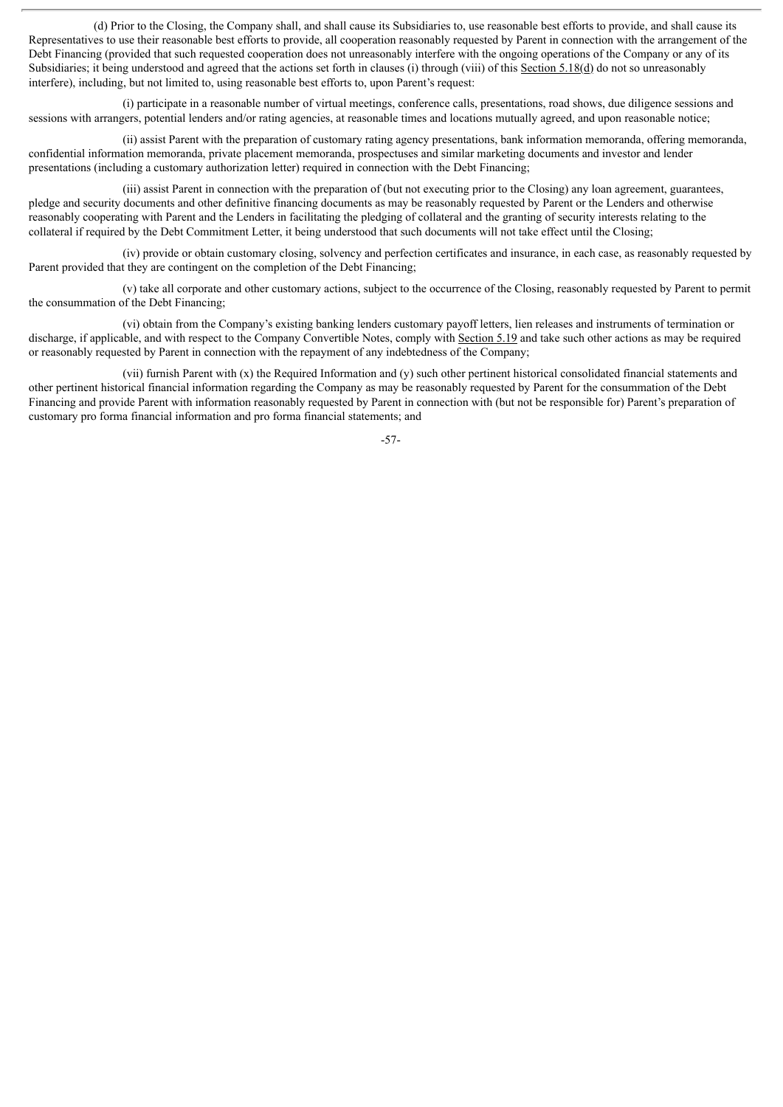(d) Prior to the Closing, the Company shall, and shall cause its Subsidiaries to, use reasonable best efforts to provide, and shall cause its Representatives to use their reasonable best efforts to provide, all cooperation reasonably requested by Parent in connection with the arrangement of the Debt Financing (provided that such requested cooperation does not unreasonably interfere with the ongoing operations of the Company or any of its Subsidiaries; it being understood and agreed that the actions set forth in clauses (i) through (viii) of this Section 5.18(d) do not so unreasonably interfere), including, but not limited to, using reasonable best efforts to, upon Parent's request:

(i) participate in a reasonable number of virtual meetings, conference calls, presentations, road shows, due diligence sessions and sessions with arrangers, potential lenders and/or rating agencies, at reasonable times and locations mutually agreed, and upon reasonable notice;

(ii) assist Parent with the preparation of customary rating agency presentations, bank information memoranda, offering memoranda, confidential information memoranda, private placement memoranda, prospectuses and similar marketing documents and investor and lender presentations (including a customary authorization letter) required in connection with the Debt Financing;

(iii) assist Parent in connection with the preparation of (but not executing prior to the Closing) any loan agreement, guarantees, pledge and security documents and other definitive financing documents as may be reasonably requested by Parent or the Lenders and otherwise reasonably cooperating with Parent and the Lenders in facilitating the pledging of collateral and the granting of security interests relating to the collateral if required by the Debt Commitment Letter, it being understood that such documents will not take effect until the Closing;

(iv) provide or obtain customary closing, solvency and perfection certificates and insurance, in each case, as reasonably requested by Parent provided that they are contingent on the completion of the Debt Financing;

(v) take all corporate and other customary actions, subject to the occurrence of the Closing, reasonably requested by Parent to permit the consummation of the Debt Financing;

(vi) obtain from the Company's existing banking lenders customary payoff letters, lien releases and instruments of termination or discharge, if applicable, and with respect to the Company Convertible Notes, comply with Section 5.19 and take such other actions as may be required or reasonably requested by Parent in connection with the repayment of any indebtedness of the Company;

(vii) furnish Parent with (x) the Required Information and (y) such other pertinent historical consolidated financial statements and other pertinent historical financial information regarding the Company as may be reasonably requested by Parent for the consummation of the Debt Financing and provide Parent with information reasonably requested by Parent in connection with (but not be responsible for) Parent's preparation of customary pro forma financial information and pro forma financial statements; and

-57-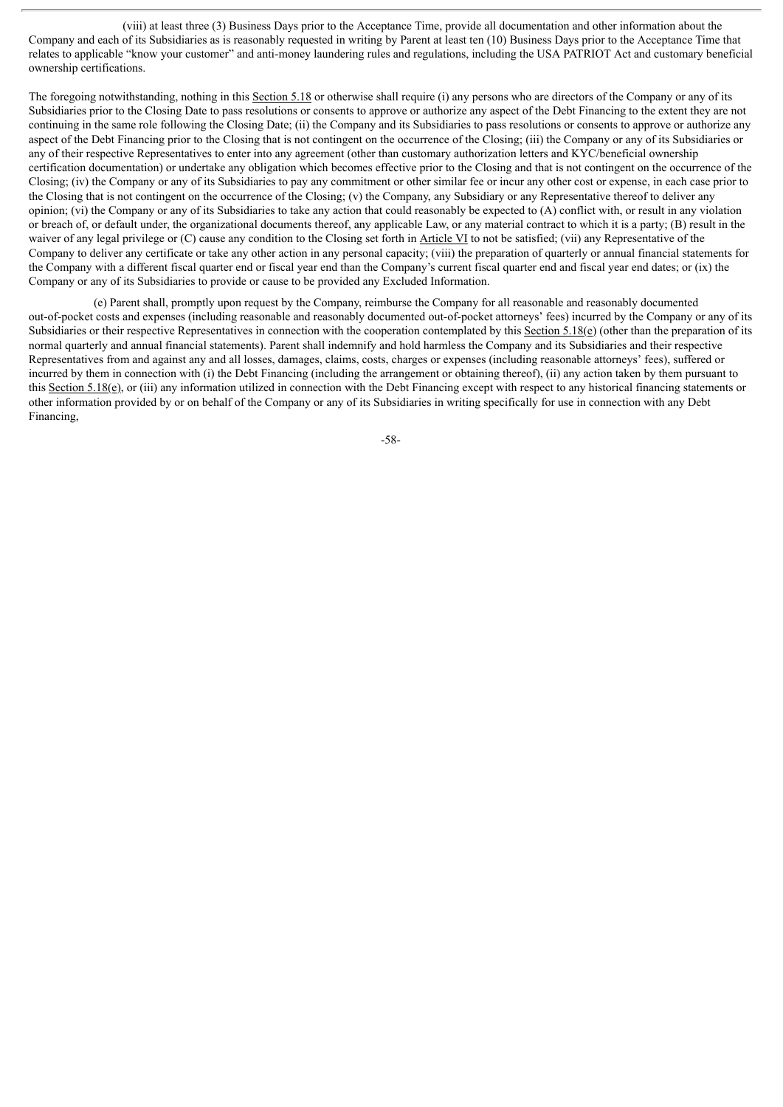(viii) at least three (3) Business Days prior to the Acceptance Time, provide all documentation and other information about the Company and each of its Subsidiaries as is reasonably requested in writing by Parent at least ten (10) Business Days prior to the Acceptance Time that relates to applicable "know your customer" and anti-money laundering rules and regulations, including the USA PATRIOT Act and customary beneficial ownership certifications.

The foregoing notwithstanding, nothing in this Section 5.18 or otherwise shall require (i) any persons who are directors of the Company or any of its Subsidiaries prior to the Closing Date to pass resolutions or consents to approve or authorize any aspect of the Debt Financing to the extent they are not continuing in the same role following the Closing Date; (ii) the Company and its Subsidiaries to pass resolutions or consents to approve or authorize any aspect of the Debt Financing prior to the Closing that is not contingent on the occurrence of the Closing; (iii) the Company or any of its Subsidiaries or any of their respective Representatives to enter into any agreement (other than customary authorization letters and KYC/beneficial ownership certification documentation) or undertake any obligation which becomes effective prior to the Closing and that is not contingent on the occurrence of the Closing; (iv) the Company or any of its Subsidiaries to pay any commitment or other similar fee or incur any other cost or expense, in each case prior to the Closing that is not contingent on the occurrence of the Closing; (v) the Company, any Subsidiary or any Representative thereof to deliver any opinion; (vi) the Company or any of its Subsidiaries to take any action that could reasonably be expected to  $(A)$  conflict with, or result in any violation or breach of, or default under, the organizational documents thereof, any applicable Law, or any material contract to which it is a party; (B) result in the waiver of any legal privilege or (C) cause any condition to the Closing set forth in Article VI to not be satisfied; (vii) any Representative of the Company to deliver any certificate or take any other action in any personal capacity; (viii) the preparation of quarterly or annual financial statements for the Company with a different fiscal quarter end or fiscal year end than the Company's current fiscal quarter end and fiscal year end dates; or (ix) the Company or any of its Subsidiaries to provide or cause to be provided any Excluded Information.

(e) Parent shall, promptly upon request by the Company, reimburse the Company for all reasonable and reasonably documented out-of-pocket costs and expenses (including reasonable and reasonably documented out-of-pocket attorneys' fees) incurred by the Company or any of its Subsidiaries or their respective Representatives in connection with the cooperation contemplated by this Section 5.18(e) (other than the preparation of its normal quarterly and annual financial statements). Parent shall indemnify and hold harmless the Company and its Subsidiaries and their respective Representatives from and against any and all losses, damages, claims, costs, charges or expenses (including reasonable attorneys' fees), suffered or incurred by them in connection with (i) the Debt Financing (including the arrangement or obtaining thereof), (ii) any action taken by them pursuant to this Section 5.18(e), or (iii) any information utilized in connection with the Debt Financing except with respect to any historical financing statements or other information provided by or on behalf of the Company or any of its Subsidiaries in writing specifically for use in connection with any Debt Financing,

-58-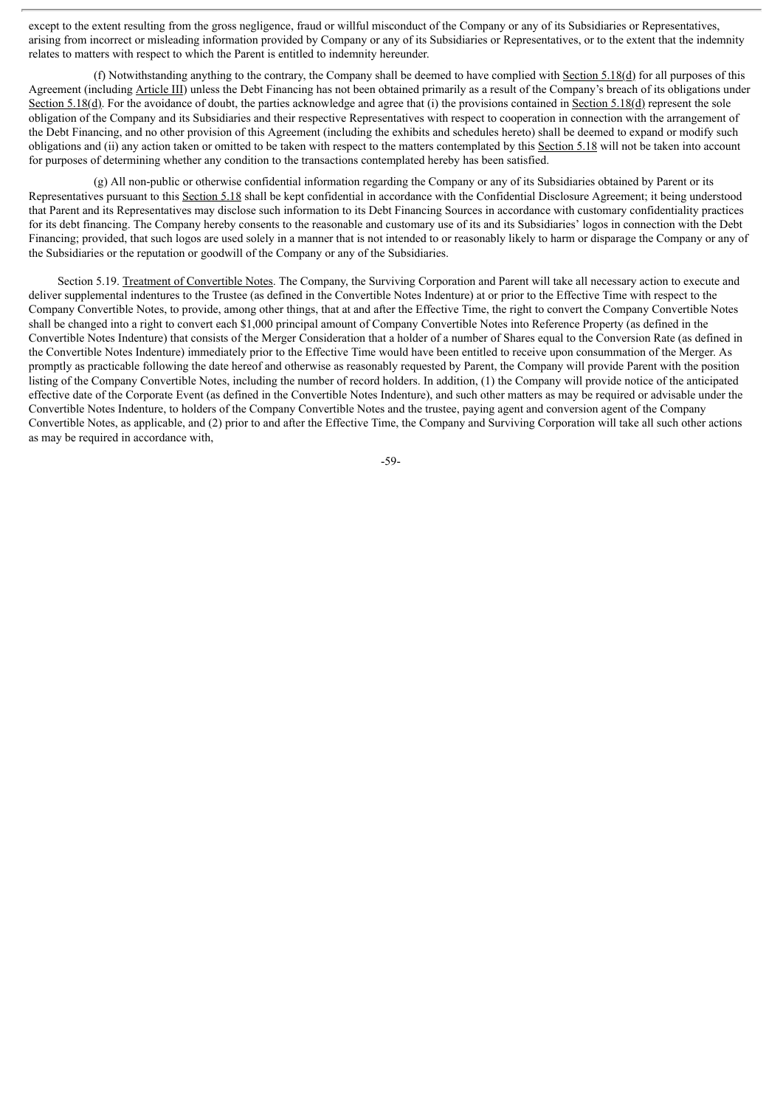except to the extent resulting from the gross negligence, fraud or willful misconduct of the Company or any of its Subsidiaries or Representatives, arising from incorrect or misleading information provided by Company or any of its Subsidiaries or Representatives, or to the extent that the indemnity relates to matters with respect to which the Parent is entitled to indemnity hereunder.

(f) Notwithstanding anything to the contrary, the Company shall be deemed to have complied with Section 5.18(d) for all purposes of this Agreement (including Article III) unless the Debt Financing has not been obtained primarily as a result of the Company's breach of its obligations under Section 5.18(d). For the avoidance of doubt, the parties acknowledge and agree that (i) the provisions contained in Section 5.18(d) represent the sole obligation of the Company and its Subsidiaries and their respective Representatives with respect to cooperation in connection with the arrangement of the Debt Financing, and no other provision of this Agreement (including the exhibits and schedules hereto) shall be deemed to expand or modify such obligations and (ii) any action taken or omitted to be taken with respect to the matters contemplated by this Section 5.18 will not be taken into account for purposes of determining whether any condition to the transactions contemplated hereby has been satisfied.

(g) All non-public or otherwise confidential information regarding the Company or any of its Subsidiaries obtained by Parent or its Representatives pursuant to this Section 5.18 shall be kept confidential in accordance with the Confidential Disclosure Agreement; it being understood that Parent and its Representatives may disclose such information to its Debt Financing Sources in accordance with customary confidentiality practices for its debt financing. The Company hereby consents to the reasonable and customary use of its and its Subsidiaries' logos in connection with the Debt Financing; provided, that such logos are used solely in a manner that is not intended to or reasonably likely to harm or disparage the Company or any of the Subsidiaries or the reputation or goodwill of the Company or any of the Subsidiaries.

Section 5.19. Treatment of Convertible Notes. The Company, the Surviving Corporation and Parent will take all necessary action to execute and deliver supplemental indentures to the Trustee (as defined in the Convertible Notes Indenture) at or prior to the Effective Time with respect to the Company Convertible Notes, to provide, among other things, that at and after the Effective Time, the right to convert the Company Convertible Notes shall be changed into a right to convert each \$1,000 principal amount of Company Convertible Notes into Reference Property (as defined in the Convertible Notes Indenture) that consists of the Merger Consideration that a holder of a number of Shares equal to the Conversion Rate (as defined in the Convertible Notes Indenture) immediately prior to the Effective Time would have been entitled to receive upon consummation of the Merger. As promptly as practicable following the date hereof and otherwise as reasonably requested by Parent, the Company will provide Parent with the position listing of the Company Convertible Notes, including the number of record holders. In addition, (1) the Company will provide notice of the anticipated effective date of the Corporate Event (as defined in the Convertible Notes Indenture), and such other matters as may be required or advisable under the Convertible Notes Indenture, to holders of the Company Convertible Notes and the trustee, paying agent and conversion agent of the Company Convertible Notes, as applicable, and (2) prior to and after the Effective Time, the Company and Surviving Corporation will take all such other actions as may be required in accordance with,

-59-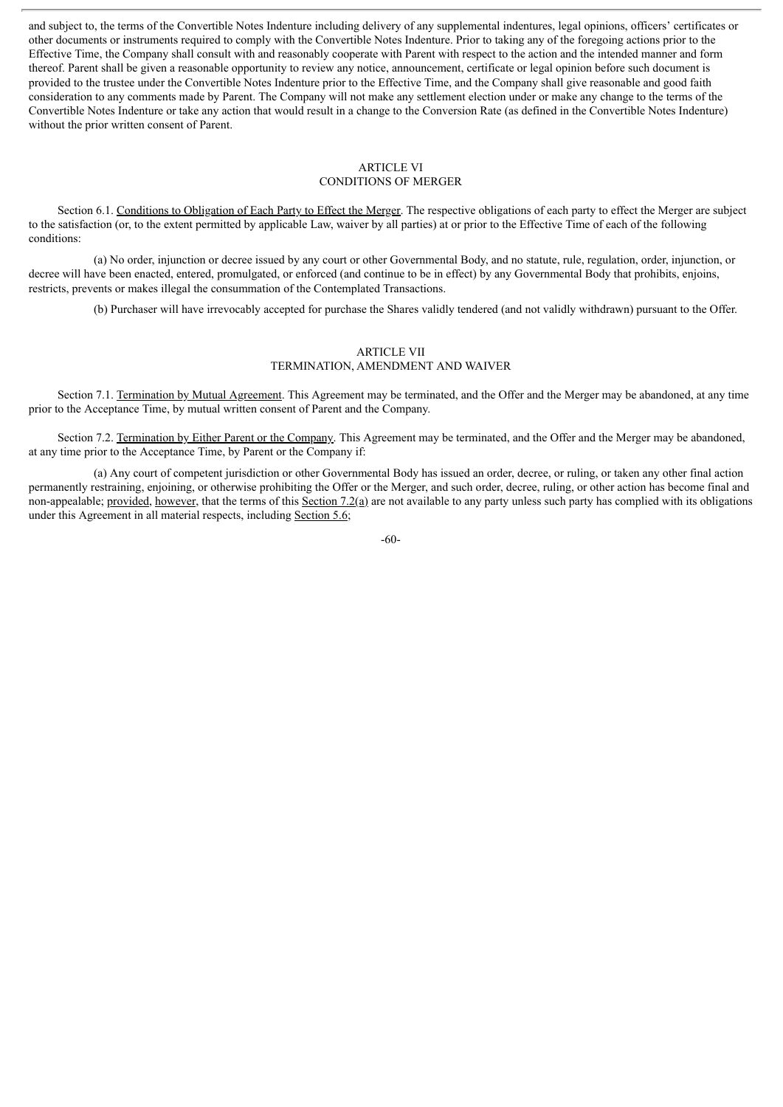and subject to, the terms of the Convertible Notes Indenture including delivery of any supplemental indentures, legal opinions, officers' certificates or other documents or instruments required to comply with the Convertible Notes Indenture. Prior to taking any of the foregoing actions prior to the Effective Time, the Company shall consult with and reasonably cooperate with Parent with respect to the action and the intended manner and form thereof. Parent shall be given a reasonable opportunity to review any notice, announcement, certificate or legal opinion before such document is provided to the trustee under the Convertible Notes Indenture prior to the Effective Time, and the Company shall give reasonable and good faith consideration to any comments made by Parent. The Company will not make any settlement election under or make any change to the terms of the Convertible Notes Indenture or take any action that would result in a change to the Conversion Rate (as defined in the Convertible Notes Indenture) without the prior written consent of Parent.

# ARTICLE VI

# CONDITIONS OF MERGER

Section 6.1. Conditions to Obligation of Each Party to Effect the Merger. The respective obligations of each party to effect the Merger are subject to the satisfaction (or, to the extent permitted by applicable Law, waiver by all parties) at or prior to the Effective Time of each of the following conditions:

(a) No order, injunction or decree issued by any court or other Governmental Body, and no statute, rule, regulation, order, injunction, or decree will have been enacted, entered, promulgated, or enforced (and continue to be in effect) by any Governmental Body that prohibits, enjoins, restricts, prevents or makes illegal the consummation of the Contemplated Transactions.

(b) Purchaser will have irrevocably accepted for purchase the Shares validly tendered (and not validly withdrawn) pursuant to the Offer.

## ARTICLE VII TERMINATION, AMENDMENT AND WAIVER

Section 7.1. Termination by Mutual Agreement. This Agreement may be terminated, and the Offer and the Merger may be abandoned, at any time prior to the Acceptance Time, by mutual written consent of Parent and the Company.

Section 7.2. Termination by Either Parent or the Company. This Agreement may be terminated, and the Offer and the Merger may be abandoned, at any time prior to the Acceptance Time, by Parent or the Company if:

(a) Any court of competent jurisdiction or other Governmental Body has issued an order, decree, or ruling, or taken any other final action permanently restraining, enjoining, or otherwise prohibiting the Offer or the Merger, and such order, decree, ruling, or other action has become final and non-appealable; provided, however, that the terms of this Section 7.2(a) are not available to any party unless such party has complied with its obligations under this Agreement in all material respects, including Section 5.6;

-60-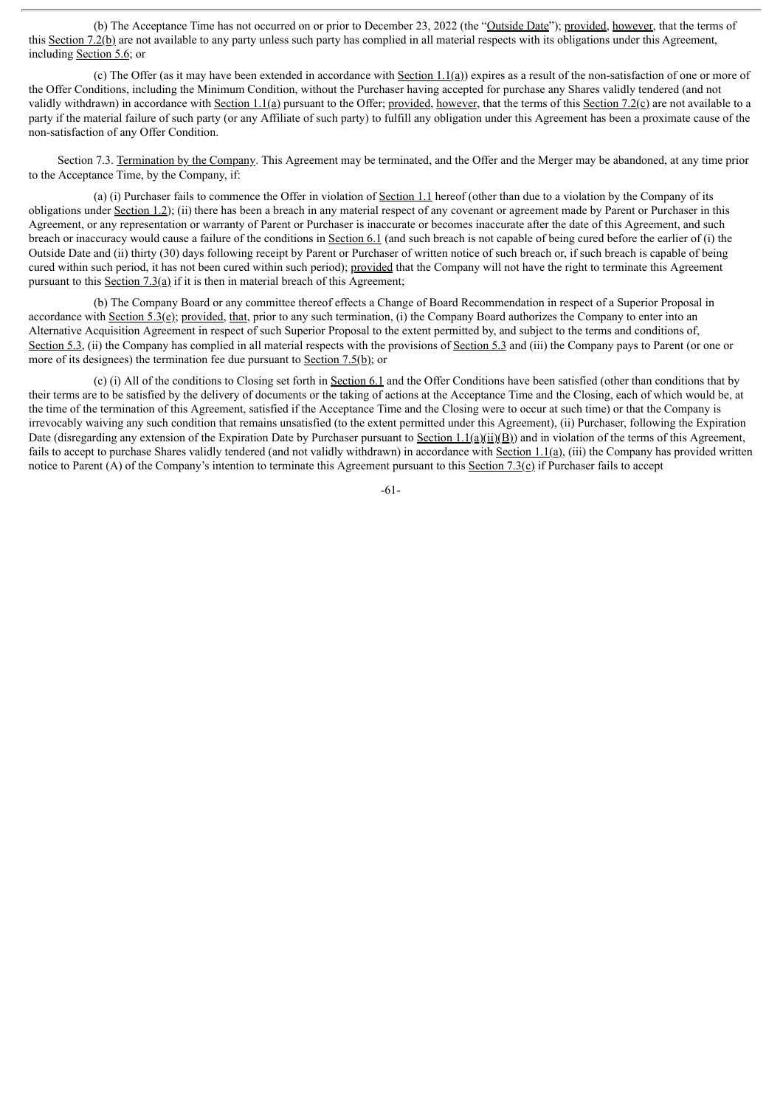(b) The Acceptance Time has not occurred on or prior to December 23, 2022 (the "Outside Date"); provided, however, that the terms of this Section 7.2(b) are not available to any party unless such party has complied in all material respects with its obligations under this Agreement, including Section 5.6; or

(c) The Offer (as it may have been extended in accordance with Section 1.1(a)) expires as a result of the non-satisfaction of one or more of the Offer Conditions, including the Minimum Condition, without the Purchaser having accepted for purchase any Shares validly tendered (and not validly withdrawn) in accordance with Section 1.1(a) pursuant to the Offer; provided, however, that the terms of this Section 7.2(c) are not available to a party if the material failure of such party (or any Affiliate of such party) to fulfill any obligation under this Agreement has been a proximate cause of the non-satisfaction of any Offer Condition.

Section 7.3. Termination by the Company. This Agreement may be terminated, and the Offer and the Merger may be abandoned, at any time prior to the Acceptance Time, by the Company, if:

(a) (i) Purchaser fails to commence the Offer in violation of Section 1.1 hereof (other than due to a violation by the Company of its obligations under Section 1.2); (ii) there has been a breach in any material respect of any covenant or agreement made by Parent or Purchaser in this Agreement, or any representation or warranty of Parent or Purchaser is inaccurate or becomes inaccurate after the date of this Agreement, and such breach or inaccuracy would cause a failure of the conditions in Section 6.1 (and such breach is not capable of being cured before the earlier of (i) the Outside Date and (ii) thirty (30) days following receipt by Parent or Purchaser of written notice of such breach or, if such breach is capable of being cured within such period, it has not been cured within such period); provided that the Company will not have the right to terminate this Agreement pursuant to this Section  $7.3(a)$  if it is then in material breach of this Agreement;

(b) The Company Board or any committee thereof effects a Change of Board Recommendation in respect of a Superior Proposal in accordance with Section 5.3(e); provided, that, prior to any such termination, (i) the Company Board authorizes the Company to enter into an Alternative Acquisition Agreement in respect of such Superior Proposal to the extent permitted by, and subject to the terms and conditions of, Section 5.3, (ii) the Company has complied in all material respects with the provisions of Section 5.3 and (iii) the Company pays to Parent (or one or more of its designees) the termination fee due pursuant to Section 7.5(b); or

(c) (i) All of the conditions to Closing set forth in Section 6.1 and the Offer Conditions have been satisfied (other than conditions that by their terms are to be satisfied by the delivery of documents or the taking of actions at the Acceptance Time and the Closing, each of which would be, at the time of the termination of this Agreement, satisfied if the Acceptance Time and the Closing were to occur at such time) or that the Company is irrevocably waiving any such condition that remains unsatisfied (to the extent permitted under this Agreement), (ii) Purchaser, following the Expiration Date (disregarding any extension of the Expiration Date by Purchaser pursuant to Section  $1.1(a)(ii)(B)$ ) and in violation of the terms of this Agreement, fails to accept to purchase Shares validly tendered (and not validly withdrawn) in accordance with Section 1.1(a), (iii) the Company has provided written notice to Parent (A) of the Company's intention to terminate this Agreement pursuant to this Section 7.3(c) if Purchaser fails to accept

-61-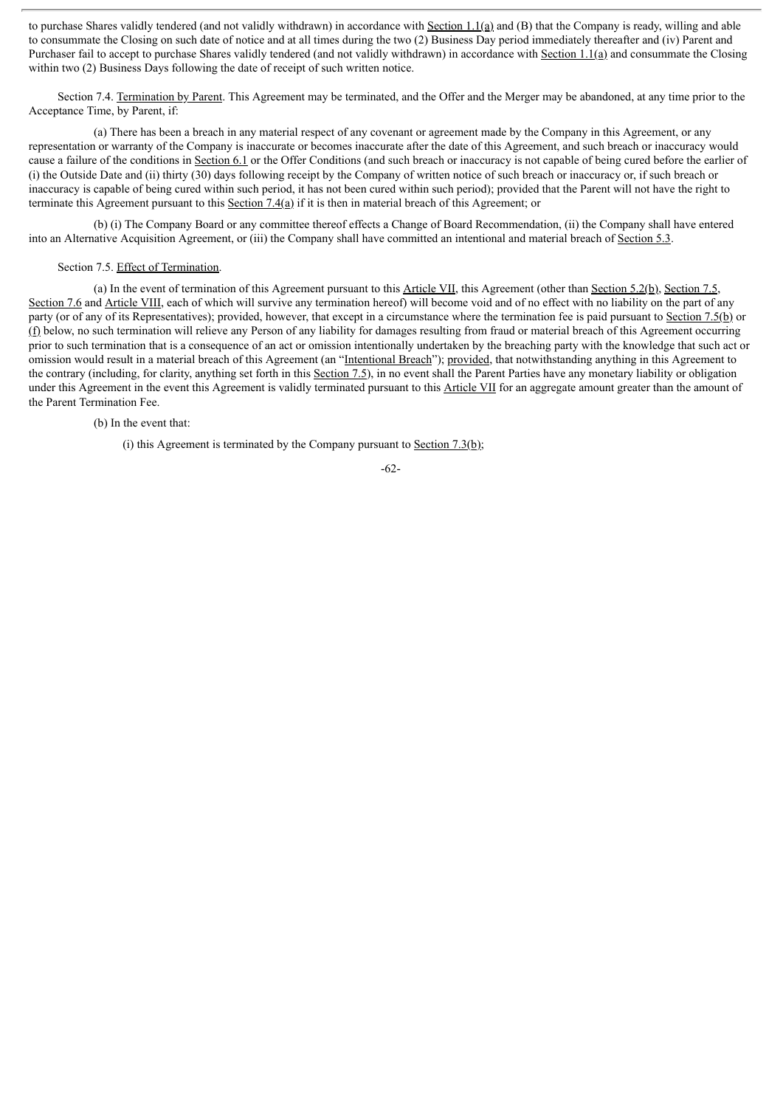to purchase Shares validly tendered (and not validly withdrawn) in accordance with Section 1.1(a) and (B) that the Company is ready, willing and able to consummate the Closing on such date of notice and at all times during the two (2) Business Day period immediately thereafter and (iv) Parent and Purchaser fail to accept to purchase Shares validly tendered (and not validly withdrawn) in accordance with Section 1.1(a) and consummate the Closing within two (2) Business Days following the date of receipt of such written notice.

Section 7.4. Termination by Parent. This Agreement may be terminated, and the Offer and the Merger may be abandoned, at any time prior to the Acceptance Time, by Parent, if:

(a) There has been a breach in any material respect of any covenant or agreement made by the Company in this Agreement, or any representation or warranty of the Company is inaccurate or becomes inaccurate after the date of this Agreement, and such breach or inaccuracy would cause a failure of the conditions in Section 6.1 or the Offer Conditions (and such breach or inaccuracy is not capable of being cured before the earlier of (i) the Outside Date and (ii) thirty (30) days following receipt by the Company of written notice of such breach or inaccuracy or, if such breach or inaccuracy is capable of being cured within such period, it has not been cured within such period); provided that the Parent will not have the right to terminate this Agreement pursuant to this Section 7.4(a) if it is then in material breach of this Agreement; or

(b) (i) The Company Board or any committee thereof effects a Change of Board Recommendation, (ii) the Company shall have entered into an Alternative Acquisition Agreement, or (iii) the Company shall have committed an intentional and material breach of Section 5.3.

#### Section 7.5. Effect of Termination.

(a) In the event of termination of this Agreement pursuant to this Article VII, this Agreement (other than Section 5.2(b), Section 7.5, Section 7.6 and Article VIII, each of which will survive any termination hereof) will become void and of no effect with no liability on the part of any party (or of any of its Representatives); provided, however, that except in a circumstance where the termination fee is paid pursuant to Section 7.5(b) or  $(f)$  below, no such termination will relieve any Person of any liability for damages resulting from fraud or material breach of this Agreement occurring prior to such termination that is a consequence of an act or omission intentionally undertaken by the breaching party with the knowledge that such act or omission would result in a material breach of this Agreement (an "Intentional Breach"); provided, that notwithstanding anything in this Agreement to the contrary (including, for clarity, anything set forth in this Section 7.5), in no event shall the Parent Parties have any monetary liability or obligation under this Agreement in the event this Agreement is validly terminated pursuant to this Article VII for an aggregate amount greater than the amount of the Parent Termination Fee.

(b) In the event that:

(i) this Agreement is terminated by the Company pursuant to Section 7.3(b);

-62-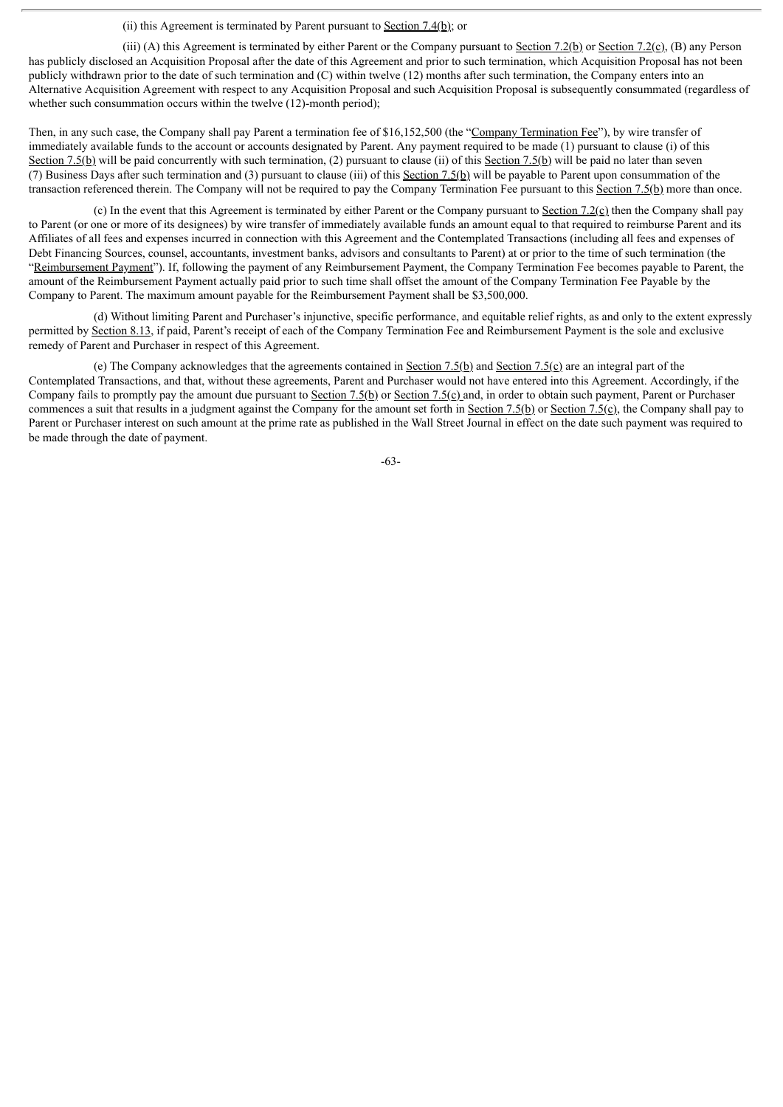## (ii) this Agreement is terminated by Parent pursuant to Section 7.4(b); or

(iii) (A) this Agreement is terminated by either Parent or the Company pursuant to Section 7.2(b) or Section 7.2(c), (B) any Person has publicly disclosed an Acquisition Proposal after the date of this Agreement and prior to such termination, which Acquisition Proposal has not been publicly withdrawn prior to the date of such termination and (C) within twelve (12) months after such termination, the Company enters into an Alternative Acquisition Agreement with respect to any Acquisition Proposal and such Acquisition Proposal is subsequently consummated (regardless of whether such consummation occurs within the twelve (12)-month period);

Then, in any such case, the Company shall pay Parent a termination fee of \$16,152,500 (the "Company Termination Fee"), by wire transfer of immediately available funds to the account or accounts designated by Parent. Any payment required to be made (1) pursuant to clause (i) of this Section 7.5(b) will be paid concurrently with such termination, (2) pursuant to clause (ii) of this Section 7.5(b) will be paid no later than seven (7) Business Days after such termination and (3) pursuant to clause (iii) of this Section 7.5(b) will be payable to Parent upon consummation of the transaction referenced therein. The Company will not be required to pay the Company Termination Fee pursuant to this Section 7.5(b) more than once.

(c) In the event that this Agreement is terminated by either Parent or the Company pursuant to Section 7.2(c) then the Company shall pay to Parent (or one or more of its designees) by wire transfer of immediately available funds an amount equal to that required to reimburse Parent and its Affiliates of all fees and expenses incurred in connection with this Agreement and the Contemplated Transactions (including all fees and expenses of Debt Financing Sources, counsel, accountants, investment banks, advisors and consultants to Parent) at or prior to the time of such termination (the "Reimbursement Payment"). If, following the payment of any Reimbursement Payment, the Company Termination Fee becomes payable to Parent, the amount of the Reimbursement Payment actually paid prior to such time shall offset the amount of the Company Termination Fee Payable by the Company to Parent. The maximum amount payable for the Reimbursement Payment shall be \$3,500,000.

(d) Without limiting Parent and Purchaser's injunctive, specific performance, and equitable relief rights, as and only to the extent expressly permitted by Section 8.13, if paid, Parent's receipt of each of the Company Termination Fee and Reimbursement Payment is the sole and exclusive remedy of Parent and Purchaser in respect of this Agreement.

(e) The Company acknowledges that the agreements contained in Section  $7.5(b)$  and Section  $7.5(c)$  are an integral part of the Contemplated Transactions, and that, without these agreements, Parent and Purchaser would not have entered into this Agreement. Accordingly, if the Company fails to promptly pay the amount due pursuant to Section 7.5(b) or Section 7.5(c) and, in order to obtain such payment, Parent or Purchaser commences a suit that results in a judgment against the Company for the amount set forth in Section 7.5(b) or Section 7.5(c), the Company shall pay to Parent or Purchaser interest on such amount at the prime rate as published in the Wall Street Journal in effect on the date such payment was required to be made through the date of payment.

-63-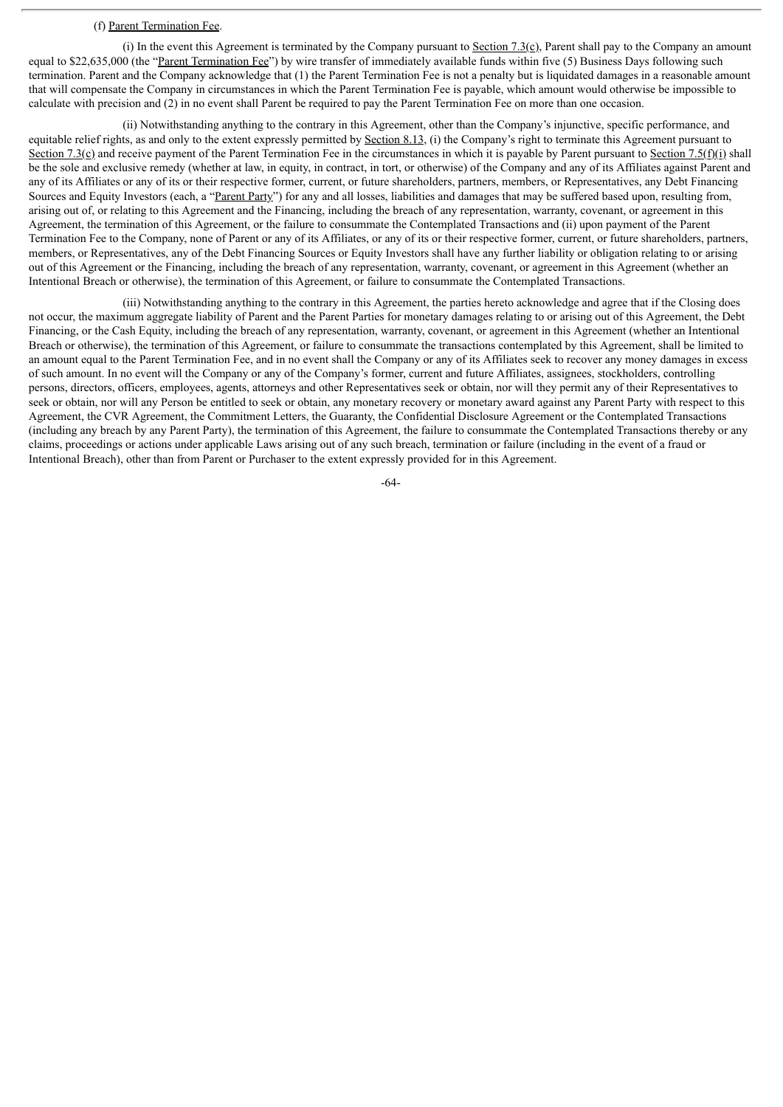#### (f) Parent Termination Fee.

(i) In the event this Agreement is terminated by the Company pursuant to Section  $7.3$ (c), Parent shall pay to the Company an amount equal to \$22,635,000 (the "Parent Termination Fee") by wire transfer of immediately available funds within five (5) Business Days following such termination. Parent and the Company acknowledge that (1) the Parent Termination Fee is not a penalty but is liquidated damages in a reasonable amount that will compensate the Company in circumstances in which the Parent Termination Fee is payable, which amount would otherwise be impossible to calculate with precision and (2) in no event shall Parent be required to pay the Parent Termination Fee on more than one occasion.

(ii) Notwithstanding anything to the contrary in this Agreement, other than the Company's injunctive, specific performance, and equitable relief rights, as and only to the extent expressly permitted by Section 8.13, (i) the Company's right to terminate this Agreement pursuant to Section 7.3(c) and receive payment of the Parent Termination Fee in the circumstances in which it is payable by Parent pursuant to Section 7.5(f)(i) shall be the sole and exclusive remedy (whether at law, in equity, in contract, in tort, or otherwise) of the Company and any of its Affiliates against Parent and any of its Affiliates or any of its or their respective former, current, or future shareholders, partners, members, or Representatives, any Debt Financing Sources and Equity Investors (each, a "Parent Party") for any and all losses, liabilities and damages that may be suffered based upon, resulting from, arising out of, or relating to this Agreement and the Financing, including the breach of any representation, warranty, covenant, or agreement in this Agreement, the termination of this Agreement, or the failure to consummate the Contemplated Transactions and (ii) upon payment of the Parent Termination Fee to the Company, none of Parent or any of its Affiliates, or any of its or their respective former, current, or future shareholders, partners, members, or Representatives, any of the Debt Financing Sources or Equity Investors shall have any further liability or obligation relating to or arising out of this Agreement or the Financing, including the breach of any representation, warranty, covenant, or agreement in this Agreement (whether an Intentional Breach or otherwise), the termination of this Agreement, or failure to consummate the Contemplated Transactions.

(iii) Notwithstanding anything to the contrary in this Agreement, the parties hereto acknowledge and agree that if the Closing does not occur, the maximum aggregate liability of Parent and the Parent Parties for monetary damages relating to or arising out of this Agreement, the Debt Financing, or the Cash Equity, including the breach of any representation, warranty, covenant, or agreement in this Agreement (whether an Intentional Breach or otherwise), the termination of this Agreement, or failure to consummate the transactions contemplated by this Agreement, shall be limited to an amount equal to the Parent Termination Fee, and in no event shall the Company or any of its Affiliates seek to recover any money damages in excess of such amount. In no event will the Company or any of the Company's former, current and future Affiliates, assignees, stockholders, controlling persons, directors, officers, employees, agents, attorneys and other Representatives seek or obtain, nor will they permit any of their Representatives to seek or obtain, nor will any Person be entitled to seek or obtain, any monetary recovery or monetary award against any Parent Party with respect to this Agreement, the CVR Agreement, the Commitment Letters, the Guaranty, the Confidential Disclosure Agreement or the Contemplated Transactions (including any breach by any Parent Party), the termination of this Agreement, the failure to consummate the Contemplated Transactions thereby or any claims, proceedings or actions under applicable Laws arising out of any such breach, termination or failure (including in the event of a fraud or Intentional Breach), other than from Parent or Purchaser to the extent expressly provided for in this Agreement.

-64-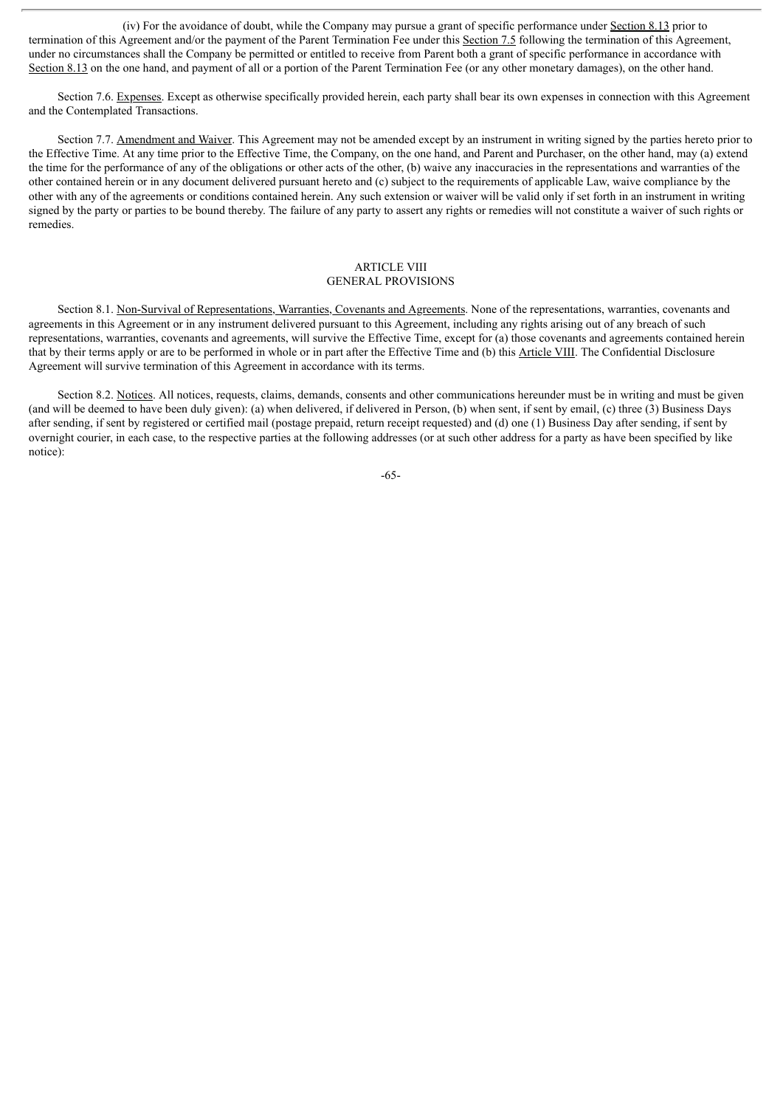(iv) For the avoidance of doubt, while the Company may pursue a grant of specific performance under Section 8.13 prior to termination of this Agreement and/or the payment of the Parent Termination Fee under this Section 7.5 following the termination of this Agreement, under no circumstances shall the Company be permitted or entitled to receive from Parent both a grant of specific performance in accordance with Section 8.13 on the one hand, and payment of all or a portion of the Parent Termination Fee (or any other monetary damages), on the other hand.

Section 7.6. Expenses. Except as otherwise specifically provided herein, each party shall bear its own expenses in connection with this Agreement and the Contemplated Transactions.

Section 7.7. Amendment and Waiver. This Agreement may not be amended except by an instrument in writing signed by the parties hereto prior to the Effective Time. At any time prior to the Effective Time, the Company, on the one hand, and Parent and Purchaser, on the other hand, may (a) extend the time for the performance of any of the obligations or other acts of the other, (b) waive any inaccuracies in the representations and warranties of the other contained herein or in any document delivered pursuant hereto and (c) subject to the requirements of applicable Law, waive compliance by the other with any of the agreements or conditions contained herein. Any such extension or waiver will be valid only if set forth in an instrument in writing signed by the party or parties to be bound thereby. The failure of any party to assert any rights or remedies will not constitute a waiver of such rights or remedies.

## **ARTICLE VIII** GENERAL PROVISIONS

Section 8.1. Non-Survival of Representations, Warranties, Covenants and Agreements. None of the representations, warranties, covenants and agreements in this Agreement or in any instrument delivered pursuant to this Agreement, including any rights arising out of any breach of such representations, warranties, covenants and agreements, will survive the Effective Time, except for (a) those covenants and agreements contained herein that by their terms apply or are to be performed in whole or in part after the Effective Time and (b) this Article VIII. The Confidential Disclosure Agreement will survive termination of this Agreement in accordance with its terms.

Section 8.2. Notices. All notices, requests, claims, demands, consents and other communications hereunder must be in writing and must be given (and will be deemed to have been duly given): (a) when delivered, if delivered in Person, (b) when sent, if sent by email, (c) three (3) Business Days after sending, if sent by registered or certified mail (postage prepaid, return receipt requested) and (d) one (1) Business Day after sending, if sent by overnight courier, in each case, to the respective parties at the following addresses (or at such other address for a party as have been specified by like notice):

-65-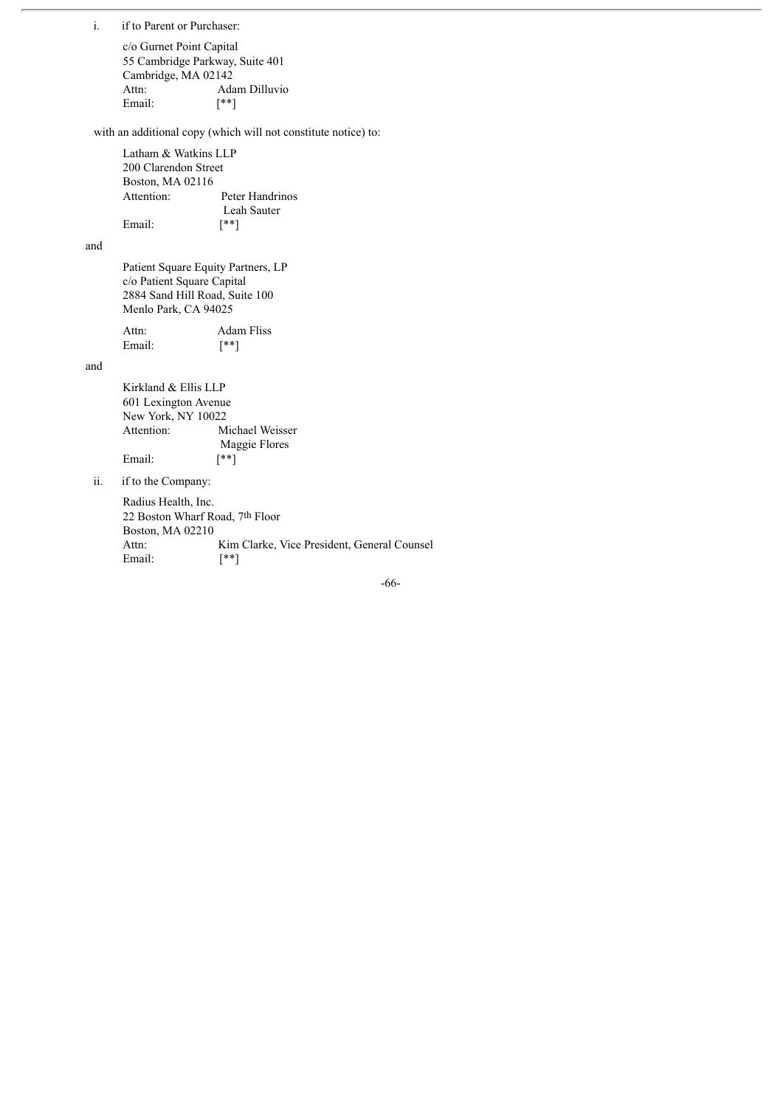i. if to Parent or Purchaser:

c/o Gurnet Point Capital 55 Cambridge Parkway, Suite 401 Cambridge, MA 02142 Attn: Adam Dilluvio Email:  $[$ 

with an additional copy (which will not constitute notice) to:

Latham & Watkins LLP 200 Clarendon Street Boston, MA 02116 Attention: Peter Handrinos Leah Sauter Email:  $[$ 

and

Patient Square Equity Partners, LP c/o Patient Square Capital 2884 Sand Hill Road, Suite 100 Menlo Park, CA 94025

| Attn:  | Adam Fliss |
|--------|------------|
| Email: | [**]       |

and

Kirkland & Ellis LLP 601 Lexington Avenue New York, NY 10022 Attention: Michael Weisser Maggie Flores<br>[\*\*] Email:

ii. if to the Company:

Radius Health, Inc. 22 Boston Wharf Road, 7th Floor Boston, MA 02210 Attn: Kim Clarke, Vice President, General Counsel Email: [\*\*]

-66-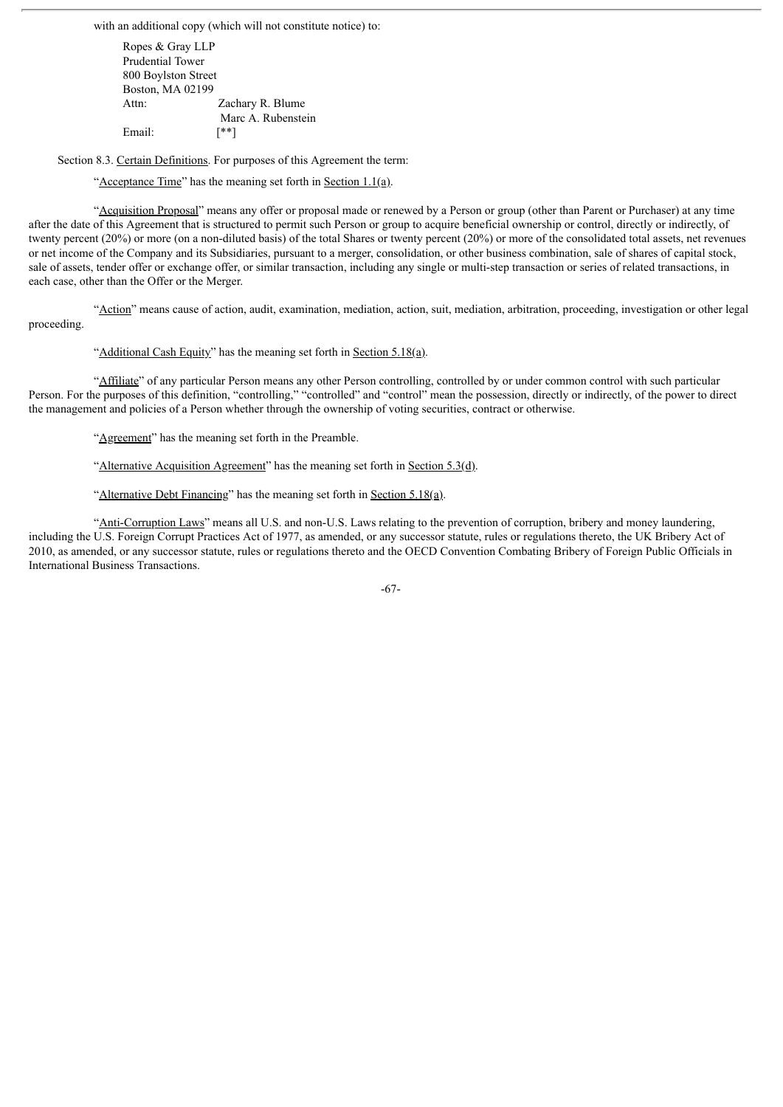with an additional copy (which will not constitute notice) to:

Ropes & Gray LLP Prudential Tower 800 Boylston Street Boston, MA 02199 Attn: Zachary R. Blume Marc A. Rubenstein Email:  $[**]$ 

Section 8.3. Certain Definitions. For purposes of this Agreement the term:

"Acceptance Time" has the meaning set forth in Section 1.1(a).

"Acquisition Proposal" means any offer or proposal made or renewed by a Person or group (other than Parent or Purchaser) at any time after the date of this Agreement that is structured to permit such Person or group to acquire beneficial ownership or control, directly or indirectly, of twenty percent (20%) or more (on a non-diluted basis) of the total Shares or twenty percent (20%) or more of the consolidated total assets, net revenues or net income of the Company and its Subsidiaries, pursuant to a merger, consolidation, or other business combination, sale of shares of capital stock, sale of assets, tender offer or exchange offer, or similar transaction, including any single or multi-step transaction or series of related transactions, in each case, other than the Offer or the Merger.

"Action" means cause of action, audit, examination, mediation, action, suit, mediation, arbitration, proceeding, investigation or other legal proceeding.

"Additional Cash Equity" has the meaning set forth in Section 5.18(a).

"Affiliate" of any particular Person means any other Person controlling, controlled by or under common control with such particular Person. For the purposes of this definition, "controlling," "controlled" and "control" mean the possession, directly or indirectly, of the power to direct the management and policies of a Person whether through the ownership of voting securities, contract or otherwise.

"Agreement" has the meaning set forth in the Preamble.

"Alternative Acquisition Agreement" has the meaning set forth in Section  $5.3(\underline{d})$ .

"Alternative Debt Financing" has the meaning set forth in Section 5.18(a).

"Anti-Corruption Laws" means all U.S. and non-U.S. Laws relating to the prevention of corruption, bribery and money laundering, including the U.S. Foreign Corrupt Practices Act of 1977, as amended, or any successor statute, rules or regulations thereto, the UK Bribery Act of 2010, as amended, or any successor statute, rules or regulations thereto and the OECD Convention Combating Bribery of Foreign Public Officials in International Business Transactions.

-67-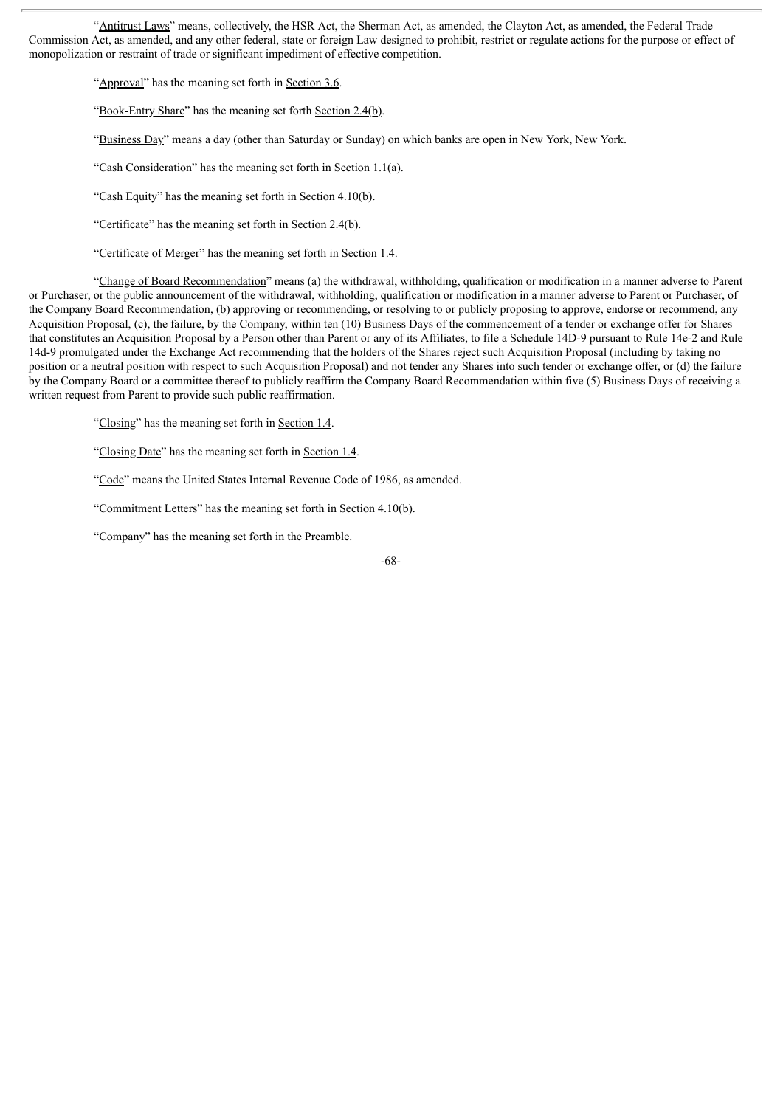"Antitrust Laws" means, collectively, the HSR Act, the Sherman Act, as amended, the Clayton Act, as amended, the Federal Trade Commission Act, as amended, and any other federal, state or foreign Law designed to prohibit, restrict or regulate actions for the purpose or effect of monopolization or restraint of trade or significant impediment of effective competition.

"Approval" has the meaning set forth in Section 3.6.

"Book-Entry Share" has the meaning set forth Section 2.4(b).

"Business Day" means a day (other than Saturday or Sunday) on which banks are open in New York, New York.

"Cash Consideration" has the meaning set forth in Section  $1.1(a)$ .

"Cash Equity" has the meaning set forth in Section 4.10(b).

"Certificate" has the meaning set forth in Section 2.4(b).

"Certificate of Merger" has the meaning set forth in Section 1.4.

"Change of Board Recommendation" means (a) the withdrawal, withholding, qualification or modification in a manner adverse to Parent or Purchaser, or the public announcement of the withdrawal, withholding, qualification or modification in a manner adverse to Parent or Purchaser, of the Company Board Recommendation, (b) approving or recommending, or resolving to or publicly proposing to approve, endorse or recommend, any Acquisition Proposal, (c), the failure, by the Company, within ten (10) Business Days of the commencement of a tender or exchange offer for Shares that constitutes an Acquisition Proposal by a Person other than Parent or any of its Affiliates, to file a Schedule 14D-9 pursuant to Rule 14e-2 and Rule 14d-9 promulgated under the Exchange Act recommending that the holders of the Shares reject such Acquisition Proposal (including by taking no position or a neutral position with respect to such Acquisition Proposal) and not tender any Shares into such tender or exchange offer, or (d) the failure by the Company Board or a committee thereof to publicly reaffirm the Company Board Recommendation within five (5) Business Days of receiving a written request from Parent to provide such public reaffirmation.

"Closing" has the meaning set forth in Section 1.4.

"Closing Date" has the meaning set forth in Section 1.4.

"Code" means the United States Internal Revenue Code of 1986, as amended.

"Commitment Letters" has the meaning set forth in Section 4.10(b).

"Company" has the meaning set forth in the Preamble.

-68-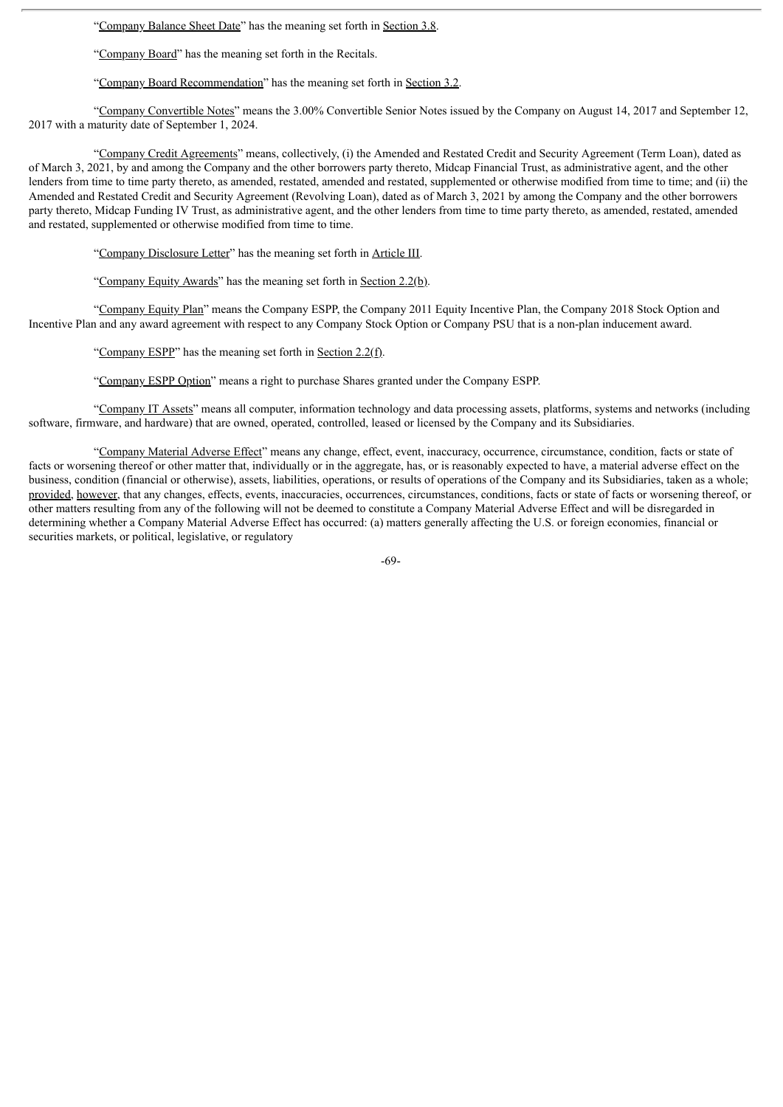"Company Balance Sheet Date" has the meaning set forth in Section 3.8.

"Company Board" has the meaning set forth in the Recitals.

"Company Board Recommendation" has the meaning set forth in Section 3.2.

"Company Convertible Notes" means the 3.00% Convertible Senior Notes issued by the Company on August 14, 2017 and September 12, 2017 with a maturity date of September 1, 2024.

"Company Credit Agreements" means, collectively, (i) the Amended and Restated Credit and Security Agreement (Term Loan), dated as of March 3, 2021, by and among the Company and the other borrowers party thereto, Midcap Financial Trust, as administrative agent, and the other lenders from time to time party thereto, as amended, restated, amended and restated, supplemented or otherwise modified from time to time; and (ii) the Amended and Restated Credit and Security Agreement (Revolving Loan), dated as of March 3, 2021 by among the Company and the other borrowers party thereto, Midcap Funding IV Trust, as administrative agent, and the other lenders from time to time party thereto, as amended, restated, amended and restated, supplemented or otherwise modified from time to time.

"Company Disclosure Letter" has the meaning set forth in Article III.

"Company Equity Awards" has the meaning set forth in Section 2.2(b).

"Company Equity Plan" means the Company ESPP, the Company 2011 Equity Incentive Plan, the Company 2018 Stock Option and Incentive Plan and any award agreement with respect to any Company Stock Option or Company PSU that is a non-plan inducement award.

"Company ESPP" has the meaning set forth in Section 2.2(f).

"Company ESPP Option" means a right to purchase Shares granted under the Company ESPP.

"Company IT Assets" means all computer, information technology and data processing assets, platforms, systems and networks (including software, firmware, and hardware) that are owned, operated, controlled, leased or licensed by the Company and its Subsidiaries.

"Company Material Adverse Effect" means any change, effect, event, inaccuracy, occurrence, circumstance, condition, facts or state of facts or worsening thereof or other matter that, individually or in the aggregate, has, or is reasonably expected to have, a material adverse effect on the business, condition (financial or otherwise), assets, liabilities, operations, or results of operations of the Company and its Subsidiaries, taken as a whole; provided, however, that any changes, effects, events, inaccuracies, occurrences, circumstances, conditions, facts or state of facts or worsening thereof, or other matters resulting from any of the following will not be deemed to constitute a Company Material Adverse Effect and will be disregarded in determining whether a Company Material Adverse Effect has occurred: (a) matters generally affecting the U.S. or foreign economies, financial or securities markets, or political, legislative, or regulatory

-69-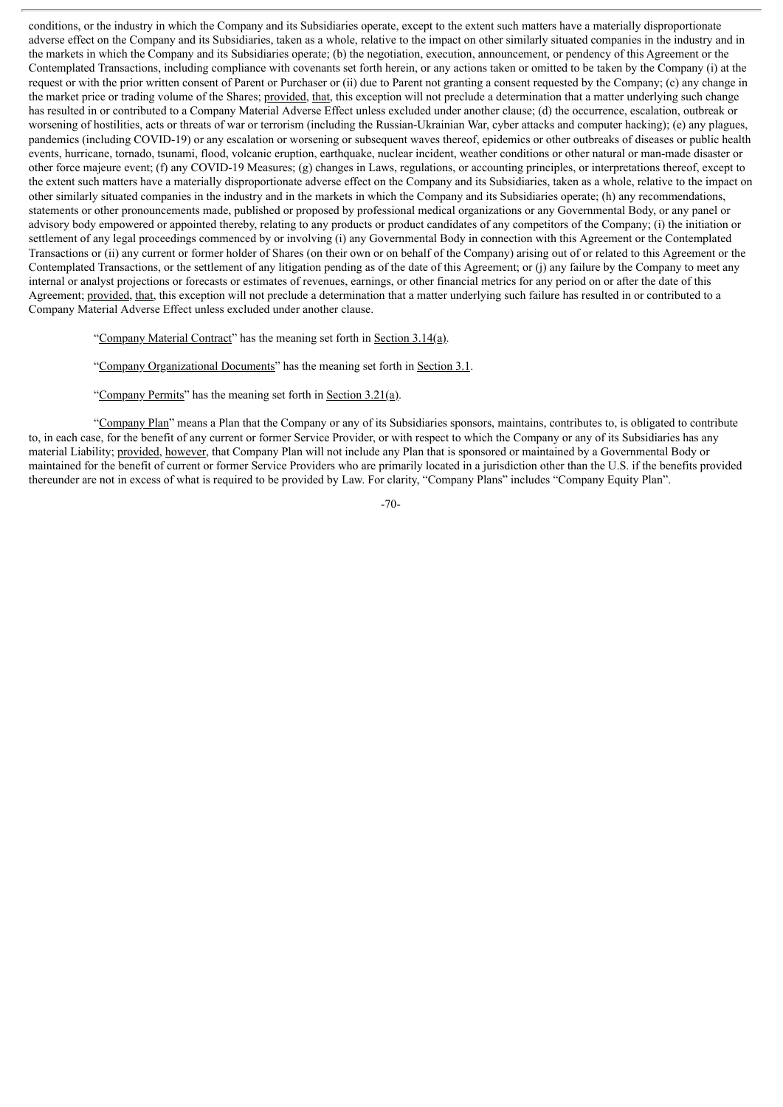conditions, or the industry in which the Company and its Subsidiaries operate, except to the extent such matters have a materially disproportionate adverse effect on the Company and its Subsidiaries, taken as a whole, relative to the impact on other similarly situated companies in the industry and in the markets in which the Company and its Subsidiaries operate; (b) the negotiation, execution, announcement, or pendency of this Agreement or the Contemplated Transactions, including compliance with covenants set forth herein, or any actions taken or omitted to be taken by the Company (i) at the request or with the prior written consent of Parent or Purchaser or (ii) due to Parent not granting a consent requested by the Company; (c) any change in the market price or trading volume of the Shares; provided, that, this exception will not preclude a determination that a matter underlying such change has resulted in or contributed to a Company Material Adverse Effect unless excluded under another clause; (d) the occurrence, escalation, outbreak or worsening of hostilities, acts or threats of war or terrorism (including the Russian-Ukrainian War, cyber attacks and computer hacking); (e) any plagues, pandemics (including COVID-19) or any escalation or worsening or subsequent waves thereof, epidemics or other outbreaks of diseases or public health events, hurricane, tornado, tsunami, flood, volcanic eruption, earthquake, nuclear incident, weather conditions or other natural or man-made disaster or other force majeure event; (f) any COVID-19 Measures; (g) changes in Laws, regulations, or accounting principles, or interpretations thereof, except to the extent such matters have a materially disproportionate adverse effect on the Company and its Subsidiaries, taken as a whole, relative to the impact on other similarly situated companies in the industry and in the markets in which the Company and its Subsidiaries operate; (h) any recommendations, statements or other pronouncements made, published or proposed by professional medical organizations or any Governmental Body, or any panel or advisory body empowered or appointed thereby, relating to any products or product candidates of any competitors of the Company; (i) the initiation or settlement of any legal proceedings commenced by or involving (i) any Governmental Body in connection with this Agreement or the Contemplated Transactions or (ii) any current or former holder of Shares (on their own or on behalf of the Company) arising out of or related to this Agreement or the Contemplated Transactions, or the settlement of any litigation pending as of the date of this Agreement; or (j) any failure by the Company to meet any internal or analyst projections or forecasts or estimates of revenues, earnings, or other financial metrics for any period on or after the date of this Agreement; provided, that, this exception will not preclude a determination that a matter underlying such failure has resulted in or contributed to a Company Material Adverse Effect unless excluded under another clause.

"Company Material Contract" has the meaning set forth in Section 3.14(a).

"Company Organizational Documents" has the meaning set forth in Section 3.1.

"Company Permits" has the meaning set forth in Section  $3.21(a)$ .

"Company Plan" means a Plan that the Company or any of its Subsidiaries sponsors, maintains, contributes to, is obligated to contribute to, in each case, for the benefit of any current or former Service Provider, or with respect to which the Company or any of its Subsidiaries has any material Liability; provided, however, that Company Plan will not include any Plan that is sponsored or maintained by a Governmental Body or maintained for the benefit of current or former Service Providers who are primarily located in a jurisdiction other than the U.S. if the benefits provided thereunder are not in excess of what is required to be provided by Law. For clarity, "Company Plans" includes "Company Equity Plan".

-70-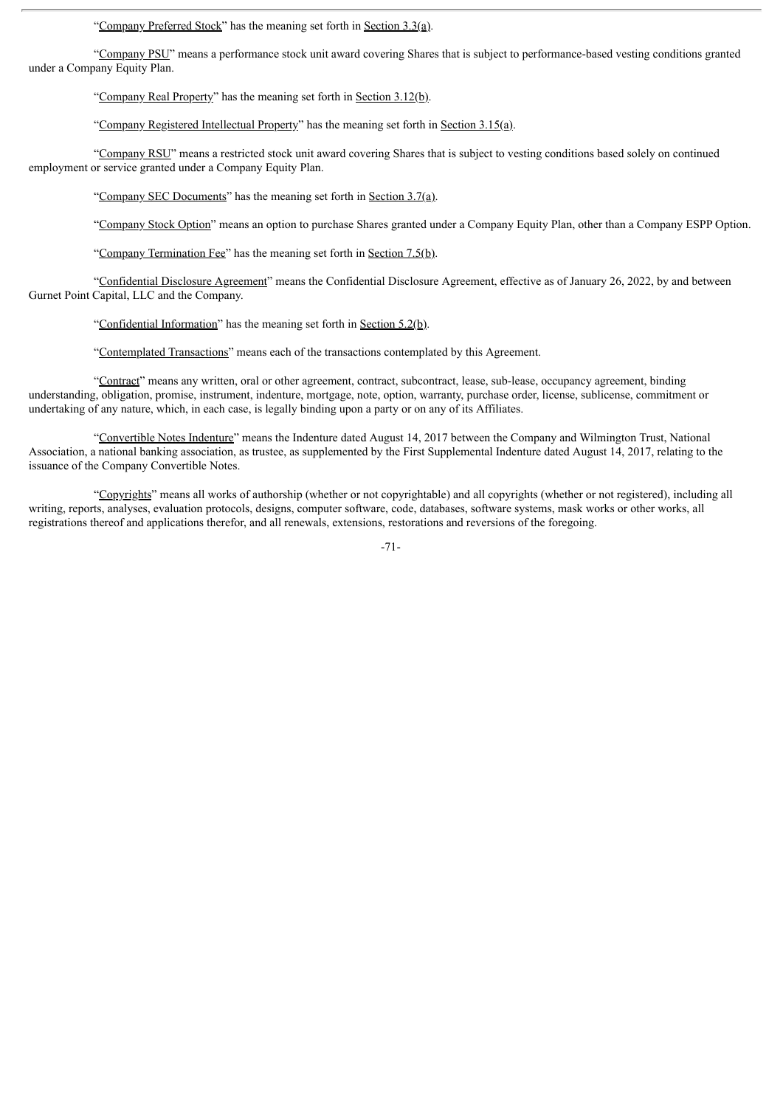"Company Preferred Stock" has the meaning set forth in Section 3.3(a).

"Company PSU" means a performance stock unit award covering Shares that is subject to performance-based vesting conditions granted under a Company Equity Plan.

"Company Real Property" has the meaning set forth in Section 3.12(b).

"Company Registered Intellectual Property" has the meaning set forth in Section 3.15(a).

"Company RSU" means a restricted stock unit award covering Shares that is subject to vesting conditions based solely on continued employment or service granted under a Company Equity Plan.

"Company SEC Documents" has the meaning set forth in Section 3.7(a).

"Company Stock Option" means an option to purchase Shares granted under a Company Equity Plan, other than a Company ESPP Option.

"Company Termination Fee" has the meaning set forth in Section 7.5(b).

"Confidential Disclosure Agreement" means the Confidential Disclosure Agreement, effective as of January 26, 2022, by and between Gurnet Point Capital, LLC and the Company.

"Confidential Information" has the meaning set forth in Section 5.2(b).

"Contemplated Transactions" means each of the transactions contemplated by this Agreement.

"Contract" means any written, oral or other agreement, contract, subcontract, lease, sub-lease, occupancy agreement, binding understanding, obligation, promise, instrument, indenture, mortgage, note, option, warranty, purchase order, license, sublicense, commitment or undertaking of any nature, which, in each case, is legally binding upon a party or on any of its Affiliates.

"Convertible Notes Indenture" means the Indenture dated August 14, 2017 between the Company and Wilmington Trust, National Association, a national banking association, as trustee, as supplemented by the First Supplemental Indenture dated August 14, 2017, relating to the issuance of the Company Convertible Notes.

"Copyrights" means all works of authorship (whether or not copyrightable) and all copyrights (whether or not registered), including all writing, reports, analyses, evaluation protocols, designs, computer software, code, databases, software systems, mask works or other works, all registrations thereof and applications therefor, and all renewals, extensions, restorations and reversions of the foregoing.

-71-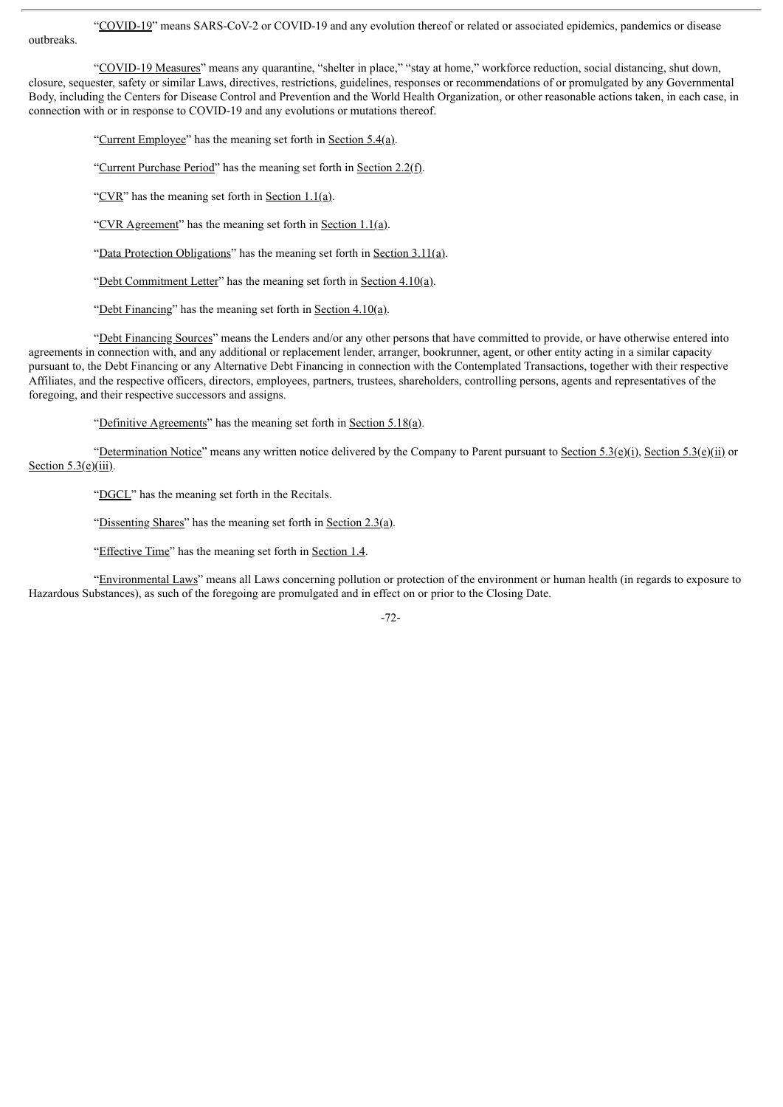"COVID-19" means SARS-CoV-2 or COVID-19 and any evolution thereof or related or associated epidemics, pandemics or disease

outbreaks.

"COVID-19 Measures" means any quarantine, "shelter in place," "stay at home," workforce reduction, social distancing, shut down, closure, sequester, safety or similar Laws, directives, restrictions, guidelines, responses or recommendations of or promulgated by any Governmental Body, including the Centers for Disease Control and Prevention and the World Health Organization, or other reasonable actions taken, in each case, in connection with or in response to COVID-19 and any evolutions or mutations thereof.

"Current Employee" has the meaning set forth in Section 5.4(a).

"Current Purchase Period" has the meaning set forth in Section 2.2(f).

"CVR" has the meaning set forth in Section 1.1(a).

"CVR Agreement" has the meaning set forth in Section 1.1(a).

"Data Protection Obligations" has the meaning set forth in Section 3.11(a).

"Debt Commitment Letter" has the meaning set forth in Section 4.10(a).

"Debt Financing" has the meaning set forth in Section  $4.10(a)$ .

"Debt Financing Sources" means the Lenders and/or any other persons that have committed to provide, or have otherwise entered into agreements in connection with, and any additional or replacement lender, arranger, bookrunner, agent, or other entity acting in a similar capacity pursuant to, the Debt Financing or any Alternative Debt Financing in connection with the Contemplated Transactions, together with their respective Affiliates, and the respective officers, directors, employees, partners, trustees, shareholders, controlling persons, agents and representatives of the foregoing, and their respective successors and assigns.

"Definitive Agreements" has the meaning set forth in Section 5.18(a).

"Determination Notice" means any written notice delivered by the Company to Parent pursuant to Section 5.3(e)(i), Section 5.3(e)(ii) or Section  $5.3(e)$ (iii).

"DGCL" has the meaning set forth in the Recitals.

"Dissenting Shares" has the meaning set forth in Section  $2.3(a)$ .

"Effective Time" has the meaning set forth in Section 1.4.

"Environmental Laws" means all Laws concerning pollution or protection of the environment or human health (in regards to exposure to Hazardous Substances), as such of the foregoing are promulgated and in effect on or prior to the Closing Date.

-72-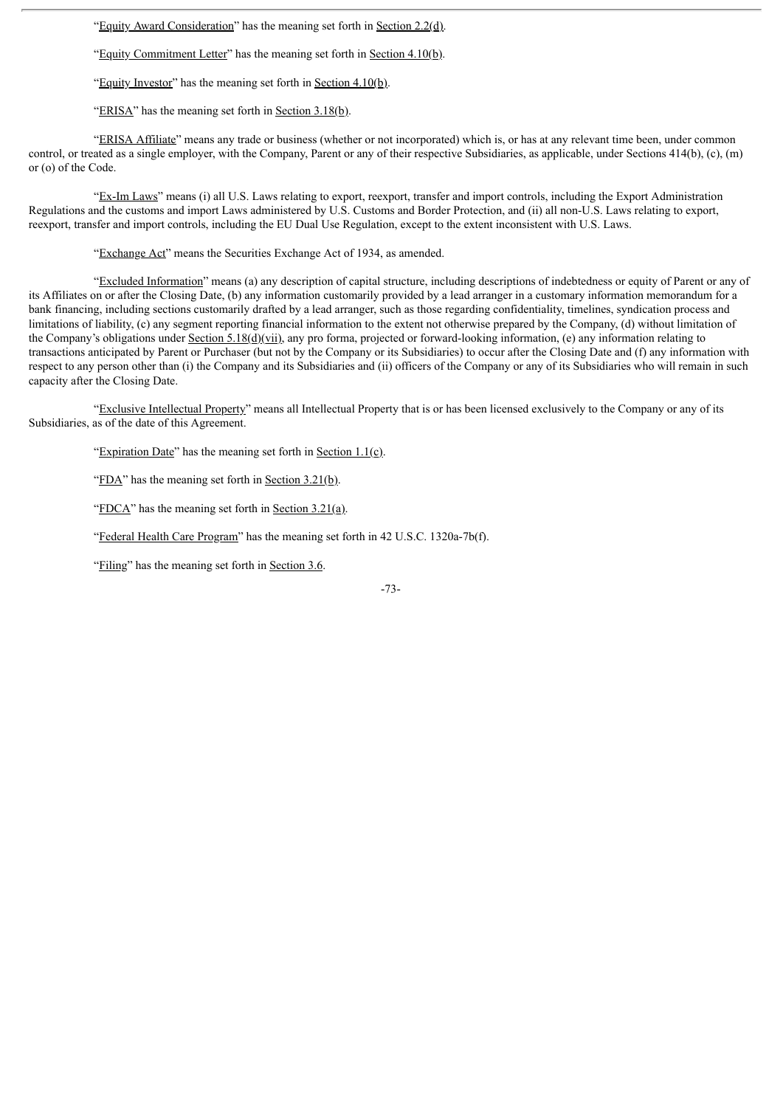"Equity Award Consideration" has the meaning set forth in Section 2.2(d).

"Equity Commitment Letter" has the meaning set forth in Section 4.10(b).

"Equity Investor" has the meaning set forth in Section 4.10(b).

"ERISA" has the meaning set forth in Section 3.18(b).

"ERISA Affiliate" means any trade or business (whether or not incorporated) which is, or has at any relevant time been, under common control, or treated as a single employer, with the Company, Parent or any of their respective Subsidiaries, as applicable, under Sections 414(b), (c), (m) or (o) of the Code.

"Ex-Im Laws" means (i) all U.S. Laws relating to export, reexport, transfer and import controls, including the Export Administration Regulations and the customs and import Laws administered by U.S. Customs and Border Protection, and (ii) all non-U.S. Laws relating to export, reexport, transfer and import controls, including the EU Dual Use Regulation, except to the extent inconsistent with U.S. Laws.

"Exchange Act" means the Securities Exchange Act of 1934, as amended.

"Excluded Information" means (a) any description of capital structure, including descriptions of indebtedness or equity of Parent or any of its Affiliates on or after the Closing Date, (b) any information customarily provided by a lead arranger in a customary information memorandum for a bank financing, including sections customarily drafted by a lead arranger, such as those regarding confidentiality, timelines, syndication process and limitations of liability, (c) any segment reporting financial information to the extent not otherwise prepared by the Company, (d) without limitation of the Company's obligations under Section 5.18( $d$ )(vii), any pro forma, projected or forward-looking information, (e) any information relating to transactions anticipated by Parent or Purchaser (but not by the Company or its Subsidiaries) to occur after the Closing Date and (f) any information with respect to any person other than (i) the Company and its Subsidiaries and (ii) officers of the Company or any of its Subsidiaries who will remain in such capacity after the Closing Date.

"Exclusive Intellectual Property" means all Intellectual Property that is or has been licensed exclusively to the Company or any of its Subsidiaries, as of the date of this Agreement.

"Expiration Date" has the meaning set forth in Section  $1.1(c)$ .

"FDA" has the meaning set forth in Section 3.21(b).

"FDCA" has the meaning set forth in Section  $3.21(a)$ .

"Federal Health Care Program" has the meaning set forth in 42 U.S.C. 1320a-7b(f).

"Filing" has the meaning set forth in Section 3.6.

-73-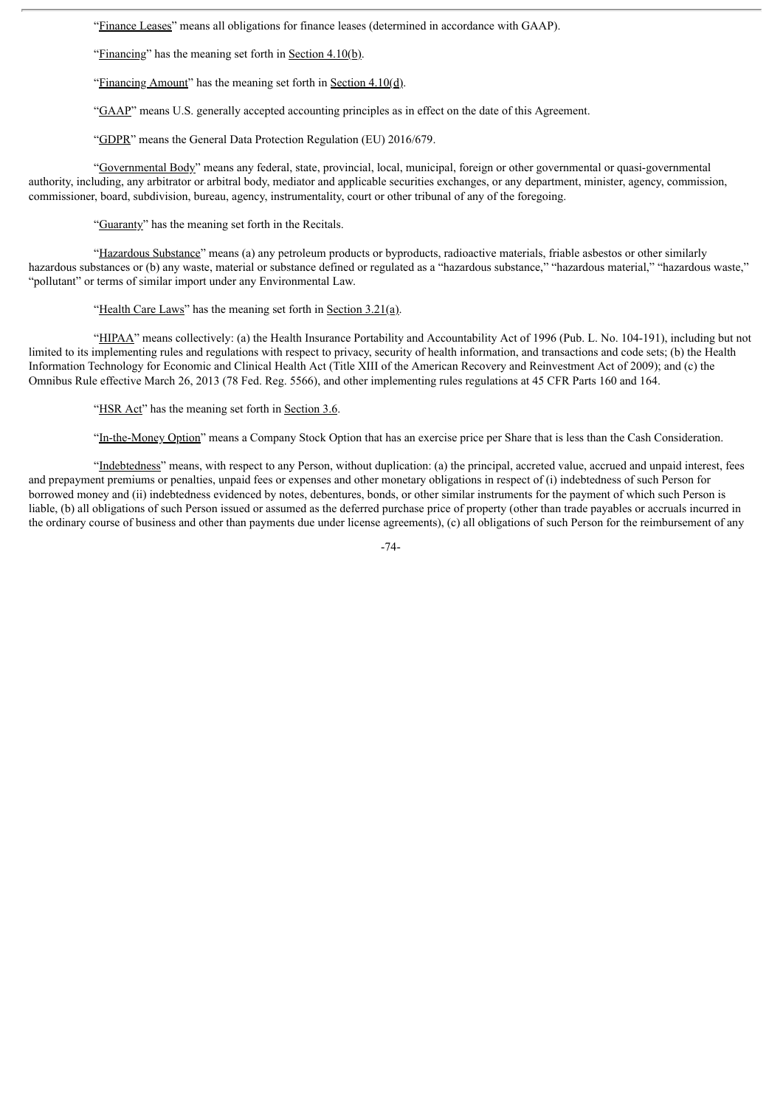"Finance Leases" means all obligations for finance leases (determined in accordance with GAAP).

"Financing" has the meaning set forth in Section 4.10(b).

"Financing Amount" has the meaning set forth in Section 4.10(d).

"GAAP" means U.S. generally accepted accounting principles as in effect on the date of this Agreement.

"GDPR" means the General Data Protection Regulation (EU) 2016/679.

"Governmental Body" means any federal, state, provincial, local, municipal, foreign or other governmental or quasi-governmental authority, including, any arbitrator or arbitral body, mediator and applicable securities exchanges, or any department, minister, agency, commission, commissioner, board, subdivision, bureau, agency, instrumentality, court or other tribunal of any of the foregoing.

"Guaranty" has the meaning set forth in the Recitals.

"Hazardous Substance" means (a) any petroleum products or byproducts, radioactive materials, friable asbestos or other similarly hazardous substances or (b) any waste, material or substance defined or regulated as a "hazardous substance," "hazardous material," "hazardous waste," "pollutant" or terms of similar import under any Environmental Law.

"Health Care Laws" has the meaning set forth in Section  $3.21(a)$ .

"HIPAA" means collectively: (a) the Health Insurance Portability and Accountability Act of 1996 (Pub. L. No. 104-191), including but not limited to its implementing rules and regulations with respect to privacy, security of health information, and transactions and code sets; (b) the Health Information Technology for Economic and Clinical Health Act (Title XIII of the American Recovery and Reinvestment Act of 2009); and (c) the Omnibus Rule effective March 26, 2013 (78 Fed. Reg. 5566), and other implementing rules regulations at 45 CFR Parts 160 and 164.

"HSR Act" has the meaning set forth in Section 3.6.

"In-the-Money Option" means a Company Stock Option that has an exercise price per Share that is less than the Cash Consideration.

"Indebtedness" means, with respect to any Person, without duplication: (a) the principal, accreted value, accrued and unpaid interest, fees and prepayment premiums or penalties, unpaid fees or expenses and other monetary obligations in respect of (i) indebtedness of such Person for borrowed money and (ii) indebtedness evidenced by notes, debentures, bonds, or other similar instruments for the payment of which such Person is liable, (b) all obligations of such Person issued or assumed as the deferred purchase price of property (other than trade payables or accruals incurred in the ordinary course of business and other than payments due under license agreements), (c) all obligations of such Person for the reimbursement of any

-74-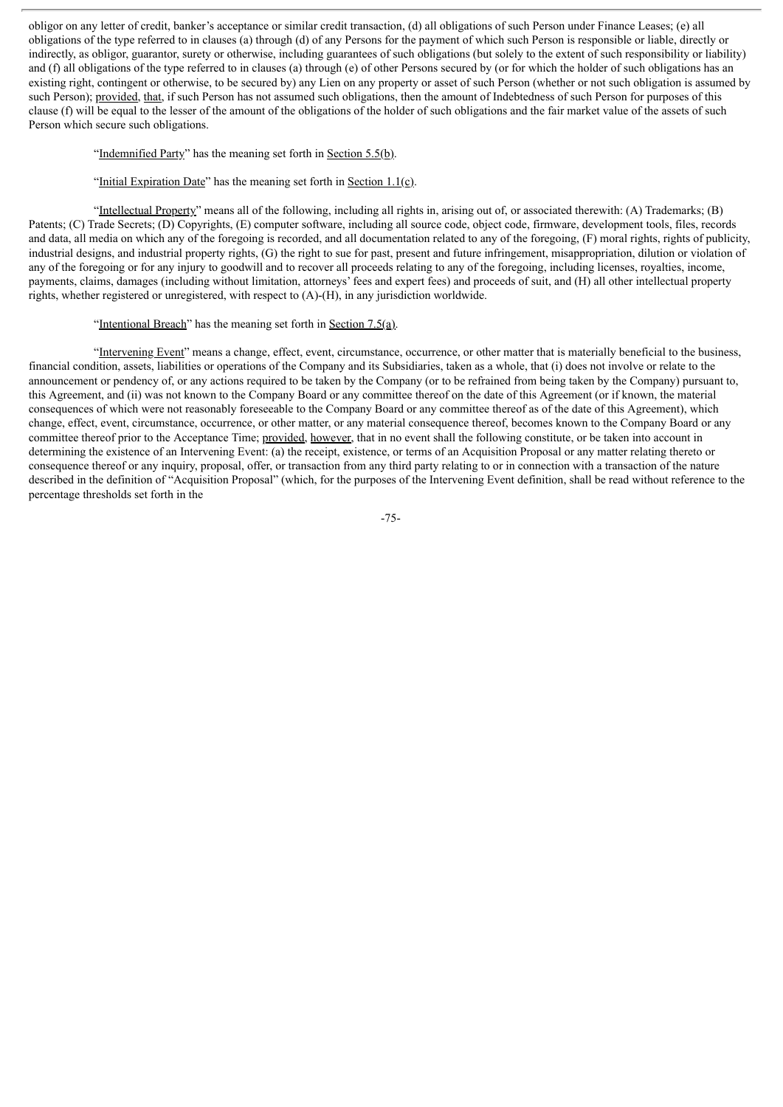obligor on any letter of credit, banker's acceptance or similar credit transaction, (d) all obligations of such Person under Finance Leases; (e) all obligations of the type referred to in clauses (a) through (d) of any Persons for the payment of which such Person is responsible or liable, directly or indirectly, as obligor, guarantor, surety or otherwise, including guarantees of such obligations (but solely to the extent of such responsibility or liability) and (f) all obligations of the type referred to in clauses (a) through (e) of other Persons secured by (or for which the holder of such obligations has an existing right, contingent or otherwise, to be secured by) any Lien on any property or asset of such Person (whether or not such obligation is assumed by such Person); provided, that, if such Person has not assumed such obligations, then the amount of Indebtedness of such Person for purposes of this clause (f) will be equal to the lesser of the amount of the obligations of the holder of such obligations and the fair market value of the assets of such Person which secure such obligations.

### "Indemnified Party" has the meaning set forth in Section 5.5(b).

## "Initial Expiration Date" has the meaning set forth in Section 1.1(c).

"Intellectual Property" means all of the following, including all rights in, arising out of, or associated therewith: (A) Trademarks; (B) Patents; (C) Trade Secrets; (D) Copyrights, (E) computer software, including all source code, object code, firmware, development tools, files, records and data, all media on which any of the foregoing is recorded, and all documentation related to any of the foregoing, (F) moral rights, rights of publicity, industrial designs, and industrial property rights, (G) the right to sue for past, present and future infringement, misappropriation, dilution or violation of any of the foregoing or for any injury to goodwill and to recover all proceeds relating to any of the foregoing, including licenses, royalties, income, payments, claims, damages (including without limitation, attorneys' fees and expert fees) and proceeds of suit, and (H) all other intellectual property rights, whether registered or unregistered, with respect to (A)-(H), in any jurisdiction worldwide.

#### "Intentional Breach" has the meaning set forth in Section  $7.5(a)$ .

"Intervening Event" means a change, effect, event, circumstance, occurrence, or other matter that is materially beneficial to the business, financial condition, assets, liabilities or operations of the Company and its Subsidiaries, taken as a whole, that (i) does not involve or relate to the announcement or pendency of, or any actions required to be taken by the Company (or to be refrained from being taken by the Company) pursuant to, this Agreement, and (ii) was not known to the Company Board or any committee thereof on the date of this Agreement (or if known, the material consequences of which were not reasonably foreseeable to the Company Board or any committee thereof as of the date of this Agreement), which change, effect, event, circumstance, occurrence, or other matter, or any material consequence thereof, becomes known to the Company Board or any committee thereof prior to the Acceptance Time; provided, however, that in no event shall the following constitute, or be taken into account in determining the existence of an Intervening Event: (a) the receipt, existence, or terms of an Acquisition Proposal or any matter relating thereto or consequence thereof or any inquiry, proposal, offer, or transaction from any third party relating to or in connection with a transaction of the nature described in the definition of "Acquisition Proposal" (which, for the purposes of the Intervening Event definition, shall be read without reference to the percentage thresholds set forth in the

-75-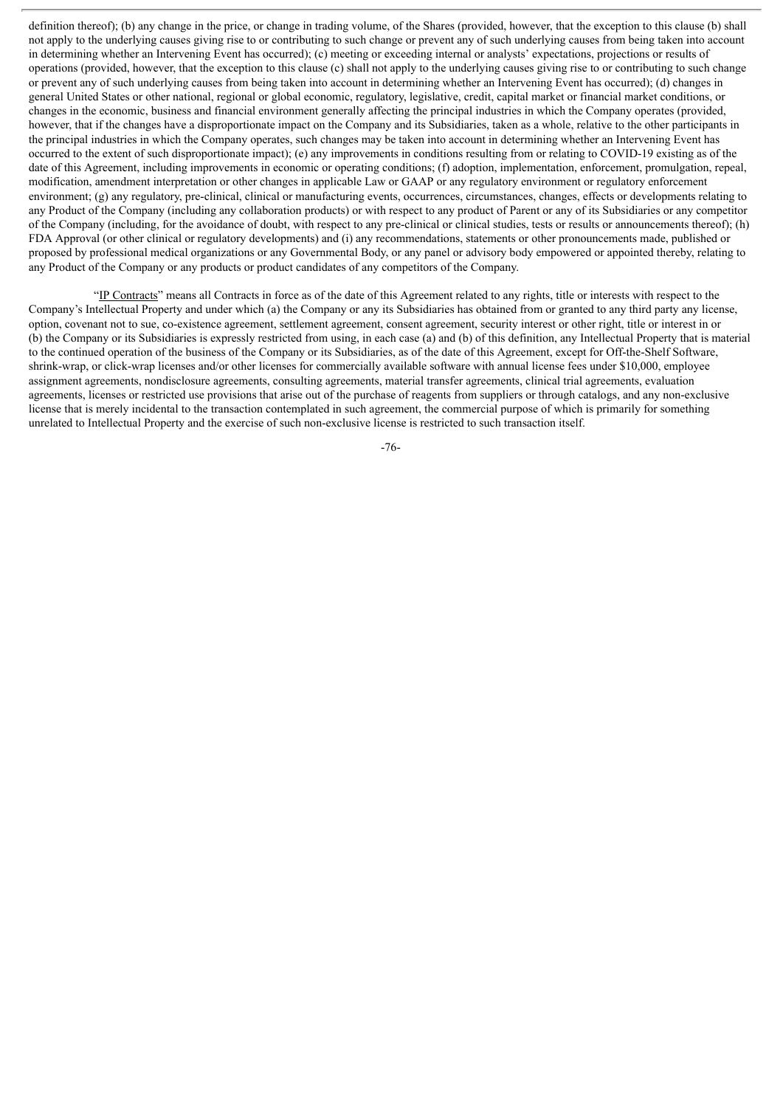definition thereof); (b) any change in the price, or change in trading volume, of the Shares (provided, however, that the exception to this clause (b) shall not apply to the underlying causes giving rise to or contributing to such change or prevent any of such underlying causes from being taken into account in determining whether an Intervening Event has occurred); (c) meeting or exceeding internal or analysts' expectations, projections or results of operations (provided, however, that the exception to this clause (c) shall not apply to the underlying causes giving rise to or contributing to such change or prevent any of such underlying causes from being taken into account in determining whether an Intervening Event has occurred); (d) changes in general United States or other national, regional or global economic, regulatory, legislative, credit, capital market or financial market conditions, or changes in the economic, business and financial environment generally affecting the principal industries in which the Company operates (provided, however, that if the changes have a disproportionate impact on the Company and its Subsidiaries, taken as a whole, relative to the other participants in the principal industries in which the Company operates, such changes may be taken into account in determining whether an Intervening Event has occurred to the extent of such disproportionate impact); (e) any improvements in conditions resulting from or relating to COVID-19 existing as of the date of this Agreement, including improvements in economic or operating conditions; (f) adoption, implementation, enforcement, promulgation, repeal, modification, amendment interpretation or other changes in applicable Law or GAAP or any regulatory environment or regulatory enforcement environment; (g) any regulatory, pre-clinical, clinical or manufacturing events, occurrences, circumstances, changes, effects or developments relating to any Product of the Company (including any collaboration products) or with respect to any product of Parent or any of its Subsidiaries or any competitor of the Company (including, for the avoidance of doubt, with respect to any pre-clinical or clinical studies, tests or results or announcements thereof); (h) FDA Approval (or other clinical or regulatory developments) and (i) any recommendations, statements or other pronouncements made, published or proposed by professional medical organizations or any Governmental Body, or any panel or advisory body empowered or appointed thereby, relating to any Product of the Company or any products or product candidates of any competitors of the Company.

"IP Contracts" means all Contracts in force as of the date of this Agreement related to any rights, title or interests with respect to the Company's Intellectual Property and under which (a) the Company or any its Subsidiaries has obtained from or granted to any third party any license, option, covenant not to sue, co-existence agreement, settlement agreement, consent agreement, security interest or other right, title or interest in or (b) the Company or its Subsidiaries is expressly restricted from using, in each case (a) and (b) of this definition, any Intellectual Property that is material to the continued operation of the business of the Company or its Subsidiaries, as of the date of this Agreement, except for Off-the-Shelf Software, shrink-wrap, or click-wrap licenses and/or other licenses for commercially available software with annual license fees under \$10,000, employee assignment agreements, nondisclosure agreements, consulting agreements, material transfer agreements, clinical trial agreements, evaluation agreements, licenses or restricted use provisions that arise out of the purchase of reagents from suppliers or through catalogs, and any non-exclusive license that is merely incidental to the transaction contemplated in such agreement, the commercial purpose of which is primarily for something unrelated to Intellectual Property and the exercise of such non-exclusive license is restricted to such transaction itself.

-76-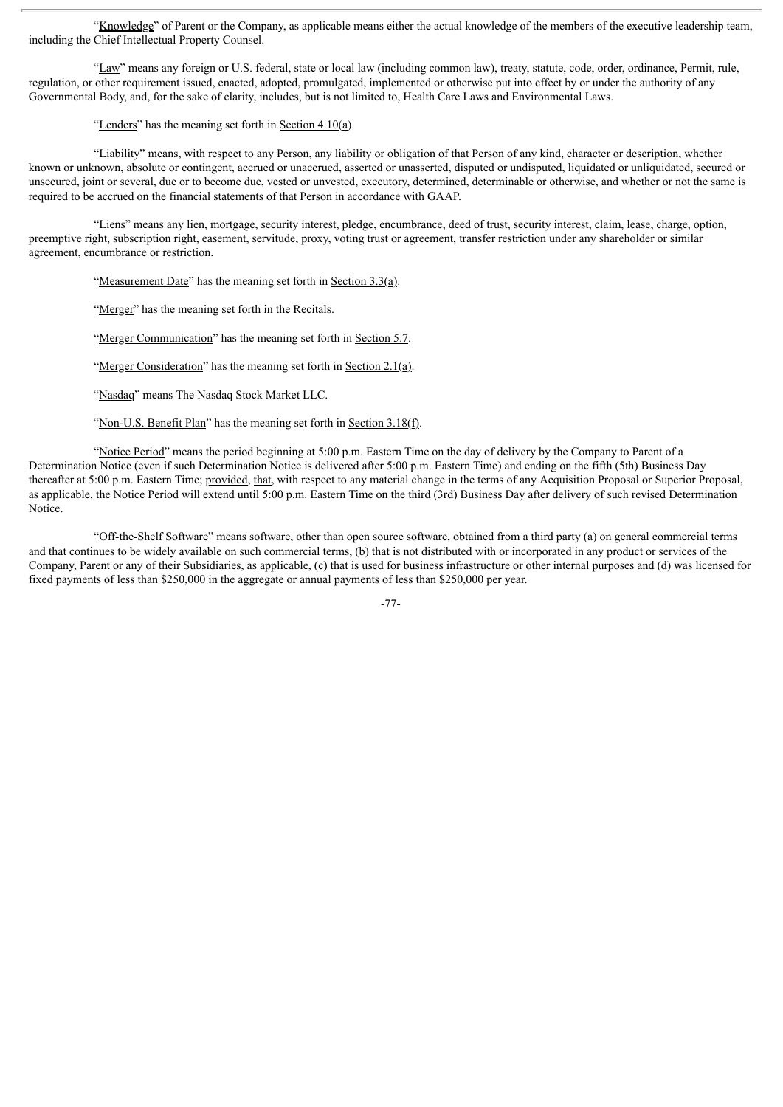"Knowledge" of Parent or the Company, as applicable means either the actual knowledge of the members of the executive leadership team, including the Chief Intellectual Property Counsel.

"Law" means any foreign or U.S. federal, state or local law (including common law), treaty, statute, code, order, ordinance, Permit, rule, regulation, or other requirement issued, enacted, adopted, promulgated, implemented or otherwise put into effect by or under the authority of any Governmental Body, and, for the sake of clarity, includes, but is not limited to, Health Care Laws and Environmental Laws.

"Lenders" has the meaning set forth in Section  $4.10(a)$ .

"Liability" means, with respect to any Person, any liability or obligation of that Person of any kind, character or description, whether known or unknown, absolute or contingent, accrued or unaccrued, asserted or unasserted, disputed or undisputed, liquidated or unliquidated, secured or unsecured, joint or several, due or to become due, vested or unvested, executory, determined, determinable or otherwise, and whether or not the same is required to be accrued on the financial statements of that Person in accordance with GAAP.

"Liens" means any lien, mortgage, security interest, pledge, encumbrance, deed of trust, security interest, claim, lease, charge, option, preemptive right, subscription right, easement, servitude, proxy, voting trust or agreement, transfer restriction under any shareholder or similar agreement, encumbrance or restriction.

"Measurement Date" has the meaning set forth in Section  $3.3(a)$ .

"Merger" has the meaning set forth in the Recitals.

"Merger Communication" has the meaning set forth in Section 5.7.

"Merger Consideration" has the meaning set forth in Section 2.1(a).

"Nasdaq" means The Nasdaq Stock Market LLC.

"Non-U.S. Benefit Plan" has the meaning set forth in Section 3.18(f).

"Notice Period" means the period beginning at 5:00 p.m. Eastern Time on the day of delivery by the Company to Parent of a Determination Notice (even if such Determination Notice is delivered after 5:00 p.m. Eastern Time) and ending on the fifth (5th) Business Day thereafter at 5:00 p.m. Eastern Time; provided, that, with respect to any material change in the terms of any Acquisition Proposal or Superior Proposal, as applicable, the Notice Period will extend until 5:00 p.m. Eastern Time on the third (3rd) Business Day after delivery of such revised Determination Notice.

"Off-the-Shelf Software" means software, other than open source software, obtained from a third party (a) on general commercial terms and that continues to be widely available on such commercial terms, (b) that is not distributed with or incorporated in any product or services of the Company, Parent or any of their Subsidiaries, as applicable, (c) that is used for business infrastructure or other internal purposes and (d) was licensed for fixed payments of less than \$250,000 in the aggregate or annual payments of less than \$250,000 per year.

-77-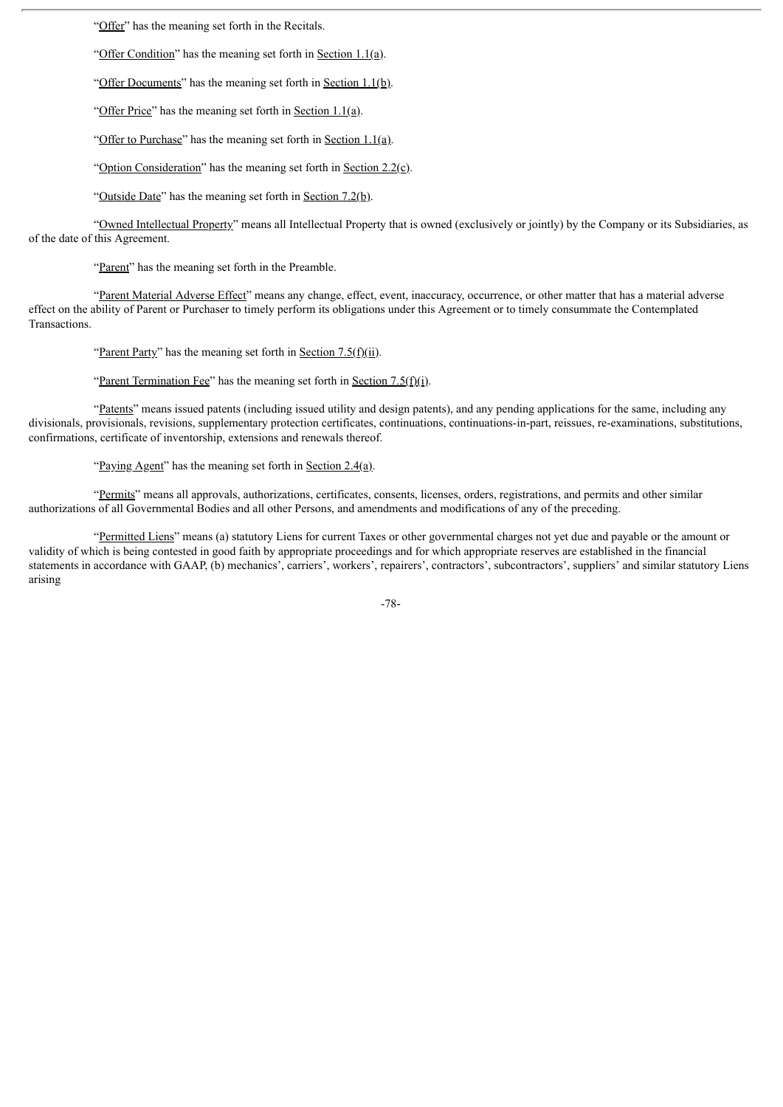"Offer" has the meaning set forth in the Recitals.

"Offer Condition" has the meaning set forth in Section  $1.1(a)$ .

"Offer Documents" has the meaning set forth in Section  $1.1(b)$ .

"Offer Price" has the meaning set forth in Section 1.1(a).

"Offer to Purchase" has the meaning set forth in Section 1.1(a).

"Option Consideration" has the meaning set forth in Section 2.2(c).

"Outside Date" has the meaning set forth in Section 7.2(b).

"Owned Intellectual Property" means all Intellectual Property that is owned (exclusively or jointly) by the Company or its Subsidiaries, as of the date of this Agreement.

"Parent" has the meaning set forth in the Preamble.

"Parent Material Adverse Effect" means any change, effect, event, inaccuracy, occurrence, or other matter that has a material adverse effect on the ability of Parent or Purchaser to timely perform its obligations under this Agreement or to timely consummate the Contemplated Transactions.

"Parent Party" has the meaning set forth in Section  $7.5(f)(ii)$ .

"Parent Termination Fee" has the meaning set forth in Section 7.5(f)(i).

"Patents" means issued patents (including issued utility and design patents), and any pending applications for the same, including any divisionals, provisionals, revisions, supplementary protection certificates, continuations, continuations-in-part, reissues, re-examinations, substitutions, confirmations, certificate of inventorship, extensions and renewals thereof.

"Paying Agent" has the meaning set forth in Section  $2.4(a)$ .

"Permits" means all approvals, authorizations, certificates, consents, licenses, orders, registrations, and permits and other similar authorizations of all Governmental Bodies and all other Persons, and amendments and modifications of any of the preceding.

"Permitted Liens" means (a) statutory Liens for current Taxes or other governmental charges not yet due and payable or the amount or validity of which is being contested in good faith by appropriate proceedings and for which appropriate reserves are established in the financial statements in accordance with GAAP, (b) mechanics', carriers', workers', repairers', contractors', subcontractors', suppliers' and similar statutory Liens arising

-78-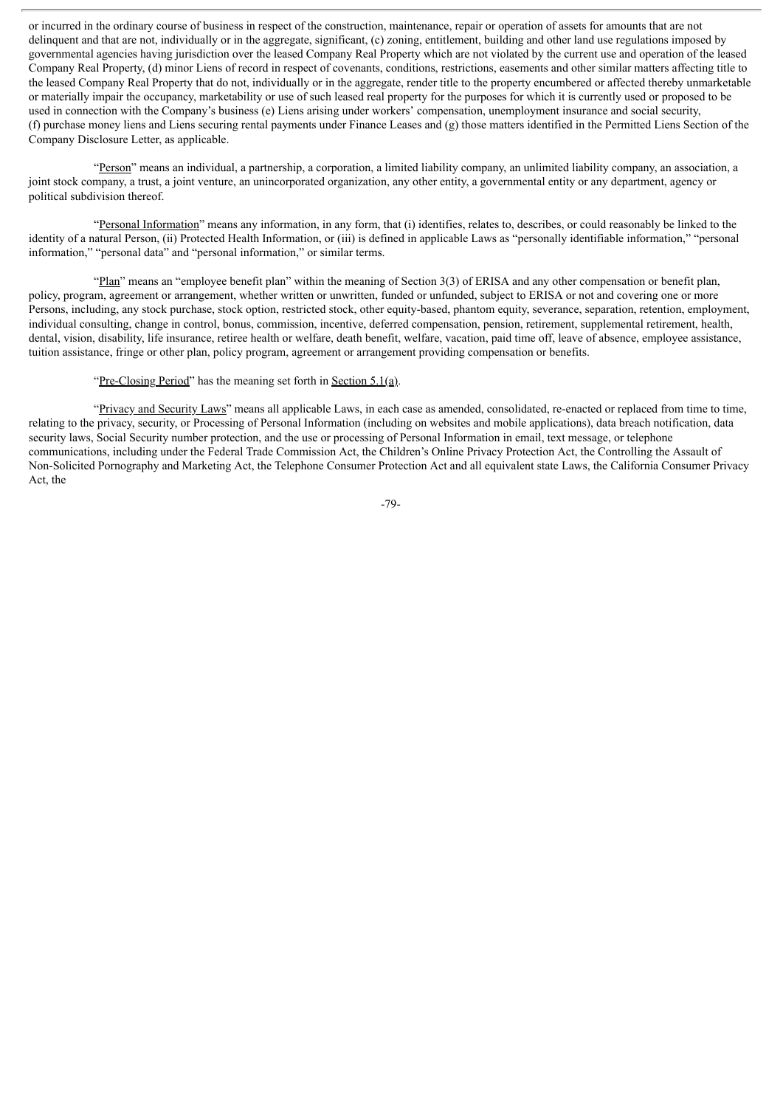or incurred in the ordinary course of business in respect of the construction, maintenance, repair or operation of assets for amounts that are not delinquent and that are not, individually or in the aggregate, significant, (c) zoning, entitlement, building and other land use regulations imposed by governmental agencies having jurisdiction over the leased Company Real Property which are not violated by the current use and operation of the leased Company Real Property, (d) minor Liens of record in respect of covenants, conditions, restrictions, easements and other similar matters affecting title to the leased Company Real Property that do not, individually or in the aggregate, render title to the property encumbered or affected thereby unmarketable or materially impair the occupancy, marketability or use of such leased real property for the purposes for which it is currently used or proposed to be used in connection with the Company's business (e) Liens arising under workers' compensation, unemployment insurance and social security, (f) purchase money liens and Liens securing rental payments under Finance Leases and (g) those matters identified in the Permitted Liens Section of the Company Disclosure Letter, as applicable.

"Person" means an individual, a partnership, a corporation, a limited liability company, an unlimited liability company, an association, a joint stock company, a trust, a joint venture, an unincorporated organization, any other entity, a governmental entity or any department, agency or political subdivision thereof.

"Personal Information" means any information, in any form, that (i) identifies, relates to, describes, or could reasonably be linked to the identity of a natural Person, (ii) Protected Health Information, or (iii) is defined in applicable Laws as "personally identifiable information," "personal information," "personal data" and "personal information," or similar terms.

"Plan" means an "employee benefit plan" within the meaning of Section 3(3) of ERISA and any other compensation or benefit plan, policy, program, agreement or arrangement, whether written or unwritten, funded or unfunded, subject to ERISA or not and covering one or more Persons, including, any stock purchase, stock option, restricted stock, other equity-based, phantom equity, severance, separation, retention, employment, individual consulting, change in control, bonus, commission, incentive, deferred compensation, pension, retirement, supplemental retirement, health, dental, vision, disability, life insurance, retiree health or welfare, death benefit, welfare, vacation, paid time off, leave of absence, employee assistance, tuition assistance, fringe or other plan, policy program, agreement or arrangement providing compensation or benefits.

"Pre-Closing Period" has the meaning set forth in Section  $5.1(a)$ .

"Privacy and Security Laws" means all applicable Laws, in each case as amended, consolidated, re-enacted or replaced from time to time, relating to the privacy, security, or Processing of Personal Information (including on websites and mobile applications), data breach notification, data security laws, Social Security number protection, and the use or processing of Personal Information in email, text message, or telephone communications, including under the Federal Trade Commission Act, the Children's Online Privacy Protection Act, the Controlling the Assault of Non-Solicited Pornography and Marketing Act, the Telephone Consumer Protection Act and all equivalent state Laws, the California Consumer Privacy Act, the

-79-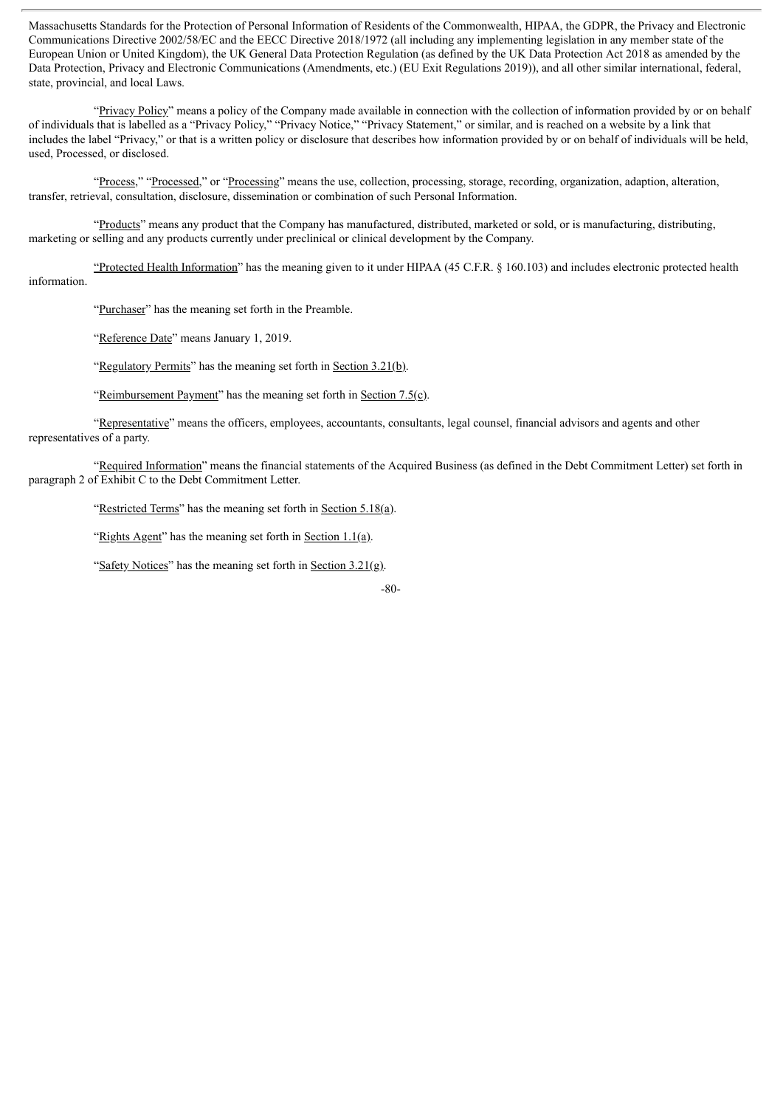Massachusetts Standards for the Protection of Personal Information of Residents of the Commonwealth, HIPAA, the GDPR, the Privacy and Electronic Communications Directive 2002/58/EC and the EECC Directive 2018/1972 (all including any implementing legislation in any member state of the European Union or United Kingdom), the UK General Data Protection Regulation (as defined by the UK Data Protection Act 2018 as amended by the Data Protection, Privacy and Electronic Communications (Amendments, etc.) (EU Exit Regulations 2019)), and all other similar international, federal, state, provincial, and local Laws.

"Privacy Policy" means a policy of the Company made available in connection with the collection of information provided by or on behalf of individuals that is labelled as a "Privacy Policy," "Privacy Notice," "Privacy Statement," or similar, and is reached on a website by a link that includes the label "Privacy," or that is a written policy or disclosure that describes how information provided by or on behalf of individuals will be held, used, Processed, or disclosed.

"Process," "Processed," or "Processing" means the use, collection, processing, storage, recording, organization, adaption, alteration, transfer, retrieval, consultation, disclosure, dissemination or combination of such Personal Information.

"Products" means any product that the Company has manufactured, distributed, marketed or sold, or is manufacturing, distributing, marketing or selling and any products currently under preclinical or clinical development by the Company.

"Protected Health Information" has the meaning given to it under HIPAA (45 C.F.R. § 160.103) and includes electronic protected health information.

"Purchaser" has the meaning set forth in the Preamble.

"Reference Date" means January 1, 2019.

"Regulatory Permits" has the meaning set forth in Section 3.21(b).

"Reimbursement Payment" has the meaning set forth in Section  $7.5(c)$ .

"Representative" means the officers, employees, accountants, consultants, legal counsel, financial advisors and agents and other representatives of a party.

"Required Information" means the financial statements of the Acquired Business (as defined in the Debt Commitment Letter) set forth in paragraph 2 of Exhibit C to the Debt Commitment Letter.

"Restricted Terms" has the meaning set forth in Section 5.18(a).

"Rights Agent" has the meaning set forth in Section  $1.1(a)$ .

"Safety Notices" has the meaning set forth in Section  $3.21(g)$ .

-80-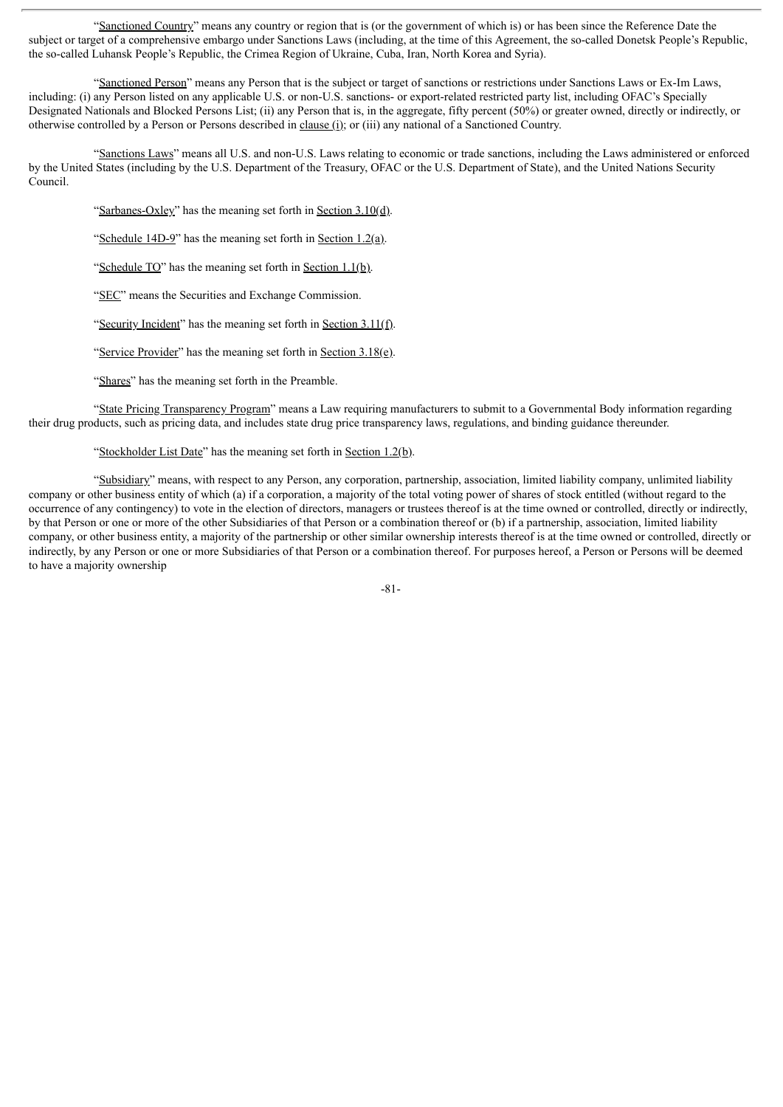"Sanctioned Country" means any country or region that is (or the government of which is) or has been since the Reference Date the subject or target of a comprehensive embargo under Sanctions Laws (including, at the time of this Agreement, the so-called Donetsk People's Republic, the so-called Luhansk People's Republic, the Crimea Region of Ukraine, Cuba, Iran, North Korea and Syria).

"Sanctioned Person" means any Person that is the subject or target of sanctions or restrictions under Sanctions Laws or Ex-Im Laws, including: (i) any Person listed on any applicable U.S. or non-U.S. sanctions- or export-related restricted party list, including OFAC's Specially Designated Nationals and Blocked Persons List; (ii) any Person that is, in the aggregate, fifty percent (50%) or greater owned, directly or indirectly, or otherwise controlled by a Person or Persons described in clause (i); or (iii) any national of a Sanctioned Country.

"Sanctions Laws" means all U.S. and non-U.S. Laws relating to economic or trade sanctions, including the Laws administered or enforced by the United States (including by the U.S. Department of the Treasury, OFAC or the U.S. Department of State), and the United Nations Security Council.

"Sarbanes-Oxley" has the meaning set forth in Section 3.10(d).

"Schedule 14D-9" has the meaning set forth in Section 1.2(a).

"Schedule  $TO$ " has the meaning set forth in Section 1.1(b).

"SEC" means the Securities and Exchange Commission.

"Security Incident" has the meaning set forth in Section 3.11(f).

"Service Provider" has the meaning set forth in Section  $3.18(e)$ .

"Shares" has the meaning set forth in the Preamble.

"State Pricing Transparency Program" means a Law requiring manufacturers to submit to a Governmental Body information regarding their drug products, such as pricing data, and includes state drug price transparency laws, regulations, and binding guidance thereunder.

#### "Stockholder List Date" has the meaning set forth in Section  $1.2(b)$ .

"Subsidiary" means, with respect to any Person, any corporation, partnership, association, limited liability company, unlimited liability company or other business entity of which (a) if a corporation, a majority of the total voting power of shares of stock entitled (without regard to the occurrence of any contingency) to vote in the election of directors, managers or trustees thereof is at the time owned or controlled, directly or indirectly, by that Person or one or more of the other Subsidiaries of that Person or a combination thereof or (b) if a partnership, association, limited liability company, or other business entity, a majority of the partnership or other similar ownership interests thereof is at the time owned or controlled, directly or indirectly, by any Person or one or more Subsidiaries of that Person or a combination thereof. For purposes hereof, a Person or Persons will be deemed to have a majority ownership

-81-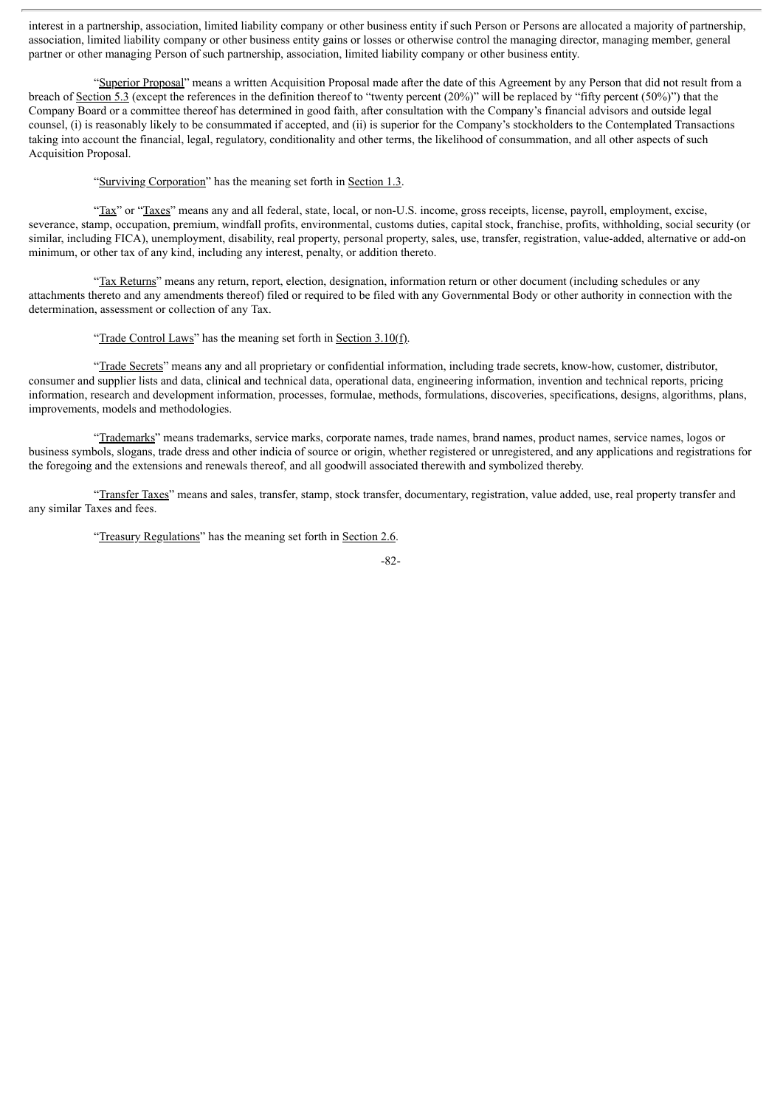interest in a partnership, association, limited liability company or other business entity if such Person or Persons are allocated a majority of partnership, association, limited liability company or other business entity gains or losses or otherwise control the managing director, managing member, general partner or other managing Person of such partnership, association, limited liability company or other business entity.

"Superior Proposal" means a written Acquisition Proposal made after the date of this Agreement by any Person that did not result from a breach of Section 5.3 (except the references in the definition thereof to "twenty percent (20%)" will be replaced by "fifty percent (50%)") that the Company Board or a committee thereof has determined in good faith, after consultation with the Company's financial advisors and outside legal counsel, (i) is reasonably likely to be consummated if accepted, and (ii) is superior for the Company's stockholders to the Contemplated Transactions taking into account the financial, legal, regulatory, conditionality and other terms, the likelihood of consummation, and all other aspects of such Acquisition Proposal.

"Surviving Corporation" has the meaning set forth in Section 1.3.

"Tax" or "Taxes" means any and all federal, state, local, or non-U.S. income, gross receipts, license, payroll, employment, excise, severance, stamp, occupation, premium, windfall profits, environmental, customs duties, capital stock, franchise, profits, withholding, social security (or similar, including FICA), unemployment, disability, real property, personal property, sales, use, transfer, registration, value-added, alternative or add-on minimum, or other tax of any kind, including any interest, penalty, or addition thereto.

"Tax Returns" means any return, report, election, designation, information return or other document (including schedules or any attachments thereto and any amendments thereof) filed or required to be filed with any Governmental Body or other authority in connection with the determination, assessment or collection of any Tax.

"Trade Control Laws" has the meaning set forth in Section  $3.10(f)$ .

"Trade Secrets" means any and all proprietary or confidential information, including trade secrets, know-how, customer, distributor, consumer and supplier lists and data, clinical and technical data, operational data, engineering information, invention and technical reports, pricing information, research and development information, processes, formulae, methods, formulations, discoveries, specifications, designs, algorithms, plans, improvements, models and methodologies.

"Trademarks" means trademarks, service marks, corporate names, trade names, brand names, product names, service names, logos or business symbols, slogans, trade dress and other indicia of source or origin, whether registered or unregistered, and any applications and registrations for the foregoing and the extensions and renewals thereof, and all goodwill associated therewith and symbolized thereby.

"Transfer Taxes" means and sales, transfer, stamp, stock transfer, documentary, registration, value added, use, real property transfer and any similar Taxes and fees.

"Treasury Regulations" has the meaning set forth in Section 2.6.

-82-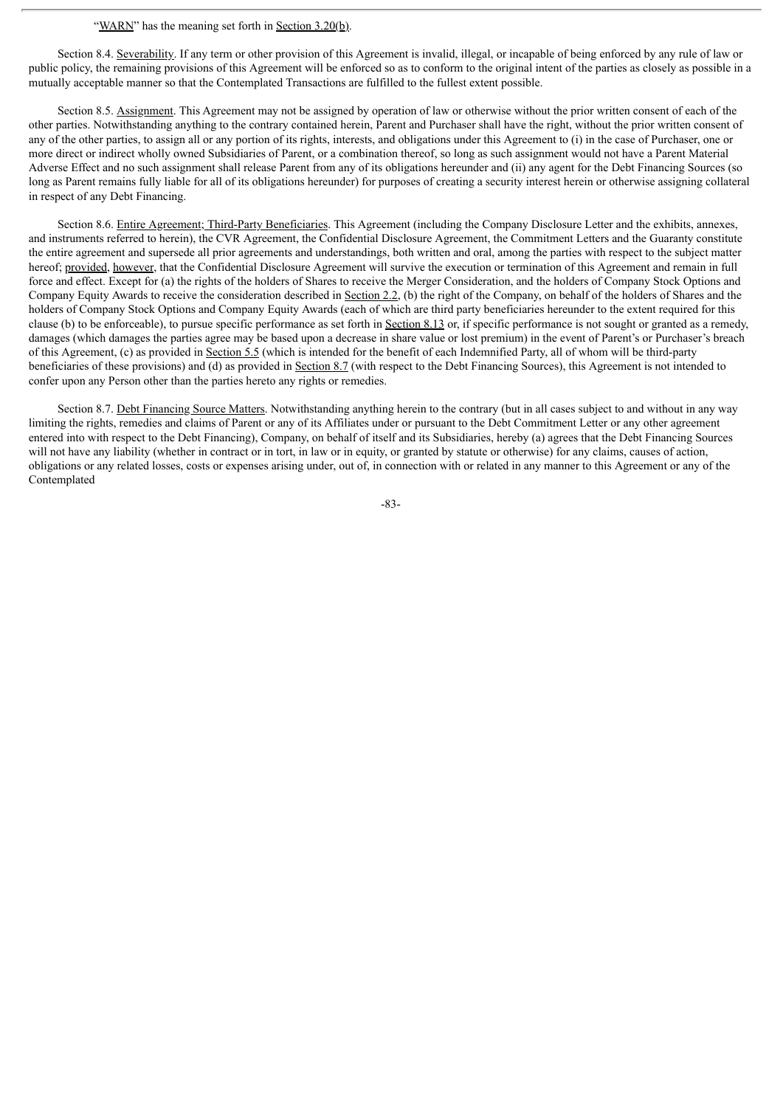## "WARN" has the meaning set forth in Section 3.20(b).

Section 8.4. Severability. If any term or other provision of this Agreement is invalid, illegal, or incapable of being enforced by any rule of law or public policy, the remaining provisions of this Agreement will be enforced so as to conform to the original intent of the parties as closely as possible in a mutually acceptable manner so that the Contemplated Transactions are fulfilled to the fullest extent possible.

Section 8.5. Assignment. This Agreement may not be assigned by operation of law or otherwise without the prior written consent of each of the other parties. Notwithstanding anything to the contrary contained herein, Parent and Purchaser shall have the right, without the prior written consent of any of the other parties, to assign all or any portion of its rights, interests, and obligations under this Agreement to (i) in the case of Purchaser, one or more direct or indirect wholly owned Subsidiaries of Parent, or a combination thereof, so long as such assignment would not have a Parent Material Adverse Effect and no such assignment shall release Parent from any of its obligations hereunder and (ii) any agent for the Debt Financing Sources (so long as Parent remains fully liable for all of its obligations hereunder) for purposes of creating a security interest herein or otherwise assigning collateral in respect of any Debt Financing.

Section 8.6. Entire Agreement; Third-Party Beneficiaries. This Agreement (including the Company Disclosure Letter and the exhibits, annexes, and instruments referred to herein), the CVR Agreement, the Confidential Disclosure Agreement, the Commitment Letters and the Guaranty constitute the entire agreement and supersede all prior agreements and understandings, both written and oral, among the parties with respect to the subject matter hereof; provided, however, that the Confidential Disclosure Agreement will survive the execution or termination of this Agreement and remain in full force and effect. Except for (a) the rights of the holders of Shares to receive the Merger Consideration, and the holders of Company Stock Options and Company Equity Awards to receive the consideration described in Section 2.2, (b) the right of the Company, on behalf of the holders of Shares and the holders of Company Stock Options and Company Equity Awards (each of which are third party beneficiaries hereunder to the extent required for this clause (b) to be enforceable), to pursue specific performance as set forth in Section 8.13 or, if specific performance is not sought or granted as a remedy, damages (which damages the parties agree may be based upon a decrease in share value or lost premium) in the event of Parent's or Purchaser's breach of this Agreement, (c) as provided in Section 5.5 (which is intended for the benefit of each Indemnified Party, all of whom will be third-party beneficiaries of these provisions) and (d) as provided in Section 8.7 (with respect to the Debt Financing Sources), this Agreement is not intended to confer upon any Person other than the parties hereto any rights or remedies.

Section 8.7. Debt Financing Source Matters. Notwithstanding anything herein to the contrary (but in all cases subject to and without in any way limiting the rights, remedies and claims of Parent or any of its Affiliates under or pursuant to the Debt Commitment Letter or any other agreement entered into with respect to the Debt Financing), Company, on behalf of itself and its Subsidiaries, hereby (a) agrees that the Debt Financing Sources will not have any liability (whether in contract or in tort, in law or in equity, or granted by statute or otherwise) for any claims, causes of action, obligations or any related losses, costs or expenses arising under, out of, in connection with or related in any manner to this Agreement or any of the Contemplated

-83-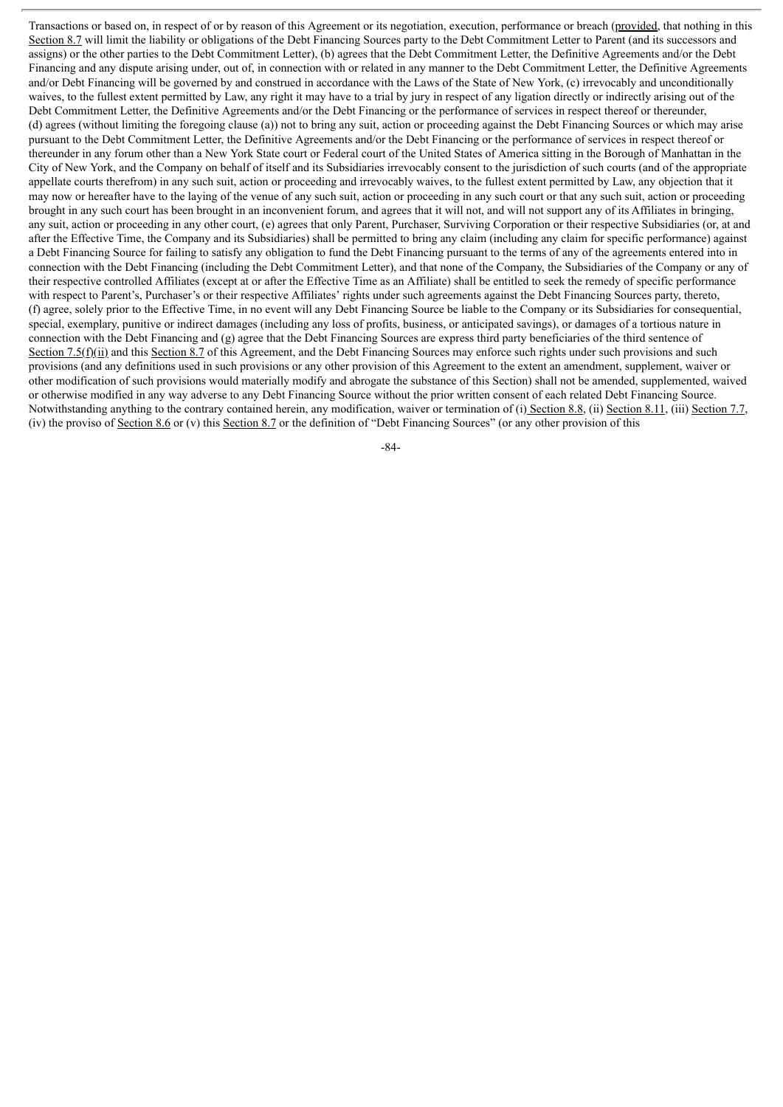Transactions or based on, in respect of or by reason of this Agreement or its negotiation, execution, performance or breach (provided, that nothing in this Section 8.7 will limit the liability or obligations of the Debt Financing Sources party to the Debt Commitment Letter to Parent (and its successors and assigns) or the other parties to the Debt Commitment Letter), (b) agrees that the Debt Commitment Letter, the Definitive Agreements and/or the Debt Financing and any dispute arising under, out of, in connection with or related in any manner to the Debt Commitment Letter, the Definitive Agreements and/or Debt Financing will be governed by and construed in accordance with the Laws of the State of New York, (c) irrevocably and unconditionally waives, to the fullest extent permitted by Law, any right it may have to a trial by jury in respect of any ligation directly or indirectly arising out of the Debt Commitment Letter, the Definitive Agreements and/or the Debt Financing or the performance of services in respect thereof or thereunder, (d) agrees (without limiting the foregoing clause (a)) not to bring any suit, action or proceeding against the Debt Financing Sources or which may arise pursuant to the Debt Commitment Letter, the Definitive Agreements and/or the Debt Financing or the performance of services in respect thereof or thereunder in any forum other than a New York State court or Federal court of the United States of America sitting in the Borough of Manhattan in the City of New York, and the Company on behalf of itself and its Subsidiaries irrevocably consent to the jurisdiction of such courts (and of the appropriate appellate courts therefrom) in any such suit, action or proceeding and irrevocably waives, to the fullest extent permitted by Law, any objection that it may now or hereafter have to the laying of the venue of any such suit, action or proceeding in any such court or that any such suit, action or proceeding brought in any such court has been brought in an inconvenient forum, and agrees that it will not, and will not support any of its Affiliates in bringing, any suit, action or proceeding in any other court, (e) agrees that only Parent, Purchaser, Surviving Corporation or their respective Subsidiaries (or, at and after the Effective Time, the Company and its Subsidiaries) shall be permitted to bring any claim (including any claim for specific performance) against a Debt Financing Source for failing to satisfy any obligation to fund the Debt Financing pursuant to the terms of any of the agreements entered into in connection with the Debt Financing (including the Debt Commitment Letter), and that none of the Company, the Subsidiaries of the Company or any of their respective controlled Affiliates (except at or after the Effective Time as an Affiliate) shall be entitled to seek the remedy of specific performance with respect to Parent's, Purchaser's or their respective Affiliates' rights under such agreements against the Debt Financing Sources party, thereto, (f) agree, solely prior to the Effective Time, in no event will any Debt Financing Source be liable to the Company or its Subsidiaries for consequential, special, exemplary, punitive or indirect damages (including any loss of profits, business, or anticipated savings), or damages of a tortious nature in connection with the Debt Financing and (g) agree that the Debt Financing Sources are express third party beneficiaries of the third sentence of Section 7.5(f)(ii) and this Section 8.7 of this Agreement, and the Debt Financing Sources may enforce such rights under such provisions and such provisions (and any definitions used in such provisions or any other provision of this Agreement to the extent an amendment, supplement, waiver or other modification of such provisions would materially modify and abrogate the substance of this Section) shall not be amended, supplemented, waived or otherwise modified in any way adverse to any Debt Financing Source without the prior written consent of each related Debt Financing Source. Notwithstanding anything to the contrary contained herein, any modification, waiver or termination of (i) Section 8.8, (ii) Section 8.11, (iii) Section 7.7, (iv) the proviso of Section 8.6 or (v) this Section 8.7 or the definition of "Debt Financing Sources" (or any other provision of this

-84-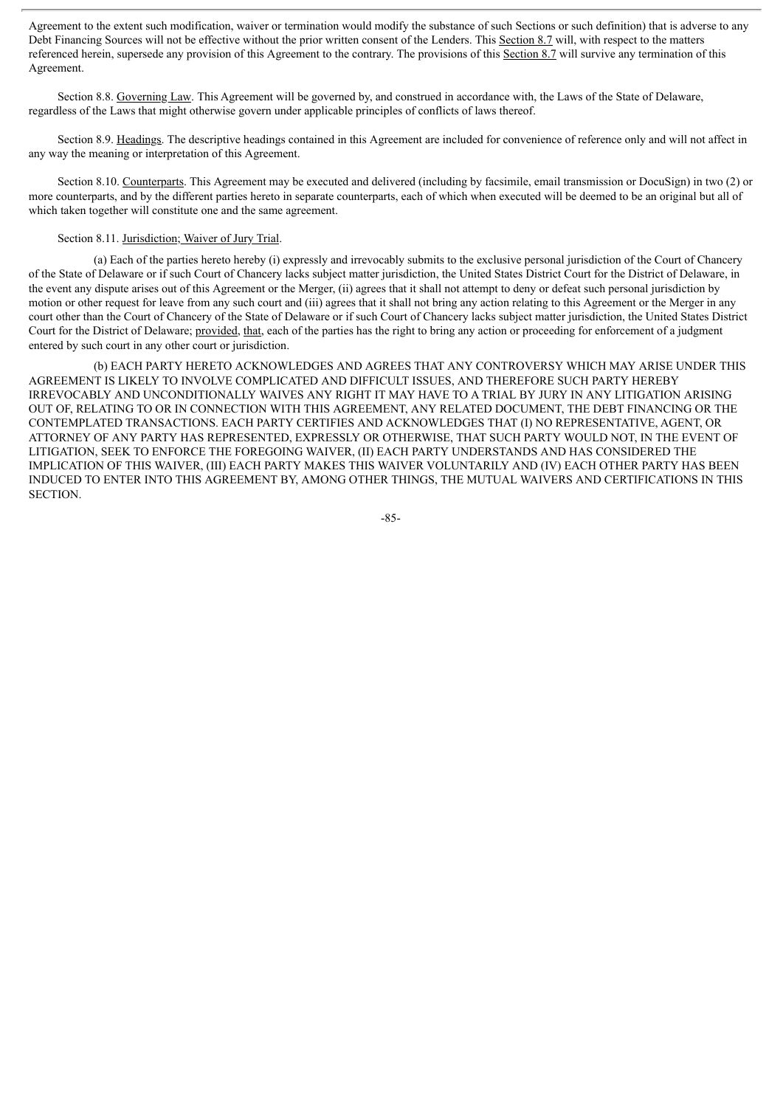Agreement to the extent such modification, waiver or termination would modify the substance of such Sections or such definition) that is adverse to any Debt Financing Sources will not be effective without the prior written consent of the Lenders. This Section 8.7 will, with respect to the matters referenced herein, supersede any provision of this Agreement to the contrary. The provisions of this Section 8.7 will survive any termination of this Agreement.

Section 8.8. Governing Law. This Agreement will be governed by, and construed in accordance with, the Laws of the State of Delaware, regardless of the Laws that might otherwise govern under applicable principles of conflicts of laws thereof.

Section 8.9. Headings. The descriptive headings contained in this Agreement are included for convenience of reference only and will not affect in any way the meaning or interpretation of this Agreement.

Section 8.10. Counterparts. This Agreement may be executed and delivered (including by facsimile, email transmission or DocuSign) in two (2) or more counterparts, and by the different parties hereto in separate counterparts, each of which when executed will be deemed to be an original but all of which taken together will constitute one and the same agreement.

#### Section 8.11. Jurisdiction; Waiver of Jury Trial.

(a) Each of the parties hereto hereby (i) expressly and irrevocably submits to the exclusive personal jurisdiction of the Court of Chancery of the State of Delaware or if such Court of Chancery lacks subject matter jurisdiction, the United States District Court for the District of Delaware, in the event any dispute arises out of this Agreement or the Merger, (ii) agrees that it shall not attempt to deny or defeat such personal jurisdiction by motion or other request for leave from any such court and (iii) agrees that it shall not bring any action relating to this Agreement or the Merger in any court other than the Court of Chancery of the State of Delaware or if such Court of Chancery lacks subject matter jurisdiction, the United States District Court for the District of Delaware; provided, that, each of the parties has the right to bring any action or proceeding for enforcement of a judgment entered by such court in any other court or jurisdiction.

(b) EACH PARTY HERETO ACKNOWLEDGES AND AGREES THAT ANY CONTROVERSY WHICH MAY ARISE UNDER THIS AGREEMENT IS LIKELY TO INVOLVE COMPLICATED AND DIFFICULT ISSUES, AND THEREFORE SUCH PARTY HEREBY IRREVOCABLY AND UNCONDITIONALLY WAIVES ANY RIGHT IT MAY HAVE TO A TRIAL BY JURY IN ANY LITIGATION ARISING OUT OF, RELATING TO OR IN CONNECTION WITH THIS AGREEMENT, ANY RELATED DOCUMENT, THE DEBT FINANCING OR THE CONTEMPLATED TRANSACTIONS. EACH PARTY CERTIFIES AND ACKNOWLEDGES THAT (I) NO REPRESENTATIVE, AGENT, OR ATTORNEY OF ANY PARTY HAS REPRESENTED, EXPRESSLY OR OTHERWISE, THAT SUCH PARTY WOULD NOT, IN THE EVENT OF LITIGATION, SEEK TO ENFORCE THE FOREGOING WAIVER, (II) EACH PARTY UNDERSTANDS AND HAS CONSIDERED THE IMPLICATION OF THIS WAIVER, (III) EACH PARTY MAKES THIS WAIVER VOLUNTARILY AND (IV) EACH OTHER PARTY HAS BEEN INDUCED TO ENTER INTO THIS AGREEMENT BY, AMONG OTHER THINGS, THE MUTUAL WAIVERS AND CERTIFICATIONS IN THIS SECTION.

-85-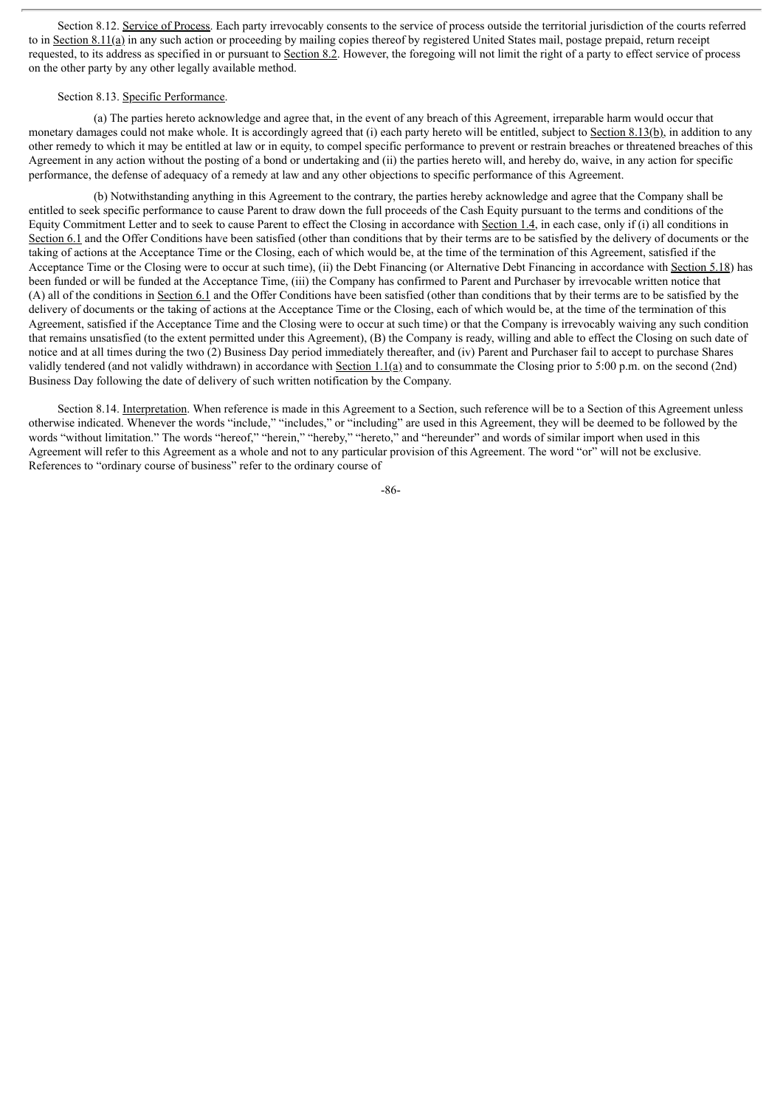Section 8.12. Service of Process. Each party irrevocably consents to the service of process outside the territorial jurisdiction of the courts referred to in Section 8.11(a) in any such action or proceeding by mailing copies thereof by registered United States mail, postage prepaid, return receipt requested, to its address as specified in or pursuant to Section 8.2. However, the foregoing will not limit the right of a party to effect service of process on the other party by any other legally available method.

## Section 8.13. Specific Performance.

(a) The parties hereto acknowledge and agree that, in the event of any breach of this Agreement, irreparable harm would occur that monetary damages could not make whole. It is accordingly agreed that (i) each party hereto will be entitled, subject to Section  $8.13(b)$ , in addition to any other remedy to which it may be entitled at law or in equity, to compel specific performance to prevent or restrain breaches or threatened breaches of this Agreement in any action without the posting of a bond or undertaking and (ii) the parties hereto will, and hereby do, waive, in any action for specific performance, the defense of adequacy of a remedy at law and any other objections to specific performance of this Agreement.

(b) Notwithstanding anything in this Agreement to the contrary, the parties hereby acknowledge and agree that the Company shall be entitled to seek specific performance to cause Parent to draw down the full proceeds of the Cash Equity pursuant to the terms and conditions of the Equity Commitment Letter and to seek to cause Parent to effect the Closing in accordance with Section 1.4, in each case, only if (i) all conditions in Section 6.1 and the Offer Conditions have been satisfied (other than conditions that by their terms are to be satisfied by the delivery of documents or the taking of actions at the Acceptance Time or the Closing, each of which would be, at the time of the termination of this Agreement, satisfied if the Acceptance Time or the Closing were to occur at such time), (ii) the Debt Financing (or Alternative Debt Financing in accordance with Section 5.18) has been funded or will be funded at the Acceptance Time, (iii) the Company has confirmed to Parent and Purchaser by irrevocable written notice that (A) all of the conditions in Section 6.1 and the Offer Conditions have been satisfied (other than conditions that by their terms are to be satisfied by the delivery of documents or the taking of actions at the Acceptance Time or the Closing, each of which would be, at the time of the termination of this Agreement, satisfied if the Acceptance Time and the Closing were to occur at such time) or that the Company is irrevocably waiving any such condition that remains unsatisfied (to the extent permitted under this Agreement), (B) the Company is ready, willing and able to effect the Closing on such date of notice and at all times during the two (2) Business Day period immediately thereafter, and (iv) Parent and Purchaser fail to accept to purchase Shares validly tendered (and not validly withdrawn) in accordance with Section 1.1(a) and to consummate the Closing prior to 5:00 p.m. on the second (2nd) Business Day following the date of delivery of such written notification by the Company.

Section 8.14. Interpretation. When reference is made in this Agreement to a Section, such reference will be to a Section of this Agreement unless otherwise indicated. Whenever the words "include," "includes," or "including" are used in this Agreement, they will be deemed to be followed by the words "without limitation." The words "hereof," "herein," "hereby," "hereto," and "hereunder" and words of similar import when used in this Agreement will refer to this Agreement as a whole and not to any particular provision of this Agreement. The word "or" will not be exclusive. References to "ordinary course of business" refer to the ordinary course of

-86-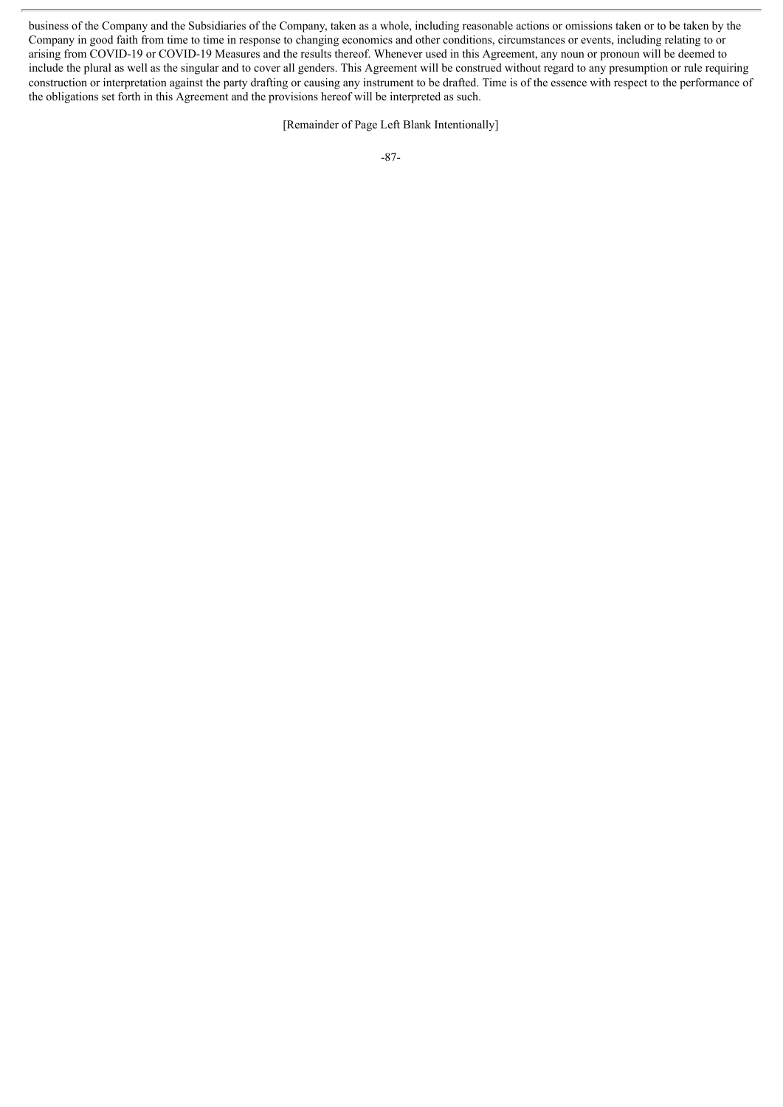business of the Company and the Subsidiaries of the Company, taken as a whole, including reasonable actions or omissions taken or to be taken by the Company in good faith from time to time in response to changing economics and other conditions, circumstances or events, including relating to or arising from COVID-19 or COVID-19 Measures and the results thereof. Whenever used in this Agreement, any noun or pronoun will be deemed to include the plural as well as the singular and to cover all genders. This Agreement will be construed without regard to any presumption or rule requiring construction or interpretation against the party drafting or causing any instrument to be drafted. Time is of the essence with respect to the performance of the obligations set forth in this Agreement and the provisions hereof will be interpreted as such.

[Remainder of Page Left Blank Intentionally]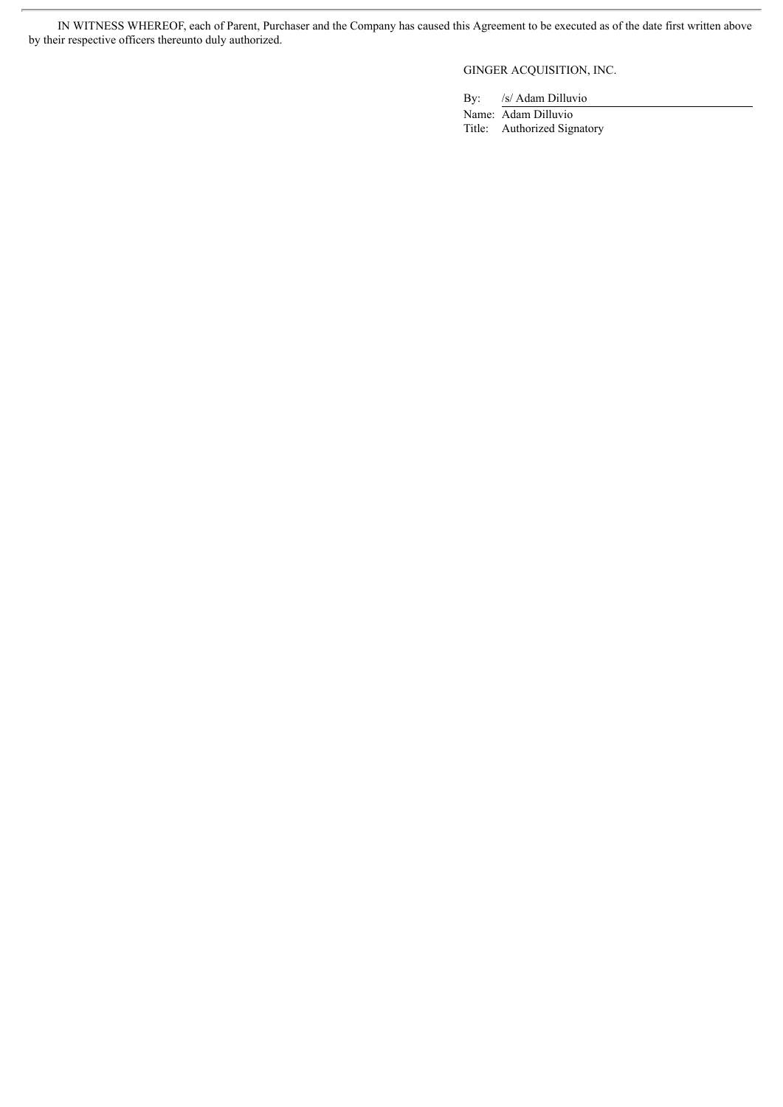IN WITNESS WHEREOF, each of Parent, Purchaser and the Company has caused this Agreement to be executed as of the date first written above by their respective officers thereunto duly authorized.

GINGER ACQUISITION, INC.

By: /s/ Adam Dilluvio

Name: Adam Dilluvio Title: Authorized Signatory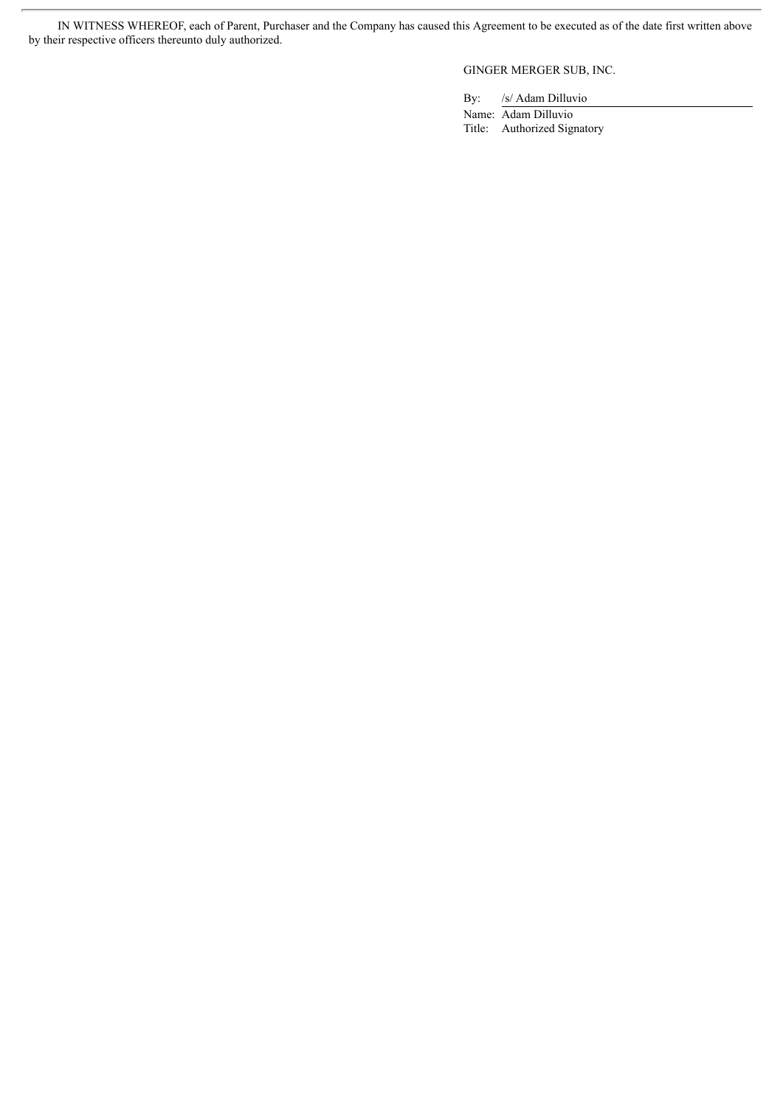IN WITNESS WHEREOF, each of Parent, Purchaser and the Company has caused this Agreement to be executed as of the date first written above by their respective officers thereunto duly authorized.

GINGER MERGER SUB, INC.

By: /s/ Adam Dilluvio

Name: Adam Dilluvio Title: Authorized Signatory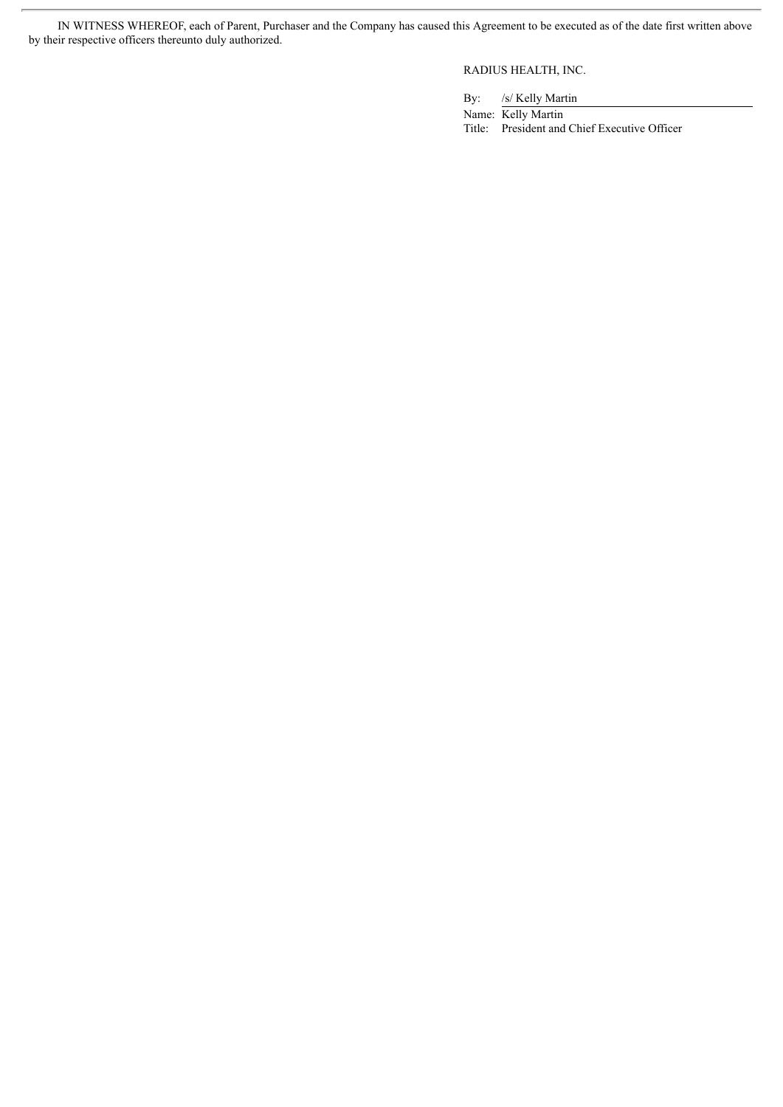IN WITNESS WHEREOF, each of Parent, Purchaser and the Company has caused this Agreement to be executed as of the date first written above by their respective officers thereunto duly authorized.

RADIUS HEALTH, INC.

By: /s/ Kelly Martin

Name: Kelly Martin Title: President and Chief Executive Officer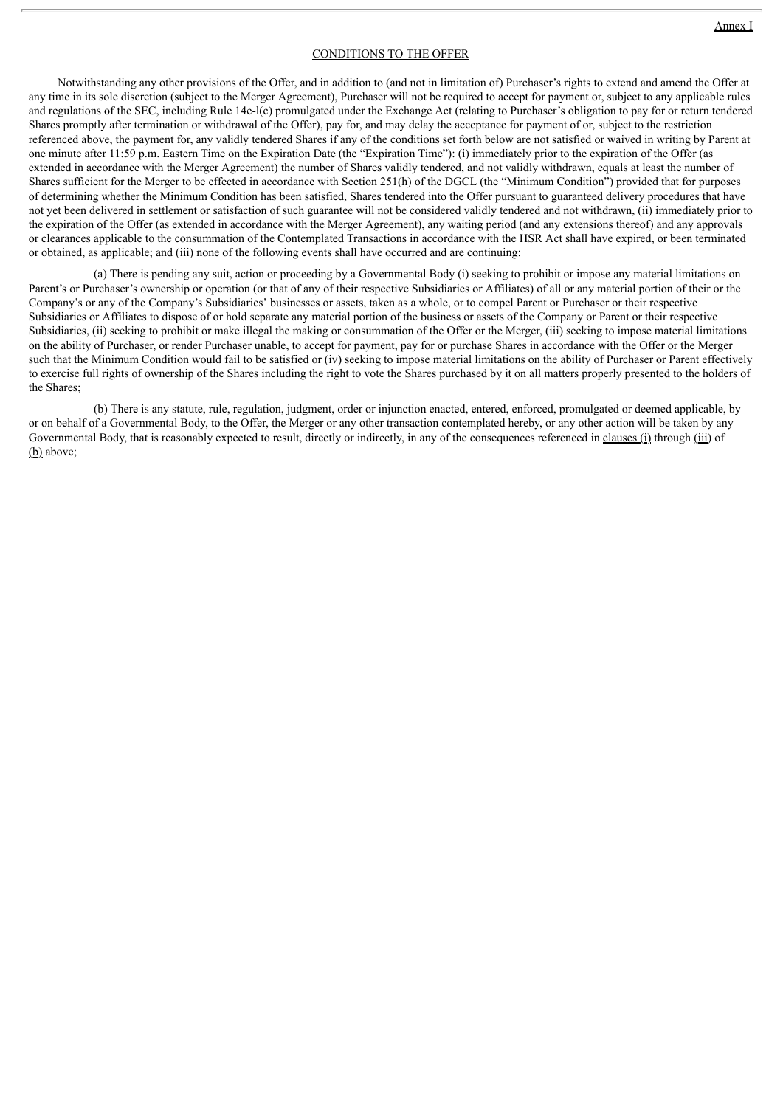#### CONDITIONS TO THE OFFER

Notwithstanding any other provisions of the Offer, and in addition to (and not in limitation of) Purchaser's rights to extend and amend the Offer at any time in its sole discretion (subject to the Merger Agreement), Purchaser will not be required to accept for payment or, subject to any applicable rules and regulations of the SEC, including Rule 14e-l(c) promulgated under the Exchange Act (relating to Purchaser's obligation to pay for or return tendered Shares promptly after termination or withdrawal of the Offer), pay for, and may delay the acceptance for payment of or, subject to the restriction referenced above, the payment for, any validly tendered Shares if any of the conditions set forth below are not satisfied or waived in writing by Parent at one minute after 11:59 p.m. Eastern Time on the Expiration Date (the "Expiration Time"): (i) immediately prior to the expiration of the Offer (as extended in accordance with the Merger Agreement) the number of Shares validly tendered, and not validly withdrawn, equals at least the number of Shares sufficient for the Merger to be effected in accordance with Section 251(h) of the DGCL (the "Minimum Condition") provided that for purposes of determining whether the Minimum Condition has been satisfied, Shares tendered into the Offer pursuant to guaranteed delivery procedures that have not yet been delivered in settlement or satisfaction of such guarantee will not be considered validly tendered and not withdrawn, (ii) immediately prior to the expiration of the Offer (as extended in accordance with the Merger Agreement), any waiting period (and any extensions thereof) and any approvals or clearances applicable to the consummation of the Contemplated Transactions in accordance with the HSR Act shall have expired, or been terminated or obtained, as applicable; and (iii) none of the following events shall have occurred and are continuing:

(a) There is pending any suit, action or proceeding by a Governmental Body (i) seeking to prohibit or impose any material limitations on Parent's or Purchaser's ownership or operation (or that of any of their respective Subsidiaries or Affiliates) of all or any material portion of their or the Company's or any of the Company's Subsidiaries' businesses or assets, taken as a whole, or to compel Parent or Purchaser or their respective Subsidiaries or Affiliates to dispose of or hold separate any material portion of the business or assets of the Company or Parent or their respective Subsidiaries, (ii) seeking to prohibit or make illegal the making or consummation of the Offer or the Merger, (iii) seeking to impose material limitations on the ability of Purchaser, or render Purchaser unable, to accept for payment, pay for or purchase Shares in accordance with the Offer or the Merger such that the Minimum Condition would fail to be satisfied or (iv) seeking to impose material limitations on the ability of Purchaser or Parent effectively to exercise full rights of ownership of the Shares including the right to vote the Shares purchased by it on all matters properly presented to the holders of the Shares;

(b) There is any statute, rule, regulation, judgment, order or injunction enacted, entered, enforced, promulgated or deemed applicable, by or on behalf of a Governmental Body, to the Offer, the Merger or any other transaction contemplated hereby, or any other action will be taken by any Governmental Body, that is reasonably expected to result, directly or indirectly, in any of the consequences referenced in clauses (i) through (iii) of  $(b)$  above: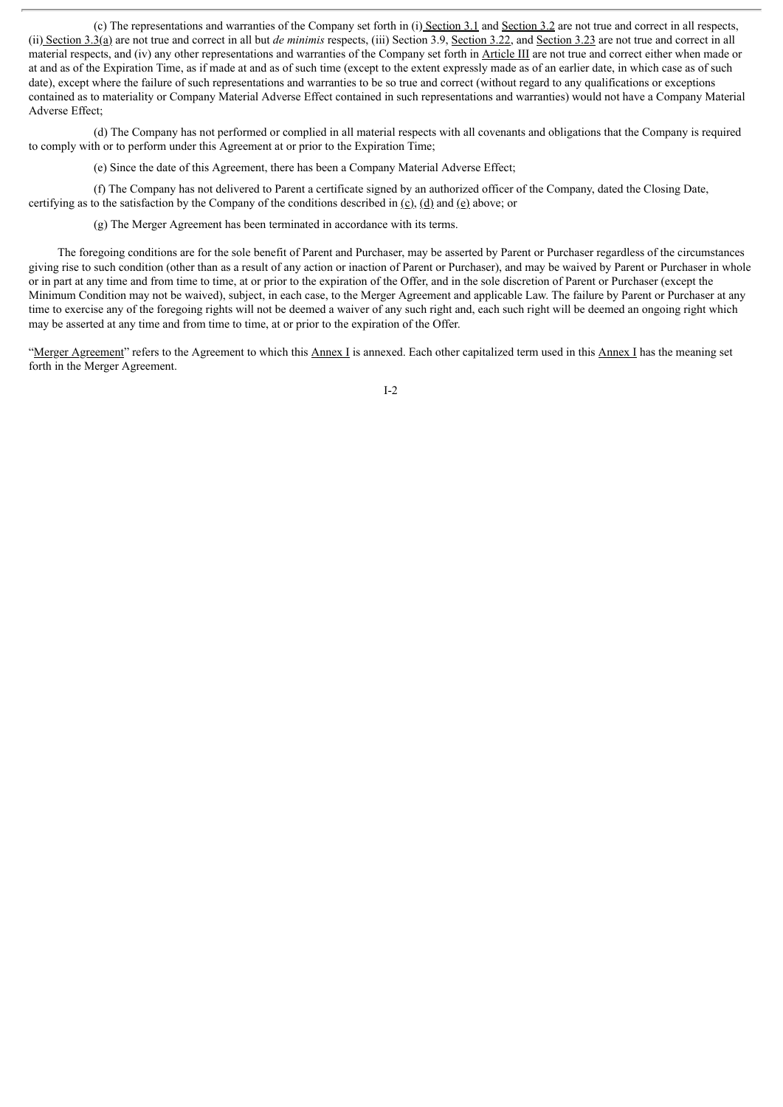(c) The representations and warranties of the Company set forth in (i) Section 3.1 and Section 3.2 are not true and correct in all respects, (ii) Section 3.3(a) are not true and correct in all but *de minimis* respects, (iii) Section 3.9, Section 3.22, and Section 3.23 are not true and correct in all material respects, and (iv) any other representations and warranties of the Company set forth in Article III are not true and correct either when made or at and as of the Expiration Time, as if made at and as of such time (except to the extent expressly made as of an earlier date, in which case as of such date), except where the failure of such representations and warranties to be so true and correct (without regard to any qualifications or exceptions contained as to materiality or Company Material Adverse Effect contained in such representations and warranties) would not have a Company Material Adverse Effect;

(d) The Company has not performed or complied in all material respects with all covenants and obligations that the Company is required to comply with or to perform under this Agreement at or prior to the Expiration Time;

(e) Since the date of this Agreement, there has been a Company Material Adverse Effect;

(f) The Company has not delivered to Parent a certificate signed by an authorized officer of the Company, dated the Closing Date, certifying as to the satisfaction by the Company of the conditions described in  $(c)$ ,  $(d)$  and  $(e)$  above; or

(g) The Merger Agreement has been terminated in accordance with its terms.

The foregoing conditions are for the sole benefit of Parent and Purchaser, may be asserted by Parent or Purchaser regardless of the circumstances giving rise to such condition (other than as a result of any action or inaction of Parent or Purchaser), and may be waived by Parent or Purchaser in whole or in part at any time and from time to time, at or prior to the expiration of the Offer, and in the sole discretion of Parent or Purchaser (except the Minimum Condition may not be waived), subject, in each case, to the Merger Agreement and applicable Law. The failure by Parent or Purchaser at any time to exercise any of the foregoing rights will not be deemed a waiver of any such right and, each such right will be deemed an ongoing right which may be asserted at any time and from time to time, at or prior to the expiration of the Offer.

"Merger Agreement" refers to the Agreement to which this Annex I is annexed. Each other capitalized term used in this Annex I has the meaning set forth in the Merger Agreement.

I-2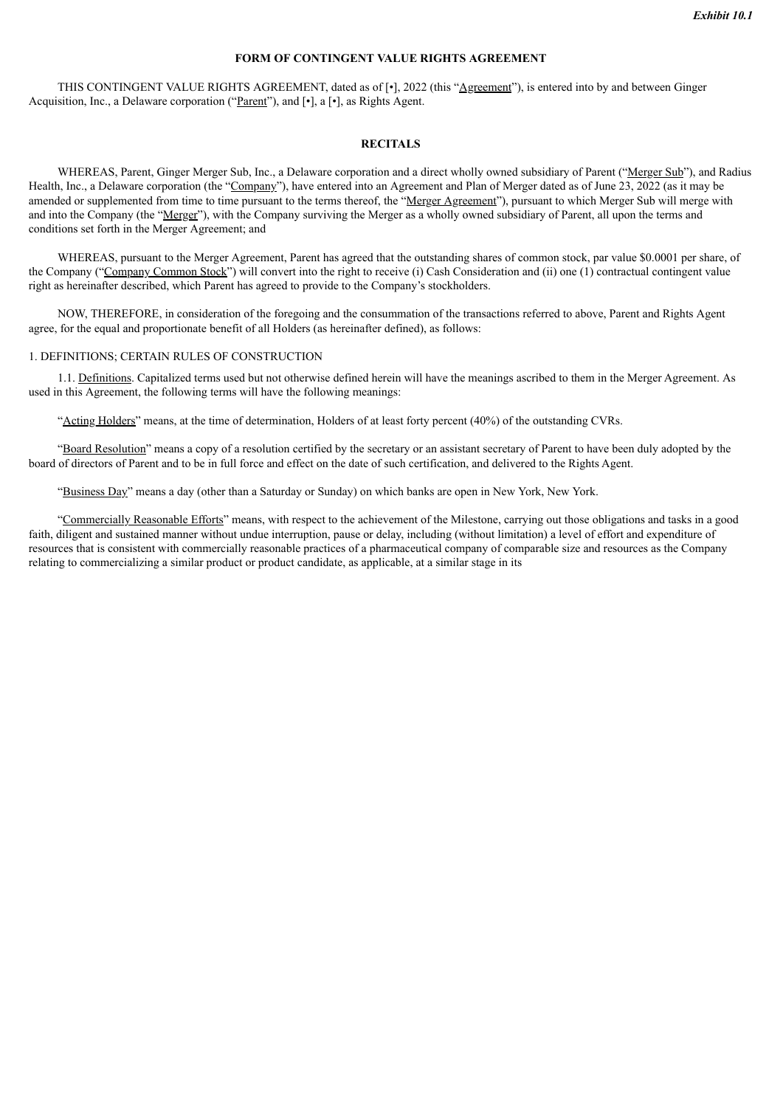#### **FORM OF CONTINGENT VALUE RIGHTS AGREEMENT**

THIS CONTINGENT VALUE RIGHTS AGREEMENT, dated as of [•], 2022 (this "Agreement"), is entered into by and between Ginger Acquisition, Inc., a Delaware corporation ("Parent"), and [.], a [.], as Rights Agent.

#### **RECITALS**

WHEREAS, Parent, Ginger Merger Sub, Inc., a Delaware corporation and a direct wholly owned subsidiary of Parent ("Merger Sub"), and Radius Health, Inc., a Delaware corporation (the "Company"), have entered into an Agreement and Plan of Merger dated as of June 23, 2022 (as it may be amended or supplemented from time to time pursuant to the terms thereof, the "Merger Agreement"), pursuant to which Merger Sub will merge with and into the Company (the "Merger"), with the Company surviving the Merger as a wholly owned subsidiary of Parent, all upon the terms and conditions set forth in the Merger Agreement; and

WHEREAS, pursuant to the Merger Agreement, Parent has agreed that the outstanding shares of common stock, par value \$0.0001 per share, of the Company ("Company Common Stock") will convert into the right to receive (i) Cash Consideration and (ii) one (1) contractual contingent value right as hereinafter described, which Parent has agreed to provide to the Company's stockholders.

NOW, THEREFORE, in consideration of the foregoing and the consummation of the transactions referred to above, Parent and Rights Agent agree, for the equal and proportionate benefit of all Holders (as hereinafter defined), as follows:

#### 1. DEFINITIONS; CERTAIN RULES OF CONSTRUCTION

1.1. Definitions. Capitalized terms used but not otherwise defined herein will have the meanings ascribed to them in the Merger Agreement. As used in this Agreement, the following terms will have the following meanings:

"Acting Holders" means, at the time of determination, Holders of at least forty percent (40%) of the outstanding CVRs.

"Board Resolution" means a copy of a resolution certified by the secretary or an assistant secretary of Parent to have been duly adopted by the board of directors of Parent and to be in full force and effect on the date of such certification, and delivered to the Rights Agent.

"Business Day" means a day (other than a Saturday or Sunday) on which banks are open in New York, New York.

"Commercially Reasonable Efforts" means, with respect to the achievement of the Milestone, carrying out those obligations and tasks in a good faith, diligent and sustained manner without undue interruption, pause or delay, including (without limitation) a level of effort and expenditure of resources that is consistent with commercially reasonable practices of a pharmaceutical company of comparable size and resources as the Company relating to commercializing a similar product or product candidate, as applicable, at a similar stage in its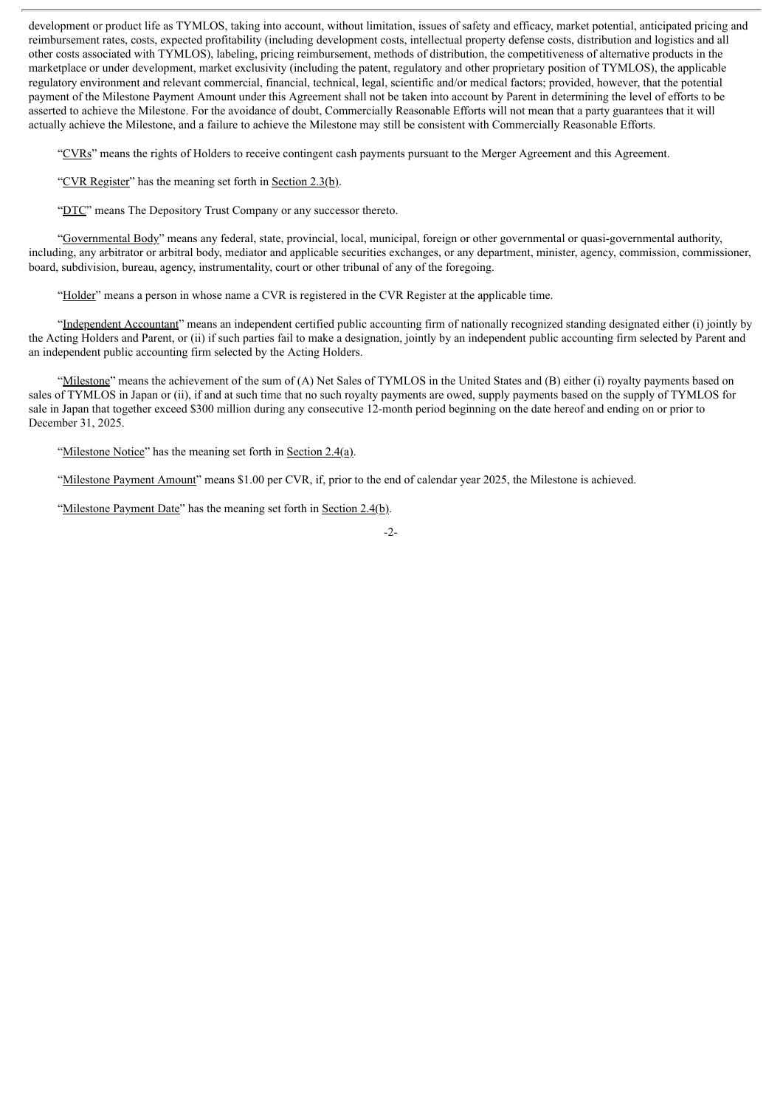development or product life as TYMLOS, taking into account, without limitation, issues of safety and efficacy, market potential, anticipated pricing and reimbursement rates, costs, expected profitability (including development costs, intellectual property defense costs, distribution and logistics and all other costs associated with TYMLOS), labeling, pricing reimbursement, methods of distribution, the competitiveness of alternative products in the marketplace or under development, market exclusivity (including the patent, regulatory and other proprietary position of TYMLOS), the applicable regulatory environment and relevant commercial, financial, technical, legal, scientific and/or medical factors; provided, however, that the potential payment of the Milestone Payment Amount under this Agreement shall not be taken into account by Parent in determining the level of efforts to be asserted to achieve the Milestone. For the avoidance of doubt, Commercially Reasonable Efforts will not mean that a party guarantees that it will actually achieve the Milestone, and a failure to achieve the Milestone may still be consistent with Commercially Reasonable Efforts.

"CVRs" means the rights of Holders to receive contingent cash payments pursuant to the Merger Agreement and this Agreement.

"CVR Register" has the meaning set forth in Section 2.3(b).

"DTC" means The Depository Trust Company or any successor thereto.

"Governmental Body" means any federal, state, provincial, local, municipal, foreign or other governmental or quasi-governmental authority, including, any arbitrator or arbitral body, mediator and applicable securities exchanges, or any department, minister, agency, commission, commissioner, board, subdivision, bureau, agency, instrumentality, court or other tribunal of any of the foregoing.

"Holder" means a person in whose name a CVR is registered in the CVR Register at the applicable time.

"Independent Accountant" means an independent certified public accounting firm of nationally recognized standing designated either (i) jointly by the Acting Holders and Parent, or (ii) if such parties fail to make a designation, jointly by an independent public accounting firm selected by Parent and an independent public accounting firm selected by the Acting Holders.

"Milestone" means the achievement of the sum of (A) Net Sales of TYMLOS in the United States and (B) either (i) royalty payments based on sales of TYMLOS in Japan or (ii), if and at such time that no such royalty payments are owed, supply payments based on the supply of TYMLOS for sale in Japan that together exceed \$300 million during any consecutive 12-month period beginning on the date hereof and ending on or prior to December 31, 2025.

"Milestone Notice" has the meaning set forth in Section 2.4(a).

"Milestone Payment Amount" means \$1.00 per CVR, if, prior to the end of calendar year 2025, the Milestone is achieved.

"Milestone Payment Date" has the meaning set forth in Section 2.4(b).

-2-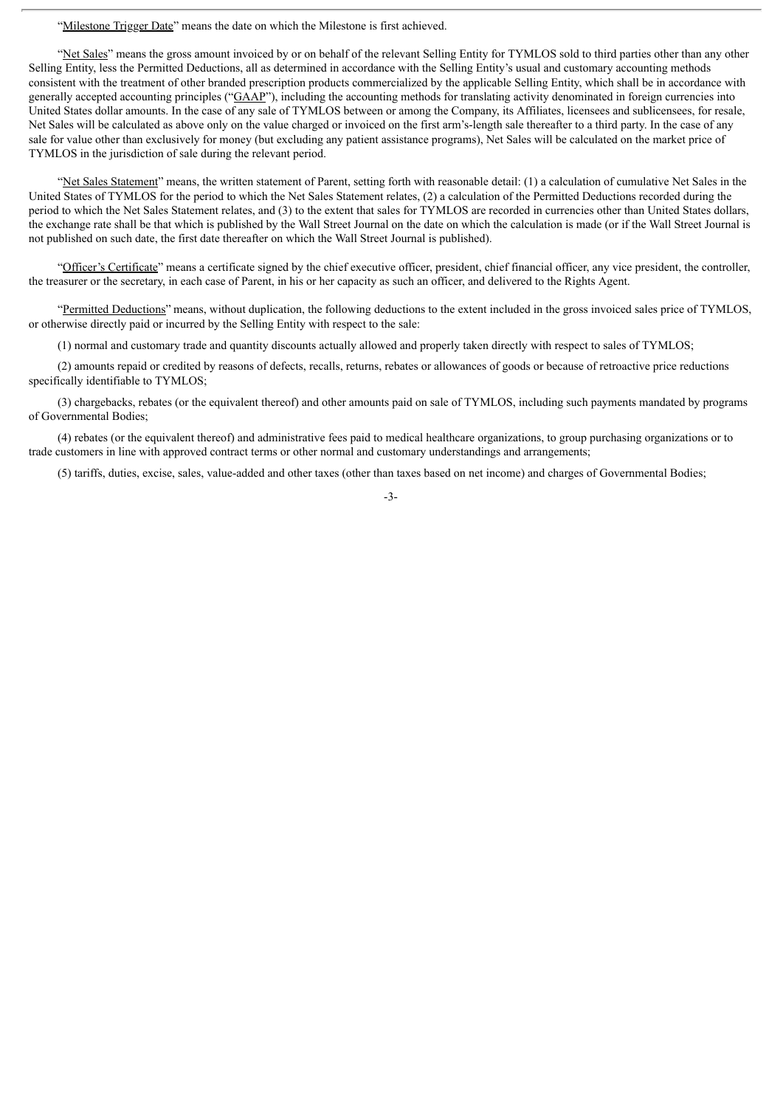"Milestone Trigger Date" means the date on which the Milestone is first achieved.

"Net Sales" means the gross amount invoiced by or on behalf of the relevant Selling Entity for TYMLOS sold to third parties other than any other Selling Entity, less the Permitted Deductions, all as determined in accordance with the Selling Entity's usual and customary accounting methods consistent with the treatment of other branded prescription products commercialized by the applicable Selling Entity, which shall be in accordance with generally accepted accounting principles (" $GAP$ "), including the accounting methods for translating activity denominated in foreign currencies into United States dollar amounts. In the case of any sale of TYMLOS between or among the Company, its Affiliates, licensees and sublicensees, for resale, Net Sales will be calculated as above only on the value charged or invoiced on the first arm's-length sale thereafter to a third party. In the case of any sale for value other than exclusively for money (but excluding any patient assistance programs), Net Sales will be calculated on the market price of TYMLOS in the jurisdiction of sale during the relevant period.

"Net Sales Statement" means, the written statement of Parent, setting forth with reasonable detail: (1) a calculation of cumulative Net Sales in the United States of TYMLOS for the period to which the Net Sales Statement relates, (2) a calculation of the Permitted Deductions recorded during the period to which the Net Sales Statement relates, and (3) to the extent that sales for TYMLOS are recorded in currencies other than United States dollars, the exchange rate shall be that which is published by the Wall Street Journal on the date on which the calculation is made (or if the Wall Street Journal is not published on such date, the first date thereafter on which the Wall Street Journal is published).

"Officer's Certificate" means a certificate signed by the chief executive officer, president, chief financial officer, any vice president, the controller, the treasurer or the secretary, in each case of Parent, in his or her capacity as such an officer, and delivered to the Rights Agent.

"Permitted Deductions" means, without duplication, the following deductions to the extent included in the gross invoiced sales price of TYMLOS, or otherwise directly paid or incurred by the Selling Entity with respect to the sale:

(1) normal and customary trade and quantity discounts actually allowed and properly taken directly with respect to sales of TYMLOS;

(2) amounts repaid or credited by reasons of defects, recalls, returns, rebates or allowances of goods or because of retroactive price reductions specifically identifiable to TYMLOS;

(3) chargebacks, rebates (or the equivalent thereof) and other amounts paid on sale of TYMLOS, including such payments mandated by programs of Governmental Bodies;

(4) rebates (or the equivalent thereof) and administrative fees paid to medical healthcare organizations, to group purchasing organizations or to trade customers in line with approved contract terms or other normal and customary understandings and arrangements;

(5) tariffs, duties, excise, sales, value-added and other taxes (other than taxes based on net income) and charges of Governmental Bodies;

-3-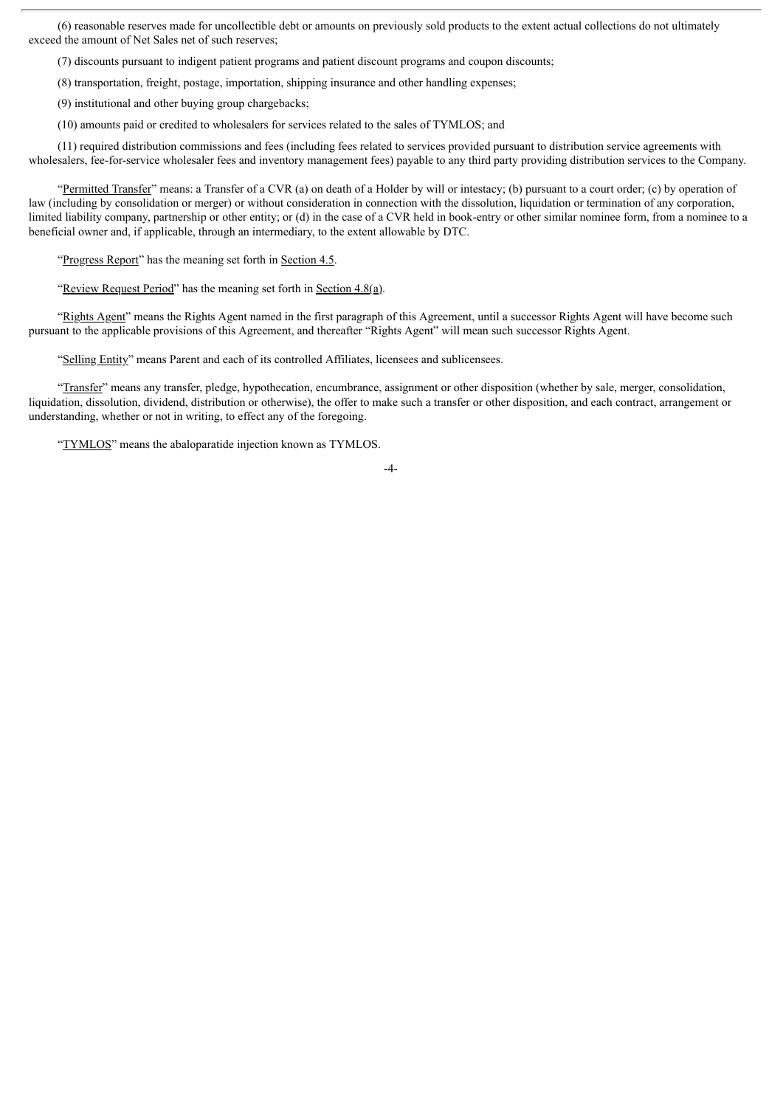(6) reasonable reserves made for uncollectible debt or amounts on previously sold products to the extent actual collections do not ultimately exceed the amount of Net Sales net of such reserves;

(7) discounts pursuant to indigent patient programs and patient discount programs and coupon discounts;

(8) transportation, freight, postage, importation, shipping insurance and other handling expenses;

(9) institutional and other buying group chargebacks;

(10) amounts paid or credited to wholesalers for services related to the sales of TYMLOS; and

(11) required distribution commissions and fees (including fees related to services provided pursuant to distribution service agreements with wholesalers, fee-for-service wholesaler fees and inventory management fees) payable to any third party providing distribution services to the Company.

"Permitted Transfer" means: a Transfer of a CVR (a) on death of a Holder by will or intestacy; (b) pursuant to a court order; (c) by operation of law (including by consolidation or merger) or without consideration in connection with the dissolution, liquidation or termination of any corporation, limited liability company, partnership or other entity; or (d) in the case of a CVR held in book-entry or other similar nominee form, from a nominee to a beneficial owner and, if applicable, through an intermediary, to the extent allowable by DTC.

"Progress Report" has the meaning set forth in Section 4.5.

"Review Request Period" has the meaning set forth in Section 4.8(a).

"Rights Agent" means the Rights Agent named in the first paragraph of this Agreement, until a successor Rights Agent will have become such pursuant to the applicable provisions of this Agreement, and thereafter "Rights Agent" will mean such successor Rights Agent.

"Selling Entity" means Parent and each of its controlled Affiliates, licensees and sublicensees.

"Transfer" means any transfer, pledge, hypothecation, encumbrance, assignment or other disposition (whether by sale, merger, consolidation, liquidation, dissolution, dividend, distribution or otherwise), the offer to make such a transfer or other disposition, and each contract, arrangement or understanding, whether or not in writing, to effect any of the foregoing.

"TYMLOS" means the abaloparatide injection known as TYMLOS.

-4-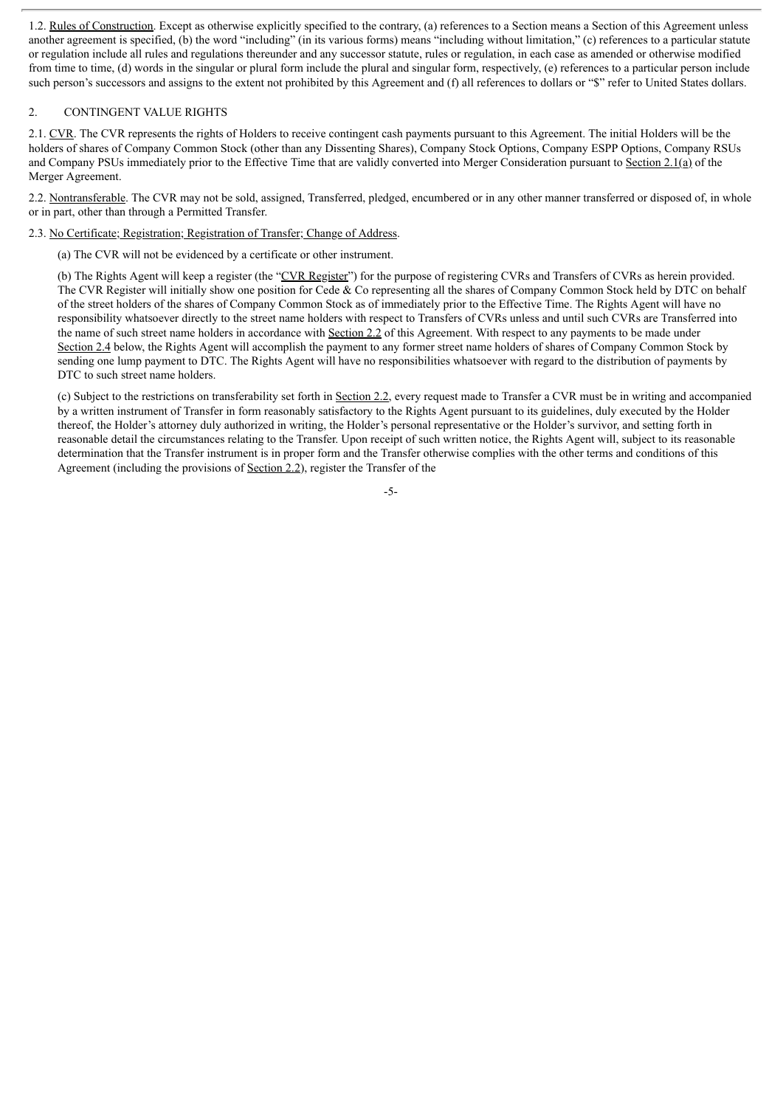1.2. Rules of Construction. Except as otherwise explicitly specified to the contrary, (a) references to a Section means a Section of this Agreement unless another agreement is specified, (b) the word "including" (in its various forms) means "including without limitation," (c) references to a particular statute or regulation include all rules and regulations thereunder and any successor statute, rules or regulation, in each case as amended or otherwise modified from time to time, (d) words in the singular or plural form include the plural and singular form, respectively, (e) references to a particular person include such person's successors and assigns to the extent not prohibited by this Agreement and (f) all references to dollars or "\$" refer to United States dollars.

# 2. CONTINGENT VALUE RIGHTS

2.1. CVR. The CVR represents the rights of Holders to receive contingent cash payments pursuant to this Agreement. The initial Holders will be the holders of shares of Company Common Stock (other than any Dissenting Shares), Company Stock Options, Company ESPP Options, Company RSUs and Company PSUs immediately prior to the Effective Time that are validly converted into Merger Consideration pursuant to Section 2.1(a) of the Merger Agreement.

2.2. Nontransferable. The CVR may not be sold, assigned, Transferred, pledged, encumbered or in any other manner transferred or disposed of, in whole or in part, other than through a Permitted Transfer.

2.3. No Certificate; Registration; Registration of Transfer; Change of Address.

(a) The CVR will not be evidenced by a certificate or other instrument.

(b) The Rights Agent will keep a register (the "CVR Register") for the purpose of registering CVRs and Transfers of CVRs as herein provided. The CVR Register will initially show one position for Cede & Co representing all the shares of Company Common Stock held by DTC on behalf of the street holders of the shares of Company Common Stock as of immediately prior to the Effective Time. The Rights Agent will have no responsibility whatsoever directly to the street name holders with respect to Transfers of CVRs unless and until such CVRs are Transferred into the name of such street name holders in accordance with Section 2.2 of this Agreement. With respect to any payments to be made under Section 2.4 below, the Rights Agent will accomplish the payment to any former street name holders of shares of Company Common Stock by sending one lump payment to DTC. The Rights Agent will have no responsibilities whatsoever with regard to the distribution of payments by DTC to such street name holders.

(c) Subject to the restrictions on transferability set forth in Section 2.2, every request made to Transfer a CVR must be in writing and accompanied by a written instrument of Transfer in form reasonably satisfactory to the Rights Agent pursuant to its guidelines, duly executed by the Holder thereof, the Holder's attorney duly authorized in writing, the Holder's personal representative or the Holder's survivor, and setting forth in reasonable detail the circumstances relating to the Transfer. Upon receipt of such written notice, the Rights Agent will, subject to its reasonable determination that the Transfer instrument is in proper form and the Transfer otherwise complies with the other terms and conditions of this Agreement (including the provisions of Section 2.2), register the Transfer of the

-5-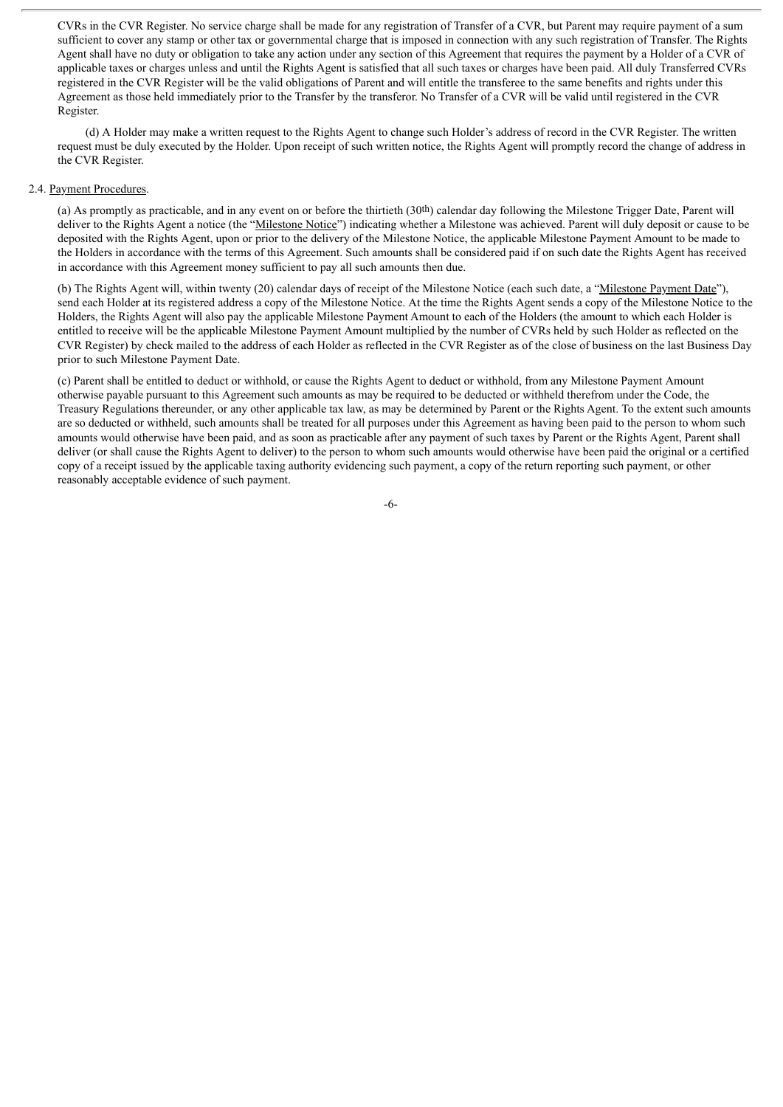CVRs in the CVR Register. No service charge shall be made for any registration of Transfer of a CVR, but Parent may require payment of a sum sufficient to cover any stamp or other tax or governmental charge that is imposed in connection with any such registration of Transfer. The Rights Agent shall have no duty or obligation to take any action under any section of this Agreement that requires the payment by a Holder of a CVR of applicable taxes or charges unless and until the Rights Agent is satisfied that all such taxes or charges have been paid. All duly Transferred CVRs registered in the CVR Register will be the valid obligations of Parent and will entitle the transferee to the same benefits and rights under this Agreement as those held immediately prior to the Transfer by the transferor. No Transfer of a CVR will be valid until registered in the CVR Register.

(d) A Holder may make a written request to the Rights Agent to change such Holder's address of record in the CVR Register. The written request must be duly executed by the Holder. Upon receipt of such written notice, the Rights Agent will promptly record the change of address in the CVR Register.

## 2.4. Payment Procedures.

(a) As promptly as practicable, and in any event on or before the thirtieth (30th) calendar day following the Milestone Trigger Date, Parent will deliver to the Rights Agent a notice (the "Milestone Notice") indicating whether a Milestone was achieved. Parent will duly deposit or cause to be deposited with the Rights Agent, upon or prior to the delivery of the Milestone Notice, the applicable Milestone Payment Amount to be made to the Holders in accordance with the terms of this Agreement. Such amounts shall be considered paid if on such date the Rights Agent has received in accordance with this Agreement money sufficient to pay all such amounts then due.

(b) The Rights Agent will, within twenty (20) calendar days of receipt of the Milestone Notice (each such date, a "Milestone Payment Date"), send each Holder at its registered address a copy of the Milestone Notice. At the time the Rights Agent sends a copy of the Milestone Notice to the Holders, the Rights Agent will also pay the applicable Milestone Payment Amount to each of the Holders (the amount to which each Holder is entitled to receive will be the applicable Milestone Payment Amount multiplied by the number of CVRs held by such Holder as reflected on the CVR Register) by check mailed to the address of each Holder as reflected in the CVR Register as of the close of business on the last Business Day prior to such Milestone Payment Date.

(c) Parent shall be entitled to deduct or withhold, or cause the Rights Agent to deduct or withhold, from any Milestone Payment Amount otherwise payable pursuant to this Agreement such amounts as may be required to be deducted or withheld therefrom under the Code, the Treasury Regulations thereunder, or any other applicable tax law, as may be determined by Parent or the Rights Agent. To the extent such amounts are so deducted or withheld, such amounts shall be treated for all purposes under this Agreement as having been paid to the person to whom such amounts would otherwise have been paid, and as soon as practicable after any payment of such taxes by Parent or the Rights Agent, Parent shall deliver (or shall cause the Rights Agent to deliver) to the person to whom such amounts would otherwise have been paid the original or a certified copy of a receipt issued by the applicable taxing authority evidencing such payment, a copy of the return reporting such payment, or other reasonably acceptable evidence of such payment.

-6-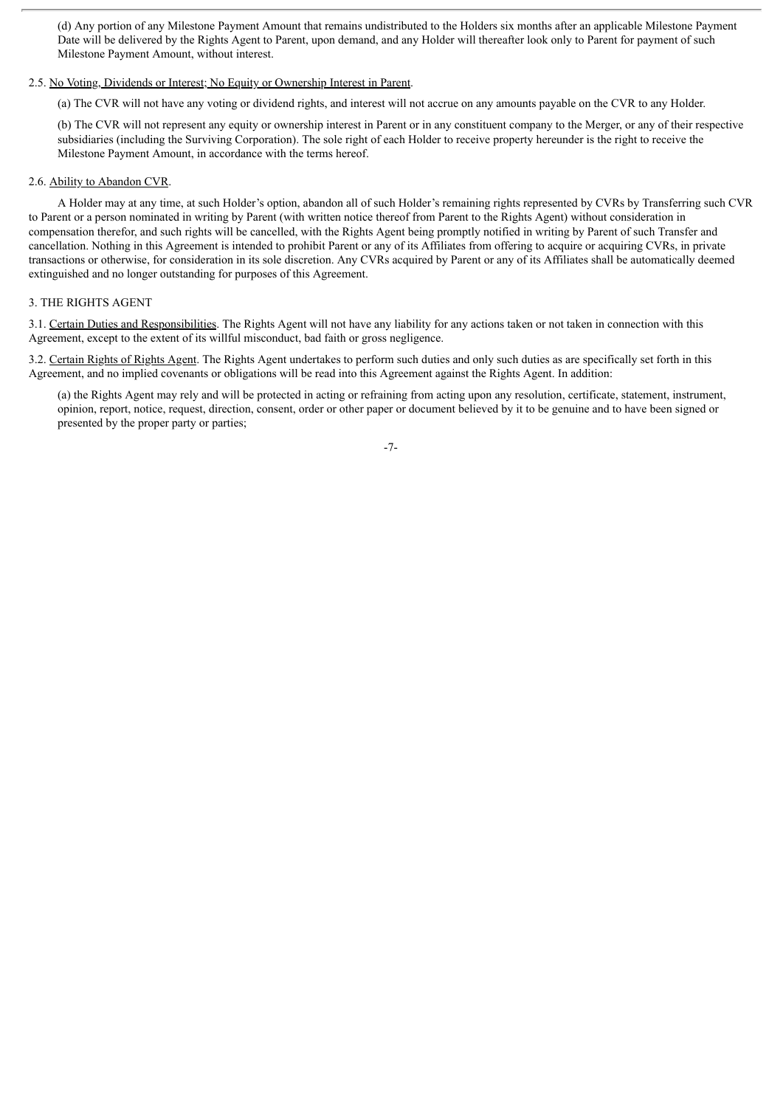(d) Any portion of any Milestone Payment Amount that remains undistributed to the Holders six months after an applicable Milestone Payment Date will be delivered by the Rights Agent to Parent, upon demand, and any Holder will thereafter look only to Parent for payment of such Milestone Payment Amount, without interest.

# 2.5. No Voting, Dividends or Interest; No Equity or Ownership Interest in Parent.

(a) The CVR will not have any voting or dividend rights, and interest will not accrue on any amounts payable on the CVR to any Holder.

(b) The CVR will not represent any equity or ownership interest in Parent or in any constituent company to the Merger, or any of their respective subsidiaries (including the Surviving Corporation). The sole right of each Holder to receive property hereunder is the right to receive the Milestone Payment Amount, in accordance with the terms hereof.

# 2.6. Ability to Abandon CVR.

A Holder may at any time, at such Holder's option, abandon all of such Holder's remaining rights represented by CVRs by Transferring such CVR to Parent or a person nominated in writing by Parent (with written notice thereof from Parent to the Rights Agent) without consideration in compensation therefor, and such rights will be cancelled, with the Rights Agent being promptly notified in writing by Parent of such Transfer and cancellation. Nothing in this Agreement is intended to prohibit Parent or any of its Affiliates from offering to acquire or acquiring CVRs, in private transactions or otherwise, for consideration in its sole discretion. Any CVRs acquired by Parent or any of its Affiliates shall be automatically deemed extinguished and no longer outstanding for purposes of this Agreement.

## 3. THE RIGHTS AGENT

3.1. Certain Duties and Responsibilities. The Rights Agent will not have any liability for any actions taken or not taken in connection with this Agreement, except to the extent of its willful misconduct, bad faith or gross negligence.

3.2. Certain Rights of Rights Agent. The Rights Agent undertakes to perform such duties and only such duties as are specifically set forth in this Agreement, and no implied covenants or obligations will be read into this Agreement against the Rights Agent. In addition:

(a) the Rights Agent may rely and will be protected in acting or refraining from acting upon any resolution, certificate, statement, instrument, opinion, report, notice, request, direction, consent, order or other paper or document believed by it to be genuine and to have been signed or presented by the proper party or parties;

-7-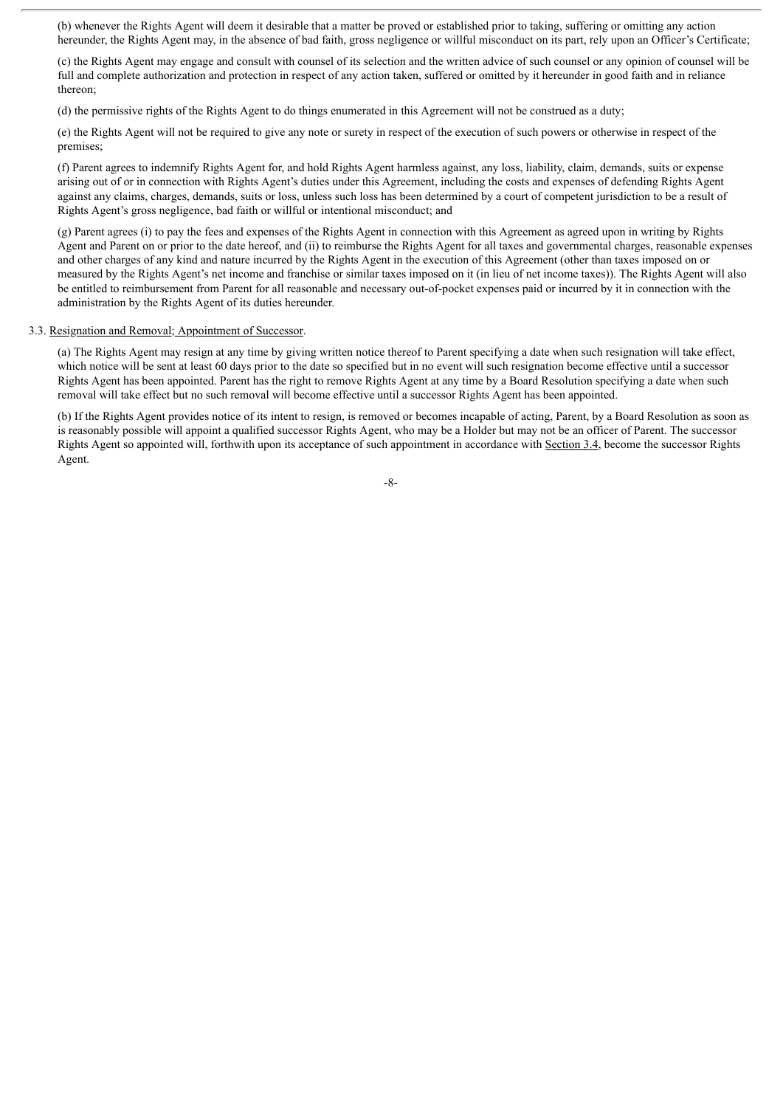(b) whenever the Rights Agent will deem it desirable that a matter be proved or established prior to taking, suffering or omitting any action hereunder, the Rights Agent may, in the absence of bad faith, gross negligence or willful misconduct on its part, rely upon an Officer's Certificate;

(c) the Rights Agent may engage and consult with counsel of its selection and the written advice of such counsel or any opinion of counsel will be full and complete authorization and protection in respect of any action taken, suffered or omitted by it hereunder in good faith and in reliance thereon;

(d) the permissive rights of the Rights Agent to do things enumerated in this Agreement will not be construed as a duty;

(e) the Rights Agent will not be required to give any note or surety in respect of the execution of such powers or otherwise in respect of the premises;

(f) Parent agrees to indemnify Rights Agent for, and hold Rights Agent harmless against, any loss, liability, claim, demands, suits or expense arising out of or in connection with Rights Agent's duties under this Agreement, including the costs and expenses of defending Rights Agent against any claims, charges, demands, suits or loss, unless such loss has been determined by a court of competent jurisdiction to be a result of Rights Agent's gross negligence, bad faith or willful or intentional misconduct; and

(g) Parent agrees (i) to pay the fees and expenses of the Rights Agent in connection with this Agreement as agreed upon in writing by Rights Agent and Parent on or prior to the date hereof, and (ii) to reimburse the Rights Agent for all taxes and governmental charges, reasonable expenses and other charges of any kind and nature incurred by the Rights Agent in the execution of this Agreement (other than taxes imposed on or measured by the Rights Agent's net income and franchise or similar taxes imposed on it (in lieu of net income taxes)). The Rights Agent will also be entitled to reimbursement from Parent for all reasonable and necessary out-of-pocket expenses paid or incurred by it in connection with the administration by the Rights Agent of its duties hereunder.

#### 3.3. Resignation and Removal; Appointment of Successor.

(a) The Rights Agent may resign at any time by giving written notice thereof to Parent specifying a date when such resignation will take effect, which notice will be sent at least 60 days prior to the date so specified but in no event will such resignation become effective until a successor Rights Agent has been appointed. Parent has the right to remove Rights Agent at any time by a Board Resolution specifying a date when such removal will take effect but no such removal will become effective until a successor Rights Agent has been appointed.

(b) If the Rights Agent provides notice of its intent to resign, is removed or becomes incapable of acting, Parent, by a Board Resolution as soon as is reasonably possible will appoint a qualified successor Rights Agent, who may be a Holder but may not be an officer of Parent. The successor Rights Agent so appointed will, forthwith upon its acceptance of such appointment in accordance with Section 3.4, become the successor Rights Agent.

-8-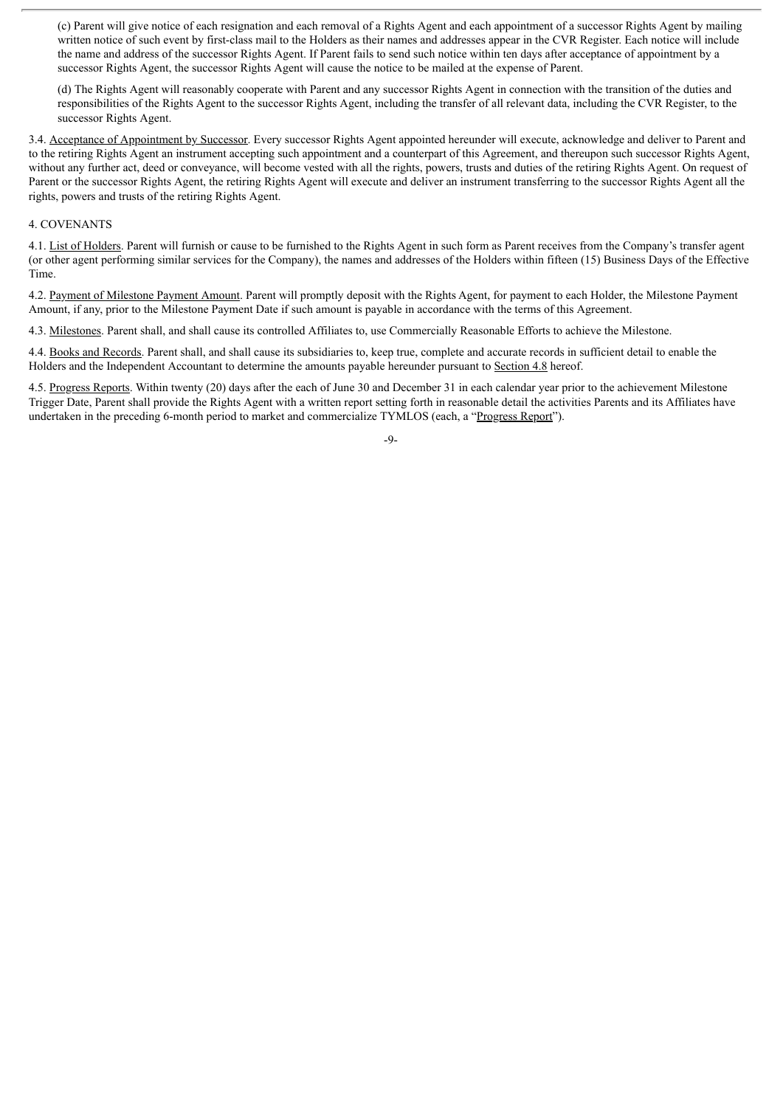(c) Parent will give notice of each resignation and each removal of a Rights Agent and each appointment of a successor Rights Agent by mailing written notice of such event by first-class mail to the Holders as their names and addresses appear in the CVR Register. Each notice will include the name and address of the successor Rights Agent. If Parent fails to send such notice within ten days after acceptance of appointment by a successor Rights Agent, the successor Rights Agent will cause the notice to be mailed at the expense of Parent.

(d) The Rights Agent will reasonably cooperate with Parent and any successor Rights Agent in connection with the transition of the duties and responsibilities of the Rights Agent to the successor Rights Agent, including the transfer of all relevant data, including the CVR Register, to the successor Rights Agent.

3.4. Acceptance of Appointment by Successor. Every successor Rights Agent appointed hereunder will execute, acknowledge and deliver to Parent and to the retiring Rights Agent an instrument accepting such appointment and a counterpart of this Agreement, and thereupon such successor Rights Agent, without any further act, deed or convevance, will become vested with all the rights, powers, trusts and duties of the retiring Rights Agent. On request of Parent or the successor Rights Agent, the retiring Rights Agent will execute and deliver an instrument transferring to the successor Rights Agent all the rights, powers and trusts of the retiring Rights Agent.

# 4. COVENANTS

4.1. List of Holders. Parent will furnish or cause to be furnished to the Rights Agent in such form as Parent receives from the Company's transfer agent (or other agent performing similar services for the Company), the names and addresses of the Holders within fifteen (15) Business Days of the Effective Time.

4.2. Payment of Milestone Payment Amount. Parent will promptly deposit with the Rights Agent, for payment to each Holder, the Milestone Payment Amount, if any, prior to the Milestone Payment Date if such amount is payable in accordance with the terms of this Agreement.

4.3. Milestones. Parent shall, and shall cause its controlled Affiliates to, use Commercially Reasonable Efforts to achieve the Milestone.

4.4. Books and Records. Parent shall, and shall cause its subsidiaries to, keep true, complete and accurate records in sufficient detail to enable the Holders and the Independent Accountant to determine the amounts payable hereunder pursuant to Section 4.8 hereof.

4.5. Progress Reports. Within twenty (20) days after the each of June 30 and December 31 in each calendar year prior to the achievement Milestone Trigger Date, Parent shall provide the Rights Agent with a written report setting forth in reasonable detail the activities Parents and its Affiliates have undertaken in the preceding 6-month period to market and commercialize TYMLOS (each, a "Progress Report").

-9-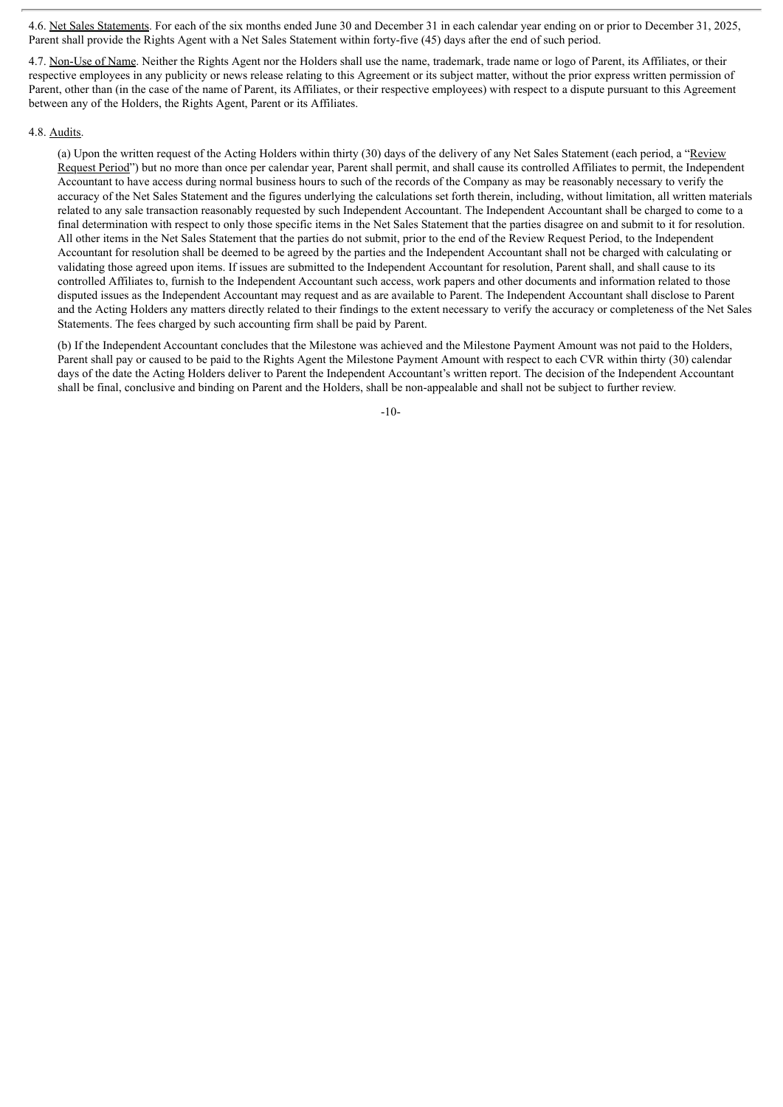4.6. Net Sales Statements. For each of the six months ended June 30 and December 31 in each calendar year ending on or prior to December 31, 2025, Parent shall provide the Rights Agent with a Net Sales Statement within forty-five (45) days after the end of such period.

4.7. Non-Use of Name. Neither the Rights Agent nor the Holders shall use the name, trademark, trade name or logo of Parent, its Affiliates, or their respective employees in any publicity or news release relating to this Agreement or its subject matter, without the prior express written permission of Parent, other than (in the case of the name of Parent, its Affiliates, or their respective employees) with respect to a dispute pursuant to this Agreement between any of the Holders, the Rights Agent, Parent or its Affiliates.

## 4.8. Audits.

(a) Upon the written request of the Acting Holders within thirty (30) days of the delivery of any Net Sales Statement (each period, a "Review Request Period") but no more than once per calendar year, Parent shall permit, and shall cause its controlled Affiliates to permit, the Independent Accountant to have access during normal business hours to such of the records of the Company as may be reasonably necessary to verify the accuracy of the Net Sales Statement and the figures underlying the calculations set forth therein, including, without limitation, all written materials related to any sale transaction reasonably requested by such Independent Accountant. The Independent Accountant shall be charged to come to a final determination with respect to only those specific items in the Net Sales Statement that the parties disagree on and submit to it for resolution. All other items in the Net Sales Statement that the parties do not submit, prior to the end of the Review Request Period, to the Independent Accountant for resolution shall be deemed to be agreed by the parties and the Independent Accountant shall not be charged with calculating or validating those agreed upon items. If issues are submitted to the Independent Accountant for resolution, Parent shall, and shall cause to its controlled Affiliates to, furnish to the Independent Accountant such access, work papers and other documents and information related to those disputed issues as the Independent Accountant may request and as are available to Parent. The Independent Accountant shall disclose to Parent and the Acting Holders any matters directly related to their findings to the extent necessary to verify the accuracy or completeness of the Net Sales Statements. The fees charged by such accounting firm shall be paid by Parent.

(b) If the Independent Accountant concludes that the Milestone was achieved and the Milestone Payment Amount was not paid to the Holders, Parent shall pay or caused to be paid to the Rights Agent the Milestone Payment Amount with respect to each CVR within thirty (30) calendar days of the date the Acting Holders deliver to Parent the Independent Accountant's written report. The decision of the Independent Accountant shall be final, conclusive and binding on Parent and the Holders, shall be non-appealable and shall not be subject to further review.

-10-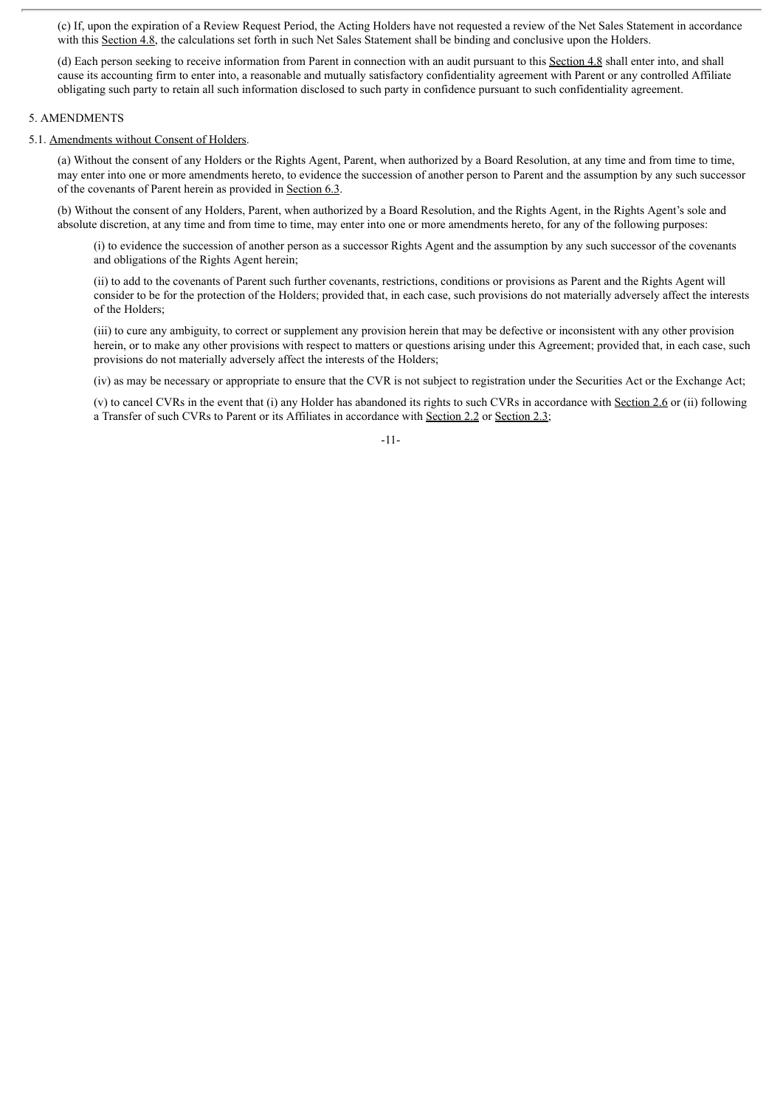(c) If, upon the expiration of a Review Request Period, the Acting Holders have not requested a review of the Net Sales Statement in accordance with this Section 4.8, the calculations set forth in such Net Sales Statement shall be binding and conclusive upon the Holders.

(d) Each person seeking to receive information from Parent in connection with an audit pursuant to this Section 4.8 shall enter into, and shall cause its accounting firm to enter into, a reasonable and mutually satisfactory confidentiality agreement with Parent or any controlled Affiliate obligating such party to retain all such information disclosed to such party in confidence pursuant to such confidentiality agreement.

### 5. AMENDMENTS

#### 5.1. Amendments without Consent of Holders.

(a) Without the consent of any Holders or the Rights Agent, Parent, when authorized by a Board Resolution, at any time and from time to time, may enter into one or more amendments hereto, to evidence the succession of another person to Parent and the assumption by any such successor of the covenants of Parent herein as provided in Section 6.3.

(b) Without the consent of any Holders, Parent, when authorized by a Board Resolution, and the Rights Agent, in the Rights Agent's sole and absolute discretion, at any time and from time to time, may enter into one or more amendments hereto, for any of the following purposes:

(i) to evidence the succession of another person as a successor Rights Agent and the assumption by any such successor of the covenants and obligations of the Rights Agent herein;

(ii) to add to the covenants of Parent such further covenants, restrictions, conditions or provisions as Parent and the Rights Agent will consider to be for the protection of the Holders; provided that, in each case, such provisions do not materially adversely affect the interests of the Holders;

(iii) to cure any ambiguity, to correct or supplement any provision herein that may be defective or inconsistent with any other provision herein, or to make any other provisions with respect to matters or questions arising under this Agreement; provided that, in each case, such provisions do not materially adversely affect the interests of the Holders;

(iv) as may be necessary or appropriate to ensure that the CVR is not subject to registration under the Securities Act or the Exchange Act;

(v) to cancel CVRs in the event that (i) any Holder has abandoned its rights to such CVRs in accordance with Section 2.6 or (ii) following a Transfer of such CVRs to Parent or its Affiliates in accordance with Section 2.2 or Section 2.3;

-11-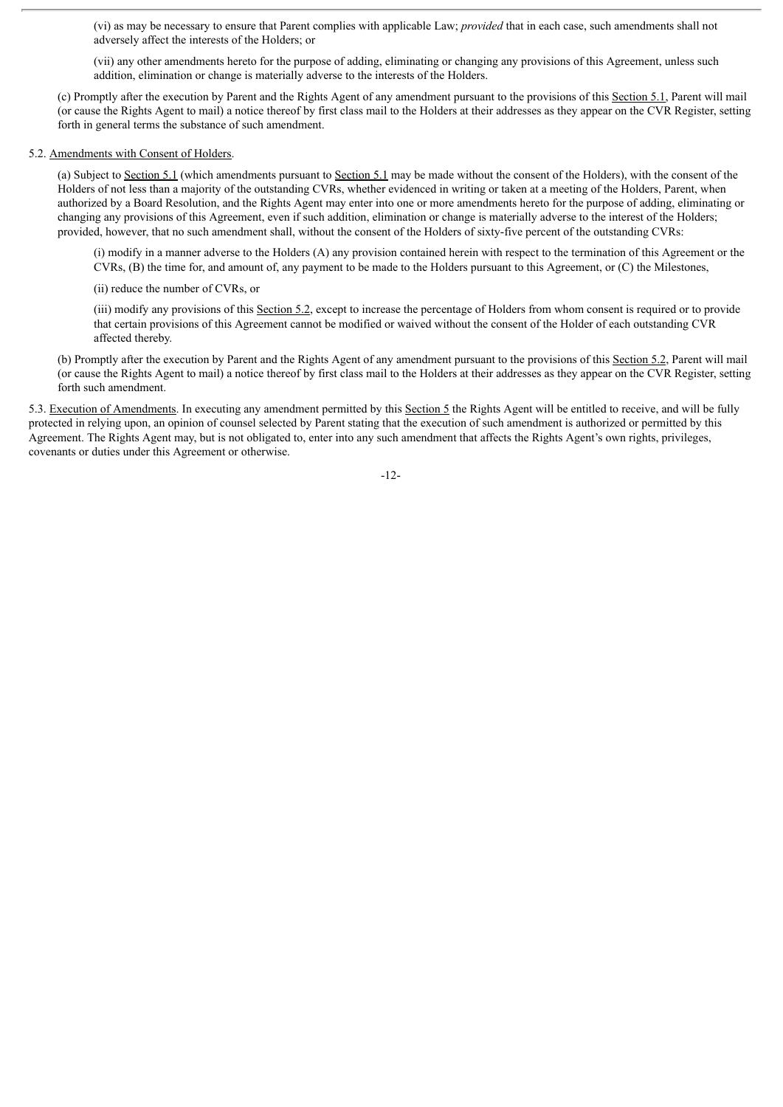(vi) as may be necessary to ensure that Parent complies with applicable Law; *provided* that in each case, such amendments shall not adversely affect the interests of the Holders; or

(vii) any other amendments hereto for the purpose of adding, eliminating or changing any provisions of this Agreement, unless such addition, elimination or change is materially adverse to the interests of the Holders.

(c) Promptly after the execution by Parent and the Rights Agent of any amendment pursuant to the provisions of this Section 5.1, Parent will mail (or cause the Rights Agent to mail) a notice thereof by first class mail to the Holders at their addresses as they appear on the CVR Register, setting forth in general terms the substance of such amendment.

### 5.2. Amendments with Consent of Holders.

(a) Subject to Section 5.1 (which amendments pursuant to Section 5.1 may be made without the consent of the Holders), with the consent of the Holders of not less than a majority of the outstanding CVRs, whether evidenced in writing or taken at a meeting of the Holders, Parent, when authorized by a Board Resolution, and the Rights Agent may enter into one or more amendments hereto for the purpose of adding, eliminating or changing any provisions of this Agreement, even if such addition, elimination or change is materially adverse to the interest of the Holders; provided, however, that no such amendment shall, without the consent of the Holders of sixty-five percent of the outstanding CVRs:

(i) modify in a manner adverse to the Holders (A) any provision contained herein with respect to the termination of this Agreement or the CVRs, (B) the time for, and amount of, any payment to be made to the Holders pursuant to this Agreement, or (C) the Milestones,

(ii) reduce the number of CVRs, or

(iii) modify any provisions of this Section 5.2, except to increase the percentage of Holders from whom consent is required or to provide that certain provisions of this Agreement cannot be modified or waived without the consent of the Holder of each outstanding CVR affected thereby.

(b) Promptly after the execution by Parent and the Rights Agent of any amendment pursuant to the provisions of this Section 5.2, Parent will mail (or cause the Rights Agent to mail) a notice thereof by first class mail to the Holders at their addresses as they appear on the CVR Register, setting forth such amendment.

5.3. Execution of Amendments. In executing any amendment permitted by this Section 5 the Rights Agent will be entitled to receive, and will be fully protected in relying upon, an opinion of counsel selected by Parent stating that the execution of such amendment is authorized or permitted by this Agreement. The Rights Agent may, but is not obligated to, enter into any such amendment that affects the Rights Agent's own rights, privileges, covenants or duties under this Agreement or otherwise.

-12-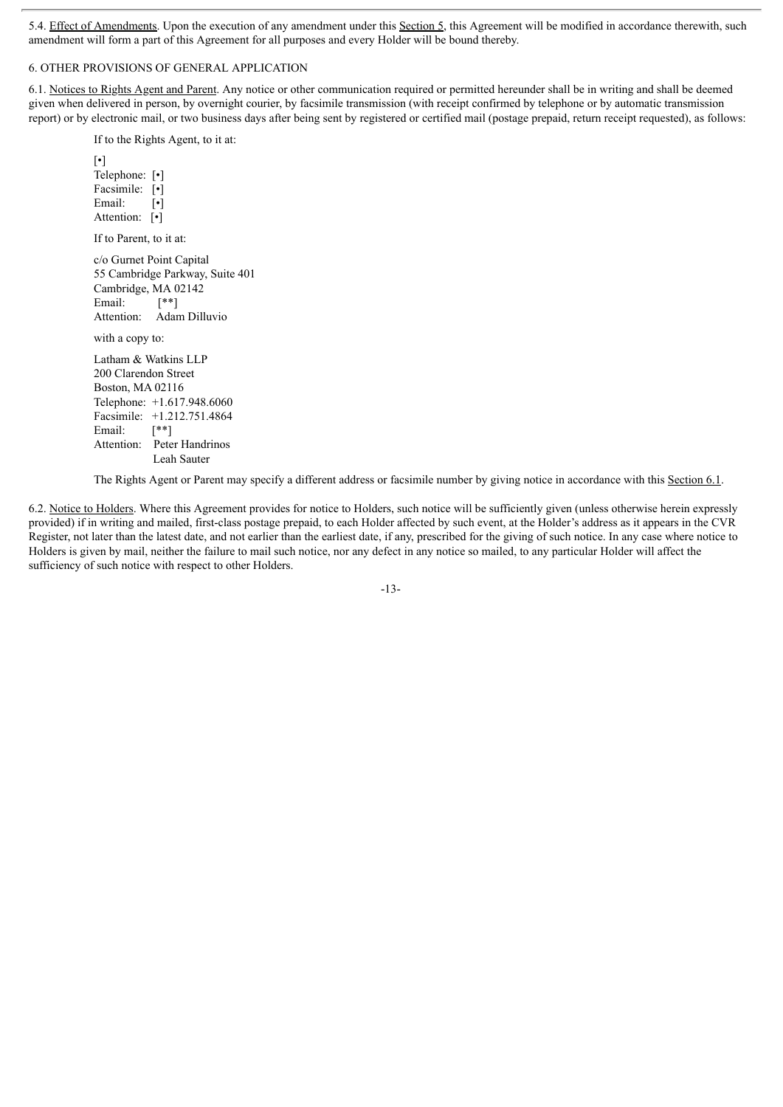5.4. Effect of Amendments. Upon the execution of any amendment under this Section 5, this Agreement will be modified in accordance therewith, such amendment will form a part of this Agreement for all purposes and every Holder will be bound thereby.

# 6. OTHER PROVISIONS OF GENERAL APPLICATION

6.1. Notices to Rights Agent and Parent. Any notice or other communication required or permitted hereunder shall be in writing and shall be deemed given when delivered in person, by overnight courier, by facsimile transmission (with receipt confirmed by telephone or by automatic transmission report) or by electronic mail, or two business days after being sent by registered or certified mail (postage prepaid, return receipt requested), as follows:

If to the Rights Agent, to it at:

[•] Telephone: [•] Facsimile: [•] Email: [ $\cdot$ ] Attention: [ $\cdot$ ] If to Parent, to it at: c/o Gurnet Point Capital 55 Cambridge Parkway, Suite 401 Cambridge, MA 02142 Email:  $[$ \*\*] Attention: Adam Dilluvio with a copy to: Latham & Watkins LLP 200 Clarendon Street Boston, MA 02116 Telephone: +1.617.948.6060 Facsimile: +1.212.751.4864 Email:  $\lceil$ <sup>\*\*</sup>] Attention: Peter Handrinos Leah Sauter

The Rights Agent or Parent may specify a different address or facsimile number by giving notice in accordance with this Section 6.1.

6.2. Notice to Holders. Where this Agreement provides for notice to Holders, such notice will be sufficiently given (unless otherwise herein expressly provided) if in writing and mailed, first-class postage prepaid, to each Holder affected by such event, at the Holder's address as it appears in the CVR Register, not later than the latest date, and not earlier than the earliest date, if any, prescribed for the giving of such notice. In any case where notice to Holders is given by mail, neither the failure to mail such notice, nor any defect in any notice so mailed, to any particular Holder will affect the sufficiency of such notice with respect to other Holders.

-13-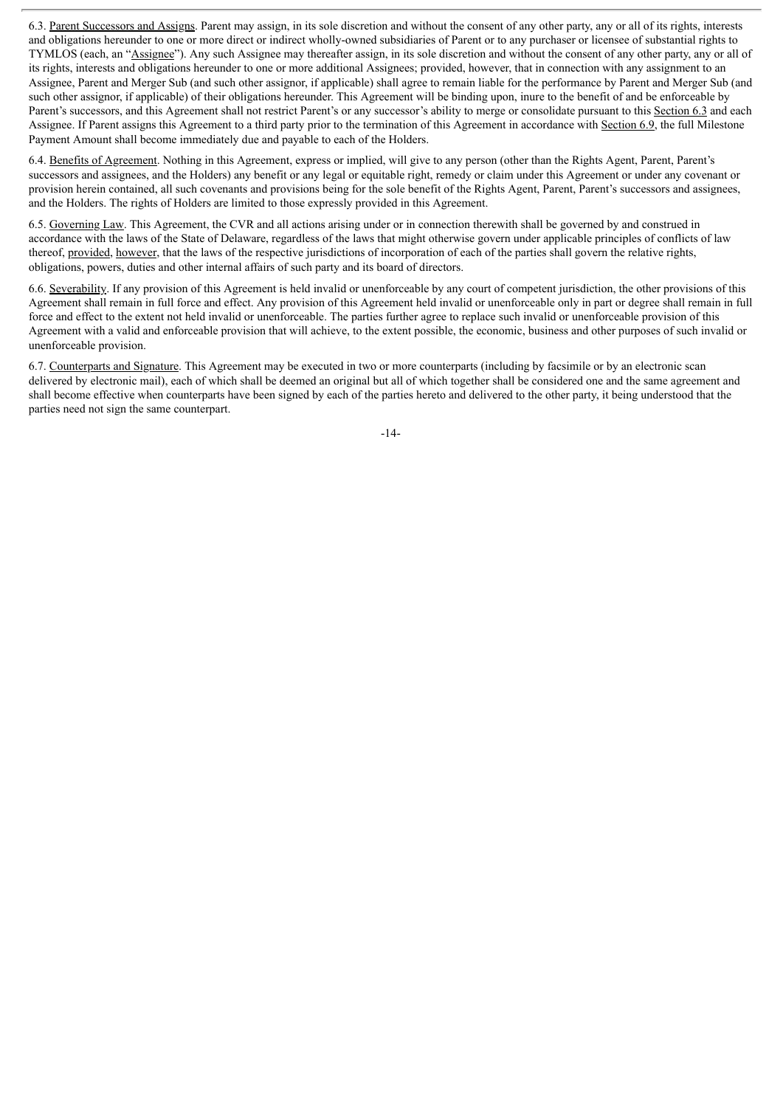6.3. Parent Successors and Assigns. Parent may assign, in its sole discretion and without the consent of any other party, any or all of its rights, interests and obligations hereunder to one or more direct or indirect wholly-owned subsidiaries of Parent or to any purchaser or licensee of substantial rights to TYMLOS (each, an "Assignee"). Any such Assignee may thereafter assign, in its sole discretion and without the consent of any other party, any or all of its rights, interests and obligations hereunder to one or more additional Assignees; provided, however, that in connection with any assignment to an Assignee, Parent and Merger Sub (and such other assignor, if applicable) shall agree to remain liable for the performance by Parent and Merger Sub (and such other assignor, if applicable) of their obligations hereunder. This Agreement will be binding upon, inure to the benefit of and be enforceable by Parent's successors, and this Agreement shall not restrict Parent's or any successor's ability to merge or consolidate pursuant to this Section 6.3 and each Assignee. If Parent assigns this Agreement to a third party prior to the termination of this Agreement in accordance with Section 6.9, the full Milestone Payment Amount shall become immediately due and payable to each of the Holders.

6.4. Benefits of Agreement. Nothing in this Agreement, express or implied, will give to any person (other than the Rights Agent, Parent, Parent's successors and assignees, and the Holders) any benefit or any legal or equitable right, remedy or claim under this Agreement or under any covenant or provision herein contained, all such covenants and provisions being for the sole benefit of the Rights Agent, Parent, Parent's successors and assignees, and the Holders. The rights of Holders are limited to those expressly provided in this Agreement.

6.5. Governing Law. This Agreement, the CVR and all actions arising under or in connection therewith shall be governed by and construed in accordance with the laws of the State of Delaware, regardless of the laws that might otherwise govern under applicable principles of conflicts of law thereof, provided, however, that the laws of the respective jurisdictions of incorporation of each of the parties shall govern the relative rights, obligations, powers, duties and other internal affairs of such party and its board of directors.

6.6. Severability. If any provision of this Agreement is held invalid or unenforceable by any court of competent jurisdiction, the other provisions of this Agreement shall remain in full force and effect. Any provision of this Agreement held invalid or unenforceable only in part or degree shall remain in full force and effect to the extent not held invalid or unenforceable. The parties further agree to replace such invalid or unenforceable provision of this Agreement with a valid and enforceable provision that will achieve, to the extent possible, the economic, business and other purposes of such invalid or unenforceable provision.

6.7. Counterparts and Signature. This Agreement may be executed in two or more counterparts (including by facsimile or by an electronic scan delivered by electronic mail), each of which shall be deemed an original but all of which together shall be considered one and the same agreement and shall become effective when counterparts have been signed by each of the parties hereto and delivered to the other party, it being understood that the parties need not sign the same counterpart.

-14-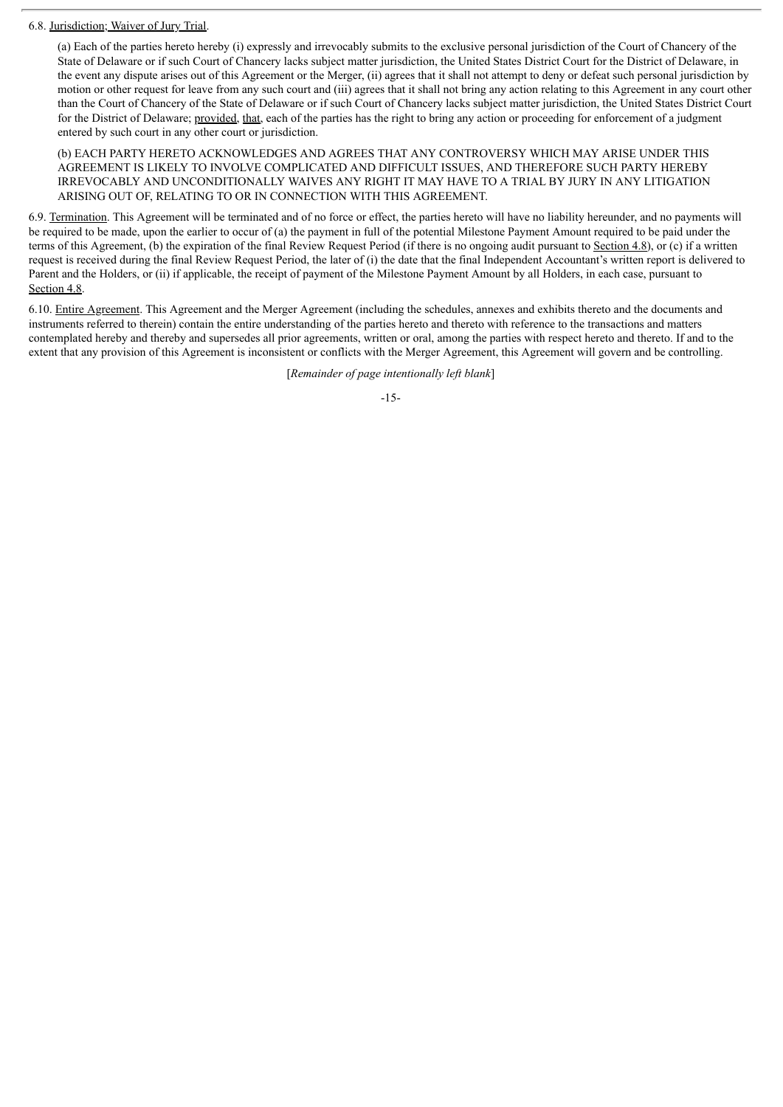### 6.8. Jurisdiction; Waiver of Jury Trial.

(a) Each of the parties hereto hereby (i) expressly and irrevocably submits to the exclusive personal jurisdiction of the Court of Chancery of the State of Delaware or if such Court of Chancery lacks subject matter jurisdiction, the United States District Court for the District of Delaware, in the event any dispute arises out of this Agreement or the Merger, (ii) agrees that it shall not attempt to deny or defeat such personal jurisdiction by motion or other request for leave from any such court and (iii) agrees that it shall not bring any action relating to this Agreement in any court other than the Court of Chancery of the State of Delaware or if such Court of Chancery lacks subject matter jurisdiction, the United States District Court for the District of Delaware; provided, that, each of the parties has the right to bring any action or proceeding for enforcement of a judgment entered by such court in any other court or jurisdiction.

(b) EACH PARTY HERETO ACKNOWLEDGES AND AGREES THAT ANY CONTROVERSY WHICH MAY ARISE UNDER THIS AGREEMENT IS LIKELY TO INVOLVE COMPLICATED AND DIFFICULT ISSUES, AND THEREFORE SUCH PARTY HEREBY IRREVOCABLY AND UNCONDITIONALLY WAIVES ANY RIGHT IT MAY HAVE TO A TRIAL BY JURY IN ANY LITIGATION ARISING OUT OF, RELATING TO OR IN CONNECTION WITH THIS AGREEMENT.

6.9. Termination. This Agreement will be terminated and of no force or effect, the parties hereto will have no liability hereunder, and no payments will be required to be made, upon the earlier to occur of (a) the payment in full of the potential Milestone Payment Amount required to be paid under the terms of this Agreement, (b) the expiration of the final Review Request Period (if there is no ongoing audit pursuant to Section 4.8), or (c) if a written request is received during the final Review Request Period, the later of (i) the date that the final Independent Accountant's written report is delivered to Parent and the Holders, or (ii) if applicable, the receipt of payment of the Milestone Payment Amount by all Holders, in each case, pursuant to Section 4.8.

6.10. Entire Agreement. This Agreement and the Merger Agreement (including the schedules, annexes and exhibits thereto and the documents and instruments referred to therein) contain the entire understanding of the parties hereto and thereto with reference to the transactions and matters contemplated hereby and thereby and supersedes all prior agreements, written or oral, among the parties with respect hereto and thereto. If and to the extent that any provision of this Agreement is inconsistent or conflicts with the Merger Agreement, this Agreement will govern and be controlling.

[*Remainder of page intentionally left blank*]

#### -15-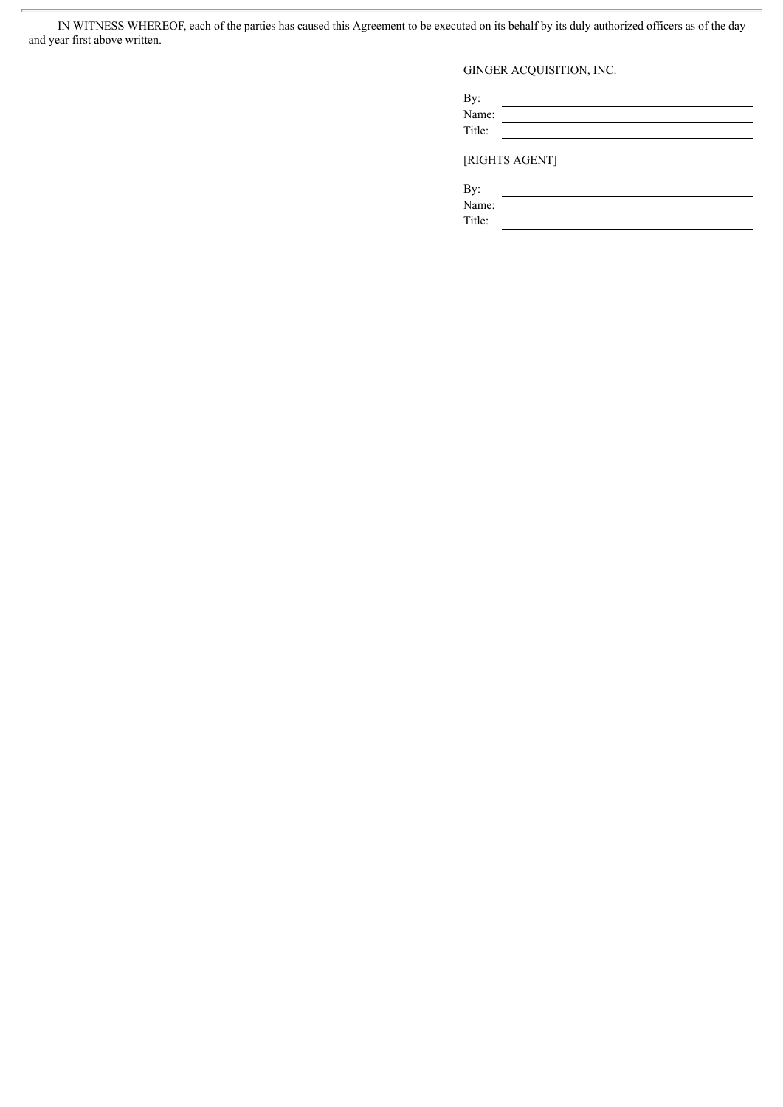IN WITNESS WHEREOF, each of the parties has caused this Agreement to be executed on its behalf by its duly authorized officers as of the day and year first above written.

 $\overline{a}$ 

GINGER ACQUISITION, INC.

By: <u> 1980 - Johann Barn, mars eta bainar eta baina eta baina eta baina eta baina eta baina eta baina eta baina e</u> Name: Title:

[RIGHTS AGENT]

By:

Name: Title: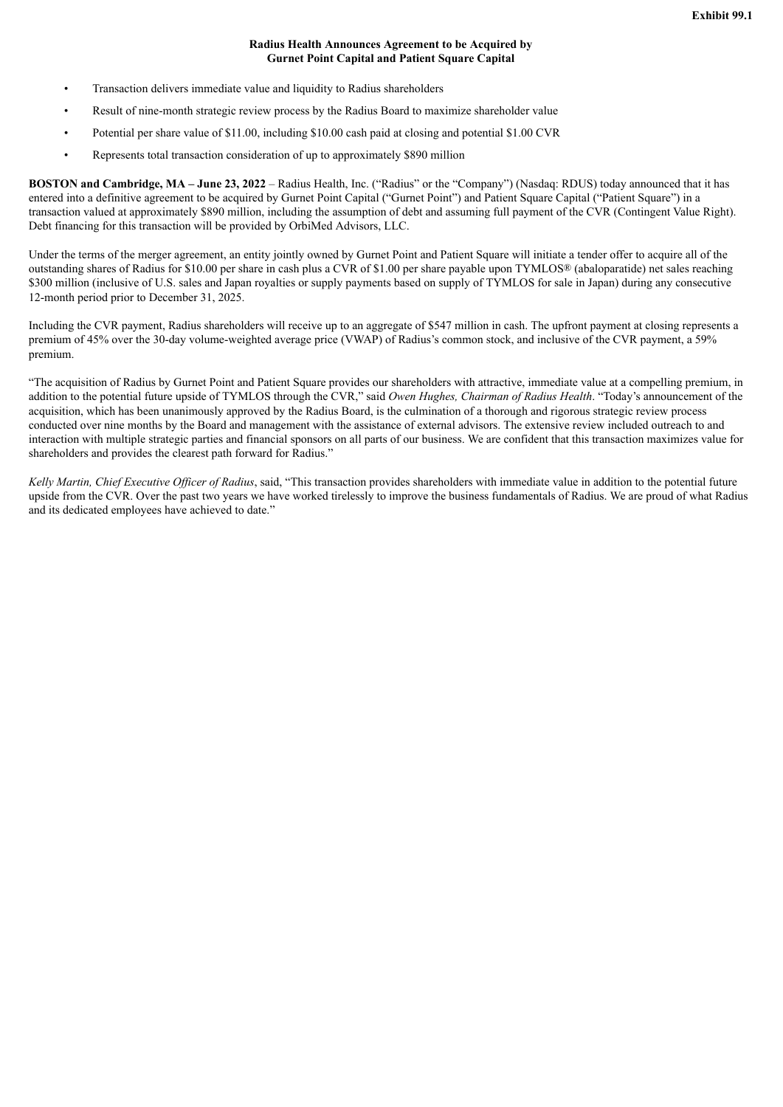# **Radius Health Announces Agreement to be Acquired by Gurnet Point Capital and Patient Square Capital**

- Transaction delivers immediate value and liquidity to Radius shareholders
- Result of nine-month strategic review process by the Radius Board to maximize shareholder value
- Potential per share value of \$11.00, including \$10.00 cash paid at closing and potential \$1.00 CVR
- Represents total transaction consideration of up to approximately \$890 million

**BOSTON and Cambridge, MA – June 23, 2022** – Radius Health, Inc. ("Radius" or the "Company") (Nasdaq: RDUS) today announced that it has entered into a definitive agreement to be acquired by Gurnet Point Capital ("Gurnet Point") and Patient Square Capital ("Patient Square") in a transaction valued at approximately \$890 million, including the assumption of debt and assuming full payment of the CVR (Contingent Value Right). Debt financing for this transaction will be provided by OrbiMed Advisors, LLC.

Under the terms of the merger agreement, an entity jointly owned by Gurnet Point and Patient Square will initiate a tender offer to acquire all of the outstanding shares of Radius for \$10.00 per share in cash plus a CVR of \$1.00 per share payable upon TYMLOS® (abaloparatide) net sales reaching \$300 million (inclusive of U.S. sales and Japan royalties or supply payments based on supply of TYMLOS for sale in Japan) during any consecutive 12-month period prior to December 31, 2025.

Including the CVR payment, Radius shareholders will receive up to an aggregate of \$547 million in cash. The upfront payment at closing represents a premium of 45% over the 30-day volume-weighted average price (VWAP) of Radius's common stock, and inclusive of the CVR payment, a 59% premium.

"The acquisition of Radius by Gurnet Point and Patient Square provides our shareholders with attractive, immediate value at a compelling premium, in addition to the potential future upside of TYMLOS through the CVR," said *Owen Hughes, Chairman of Radius Health*. "Today's announcement of the acquisition, which has been unanimously approved by the Radius Board, is the culmination of a thorough and rigorous strategic review process conducted over nine months by the Board and management with the assistance of external advisors. The extensive review included outreach to and interaction with multiple strategic parties and financial sponsors on all parts of our business. We are confident that this transaction maximizes value for shareholders and provides the clearest path forward for Radius."

*Kelly Martin, Chief Executive Of icer of Radius*, said, "This transaction provides shareholders with immediate value in addition to the potential future upside from the CVR. Over the past two years we have worked tirelessly to improve the business fundamentals of Radius. We are proud of what Radius and its dedicated employees have achieved to date."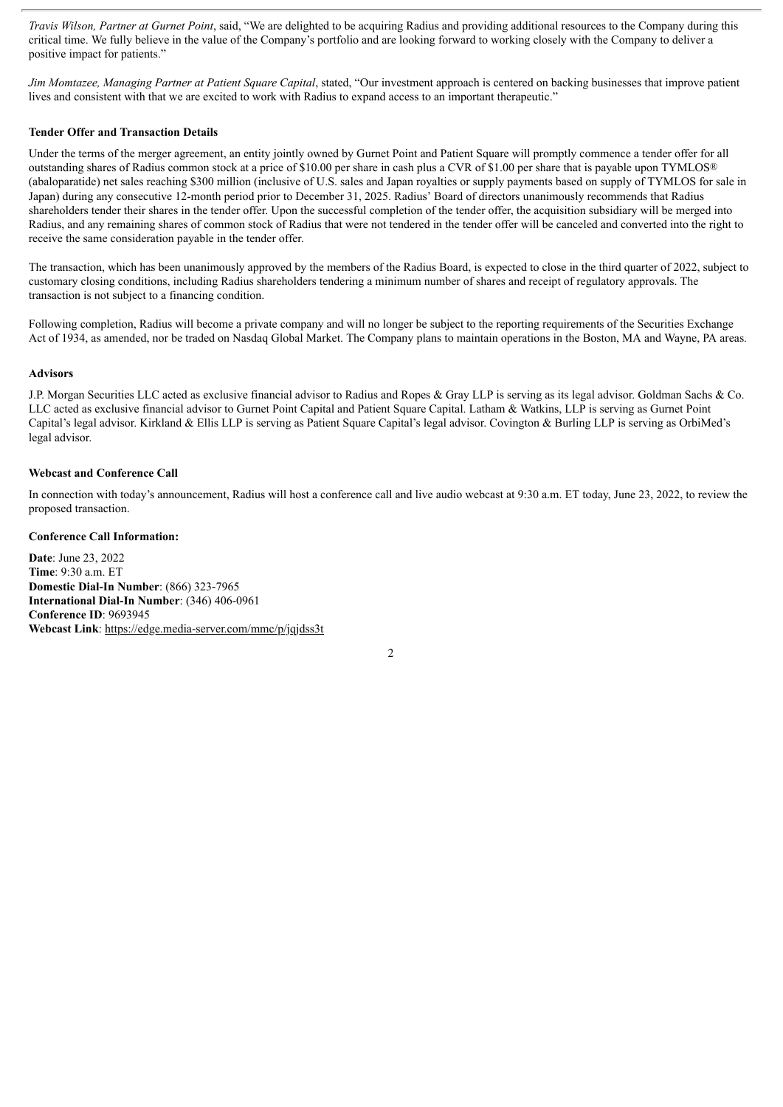*Travis Wilson, Partner at Gurnet Point*, said, "We are delighted to be acquiring Radius and providing additional resources to the Company during this critical time. We fully believe in the value of the Company's portfolio and are looking forward to working closely with the Company to deliver a positive impact for patients."

*Jim Momtazee, Managing Partner at Patient Square Capital*, stated, "Our investment approach is centered on backing businesses that improve patient lives and consistent with that we are excited to work with Radius to expand access to an important therapeutic."

# **Tender Offer and Transaction Details**

Under the terms of the merger agreement, an entity jointly owned by Gurnet Point and Patient Square will promptly commence a tender offer for all outstanding shares of Radius common stock at a price of \$10.00 per share in cash plus a CVR of \$1.00 per share that is payable upon TYMLOS® (abaloparatide) net sales reaching \$300 million (inclusive of U.S. sales and Japan royalties or supply payments based on supply of TYMLOS for sale in Japan) during any consecutive 12-month period prior to December 31, 2025. Radius' Board of directors unanimously recommends that Radius shareholders tender their shares in the tender offer. Upon the successful completion of the tender offer, the acquisition subsidiary will be merged into Radius, and any remaining shares of common stock of Radius that were not tendered in the tender offer will be canceled and converted into the right to receive the same consideration payable in the tender offer.

The transaction, which has been unanimously approved by the members of the Radius Board, is expected to close in the third quarter of 2022, subject to customary closing conditions, including Radius shareholders tendering a minimum number of shares and receipt of regulatory approvals. The transaction is not subject to a financing condition.

Following completion, Radius will become a private company and will no longer be subject to the reporting requirements of the Securities Exchange Act of 1934, as amended, nor be traded on Nasdaq Global Market. The Company plans to maintain operations in the Boston, MA and Wayne, PA areas.

#### **Advisors**

J.P. Morgan Securities LLC acted as exclusive financial advisor to Radius and Ropes & Gray LLP is serving as its legal advisor. Goldman Sachs & Co. LLC acted as exclusive financial advisor to Gurnet Point Capital and Patient Square Capital. Latham & Watkins, LLP is serving as Gurnet Point Capital's legal advisor. Kirkland & Ellis LLP is serving as Patient Square Capital's legal advisor. Covington & Burling LLP is serving as OrbiMed's legal advisor.

## **Webcast and Conference Call**

In connection with today's announcement, Radius will host a conference call and live audio webcast at 9:30 a.m. ET today, June 23, 2022, to review the proposed transaction.

### **Conference Call Information:**

**Date**: June 23, 2022 **Time**: 9:30 a.m. ET **Domestic Dial-In Number**: (866) 323-7965 **International Dial-In Number**: (346) 406-0961 **Conference ID**: 9693945 **Webcast Link**: https://edge.media-server.com/mmc/p/jqjdss3t

2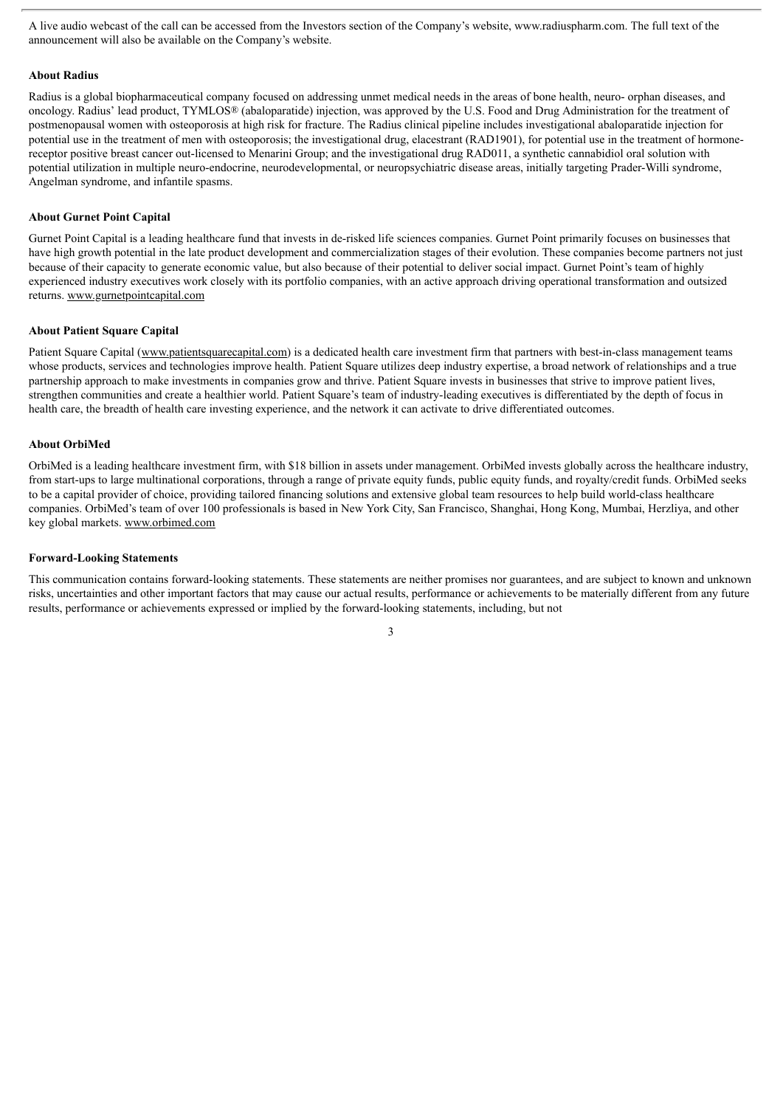A live audio webcast of the call can be accessed from the Investors section of the Company's website, www.radiuspharm.com. The full text of the announcement will also be available on the Company's website.

#### **About Radius**

Radius is a global biopharmaceutical company focused on addressing unmet medical needs in the areas of bone health, neuro- orphan diseases, and oncology. Radius' lead product, TYMLOS® (abaloparatide) injection, was approved by the U.S. Food and Drug Administration for the treatment of postmenopausal women with osteoporosis at high risk for fracture. The Radius clinical pipeline includes investigational abaloparatide injection for potential use in the treatment of men with osteoporosis; the investigational drug, elacestrant (RAD1901), for potential use in the treatment of hormonereceptor positive breast cancer out-licensed to Menarini Group; and the investigational drug RAD011, a synthetic cannabidiol oral solution with potential utilization in multiple neuro-endocrine, neurodevelopmental, or neuropsychiatric disease areas, initially targeting Prader-Willi syndrome, Angelman syndrome, and infantile spasms.

## **About Gurnet Point Capital**

Gurnet Point Capital is a leading healthcare fund that invests in de-risked life sciences companies. Gurnet Point primarily focuses on businesses that have high growth potential in the late product development and commercialization stages of their evolution. These companies become partners not just because of their capacity to generate economic value, but also because of their potential to deliver social impact. Gurnet Point's team of highly experienced industry executives work closely with its portfolio companies, with an active approach driving operational transformation and outsized returns. www.gurnetpointcapital.com

#### **About Patient Square Capital**

Patient Square Capital (www.patientsquarecapital.com) is a dedicated health care investment firm that partners with best-in-class management teams whose products, services and technologies improve health. Patient Square utilizes deep industry expertise, a broad network of relationships and a true partnership approach to make investments in companies grow and thrive. Patient Square invests in businesses that strive to improve patient lives, strengthen communities and create a healthier world. Patient Square's team of industry-leading executives is differentiated by the depth of focus in health care, the breadth of health care investing experience, and the network it can activate to drive differentiated outcomes.

#### **About OrbiMed**

OrbiMed is a leading healthcare investment firm, with \$18 billion in assets under management. OrbiMed invests globally across the healthcare industry, from start-ups to large multinational corporations, through a range of private equity funds, public equity funds, and royalty/credit funds. OrbiMed seeks to be a capital provider of choice, providing tailored financing solutions and extensive global team resources to help build world-class healthcare companies. OrbiMed's team of over 100 professionals is based in New York City, San Francisco, Shanghai, Hong Kong, Mumbai, Herzliya, and other key global markets. www.orbimed.com

### **Forward-Looking Statements**

This communication contains forward-looking statements. These statements are neither promises nor guarantees, and are subject to known and unknown risks, uncertainties and other important factors that may cause our actual results, performance or achievements to be materially different from any future results, performance or achievements expressed or implied by the forward-looking statements, including, but not

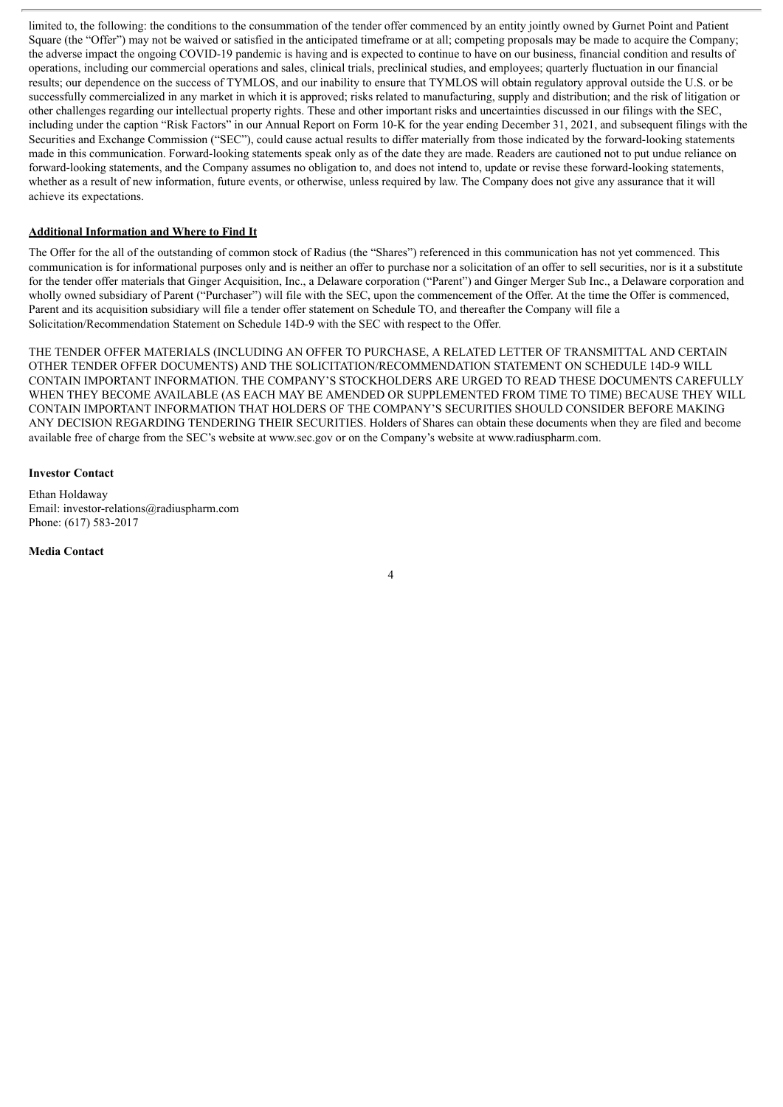limited to, the following: the conditions to the consummation of the tender offer commenced by an entity jointly owned by Gurnet Point and Patient Square (the "Offer") may not be waived or satisfied in the anticipated timeframe or at all; competing proposals may be made to acquire the Company; the adverse impact the ongoing COVID-19 pandemic is having and is expected to continue to have on our business, financial condition and results of operations, including our commercial operations and sales, clinical trials, preclinical studies, and employees; quarterly fluctuation in our financial results; our dependence on the success of TYMLOS, and our inability to ensure that TYMLOS will obtain regulatory approval outside the U.S. or be successfully commercialized in any market in which it is approved; risks related to manufacturing, supply and distribution; and the risk of litigation or other challenges regarding our intellectual property rights. These and other important risks and uncertainties discussed in our filings with the SEC, including under the caption "Risk Factors" in our Annual Report on Form 10-K for the year ending December 31, 2021, and subsequent filings with the Securities and Exchange Commission ("SEC"), could cause actual results to differ materially from those indicated by the forward-looking statements made in this communication. Forward-looking statements speak only as of the date they are made. Readers are cautioned not to put undue reliance on forward-looking statements, and the Company assumes no obligation to, and does not intend to, update or revise these forward-looking statements, whether as a result of new information, future events, or otherwise, unless required by law. The Company does not give any assurance that it will achieve its expectations.

# **Additional Information and Where to Find It**

The Offer for the all of the outstanding of common stock of Radius (the "Shares") referenced in this communication has not yet commenced. This communication is for informational purposes only and is neither an offer to purchase nor a solicitation of an offer to sell securities, nor is it a substitute for the tender offer materials that Ginger Acquisition, Inc., a Delaware corporation ("Parent") and Ginger Merger Sub Inc., a Delaware corporation and wholly owned subsidiary of Parent ("Purchaser") will file with the SEC, upon the commencement of the Offer. At the time the Offer is commenced, Parent and its acquisition subsidiary will file a tender offer statement on Schedule TO, and thereafter the Company will file a Solicitation/Recommendation Statement on Schedule 14D-9 with the SEC with respect to the Offer.

THE TENDER OFFER MATERIALS (INCLUDING AN OFFER TO PURCHASE, A RELATED LETTER OF TRANSMITTAL AND CERTAIN OTHER TENDER OFFER DOCUMENTS) AND THE SOLICITATION/RECOMMENDATION STATEMENT ON SCHEDULE 14D-9 WILL CONTAIN IMPORTANT INFORMATION. THE COMPANY'S STOCKHOLDERS ARE URGED TO READ THESE DOCUMENTS CAREFULLY WHEN THEY BECOME AVAILABLE (AS EACH MAY BE AMENDED OR SUPPLEMENTED FROM TIME TO TIME) BECAUSE THEY WILL CONTAIN IMPORTANT INFORMATION THAT HOLDERS OF THE COMPANY'S SECURITIES SHOULD CONSIDER BEFORE MAKING ANY DECISION REGARDING TENDERING THEIR SECURITIES. Holders of Shares can obtain these documents when they are filed and become available free of charge from the SEC's website at www.sec.gov or on the Company's website at www.radiuspharm.com.

### **Investor Contact**

Ethan Holdaway Email: investor-relations@radiuspharm.com Phone: (617) 583-2017

**Media Contact**

4